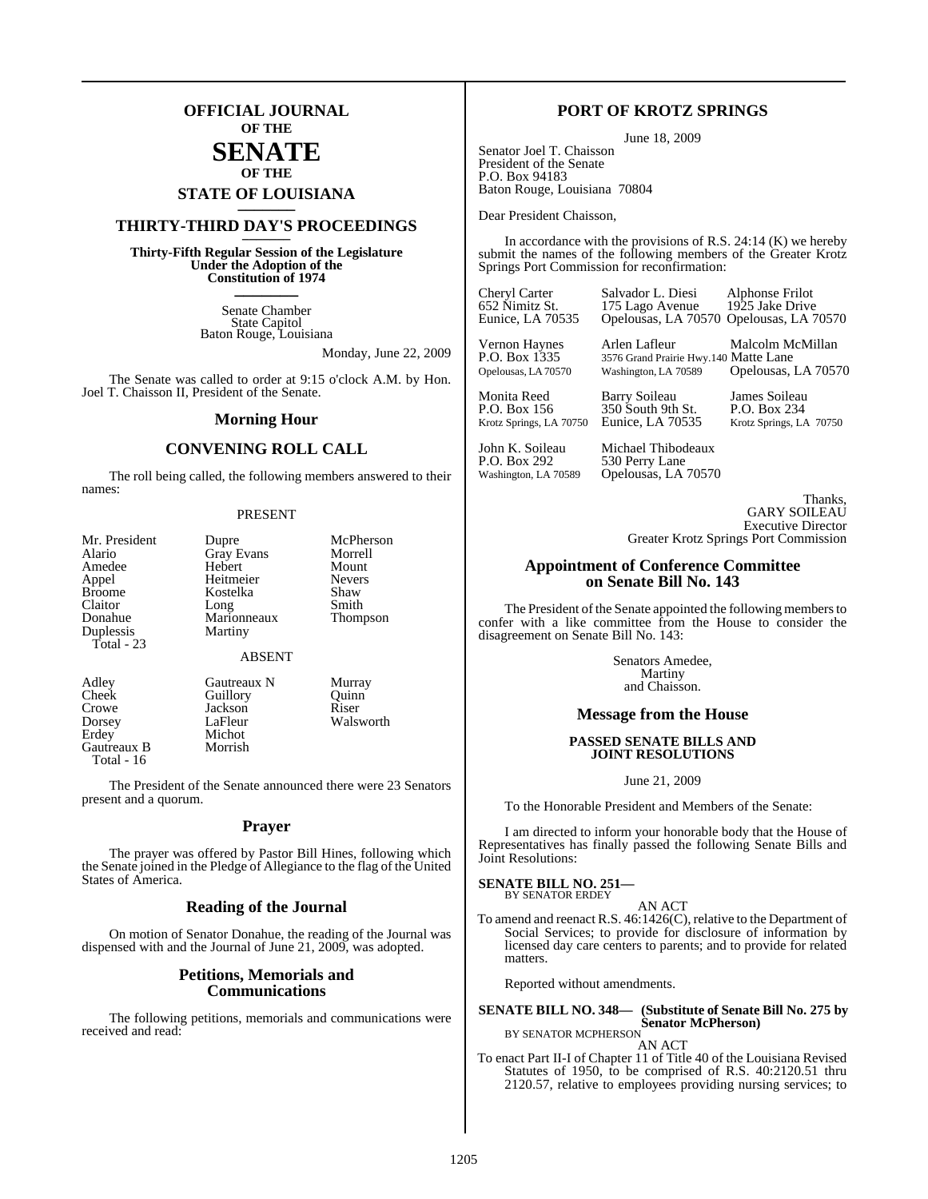### **OFFICIAL JOURNAL OF THE**

### **SENATE OF THE**

# **STATE OF LOUISIANA \_\_\_\_\_\_\_**

### **THIRTY-THIRD DAY'S PROCEEDINGS \_\_\_\_\_\_\_**

**Thirty-Fifth Regular Session of the Legislature Under the Adoption of the Constitution of 1974 \_\_\_\_\_\_\_**

> Senate Chamber State Capitol Baton Rouge, Louisiana

> > Monday, June 22, 2009

The Senate was called to order at 9:15 o'clock A.M. by Hon. Joel T. Chaisson II, President of the Senate.

### **Morning Hour**

### **CONVENING ROLL CALL**

The roll being called, the following members answered to their names:

### PRESENT

| Mr. President | Dupre             | McPherson     |
|---------------|-------------------|---------------|
| Alario        | <b>Gray Evans</b> | Morrell       |
| Amedee        | Hebert            | Mount         |
| Appel         | Heitmeier         | <b>Nevers</b> |
| <b>Broome</b> | Kostelka          | Shaw          |
| Claitor       | Long              | Smith         |
| Donahue       | Marionneaux       | Thompson      |
| Duplessis     | Martiny           |               |
| Total - $23$  |                   |               |
|               | ABSENT            |               |

Gautreaux B Total - 16

Adley Gautreaux N Murray<br>Cheek Guillory Quinn Cheek Guillory Quinn<br>Crowe Jackson Riser Jackson<br>LaFleur Dorsey LaFleur Walsworth<br>Erdey Michot Michot<br>Morrish

The President of the Senate announced there were 23 Senators present and a quorum.

### **Prayer**

The prayer was offered by Pastor Bill Hines, following which the Senate joined in the Pledge of Allegiance to the flag of the United States of America.

### **Reading of the Journal**

On motion of Senator Donahue, the reading of the Journal was dispensed with and the Journal of June 21, 2009, was adopted.

### **Petitions, Memorials and Communications**

The following petitions, memorials and communications were received and read:

### **PORT OF KROTZ SPRINGS**

June 18, 2009

Senator Joel T. Chaisson President of the Senate P.O. Box 94183 Baton Rouge, Louisiana 70804

Dear President Chaisson,

In accordance with the provisions of R.S.  $24:14$  (K) we hereby submit the names of the following members of the Greater Krotz Springs Port Commission for reconfirmation:

652 Nimitz St. 175 Lago Avenue<br>Eunice, LA 70535 Opelousas, LA 70

Cheryl Carter Salvador L. Diesi Alphonse Frilot Opelousas, LA 70570 Opelousas, LA 70570

Vernon Haynes Arlen Lafleur Malcolm McMillan P.O. Box 1335 3576 Grand Prairie Hwy.140 Matte Lane<br>Opelousas, LA 70570 Washington, LA 70589 Opelousas, Opelousas, LA 70570

Monita Reed Barry Soileau James Soileau<br>
P.O. Box 156 350 South 9th St. P.O. Box 234 P.O. Box 156 350 South 9th St.<br>Krotz Springs, LA 70750 Eunice, LA 70535

Krotz Springs, LA 70750

John K. Soileau Michael Thibodeaux<br>P.O. Box 292 530 Perry Lane P.O. Box 292 530 Perry Lane<br>Washington, LA 70589 Opelousas, LA Opelousas, LA 70570

> Thanks, GARY SOILEAU Executive Director

Greater Krotz Springs Port Commission

### **Appointment of Conference Committee on Senate Bill No. 143**

The President of the Senate appointed the following members to confer with a like committee from the House to consider the disagreement on Senate Bill No. 143:

> Senators Amedee, Martiny and Chaisson.

### **Message from the House**

### **PASSED SENATE BILLS AND JOINT RESOLUTIONS**

June 21, 2009

To the Honorable President and Members of the Senate:

I am directed to inform your honorable body that the House of Representatives has finally passed the following Senate Bills and Joint Resolutions:

### **SENATE BILL NO. 251—** BY SENATOR ERDEY

AN ACT To amend and reenact R.S. 46:1426(C), relative to the Department of Social Services; to provide for disclosure of information by

licensed day care centers to parents; and to provide for related matters.

Reported without amendments.

**SENATE BILL NO. 348— (Substitute of Senate Bill No. 275 by Senator McPherson)** BY SENATOR MCPHERSON

AN ACT

To enact Part II-I of Chapter 11 of Title 40 of the Louisiana Revised Statutes of 1950, to be comprised of R.S. 40:2120.51 thru 2120.57, relative to employees providing nursing services; to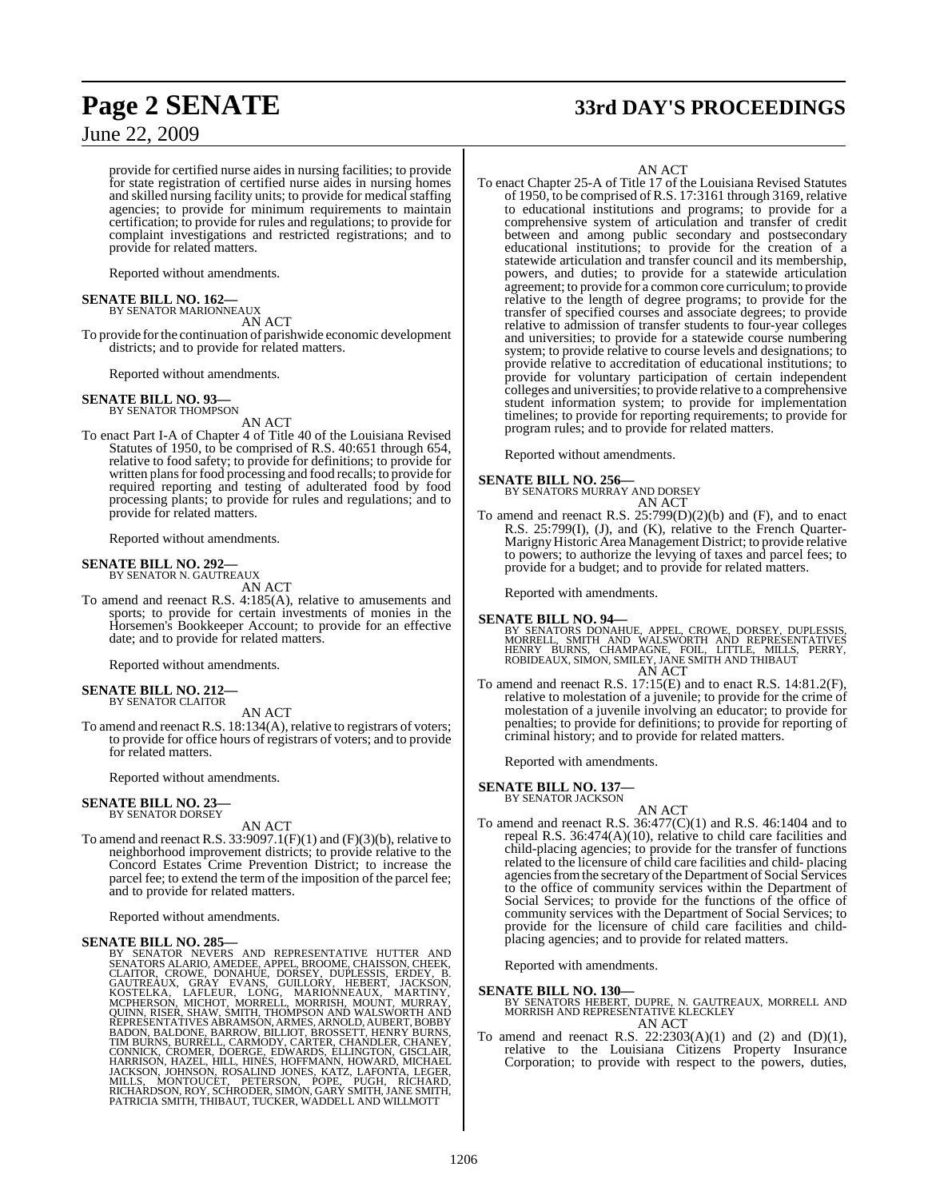provide for certified nurse aides in nursing facilities; to provide for state registration of certified nurse aides in nursing homes and skilled nursing facility units; to provide for medical staffing agencies; to provide for minimum requirements to maintain certification; to provide for rules and regulations; to provide for complaint investigations and restricted registrations; and to provide for related matters.

Reported without amendments.

### **SENATE BILL NO. 162—**

BY SENATOR MARIONNEAUX AN ACT

To provide forthe continuation of parishwide economic development districts; and to provide for related matters.

Reported without amendments.

### **SENATE BILL NO. 93—** BY SENATOR THOMPSON

AN ACT

To enact Part I-A of Chapter 4 of Title 40 of the Louisiana Revised Statutes of 1950, to be comprised of R.S. 40:651 through 654, relative to food safety; to provide for definitions; to provide for written plans for food processing and food recalls; to provide for required reporting and testing of adulterated food by food processing plants; to provide for rules and regulations; and to provide for related matters.

Reported without amendments.

### **SENATE BILL NO. 292—** BY SENATOR N. GAUTREAUX

AN ACT

To amend and reenact R.S. 4:185(A), relative to amusements and sports; to provide for certain investments of monies in the Horsemen's Bookkeeper Account; to provide for an effective date; and to provide for related matters.

Reported without amendments.

**SENATE BILL NO. 212—** BY SENATOR CLAITOR

AN ACT

To amend and reenact R.S. 18:134(A), relative to registrars of voters; to provide for office hours of registrars of voters; and to provide for related matters.

Reported without amendments.

### **SENATE BILL NO. 23—** BY SENATOR DORSEY

AN ACT

To amend and reenact R.S. 33:9097.1(F)(1) and (F)(3)(b), relative to neighborhood improvement districts; to provide relative to the Concord Estates Crime Prevention District; to increase the parcel fee; to extend the term of the imposition of the parcel fee; and to provide for related matters.

Reported without amendments.

SENATE BILL NO. 285---<br>BY SENATOR NEVERS AND REPRESENTATIVE HUTTER AND<br>BY SENATOR NEVERS AND REPRESENTATIVE HUTTER AND<br>CLAITOR, CROWE, DONAHUE, DORSEY, DUPLESSIS, ERDEY, B.<br>GAUTREAUX, GRAY EVANS, GUILLORY, HEBERT, JACKSON,

# **Page 2 SENATE 33rd DAY'S PROCEEDINGS**

AN ACT

To enact Chapter 25-A of Title 17 of the Louisiana Revised Statutes of 1950, to be comprised ofR.S. 17:3161 through 3169, relative to educational institutions and programs; to provide for a comprehensive system of articulation and transfer of credit between and among public secondary and postsecondary educational institutions; to provide for the creation of a statewide articulation and transfer council and its membership, powers, and duties; to provide for a statewide articulation agreement; to provide for a common core curriculum; to provide relative to the length of degree programs; to provide for the transfer of specified courses and associate degrees; to provide relative to admission of transfer students to four-year colleges and universities; to provide for a statewide course numbering system; to provide relative to course levels and designations; to provide relative to accreditation of educational institutions; to provide for voluntary participation of certain independent colleges and universities; to provide relative to a comprehensive student information system; to provide for implementation timelines; to provide for reporting requirements; to provide for program rules; and to provide for related matters.

Reported without amendments.

### **SENATE BILL NO. 256—**

BY SENATORS MURRAY AND DORSEY AN ACT

To amend and reenact R.S. 25:799(D)(2)(b) and (F), and to enact R.S. 25:799(I), (J), and (K), relative to the French Quarter-Marigny Historic Area Management District; to provide relative to powers; to authorize the levying of taxes and parcel fees; to provide for a budget; and to provide for related matters.

Reported with amendments.

### **SENATE BILL NO. 94—**

BY SENATORS DONAHUE, APPEL, CROWE, DORSEY, DUPLESSIS,<br>MORRELL, SMITH AND WALSWORTH AND REPRESENTATIVES<br>HENRY BURNS, CHAMPAGNE, FOIL, LITTLE, MILLS, PERRY,<br>ROBIDEAUX, SIMON, SMILEY, JANE SMITH AND THIBAUT AN ACT

To amend and reenact R.S.  $17.15(E)$  and to enact R.S.  $14.81.2(F)$ , relative to molestation of a juvenile; to provide for the crime of molestation of a juvenile involving an educator; to provide for penalties; to provide for definitions; to provide for reporting of criminal history; and to provide for related matters.

Reported with amendments.

### **SENATE BILL NO. 137—** BY SENATOR JACKSON

- AN ACT
- To amend and reenact R.S. 36:477(C)(1) and R.S. 46:1404 and to repeal R.S. 36:474(A)(10), relative to child care facilities and child-placing agencies; to provide for the transfer of functions related to the licensure of child care facilities and child- placing agencies from the secretary of the Department of Social Services to the office of community services within the Department of Social Services; to provide for the functions of the office of community services with the Department of Social Services; to provide for the licensure of child care facilities and childplacing agencies; and to provide for related matters.

Reported with amendments.

### **SENATE BILL NO. 130—**

BY SENATORS HEBERT, DUPRE, N. GAUTREAUX, MORRELL AND MORRISH AND REPRESENTATIVE KLECKLEY AN ACT

To amend and reenact R.S.  $22:2303(A)(1)$  and  $(2)$  and  $(D)(1)$ , relative to the Louisiana Citizens Property Insurance Corporation; to provide with respect to the powers, duties,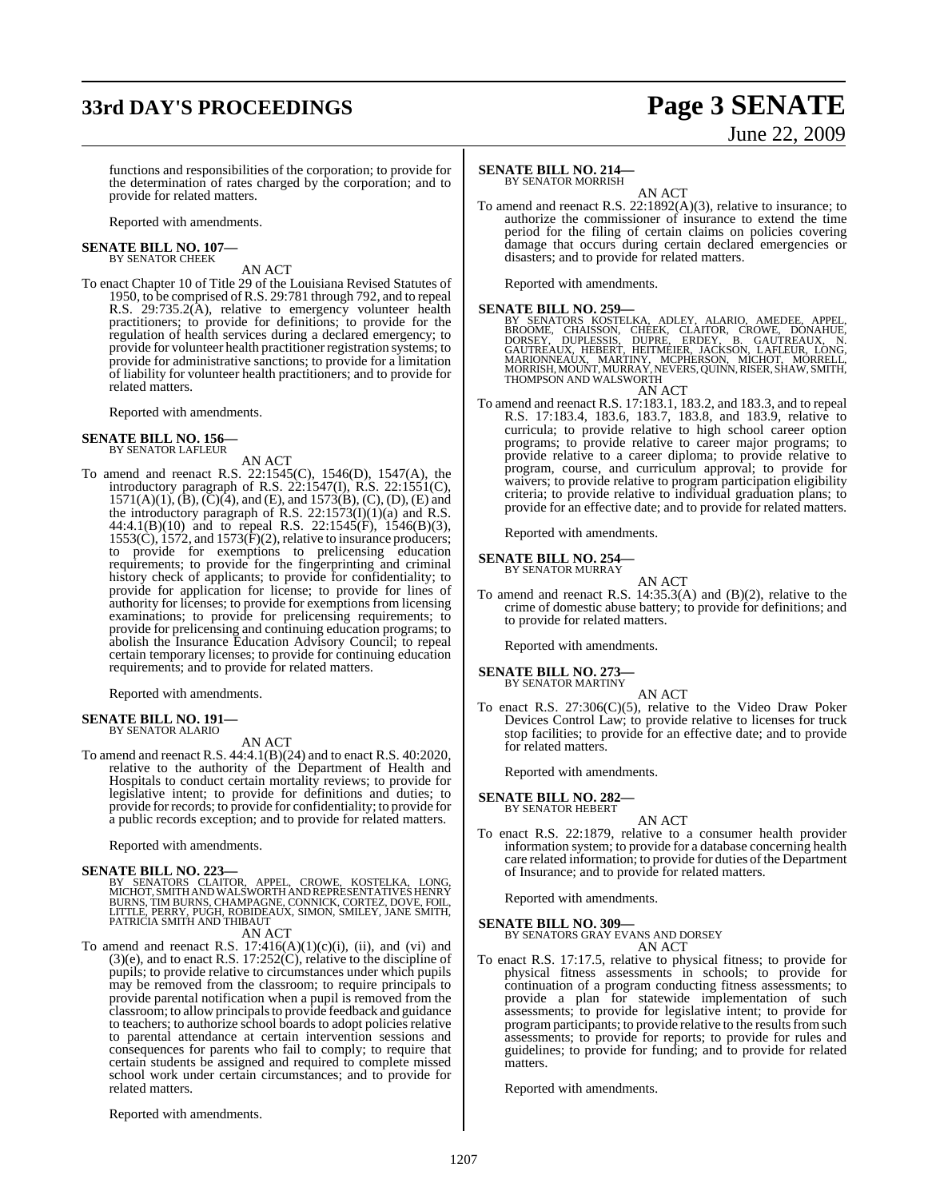# **33rd DAY'S PROCEEDINGS Page 3 SENATE**

# June 22, 2009

functions and responsibilities of the corporation; to provide for the determination of rates charged by the corporation; and to provide for related matters.

Reported with amendments.

### **SENATE BILL NO. 107—** BY SENATOR CHEEK

AN ACT

To enact Chapter 10 of Title 29 of the Louisiana Revised Statutes of 1950, to be comprised ofR.S. 29:781 through 792, and to repeal R.S. 29:735.2(A), relative to emergency volunteer health practitioners; to provide for definitions; to provide for the regulation of health services during a declared emergency; to provide for volunteer health practitioner registration systems; to provide for administrative sanctions; to provide for a limitation of liability for volunteer health practitioners; and to provide for related matters.

Reported with amendments.

### **SENATE BILL NO. 156—** BY SENATOR LAFLEUR

AN ACT

To amend and reenact R.S. 22:1545(C), 1546(D), 1547(A), the introductory paragraph of R.S. 22:1547(I), R.S. 22:1551(C),  $1571(A)(1)$ ,  $(\dot{B})$ ,  $(\ddot{C})(4)$ , and  $(E)$ , and  $1573(B)$ ,  $(C)$ ,  $(D)$ ,  $(E)$  and the introductory paragraph of R.S.  $22:1573(I)(1)(a)$  and R.S. 44:4.1(B)(10) and to repeal R.S. 22:1545(F), 1546(B)(3),  $1553(\hat{C})$ ,  $1572$ , and  $1573(\hat{F})(2)$ , relative to insurance producers; to provide for exemptions to prelicensing education requirements; to provide for the fingerprinting and criminal history check of applicants; to provide for confidentiality; to provide for application for license; to provide for lines of authority for licenses; to provide for exemptions from licensing examinations; to provide for prelicensing requirements; to provide for prelicensing and continuing education programs; to abolish the Insurance Education Advisory Council; to repeal certain temporary licenses; to provide for continuing education requirements; and to provide for related matters.

Reported with amendments.

### **SENATE BILL NO. 191—** BY SENATOR ALARIO

AN ACT

To amend and reenact R.S. 44:4.1(B)(24) and to enact R.S. 40:2020, relative to the authority of the Department of Health and Hospitals to conduct certain mortality reviews; to provide for legislative intent; to provide for definitions and duties; to provide for records; to provide for confidentiality; to provide for a public records exception; and to provide for related matters.

Reported with amendments.

### **SENATE BILL NO. 223—**

BY SENATORS CLAITOR, APPEL, CROWE, KOSTELKA, LONG, MICHOT, SMITHAND WALSWORTHAND REPRESENTATIVESHENRY BURNS, TIM BURNS, CHAMPAGNE, CONNICK, CORTEZ, DOVE, FOIL,<br>LITTLE, PERRY, PUGH, ROBIDEAUX, SIMON, SMILEY, JANE SMITH,<br>PATRICIA SMITH AND THIBAUT

AN ACT

To amend and reenact R.S.  $17:416(A)(1)(c)(i)$ , (ii), and (vi) and  $(3)(e)$ , and to enact R.S. 17:252 $(C)$ , relative to the discipline of pupils; to provide relative to circumstances under which pupils may be removed from the classroom; to require principals to provide parental notification when a pupil is removed from the classroom; to allow principals to provide feedback and guidance to teachers; to authorize school boards to adopt policies relative to parental attendance at certain intervention sessions and consequences for parents who fail to comply; to require that certain students be assigned and required to complete missed school work under certain circumstances; and to provide for related matters.

Reported with amendments.

### **SENATE BILL NO. 214—**

BY SENATOR MORRISH

AN ACT To amend and reenact R.S. 22:1892(A)(3), relative to insurance; to authorize the commissioner of insurance to extend the time period for the filing of certain claims on policies covering damage that occurs during certain declared emergencies or disasters; and to provide for related matters.

Reported with amendments.

SENATE BILL NO. 259—<br>
BY SENATORS KOSTELKA, ADLEY, ALARIO, AMEDEE, APPEL,<br>
BROOME, CHAISSON, CHEEK, CLAITOR, CROWE, DONAHUE,<br>
DORSEY, DUPLESSIS, DUPRE, ERDEY, B. GAUTREAUX, N.<br>
GAUTREAUX, HEBERT, HEITMEIER, JACKSON, LAFLEU THOMPSON AND WALSWORTH AN ACT

To amend and reenact R.S. 17:183.1, 183.2, and 183.3, and to repeal R.S. 17:183.4, 183.6, 183.7, 183.8, and 183.9, relative to curricula; to provide relative to high school career option programs; to provide relative to career major programs; to provide relative to a career diploma; to provide relative to program, course, and curriculum approval; to provide for waivers; to provide relative to program participation eligibility criteria; to provide relative to individual graduation plans; to provide for an effective date; and to provide for related matters.

Reported with amendments.

**SENATE BILL NO. 254—** BY SENATOR MURRAY

AN ACT To amend and reenact R.S. 14:35.3(A) and (B)(2), relative to the crime of domestic abuse battery; to provide for definitions; and to provide for related matters.

Reported with amendments.

### **SENATE BILL NO. 273** BY SENATOR MARTINY

AN ACT

To enact R.S. 27:306(C)(5), relative to the Video Draw Poker Devices Control Law; to provide relative to licenses for truck stop facilities; to provide for an effective date; and to provide for related matters.

Reported with amendments.

### **SENATE BILL NO. 282—** BY SENATOR HEBERT

AN ACT

To enact R.S. 22:1879, relative to a consumer health provider information system; to provide for a database concerning health care related information; to provide for duties of the Department of Insurance; and to provide for related matters.

Reported with amendments.

**SENATE BILL NO. 309—** BY SENATORS GRAY EVANS AND DORSEY

AN ACT

To enact R.S. 17:17.5, relative to physical fitness; to provide for physical fitness assessments in schools; to provide for continuation of a program conducting fitness assessments; to provide a plan for statewide implementation of such assessments; to provide for legislative intent; to provide for program participants; to provide relative to the results from such assessments; to provide for reports; to provide for rules and guidelines; to provide for funding; and to provide for related matters.

Reported with amendments.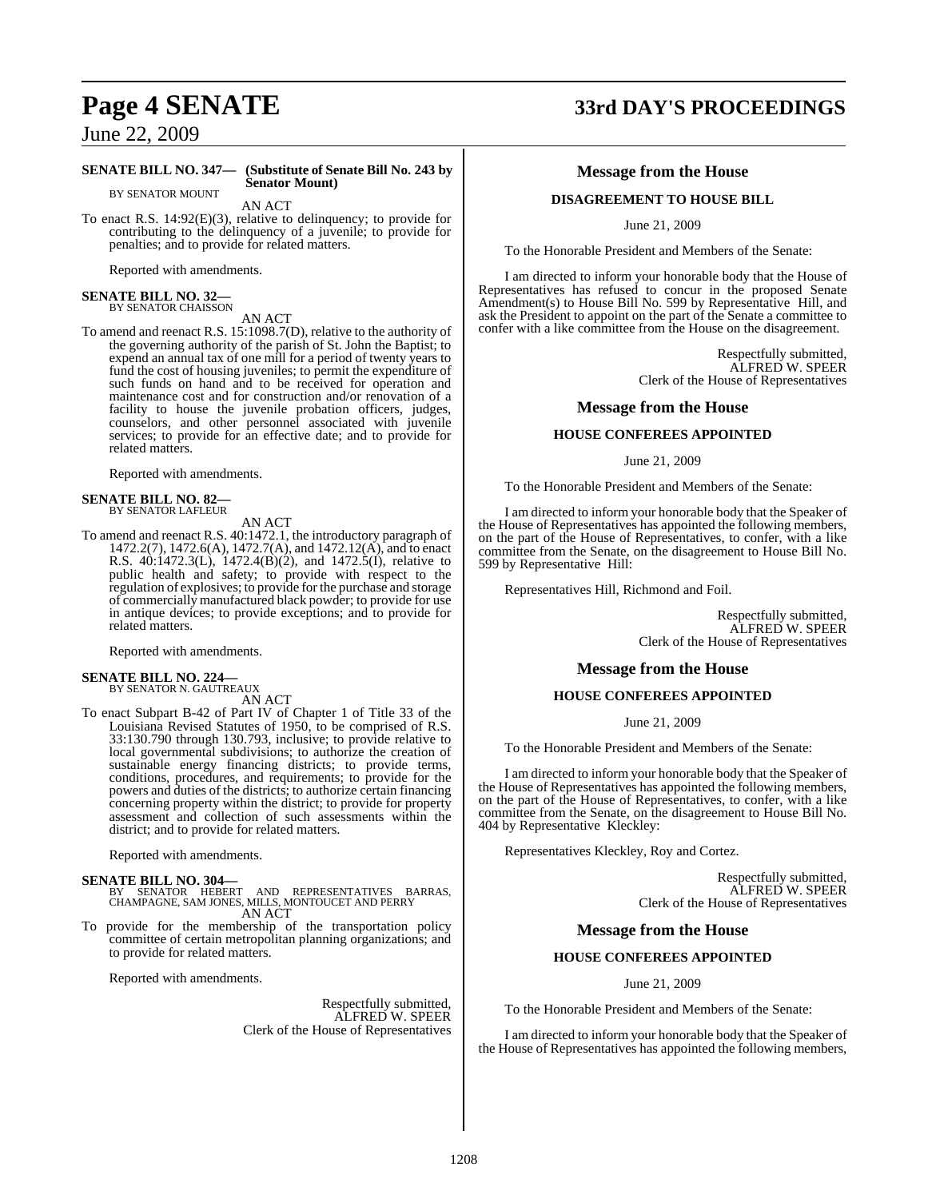### **SENATE BILL NO. 347— (Substitute of Senate Bill No. 243 by Senator Mount)**

BY SENATOR MOUNT AN ACT

To enact R.S. 14:92(E)(3), relative to delinquency; to provide for contributing to the delinquency of a juvenile; to provide for penalties; and to provide for related matters.

Reported with amendments.

## **SENATE BILL NO. 32—** BY SENATOR CHAISSON

AN ACT

To amend and reenact R.S. 15:1098.7(D), relative to the authority of the governing authority of the parish of St. John the Baptist; to expend an annual tax of one mill for a period of twenty years to fund the cost of housing juveniles; to permit the expenditure of such funds on hand and to be received for operation and maintenance cost and for construction and/or renovation of a facility to house the juvenile probation officers, judges, counselors, and other personnel associated with juvenile services; to provide for an effective date; and to provide for related matters.

Reported with amendments.

### **SENATE BILL NO. 82—** BY SENATOR LAFLEUR

AN ACT

To amend and reenact R.S. 40:1472.1, the introductory paragraph of 1472.2(7), 1472.6(A), 1472.7(A), and 1472.12(A), and to enact R.S. 40:1472.3(L), 1472.4(B)(2), and 1472.5(I), relative to public health and safety; to provide with respect to the regulation of explosives; to provide for the purchase and storage of commercially manufactured black powder; to provide for use in antique devices; to provide exceptions; and to provide for related matters.

Reported with amendments.

### **SENATE BILL NO. 224—** BY SENATOR N. GAUTREAUX

AN ACT

To enact Subpart B-42 of Part IV of Chapter 1 of Title 33 of the Louisiana Revised Statutes of 1950, to be comprised of R.S. 33:130.790 through 130.793, inclusive; to provide relative to local governmental subdivisions; to authorize the creation of sustainable energy financing districts; to provide terms, conditions, procedures, and requirements; to provide for the powers and duties of the districts; to authorize certain financing concerning property within the district; to provide for property assessment and collection of such assessments within the district; and to provide for related matters.

Reported with amendments.

**SENATE BILL NO. 304—** BY SENATOR HEBERT AND REPRESENTATIVES BARRAS, CHAMPAGNE, SAM JONES, MILLS, MONTOUCET AND PERRY AN ACT

To provide for the membership of the transportation policy committee of certain metropolitan planning organizations; and to provide for related matters.

Reported with amendments.

Respectfully submitted, ALFRED W. SPEER Clerk of the House of Representatives

# **Page 4 SENATE 33rd DAY'S PROCEEDINGS**

### **Message from the House**

### **DISAGREEMENT TO HOUSE BILL**

June 21, 2009

To the Honorable President and Members of the Senate:

I am directed to inform your honorable body that the House of Representatives has refused to concur in the proposed Senate Amendment(s) to House Bill No. 599 by Representative Hill, and ask the President to appoint on the part of the Senate a committee to confer with a like committee from the House on the disagreement.

> Respectfully submitted, ALFRED W. SPEER Clerk of the House of Representatives

### **Message from the House**

### **HOUSE CONFEREES APPOINTED**

June 21, 2009

To the Honorable President and Members of the Senate:

I am directed to inform your honorable body that the Speaker of the House of Representatives has appointed the following members, on the part of the House of Representatives, to confer, with a like committee from the Senate, on the disagreement to House Bill No. 599 by Representative Hill:

Representatives Hill, Richmond and Foil.

Respectfully submitted, ALFRED W. SPEER Clerk of the House of Representatives

### **Message from the House**

### **HOUSE CONFEREES APPOINTED**

June 21, 2009

To the Honorable President and Members of the Senate:

I am directed to inform your honorable body that the Speaker of the House of Representatives has appointed the following members, on the part of the House of Representatives, to confer, with a like committee from the Senate, on the disagreement to House Bill No. 404 by Representative Kleckley:

Representatives Kleckley, Roy and Cortez.

Respectfully submitted, ALFRED W. SPEER Clerk of the House of Representatives

### **Message from the House**

### **HOUSE CONFEREES APPOINTED**

June 21, 2009

To the Honorable President and Members of the Senate:

I am directed to inform your honorable body that the Speaker of the House of Representatives has appointed the following members,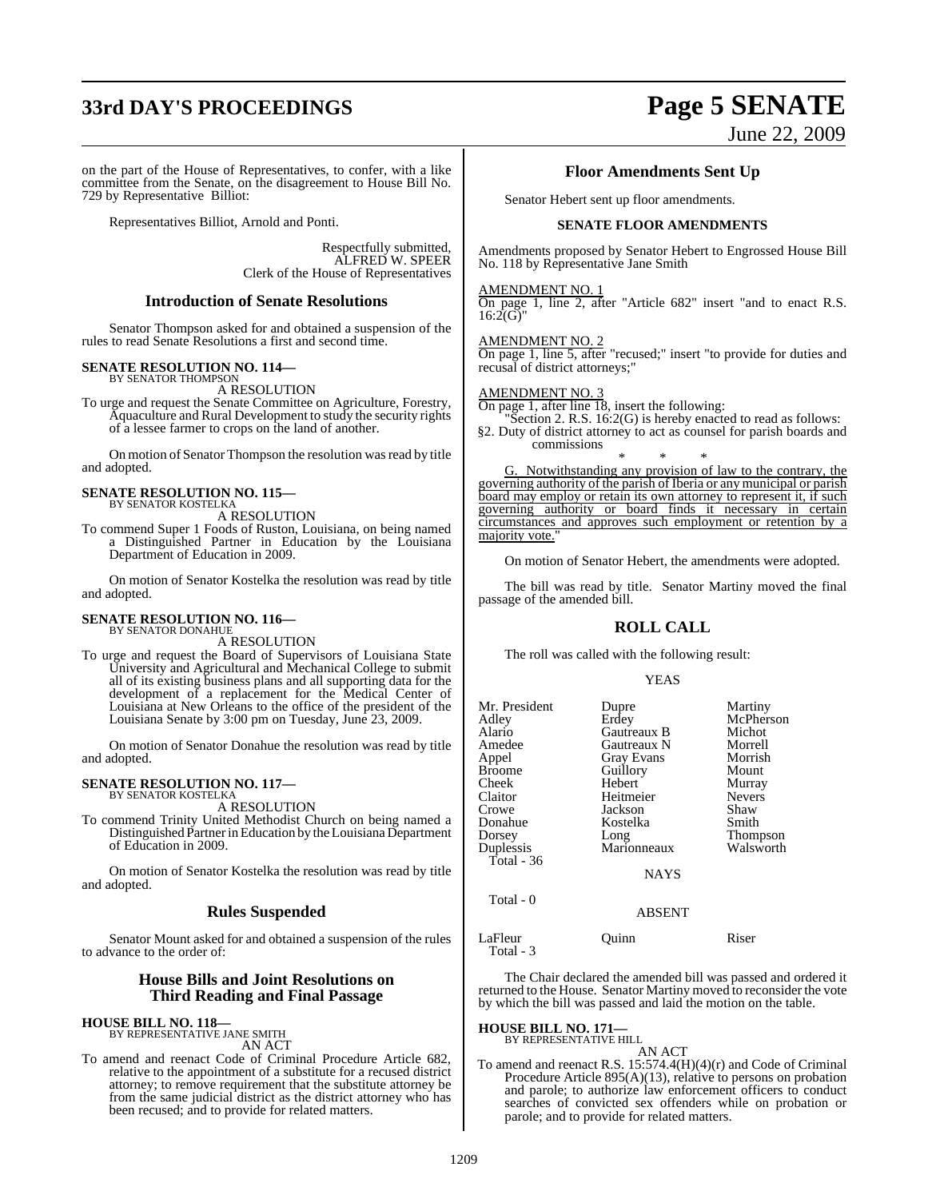# **33rd DAY'S PROCEEDINGS Page 5 SENATE**

### on the part of the House of Representatives, to confer, with a like committee from the Senate, on the disagreement to House Bill No. 729 by Representative Billiot:

Representatives Billiot, Arnold and Ponti.

Respectfully submitted, ALFRED W. SPEER Clerk of the House of Representatives

### **Introduction of Senate Resolutions**

Senator Thompson asked for and obtained a suspension of the rules to read Senate Resolutions a first and second time.

### **SENATE RESOLUTION NO. 114—** BY SENATOR THOMPSON

A RESOLUTION

To urge and request the Senate Committee on Agriculture, Forestry, Aquaculture and Rural Development to study the security rights of a lessee farmer to crops on the land of another.

On motion of Senator Thompson the resolution was read by title and adopted.

# **SENATE RESOLUTION NO. 115—** BY SENATOR KOSTELKA

A RESOLUTION

To commend Super 1 Foods of Ruston, Louisiana, on being named a Distinguished Partner in Education by the Louisiana Department of Education in 2009.

On motion of Senator Kostelka the resolution was read by title and adopted.

### **SENATE RESOLUTION NO. 116—** BY SENATOR DONAHUE

A RESOLUTION

To urge and request the Board of Supervisors of Louisiana State University and Agricultural and Mechanical College to submit all of its existing business plans and all supporting data for the development of a replacement for the Medical Center of Louisiana at New Orleans to the office of the president of the Louisiana Senate by 3:00 pm on Tuesday, June 23, 2009.

On motion of Senator Donahue the resolution was read by title and adopted.

### **SENATE RESOLUTION NO. 117—** BY SENATOR KOSTELKA

A RESOLUTION

To commend Trinity United Methodist Church on being named a Distinguished Partner in Education by the Louisiana Department of Education in 2009.

On motion of Senator Kostelka the resolution was read by title and adopted.

### **Rules Suspended**

Senator Mount asked for and obtained a suspension of the rules to advance to the order of:

### **House Bills and Joint Resolutions on Third Reading and Final Passage**

**HOUSE BILL NO. 118—** BY REPRESENTATIVE JANE SMITH AN ACT

To amend and reenact Code of Criminal Procedure Article 682, relative to the appointment of a substitute for a recused district attorney; to remove requirement that the substitute attorney be from the same judicial district as the district attorney who has been recused; and to provide for related matters.

# June 22, 2009

### **Floor Amendments Sent Up**

Senator Hebert sent up floor amendments.

### **SENATE FLOOR AMENDMENTS**

Amendments proposed by Senator Hebert to Engrossed House Bill No. 118 by Representative Jane Smith

### AMENDMENT NO. 1

On page 1, line 2, after "Article 682" insert "and to enact R.S.  $16:2(G)$ "

AMENDMENT NO. 2

On page 1, line 5, after "recused;" insert "to provide for duties and recusal of district attorneys;"

### AMENDMENT NO. 3

On page 1, after line 18, insert the following:

"Section 2. R.S. 16:2(G) is hereby enacted to read as follows: §2. Duty of district attorney to act as counsel for parish boards and commissions

\* \* \* G. Notwithstanding any provision of law to the contrary, the governing authority of the parish of Iberia or any municipal or parish board may employ or retain its own attorney to represent it, if such governing authority or board finds it necessary in certain circumstances and approves such employment or retention by a majority vote.

On motion of Senator Hebert, the amendments were adopted.

The bill was read by title. Senator Martiny moved the final passage of the amended bill.

### **ROLL CALL**

The roll was called with the following result:

### YEAS

| Mr. President<br>Adley<br>Alario<br>Amedee<br>Appel<br>Broome<br>Cheek<br>Claitor<br>Crowe<br>Donahue<br>Dorsey<br>Duplessis<br>Total - 36<br>Total - 0 | Dupre<br>Erdey<br>Gautreaux B<br>Gautreaux N<br><b>Gray Evans</b><br>Guillory<br>Hebert<br>Heitmeier<br>Jackson<br>Kostelka<br>Long<br>Marionneaux<br><b>NAYS</b><br><b>ABSENT</b> | Martiny<br>McPherson<br>Michot<br>Morrell<br>Morrish<br>Mount<br>Murray<br><b>Nevers</b><br>Shaw<br>Smith<br>Thompson<br>Walsworth |
|---------------------------------------------------------------------------------------------------------------------------------------------------------|------------------------------------------------------------------------------------------------------------------------------------------------------------------------------------|------------------------------------------------------------------------------------------------------------------------------------|
| LaFleur                                                                                                                                                 | Ouinn                                                                                                                                                                              | Riser                                                                                                                              |
| Total - 3                                                                                                                                               |                                                                                                                                                                                    |                                                                                                                                    |

The Chair declared the amended bill was passed and ordered it returned to the House. Senator Martiny moved to reconsider the vote by which the bill was passed and laid the motion on the table.

**HOUSE BILL NO. 171—** BY REPRESENTATIVE HILL

AN ACT

To amend and reenact R.S. 15:574.4(H)(4)(r) and Code of Criminal Procedure Article 895(A)(13), relative to persons on probation and parole; to authorize law enforcement officers to conduct searches of convicted sex offenders while on probation or parole; and to provide for related matters.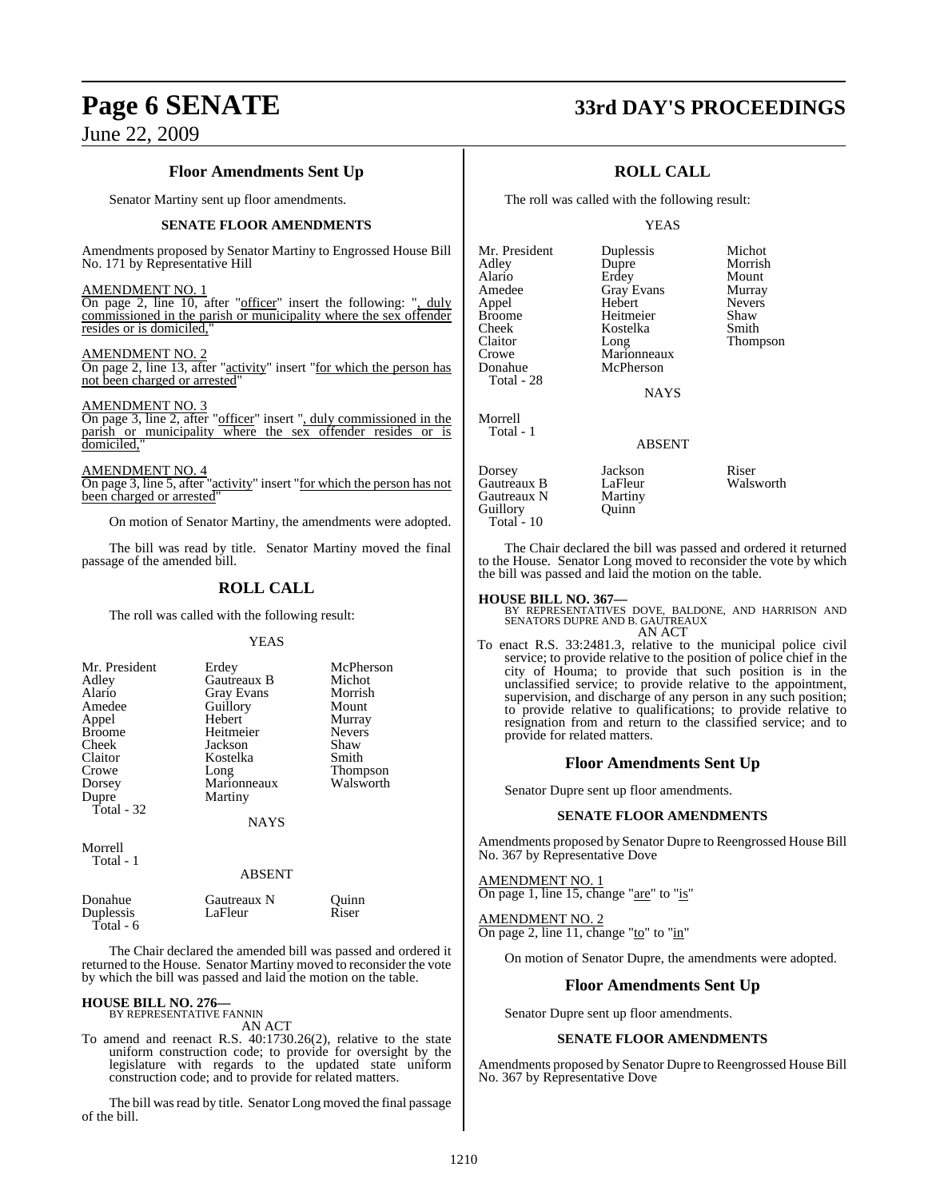### **Floor Amendments Sent Up**

Senator Martiny sent up floor amendments.

### **SENATE FLOOR AMENDMENTS**

Amendments proposed by Senator Martiny to Engrossed House Bill No. 171 by Representative Hill

AMENDMENT NO. 1

On page 2, line 10, after "officer" insert the following: ", duly commissioned in the parish or municipality where the sex offender resides or is domiciled,

AMENDMENT NO. 2

On page 2, line 13, after "activity" insert "for which the person has not been charged or arrested"

### AMENDMENT NO. 3

On page 3, line 2, after "officer" insert ", duly commissioned in the parish or municipality where the sex offender resides or is domiciled,"

AMENDMENT NO. 4 On page 3, line 5, after "activity" insert "for which the person has not been charged or arrested"

On motion of Senator Martiny, the amendments were adopted.

The bill was read by title. Senator Martiny moved the final passage of the amended bill.

### **ROLL CALL**

The roll was called with the following result:

### **YEAS**

| Mr. President<br>Adley<br>Alario<br>Amedee<br>Appel<br><b>Broome</b><br>Cheek<br>Claitor<br>Crowe | Erdey<br>Gautreaux B<br>Gray Evans<br>Guillory<br>Hebert<br>Heitmeier<br>Jackson<br>Kostelka<br>Long | McPherson<br>Michot<br>Morrish<br>Mount<br>Murray<br><b>Nevers</b><br>Shaw<br>Smith |
|---------------------------------------------------------------------------------------------------|------------------------------------------------------------------------------------------------------|-------------------------------------------------------------------------------------|
| Dorsey<br>Dupre<br>Total - 32                                                                     | Marionneaux<br>Martiny                                                                               | <b>Thompson</b><br>Walsworth                                                        |
|                                                                                                   | <b>NAYS</b>                                                                                          |                                                                                     |
| Morrell                                                                                           |                                                                                                      |                                                                                     |

Total - 1

### ABSENT

Donahue Gautreaux N Quinn<br>
Duplessis LaFleur Riser Duplessis LaFleur Riser Total - 6

The Chair declared the amended bill was passed and ordered it returned to the House. Senator Martiny moved to reconsider the vote by which the bill was passed and laid the motion on the table.

### **HOUSE BILL NO. 276—** BY REPRESENTATIVE FANNIN

AN ACT

To amend and reenact R.S. 40:1730.26(2), relative to the state uniform construction code; to provide for oversight by the legislature with regards to the updated state uniform construction code; and to provide for related matters.

The bill was read by title. Senator Long moved the final passage of the bill.

### **Page 6 SENATE 33rd DAY'S PROCEEDINGS**

### **ROLL CALL**

The roll was called with the following result:

Kostelka

### YEAS

Mr. President Duplessis Michot<br>Adley Dupre Morrisl Alario Erdey Mount Amedee Gray Evans Murray<br>Appel Hebert Nevers Appel Hebert Nevers Broome Heitmeier Shaw<br>Cheek Kostelka Smith Claitor Long Thompson<br>Crowe Marionneaux Thompson Crowe Marionneaux<br>
Donahue McPherson Total - 28

Morrell Total - 1 McPherson

**NAYS** 

### ABSENT

Dorsey Jackson Riser<br>
Gautreaux B LaFleur Walsworth Gautreaux B LaFleur<br>Gautreaux N Martiny Gautreaux N Martin<br>
Guillory Ouinn Guillory Total -  $10$ 

Morrish<br>Mount

The Chair declared the bill was passed and ordered it returned to the House. Senator Long moved to reconsider the vote by which the bill was passed and laid the motion on the table.

### **HOUSE BILL NO. 367—**

BY REPRESENTATIVES DOVE, BALDONE, AND HARRISON AND SENATORS DUPRE AND B. GAUTREAUX AN ACT

To enact R.S. 33:2481.3, relative to the municipal police civil service; to provide relative to the position of police chief in the city of Houma; to provide that such position is in the unclassified service; to provide relative to the appointment, supervision, and discharge of any person in any such position; to provide relative to qualifications; to provide relative to resignation from and return to the classified service; and to provide for related matters.

### **Floor Amendments Sent Up**

Senator Dupre sent up floor amendments.

### **SENATE FLOOR AMENDMENTS**

Amendments proposed by Senator Dupre to Reengrossed House Bill No. 367 by Representative Dove

AMENDMENT NO. 1 On page 1, line 15, change "are" to "is"

AMENDMENT NO. 2 On page 2, line 11, change "to" to "in"

On motion of Senator Dupre, the amendments were adopted.

### **Floor Amendments Sent Up**

Senator Dupre sent up floor amendments.

### **SENATE FLOOR AMENDMENTS**

Amendments proposed by Senator Dupre to Reengrossed House Bill No. 367 by Representative Dove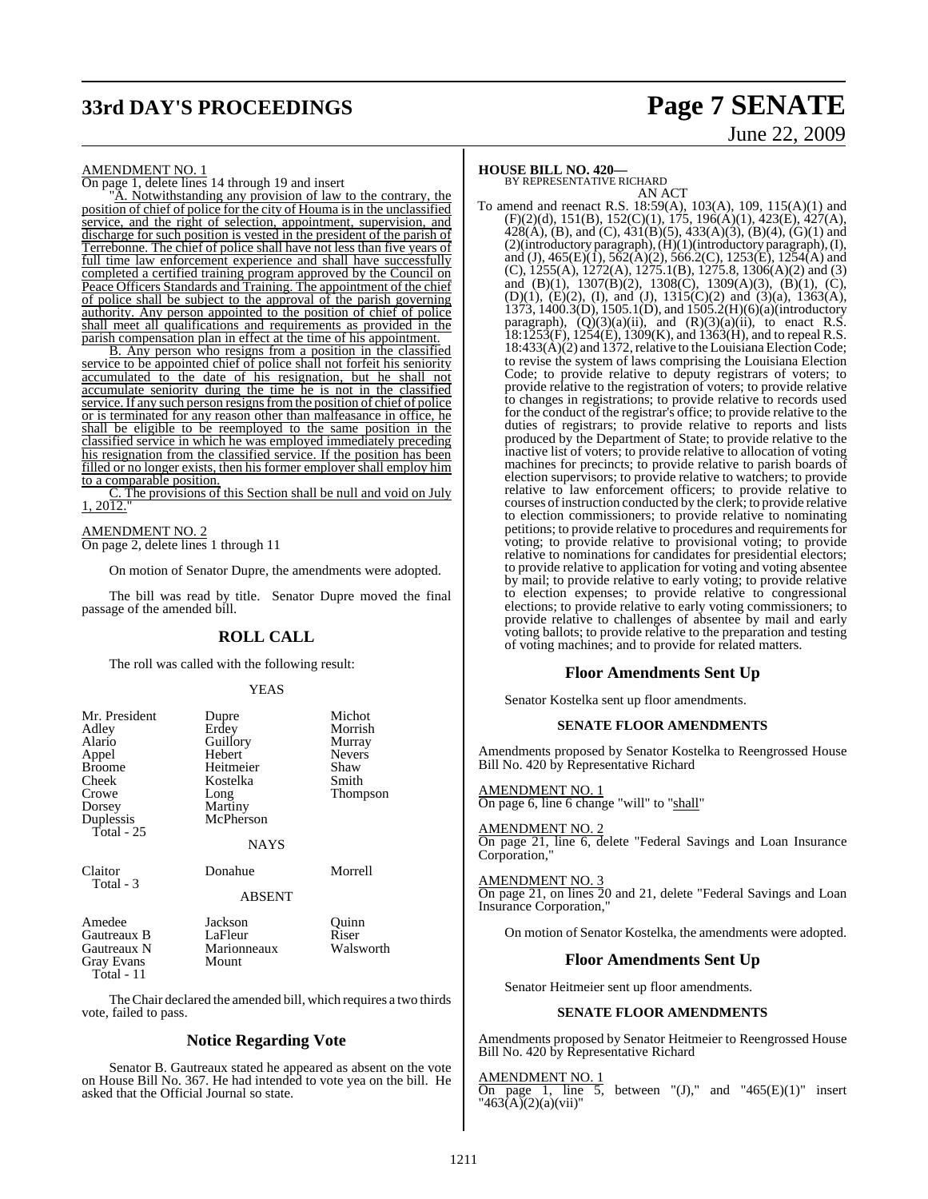# **33rd DAY'S PROCEEDINGS Page 7 SENATE**

# June 22, 2009

### AMENDMENT NO. 1

On page 1, delete lines 14 through 19 and insert

A. Notwithstanding any provision of law to the contrary, the position of chief of police for the city of Houma is in the unclassified service, and the right of selection, appointment, supervision, and discharge for such position is vested in the president of the parish of Terrebonne. The chief of police shall have not less than five years of <u>full time law enforcement experience and shall have successfully</u> completed a certified training program approved by the Council on Peace Officers Standards and Training. The appointment of the chief of police shall be subject to the approval of the parish governing authority. Any person appointed to the position of chief of police shall meet all qualifications and requirements as provided in the parish compensation plan in effect at the time of his appointment.

B. Any person who resigns from a position in the classified service to be appointed chief of police shall not forfeit his seniority accumulated to the date of his resignation, but he shall not accumulate seniority during the time he is not in the classified service. If any such person resigns from the position of chief of police or is terminated for any reason other than malfeasance in office, he shall be eligible to be reemployed to the same position in the classified service in which he was employed immediately preceding his resignation from the classified service. If the position has been filled or no longer exists, then his former employer shall employ him to a comparable position.

The provisions of this Section shall be null and void on July  $1, 20\overline{12}$ .

### AMENDMENT NO. 2

On page 2, delete lines 1 through 11

On motion of Senator Dupre, the amendments were adopted.

The bill was read by title. Senator Dupre moved the final passage of the amended bill.

### **ROLL CALL**

The roll was called with the following result:

### YEAS

| Mr. President<br>Adley<br>Alario<br>Appel<br><b>Broome</b><br>Cheek<br>Crowe<br>Dorsey<br>Duplessis<br>Total - 25 | Dupre<br>Erdey<br>Guillory<br>Hebert<br>Heitmeier<br>Kostelka<br>Long<br>Martiny<br>McPherson<br><b>NAYS</b> | Michot<br>Morrish<br>Murray<br><b>Nevers</b><br>Shaw<br>Smith<br>Thompson |
|-------------------------------------------------------------------------------------------------------------------|--------------------------------------------------------------------------------------------------------------|---------------------------------------------------------------------------|
| Claitor<br>Total - 3                                                                                              | Donahue<br><b>ABSENT</b>                                                                                     | Morrell                                                                   |
| Amedee<br>Gautreaux B<br>Gautreaux N<br><b>Gray Evans</b><br>Total - 11                                           | Jackson<br>LaFleur<br>Marionneaux<br>Mount                                                                   | Ouinn<br>Riser<br>Walsworth                                               |

TheChair declared the amended bill, which requires a two thirds vote, failed to pass.

### **Notice Regarding Vote**

Senator B. Gautreaux stated he appeared as absent on the vote on House Bill No. 367. He had intended to vote yea on the bill. He asked that the Official Journal so state.

### **HOUSE BILL NO. 420—**

BY REPRESENTATIVE RICHARD

AN ACT To amend and reenact R.S. 18:59(A), 103(A), 109, 115(A)(1) and (F)(2)(d), 151(B), 152(C)(1), 175, 196(A)(1), 423(E), 427(A),  $428(A)$ , (B), and (C),  $431(B)(5)$ ,  $433(A)(3)$ , (B)(4), (G)(1) and (2)(introductory paragraph),  $(H)(1)$ (introductory paragraph),  $(I)$ , and (J),  $465(E)(\hat{1})$ ,  $562(\hat{A})(2)$ ,  $566.2(C)$ ,  $1253(\hat{E})$ ,  $1254(\hat{A})$  and (C), 1255(A), 1272(A), 1275.1(B), 1275.8, 1306(A)(2) and (3) and (B)(1), 1307(B)(2), 1308(C), 1309(A)(3), (B)(1), (C), (D)(1), (E)(2), (I), and (J),  $1315(C)(2)$  and  $(3)(a)$ ,  $1363(A)$ , 1373, 1400.3(D), 1505.1(D), and 1505.2(H)(6)(a)(introductory paragraph),  $(Q)(3)(a)(ii)$ , and  $(R)(3)(a)(ii)$ , to enact R.S. 18:1253(F), 1254(E), 1309(K), and 1363(H), and to repeal R.S. 18:433(A)(2) and 1372, relative to the Louisiana Election Code; to revise the system of laws comprising the Louisiana Election Code; to provide relative to deputy registrars of voters; to provide relative to the registration of voters; to provide relative to changes in registrations; to provide relative to records used for the conduct of the registrar's office; to provide relative to the duties of registrars; to provide relative to reports and lists produced by the Department of State; to provide relative to the inactive list of voters; to provide relative to allocation of voting machines for precincts; to provide relative to parish boards of election supervisors; to provide relative to watchers; to provide relative to law enforcement officers; to provide relative to courses of instruction conducted by the clerk; to provide relative to election commissioners; to provide relative to nominating petitions; to provide relative to procedures and requirements for voting; to provide relative to provisional voting; to provide relative to nominations for candidates for presidential electors; to provide relative to application for voting and voting absentee by mail; to provide relative to early voting; to provide relative to election expenses; to provide relative to congressional elections; to provide relative to early voting commissioners; to provide relative to challenges of absentee by mail and early voting ballots; to provide relative to the preparation and testing of voting machines; and to provide for related matters.

### **Floor Amendments Sent Up**

Senator Kostelka sent up floor amendments.

### **SENATE FLOOR AMENDMENTS**

Amendments proposed by Senator Kostelka to Reengrossed House Bill No. 420 by Representative Richard

AMENDMENT NO. 1 On page 6, line 6 change "will" to "shall"

AMENDMENT NO. 2 On page 21, line 6, delete "Federal Savings and Loan Insurance Corporation,"

AMENDMENT NO. 3 On page 21, on lines 20 and 21, delete "Federal Savings and Loan Insurance Corporation,"

On motion of Senator Kostelka, the amendments were adopted.

### **Floor Amendments Sent Up**

Senator Heitmeier sent up floor amendments.

### **SENATE FLOOR AMENDMENTS**

Amendments proposed by Senator Heitmeier to Reengrossed House Bill No. 420 by Representative Richard

AMENDMENT NO. 1

On page 1, line 5, between " $(J)$ ," and " $465(E)(1)$ " insert " $463(A)(2)(a)(vii)$ "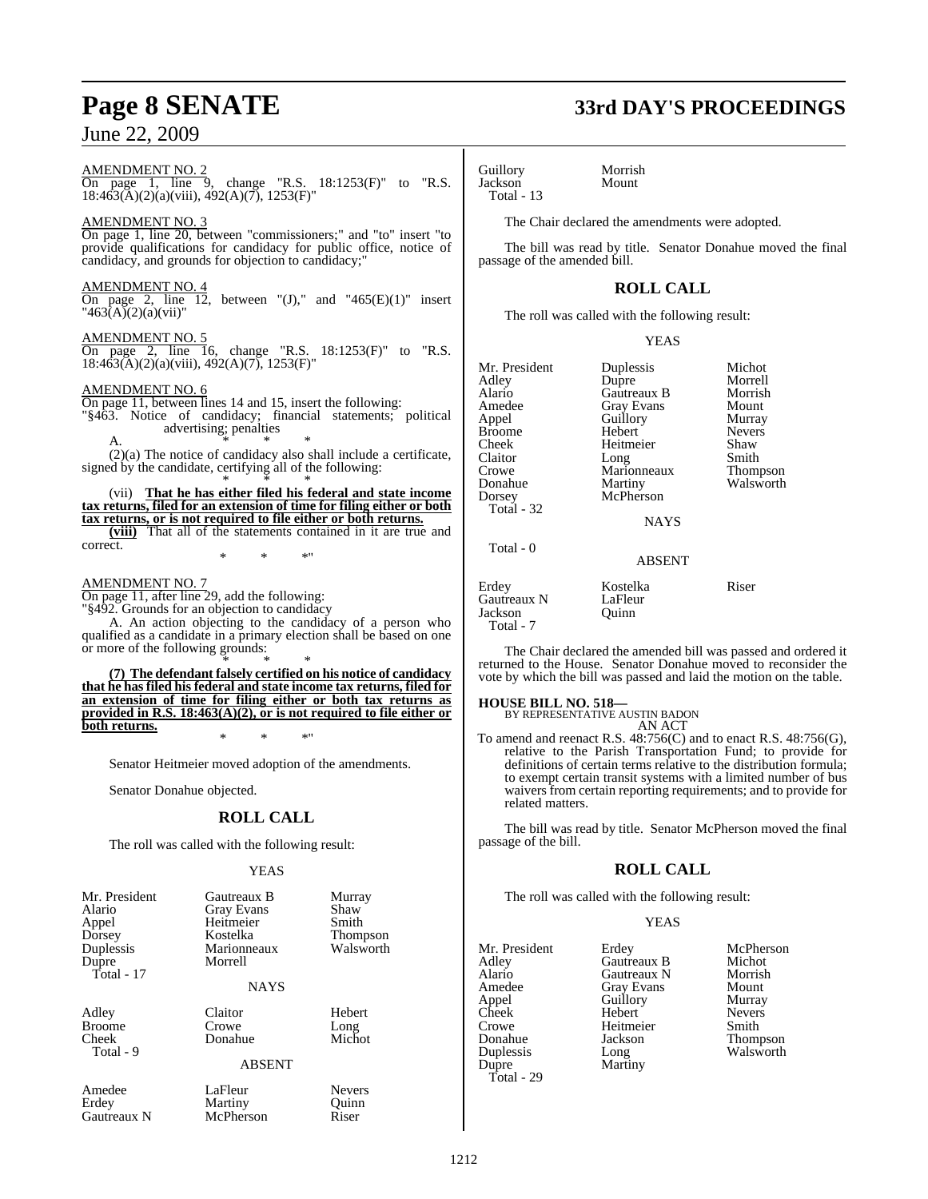### AMENDMENT NO. 2

On page 1, line 9, change "R.S. 18:1253(F)" to "R.S. 18:463(A)(2)(a)(viii), 492(A)(7), 1253(F)"

### AMENDMENT NO. 3

On page 1, line 20, between "commissioners;" and "to" insert "to provide qualifications for candidacy for public office, notice of candidacy, and grounds for objection to candidacy;"

### AMENDMENT NO.

On page 2, line 12, between " $(J)$ ," and " $465(E)(1)$ " insert  $"463(A)(2)(a)(vii)"$ 

### AMENDMENT NO. 5

On page 2, line 16, change "R.S. 18:1253(F)" to "R.S. 18:463(A)(2)(a)(viii), 492(A)(7), 1253(F)"

### AMENDMENT NO. 6

On page 11, between lines 14 and 15, insert the following: "§463. Notice of candidacy; financial statements; political advertising; penalties A.  $*$  \* \*

(2)(a) The notice of candidacy also shall include a certificate, signed by the candidate, certifying all of the following: \* \* \*

(vii) **That he has either filed his federal and state income tax returns, filed for an extension of time for filing either or both tax returns, or is not required to file either or both returns.**

**(viii)** That all of the statements contained in it are true and correct. \* \* \*"

### AMENDMENT NO. 7

On page 11, after line 29, add the following: "§492. Grounds for an objection to candidacy

A. An action objecting to the candidacy of a person who qualified as a candidate in a primary election shall be based on one or more of the following grounds:

\* \* \* **(7) The defendant falsely certified on his notice of candidacy that he has filed his federal and state income tax returns, filed for an extension of time for filing either or both tax returns as provided in R.S. 18:463(A)(2), or is not required to file either or both returns.** \* \* \*"

Senator Heitmeier moved adoption of the amendments.

Senator Donahue objected.

### **ROLL CALL**

The roll was called with the following result:

### YEAS

| Mr. President<br>Alario<br>Appel<br>Dorsey<br>Duplessis<br>Dupre<br>Total - $17$ | Gautreaux B<br><b>Gray Evans</b><br>Heitmeier<br>Kostelka<br>Marionneaux<br>Morrell<br><b>NAYS</b> | Murray<br>Shaw<br>Smith<br>Thompson<br>Walsworth |
|----------------------------------------------------------------------------------|----------------------------------------------------------------------------------------------------|--------------------------------------------------|
| Adley<br><b>Broome</b><br>Cheek<br>Total - 9                                     | Claitor<br>Crowe<br>Donahue<br><b>ABSENT</b>                                                       | Hebert<br>Long<br>Michot                         |
| Amedee<br>Erdey<br>Gautreaux N                                                   | LaFleur<br>Martiny<br>McPherson                                                                    | <b>Nevers</b><br>Ouinn<br>Riser                  |

# **Page 8 SENATE 33rd DAY'S PROCEEDINGS**

Guillory Morrish Jackson Total - 13

The Chair declared the amendments were adopted.

The bill was read by title. Senator Donahue moved the final passage of the amended bill.

### **ROLL CALL**

The roll was called with the following result:

YEAS

| Mr. President<br>Adley<br>Alario<br>Amedee | Duplessis<br>Dupre<br>Gautreaux B<br>Gray Evans | Michot<br>Morrell<br>Morrish<br>Mount |
|--------------------------------------------|-------------------------------------------------|---------------------------------------|
| Appel                                      | Guillory                                        | Murray                                |
| Broome                                     | Hebert                                          | <b>Nevers</b>                         |
| Cheek                                      | Heitmeier                                       | Shaw                                  |
| Claitor                                    | Long                                            | Smith                                 |
| Crowe                                      | Marionneaux                                     | Thompson                              |
| Donahue                                    | Martiny                                         | Walsworth                             |
| Dorsey                                     | McPherson                                       |                                       |
| Total - 32                                 |                                                 |                                       |
|                                            | <b>NAYS</b>                                     |                                       |
| Total - 0                                  |                                                 |                                       |
|                                            | <b>ABSENT</b>                                   |                                       |

Erdey Kostelka Riser<br>Gautreaux N LaFleur Gautreaux N Jackson Quinn Total - 7

The Chair declared the amended bill was passed and ordered it returned to the House. Senator Donahue moved to reconsider the vote by which the bill was passed and laid the motion on the table.

### **HOUSE BILL NO. 518—**

BY REPRESENTATIVE AUSTIN BADON

AN ACT To amend and reenact R.S. 48:756(C) and to enact R.S. 48:756(G), relative to the Parish Transportation Fund; to provide for definitions of certain terms relative to the distribution formula; to exempt certain transit systems with a limited number of bus waivers from certain reporting requirements; and to provide for related matters.

The bill was read by title. Senator McPherson moved the final passage of the bill.

### **ROLL CALL**

The roll was called with the following result:

### YEAS

| Mr. President | Erdey             | McPherson     |
|---------------|-------------------|---------------|
| Adley         | Gautreaux B       | Michot        |
| Alario        | Gautreaux N       | Morrish       |
| Amedee        | <b>Gray Evans</b> | Mount         |
| Appel         | Guillory          | Murray        |
| Cheek         | Hebert            | <b>Nevers</b> |
| Crowe         | Heitmeier         | Smith         |
| Donahue       | Jackson           | Thompson      |
| Duplessis     | Long              | Walsworth     |
| Dupre         | Martiny           |               |
| Total - 29    |                   |               |

1212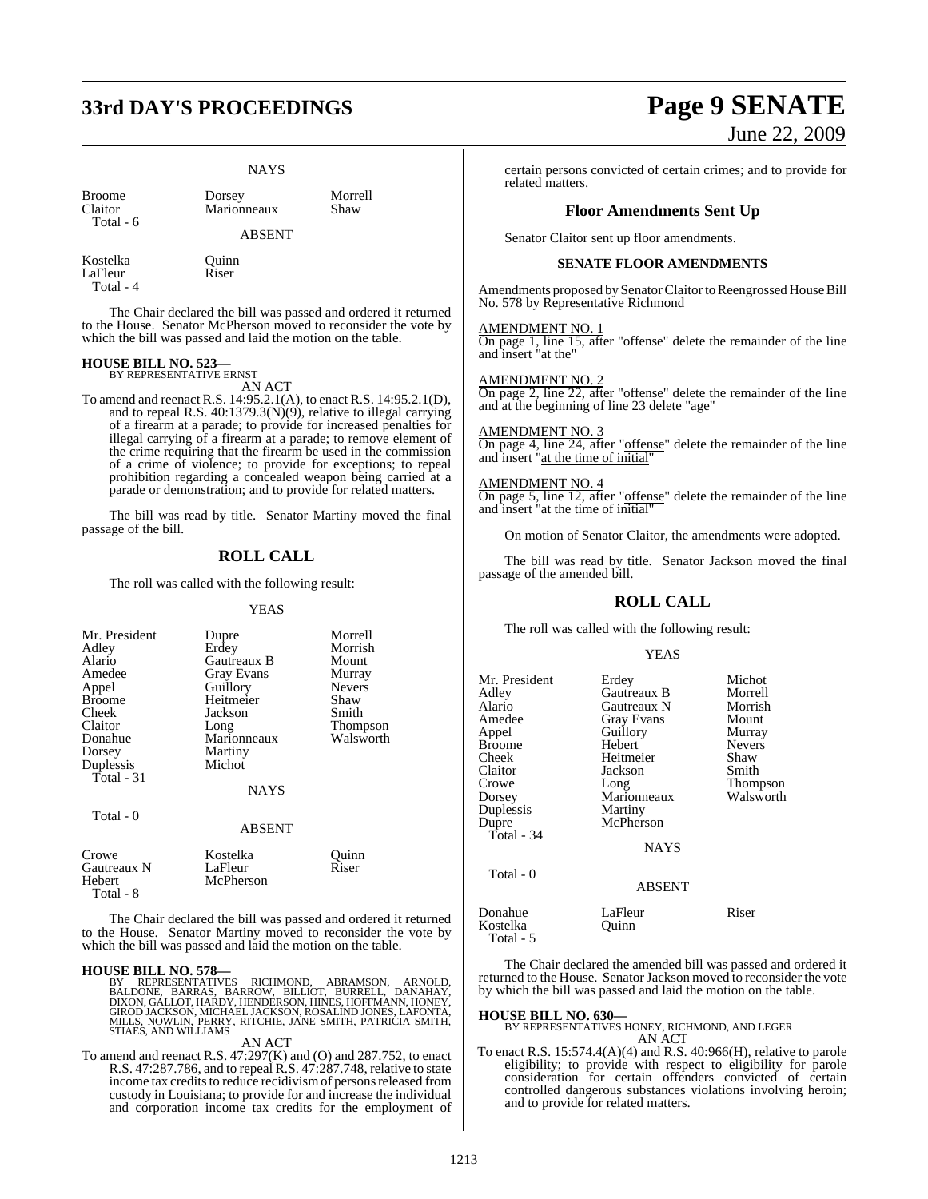# **33rd DAY'S PROCEEDINGS Page 9 SENATE**

### **NAYS**

| <b>Broome</b> |  |
|---------------|--|
| Claitor       |  |
| Total - 6     |  |

Dorsey Morrell<br>Marionneaux Shaw Marionneaux

ABSENT

Kostelka Quinn LaFleur Riser Total - 4

The Chair declared the bill was passed and ordered it returned to the House. Senator McPherson moved to reconsider the vote by which the bill was passed and laid the motion on the table.

### **HOUSE BILL NO. 523—** BY REPRESENTATIVE ERNST

AN ACT

To amend and reenact R.S. 14:95.2.1(A), to enact R.S. 14:95.2.1(D), and to repeal R.S. 40:1379.3(N)(9), relative to illegal carrying of a firearm at a parade; to provide for increased penalties for illegal carrying of a firearm at a parade; to remove element of the crime requiring that the firearm be used in the commission of a crime of violence; to provide for exceptions; to repeal prohibition regarding a concealed weapon being carried at a parade or demonstration; and to provide for related matters.

The bill was read by title. Senator Martiny moved the final passage of the bill.

### **ROLL CALL**

The roll was called with the following result:

### **YEAS**

| Mr. President   | Dupre                | Morrell          |
|-----------------|----------------------|------------------|
| Adley<br>Alario | Erdey<br>Gautreaux B | Morrish<br>Mount |
| Amedee          | <b>Gray Evans</b>    | Murray           |
| Appel           | Guillory             | <b>Nevers</b>    |
| Broome          | Heitmeier            | Shaw             |
| Cheek           | Jackson              | Smith            |
| Claitor         | Long                 | Thompson         |
| Donahue         | Marionneaux          | Walsworth        |
| Dorsey          | Martiny              |                  |
| Duplessis       | Michot               |                  |
| Total - 31      |                      |                  |
|                 | <b>NAYS</b>          |                  |
| Total - 0       |                      |                  |
|                 | <b>ABSENT</b>        |                  |
| Crowe           | Kostelka             | Quinn            |
| Gautreaux N     | LaFleur              | Riser            |
| Hebert          | McPherson            |                  |
| Total - 8       |                      |                  |

The Chair declared the bill was passed and ordered it returned to the House. Senator Martiny moved to reconsider the vote by which the bill was passed and laid the motion on the table.

### **HOUSE BILL NO. 578—**

BY REPRESENTATIVES RICHMOND, ABRAMSON, ARNOLD,<br>BALDONE, BARRAS, BARROW, BILLIOT, BURRELL, DANAHAY,<br>DIXON,GALLOT,HARDY,HENDERSON,HINES,HOFFMANN,HONEY,<br>GIRODJACKSON,MICHAELJACKSON,ROSALINDJONES,LAFONTA,<br>MILLS,NOWLIN,PERRY,RI STIAES, AND WILLIAMS

### AN ACT

To amend and reenact R.S. 47:297(K) and (O) and 287.752, to enact R.S. 47:287.786, and to repeal R.S. 47:287.748, relative to state income tax credits to reduce recidivism of persons released from custody in Louisiana; to provide for and increase the individual and corporation income tax credits for the employment of

# June 22, 2009

certain persons convicted of certain crimes; and to provide for related matters.

### **Floor Amendments Sent Up**

Senator Claitor sent up floor amendments.

### **SENATE FLOOR AMENDMENTS**

Amendments proposed by Senator Claitor to Reengrossed House Bill No. 578 by Representative Richmond

### AMENDMENT NO. 1

On page 1, line 15, after "offense" delete the remainder of the line and insert "at the"

### AMENDMENT NO. 2

On page 2, line 22, after "offense" delete the remainder of the line and at the beginning of line 23 delete "age"

### AMENDMENT NO. 3

On page 4, line 24, after "offense" delete the remainder of the line and insert "at the time of initial"

### AMENDMENT NO. 4

On page 5, line 12, after "offense" delete the remainder of the line and insert "at the time of initial"

On motion of Senator Claitor, the amendments were adopted.

The bill was read by title. Senator Jackson moved the final passage of the amended bill.

### **ROLL CALL**

The roll was called with the following result:

### YEAS

| Mr. President<br>Adley<br>Alario<br>Amedee<br>Appel<br>Broome<br>Cheek<br>Claitor<br>Crowe<br>Dorsey<br>Duplessis<br>Dupre<br>Total - 34 | Erdey<br>Gautreaux B<br>Gautreaux N<br><b>Gray Evans</b><br>Guillory<br>Hebert<br>Heitmeier<br>Jackson<br>Long<br>Marionneaux<br>Martiny<br>McPherson<br><b>NAYS</b> | Michot<br>Morrell<br>Morrish<br>Mount<br>Murray<br><b>Nevers</b><br>Shaw<br>Smith<br>Thompson<br>Walsworth |
|------------------------------------------------------------------------------------------------------------------------------------------|----------------------------------------------------------------------------------------------------------------------------------------------------------------------|------------------------------------------------------------------------------------------------------------|
| Total - 0                                                                                                                                | <b>ABSENT</b>                                                                                                                                                        |                                                                                                            |
| Donahue<br>Kostelka<br>Total - 5                                                                                                         | LaFleur<br>Ouinn                                                                                                                                                     | Riser                                                                                                      |

The Chair declared the amended bill was passed and ordered it returned to the House. Senator Jackson moved to reconsider the vote by which the bill was passed and laid the motion on the table.

**HOUSE BILL NO. 630—** BY REPRESENTATIVES HONEY, RICHMOND, AND LEGER AN ACT

To enact R.S. 15:574.4(A)(4) and R.S. 40:966(H), relative to parole eligibility; to provide with respect to eligibility for parole consideration for certain offenders convicted of certain controlled dangerous substances violations involving heroin; and to provide for related matters.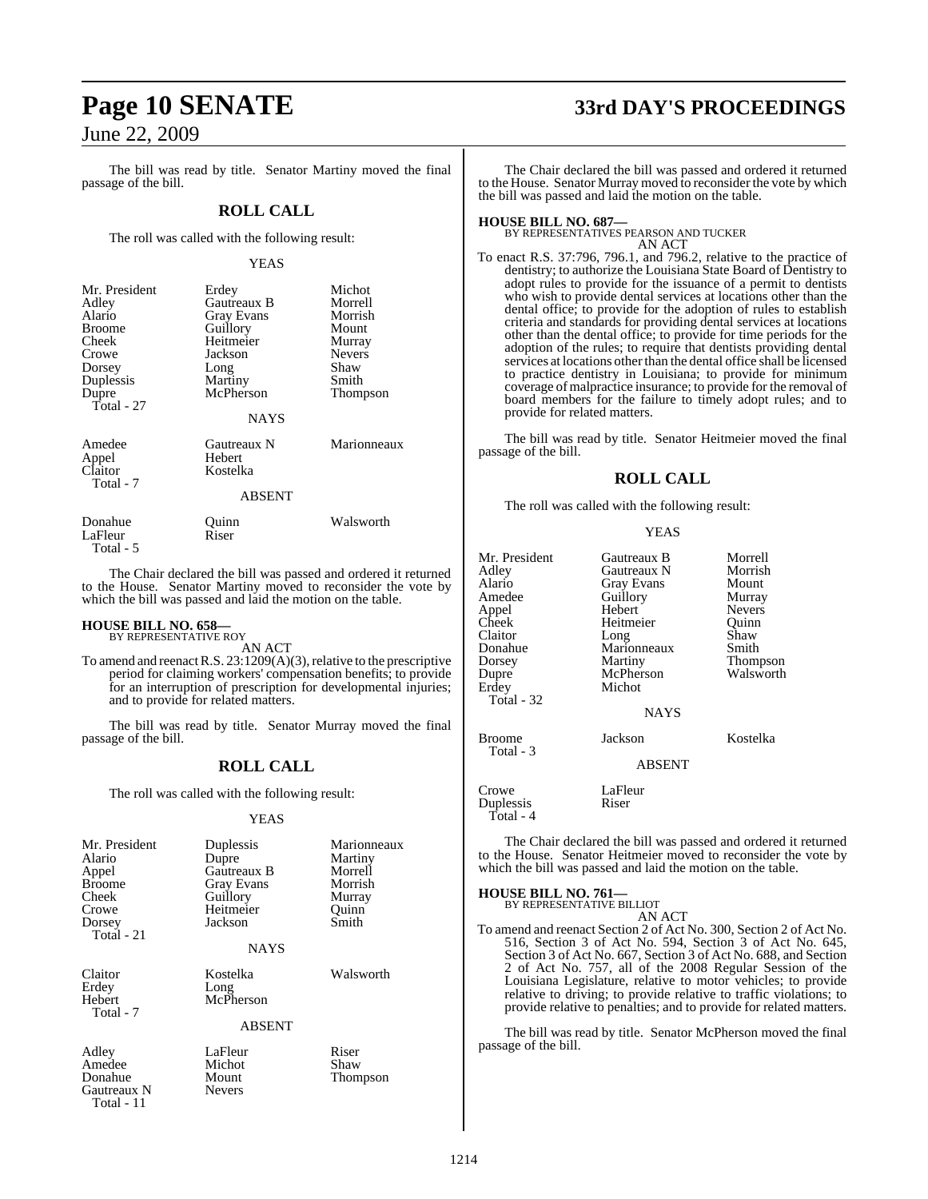The bill was read by title. Senator Martiny moved the final passage of the bill.

### **ROLL CALL**

The roll was called with the following result:

### YEAS

| McPherson<br><b>NAYS</b>          | Smith<br>Thompson        |
|-----------------------------------|--------------------------|
| Gautreaux N<br>Hebert<br>Kostelka | Marionneaux              |
|                                   | Martiny<br><b>ABSENT</b> |

| Donahue   | Ouinn | Walsworth |
|-----------|-------|-----------|
| LaFleur   | Riser |           |
| Total - 5 |       |           |

The Chair declared the bill was passed and ordered it returned to the House. Senator Martiny moved to reconsider the vote by which the bill was passed and laid the motion on the table.

## **HOUSE BILL NO. 658—** BY REPRESENTATIVE ROY

Gautreaux N Total - 11

AN ACT

To amend and reenact R.S.  $23:1209(A)(3)$ , relative to the prescriptive period for claiming workers' compensation benefits; to provide for an interruption of prescription for developmental injuries; and to provide for related matters.

The bill was read by title. Senator Murray moved the final passage of the bill.

### **ROLL CALL**

The roll was called with the following result:

### YEAS

| Mr. President<br>Alario<br>Appel<br><b>Broome</b><br>Cheek<br>Crowe<br>Dorsey<br>Total - 21 | Duplessis<br>Dupre<br>Gautreaux B<br>Gray Evans<br>Guillory<br>Heitmeier<br>Jackson<br><b>NAYS</b> | Marionneaux<br>Martiny<br>Morrell<br>Morrish<br>Murray<br>Ouinn<br>Smith |
|---------------------------------------------------------------------------------------------|----------------------------------------------------------------------------------------------------|--------------------------------------------------------------------------|
| Claitor<br>Erdey<br>Hebert<br>Total - 7                                                     | Kostelka<br>Long<br>McPherson<br><b>ABSENT</b>                                                     | Walsworth                                                                |
| Adley<br>Amedee<br>Donahue<br>Gautreaux N                                                   | LaFleur<br>Michot<br>Mount<br>Nevers                                                               | Riser<br>Shaw<br>Thompson                                                |

# **Page 10 SENATE 33rd DAY'S PROCEEDINGS**

The Chair declared the bill was passed and ordered it returned to the House. Senator Murray moved to reconsider the vote by which the bill was passed and laid the motion on the table.

**HOUSE BILL NO. 687—** BY REPRESENTATIVES PEARSON AND TUCKER AN ACT

To enact R.S. 37:796, 796.1, and 796.2, relative to the practice of dentistry; to authorize the Louisiana State Board of Dentistry to adopt rules to provide for the issuance of a permit to dentists who wish to provide dental services at locations other than the dental office; to provide for the adoption of rules to establish criteria and standards for providing dental services at locations other than the dental office; to provide for time periods for the adoption of the rules; to require that dentists providing dental services at locations other than the dental office shall be licensed to practice dentistry in Louisiana; to provide for minimum coverage of malpractice insurance; to provide for the removal of board members for the failure to timely adopt rules; and to provide for related matters.

The bill was read by title. Senator Heitmeier moved the final passage of the bill.

### **ROLL CALL**

The roll was called with the following result:

YEAS

| Mr. President<br>Adley<br>Alario<br>Amedee<br>Appel<br>Cheek<br>Claitor<br>Donahue<br>Dorsey<br>Dupre<br>Erdey<br>Total - 32 | Gautreaux B<br>Gautreaux N<br><b>Gray Evans</b><br>Guillory<br>Hebert<br>Heitmeier<br>Long<br>Marionneaux<br>Martiny<br>McPherson<br>Michot<br><b>NAYS</b> | Morrell<br>Morrish<br>Mount<br>Murray<br><b>Nevers</b><br>Ouinn<br>Shaw<br>Smith<br>Thompson<br>Walsworth |
|------------------------------------------------------------------------------------------------------------------------------|------------------------------------------------------------------------------------------------------------------------------------------------------------|-----------------------------------------------------------------------------------------------------------|
| <b>Broome</b><br>Total - 3                                                                                                   | Jackson<br>ABSENT                                                                                                                                          | Kostelka                                                                                                  |
| Crowe<br>Duplessis<br>Total - 4                                                                                              | LaFleur<br>Riser                                                                                                                                           |                                                                                                           |

The Chair declared the bill was passed and ordered it returned to the House. Senator Heitmeier moved to reconsider the vote by which the bill was passed and laid the motion on the table.

## **HOUSE BILL NO. 761—** BY REPRESENTATIVE BILLIOT

AN ACT

To amend and reenact Section 2 of Act No. 300, Section 2 of Act No. 516, Section 3 of Act No. 594, Section 3 of Act No. 645, Section 3 of Act No. 667, Section 3 of Act No. 688, and Section 2 of Act No. 757, all of the 2008 Regular Session of the Louisiana Legislature, relative to motor vehicles; to provide relative to driving; to provide relative to traffic violations; to provide relative to penalties; and to provide for related matters.

The bill was read by title. Senator McPherson moved the final passage of the bill.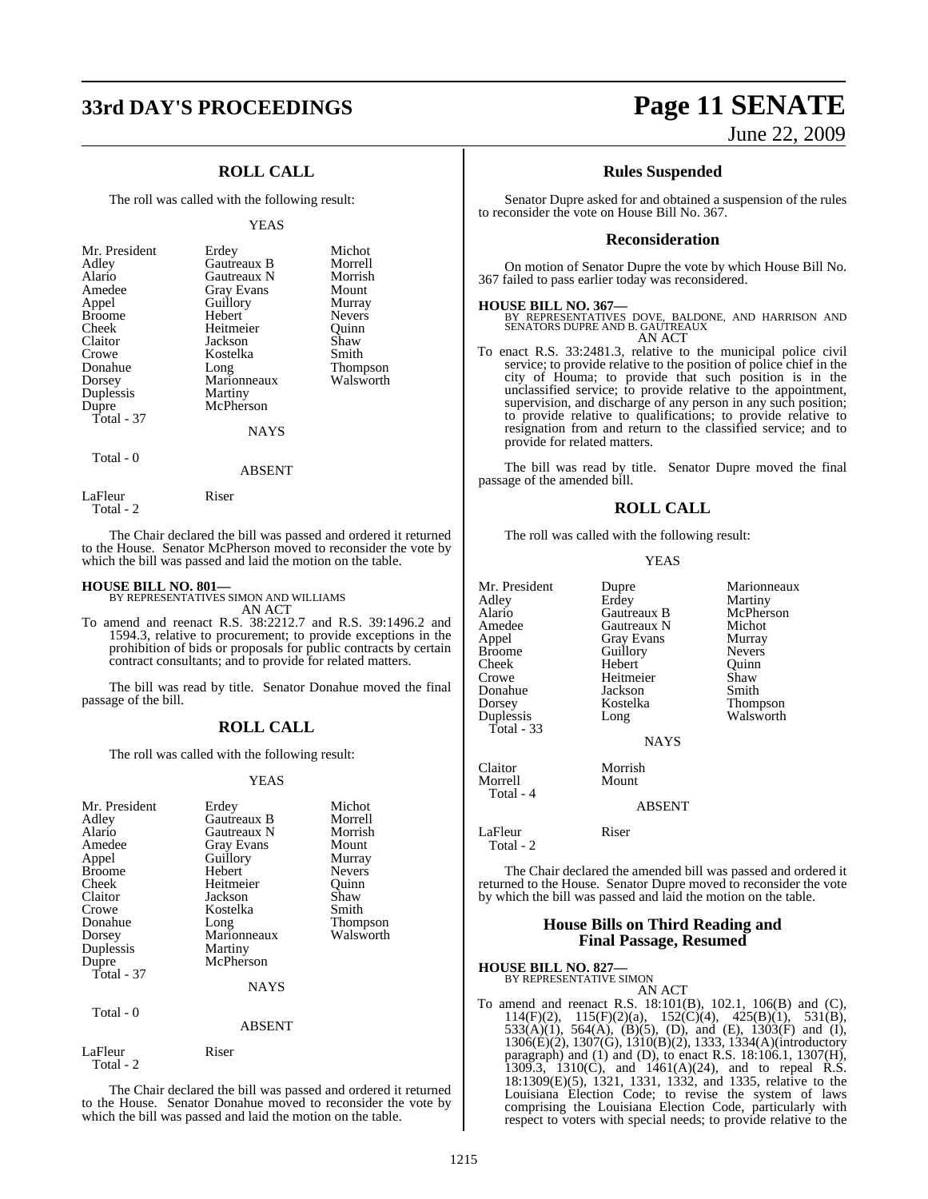## **33rd DAY'S PROCEEDINGS Page 11 SENATE**

### **ROLL CALL**

The roll was called with the following result:

### YEAS

| Mr. President<br>Adley<br>Alario<br>Amedee<br>Appel<br><b>Broome</b><br>Cheek<br>Claitor<br>Crowe<br>Donahue<br>Dorsey<br>Duplessis<br>Dupre<br>Total - 37 | Erdey<br>Gautreaux B<br>Gautreaux N<br><b>Gray Evans</b><br>Guillory<br>Hebert<br>Heitmeier<br>Jackson<br>Kostelka<br>Long<br>Marionneaux<br>Martiny<br>McPherson<br><b>NAYS</b> | Michot<br>Morrell<br>Morrish<br>Mount<br>Murray<br><b>Nevers</b><br>Ouinn<br>Shaw<br>Smith<br><b>Thompson</b><br>Walsworth |
|------------------------------------------------------------------------------------------------------------------------------------------------------------|----------------------------------------------------------------------------------------------------------------------------------------------------------------------------------|----------------------------------------------------------------------------------------------------------------------------|
| Total - 0                                                                                                                                                  |                                                                                                                                                                                  |                                                                                                                            |

LaFleur Riser

Total - 2

The Chair declared the bill was passed and ordered it returned to the House. Senator McPherson moved to reconsider the vote by which the bill was passed and laid the motion on the table.

ABSENT

**HOUSE BILL NO. 801—** BY REPRESENTATIVES SIMON AND WILLIAMS AN ACT

To amend and reenact R.S. 38:2212.7 and R.S. 39:1496.2 and 1594.3, relative to procurement; to provide exceptions in the prohibition of bids or proposals for public contracts by certain contract consultants; and to provide for related matters.

The bill was read by title. Senator Donahue moved the final passage of the bill.

### **ROLL CALL**

The roll was called with the following result:

### YEAS

| Mr. President<br>Adley<br>Alario<br>Amedee<br>Appel<br><b>Broome</b><br>Cheek<br>Claitor<br>Crowe<br>Donahue<br>Dorsey<br>Duplessis<br>Dupre<br>Total $-37$<br>Total - 0 | Erdey<br>Gautreaux B<br>Gautreaux N<br>Gray Evans<br>Guillory<br>Hebert<br>Heitmeier<br>Jackson<br>Kostelka<br>Long<br>Marionneaux<br>Martiny<br>McPherson<br>NAYS<br><b>ABSENT</b> | Michot<br>Morrell<br>Morrish<br>Mount<br>Murray<br><b>Nevers</b><br>Ouinn<br>Shaw<br>Smith<br>Thompson<br>Walsworth |
|--------------------------------------------------------------------------------------------------------------------------------------------------------------------------|-------------------------------------------------------------------------------------------------------------------------------------------------------------------------------------|---------------------------------------------------------------------------------------------------------------------|
| LaFleur<br>Total - 2                                                                                                                                                     | Riser                                                                                                                                                                               |                                                                                                                     |

The Chair declared the bill was passed and ordered it returned to the House. Senator Donahue moved to reconsider the vote by which the bill was passed and laid the motion on the table.

# June 22, 2009

### **Rules Suspended**

Senator Dupre asked for and obtained a suspension of the rules to reconsider the vote on House Bill No. 367.

### **Reconsideration**

On motion of Senator Dupre the vote by which House Bill No. 367 failed to pass earlier today was reconsidered.

**HOUSE BILL NO. 367—** BY REPRESENTATIVES DOVE, BALDONE, AND HARRISON AND SENATORS DUPRE AND B. GAUTREAUX AN ACT

To enact R.S. 33:2481.3, relative to the municipal police civil service; to provide relative to the position of police chief in the city of Houma; to provide that such position is in the unclassified service; to provide relative to the appointment, supervision, and discharge of any person in any such position; to provide relative to qualifications; to provide relative to resignation from and return to the classified service; and to provide for related matters.

The bill was read by title. Senator Dupre moved the final passage of the amended bill.

### **ROLL CALL**

The roll was called with the following result:

### YEAS

| Mr. President<br>Adley<br>Alario<br>Amedee<br>Appel<br><b>Broome</b><br>Cheek<br>Crowe<br>Donahue<br>Dorsey<br>Duplessis<br>Total - $33$ | Dupre<br>Erdey<br>Gautreaux B<br>Gautreaux N<br><b>Gray Evans</b><br>Guillory<br>Hebert<br>Heitmeier<br>Jackson<br>Kostelka<br>Long<br><b>NAYS</b> | Marionneaux<br>Martiny<br>McPherson<br>Michot<br>Murray<br><b>Nevers</b><br>Ouinn<br>Shaw<br>Smith<br>Thompson<br>Walsworth |
|------------------------------------------------------------------------------------------------------------------------------------------|----------------------------------------------------------------------------------------------------------------------------------------------------|-----------------------------------------------------------------------------------------------------------------------------|
| Claitor<br>Morrell<br>Total - 4                                                                                                          | Morrish<br>Mount<br><b>ABSENT</b>                                                                                                                  |                                                                                                                             |
| LaFleur<br>Total - 2                                                                                                                     | Riser                                                                                                                                              |                                                                                                                             |

The Chair declared the amended bill was passed and ordered it returned to the House. Senator Dupre moved to reconsider the vote by which the bill was passed and laid the motion on the table.

### **House Bills on Third Reading and Final Passage, Resumed**

### **HOUSE BILL NO. 827—** BY REPRESENTATIVE SIMON

AN ACT

To amend and reenact R.S. 18:101(B), 102.1, 106(B) and (C), 114(F)(2), 115(F)(2)(a), 152(C)(4), 425(B)(1), 531(B),  $533(A)(1)$ ,  $564(A)$ ,  $(B)(5)$ ,  $(D)$ , and  $(E)$ ,  $1303(F)$  and  $(I)$ , 1306(E)(2), 1307(G), 1310(B)(2), 1333, 1334(A)(introductory paragraph) and (1) and (D), to enact R.S.  $18:106.1$ ,  $1307(H)$ , 1309.3, 1310(C), and 1461(A)(24), and to repeal R.S. 18:1309(E)(5), 1321, 1331, 1332, and 1335, relative to the Louisiana Election Code; to revise the system of laws comprising the Louisiana Election Code, particularly with respect to voters with special needs; to provide relative to the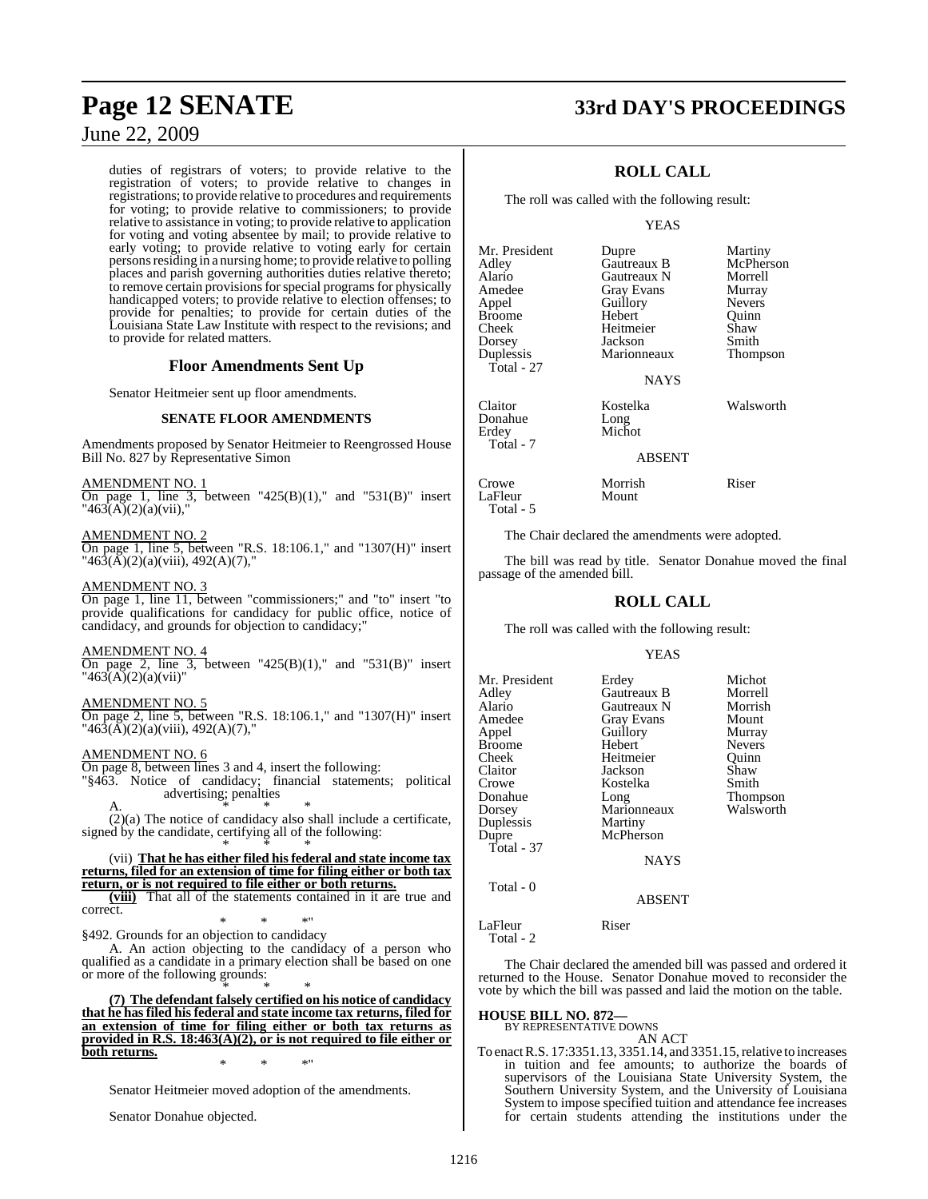duties of registrars of voters; to provide relative to the registration of voters; to provide relative to changes in registrations; to provide relative to procedures and requirements for voting; to provide relative to commissioners; to provide relative to assistance in voting; to provide relative to application for voting and voting absentee by mail; to provide relative to early voting; to provide relative to voting early for certain persons residing in a nursing home; to provide relative to polling places and parish governing authorities duties relative thereto; to remove certain provisions for special programs for physically handicapped voters; to provide relative to election offenses; to provide for penalties; to provide for certain duties of the Louisiana State Law Institute with respect to the revisions; and to provide for related matters.

### **Floor Amendments Sent Up**

Senator Heitmeier sent up floor amendments.

### **SENATE FLOOR AMENDMENTS**

Amendments proposed by Senator Heitmeier to Reengrossed House Bill No. 827 by Representative Simon

AMENDMENT NO. 1

On page 1, line 3, between " $425(B)(1)$ ," and " $531(B)$ " insert " $463(A)(2)(a)(vii)$ ,"

### AMENDMENT NO. 2

On page 1, line 5, between "R.S. 18:106.1," and "1307(H)" insert " $46\overline{3}(\overline{A})(2)(a)(viii)$ ,  $492(A)(7)$ ,"

### AMENDMENT NO. 3

On page 1, line 11, between "commissioners;" and "to" insert "to provide qualifications for candidacy for public office, notice of candidacy, and grounds for objection to candidacy;"

### AMENDMENT NO. 4

On page 2, line 3, between " $425(B)(1)$ ," and " $531(B)$ " insert  $"463(A)(2)(a)(vii)"$ 

### AMENDMENT NO. 5

On page 2, line 5, between "R.S. 18:106.1," and "1307(H)" insert " $46\overline{3}(\overline{A})(2)(a)(viii)$ ,  $492(A)(7)$ ,"

### AMENDMENT NO. 6

On page 8, between lines 3 and 4, insert the following:

"§463. Notice of candidacy; financial statements; political advertising; penalties A.  $*$  \* \*

(2)(a) The notice of candidacy also shall include a certificate, signed by the candidate, certifying all of the following: \* \* \*

### (vii) **That he has either filed his federal and state income tax returns, filed for an extension of time for filing either or both tax return, or is not required to file either or both returns.**

**(viii)** That all of the statements contained in it are true and correct.

\* \* \*" §492. Grounds for an objection to candidacy

A. An action objecting to the candidacy of a person who qualified as a candidate in a primary election shall be based on one or more of the following grounds:

\* \* \* **(7) The defendant falsely certified on his notice of candidacy that he has filed his federal and state income tax returns, filed for an extension of time for filing either or both tax returns as provided in R.S. 18:463(A)(2), or is not required to file either or both returns.** \* \* \*"

Senator Heitmeier moved adoption of the amendments.

Senator Donahue objected.

# **Page 12 SENATE 33rd DAY'S PROCEEDINGS**

### **ROLL CALL**

The roll was called with the following result:

### YEAS

| Mr. President | Dupre       | Martiny       |
|---------------|-------------|---------------|
| Adlev         | Gautreaux B | McPhers       |
| Alario        | Gautreaux N | Morrell       |
| Amedee        | Gray Evans  | Murray        |
| Appel         | Guillory    | <b>Nevers</b> |
| Broome        | Hebert      | Ouinn         |
| Cheek         | Heitmeier   | Shaw          |
| Dorsey        | Jackson     | Smith         |
| Duplessis     | Marionneaux | <b>Thomps</b> |
| Total - 27    |             |               |
|               | <b>NAYS</b> |               |
| Claitor       | Kostelka    | Walswor       |
| Donahue       | Long        |               |
| Erdey         | Michot      |               |
| Total - 7     |             |               |
|               |             |               |

Amedee Gray Evans Murray Nevers ert Quinn<br>meier Shaw ionneaux Thompson

McPherson

telka Walsworth

### ABSENT

Crowe Morrish Riser LaFleur Total - 5

The Chair declared the amendments were adopted.

The bill was read by title. Senator Donahue moved the final passage of the amended bill.

### **ROLL CALL**

The roll was called with the following result:

### YEAS

| Mr. President<br>Adley<br>Alario<br>Amedee<br>Appel<br>Broome<br>Cheek<br>Claitor<br>Crowe<br>Donahue<br>Dorsey<br>Duplessis<br>Dupre<br>Total - 37 | Erdey<br>Gautreaux B<br>Gautreaux N<br><b>Gray Evans</b><br>Guillory<br>Hebert<br>Heitmeier<br>Jackson<br>Kostelka<br>Long<br>Marionneaux<br>Martiny<br>McPherson | Michot<br>Morrell<br>Morrish<br>Mount<br>Murray<br><b>Nevers</b><br>Ouinn<br>Shaw<br>Smith<br>Thompson<br>Walsworth |
|-----------------------------------------------------------------------------------------------------------------------------------------------------|-------------------------------------------------------------------------------------------------------------------------------------------------------------------|---------------------------------------------------------------------------------------------------------------------|
|                                                                                                                                                     | <b>NAYS</b>                                                                                                                                                       |                                                                                                                     |
| Total - 0                                                                                                                                           | <b>ABSENT</b>                                                                                                                                                     |                                                                                                                     |
|                                                                                                                                                     |                                                                                                                                                                   |                                                                                                                     |

LaFleur Riser

Total - 2

The Chair declared the amended bill was passed and ordered it returned to the House. Senator Donahue moved to reconsider the vote by which the bill was passed and laid the motion on the table.

### **HOUSE BILL NO. 872—** BY REPRESENTATIVE DOWNS

AN ACT

To enactR.S. 17:3351.13, 3351.14, and 3351.15,relative to increases in tuition and fee amounts; to authorize the boards of supervisors of the Louisiana State University System, the Southern University System, and the University of Louisiana System to impose specified tuition and attendance fee increases for certain students attending the institutions under the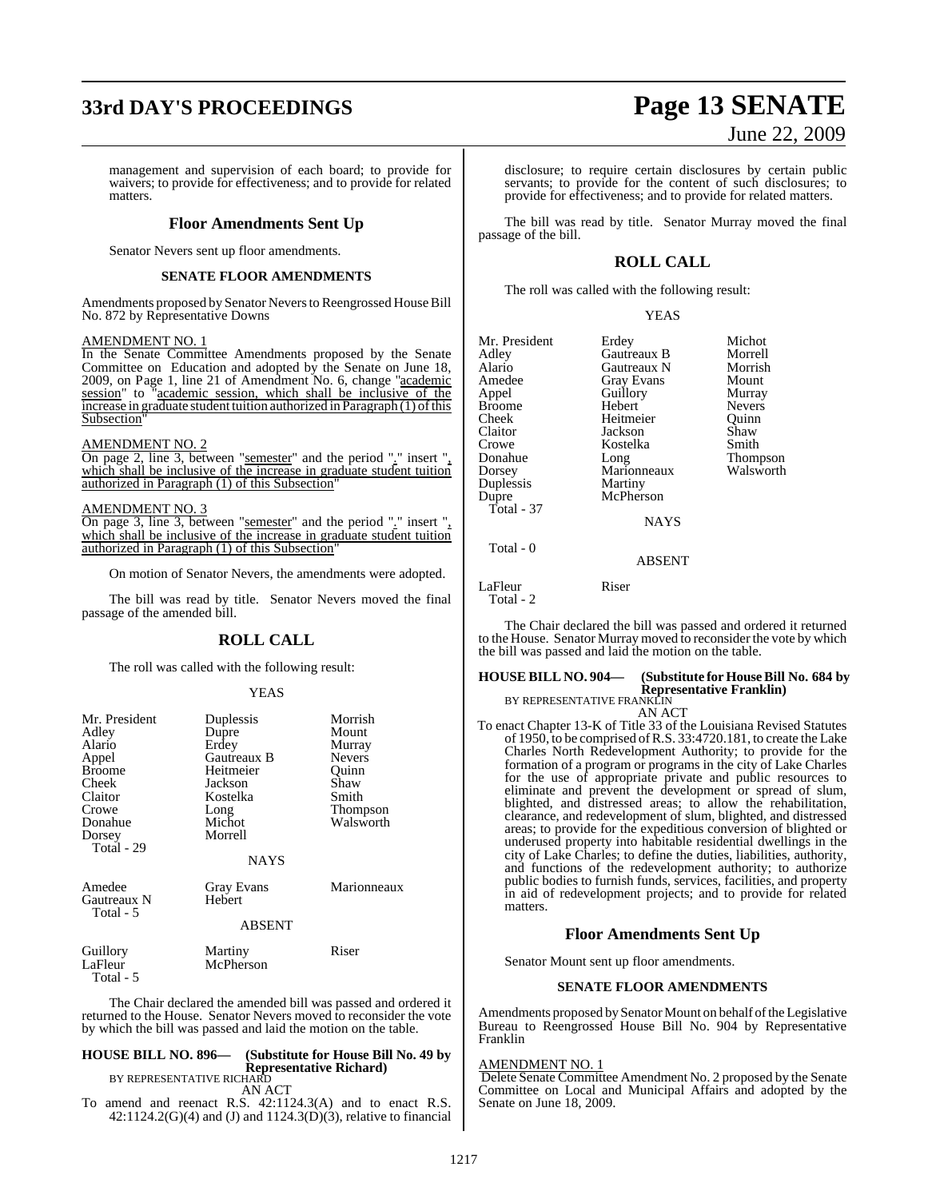# **33rd DAY'S PROCEEDINGS Page 13 SENATE**

management and supervision of each board; to provide for waivers; to provide for effectiveness; and to provide for related matters.

### **Floor Amendments Sent Up**

Senator Nevers sent up floor amendments.

### **SENATE FLOOR AMENDMENTS**

Amendments proposed by Senator Nevers to Reengrossed House Bill No. 872 by Representative Downs

### AMENDMENT NO. 1

In the Senate Committee Amendments proposed by the Senate Committee on Education and adopted by the Senate on June 18, 2009, on Page 1, line 21 of Amendment No. 6, change "academic session" to "academic session, which shall be inclusive of the  $increase$  in graduate student tuition authorized in Paragraph  $(1)$  of this Subsection<sup>®</sup>

### AMENDMENT NO. 2

On page 2, line 3, between "semester" and the period "." insert ", which shall be inclusive of the increase in graduate student tuition authorized in Paragraph (1) of this Subsection"

### AMENDMENT NO. 3

On page 3, line 3, between "semester" and the period "." insert ", which shall be inclusive of the increase in graduate student tuition authorized in Paragraph (1) of this Subsection"

On motion of Senator Nevers, the amendments were adopted.

The bill was read by title. Senator Nevers moved the final passage of the amended bill.

### **ROLL CALL**

The roll was called with the following result:

### YEAS

| Mr. President | Duplessis   | Morrish         |  |
|---------------|-------------|-----------------|--|
| Adley         | Dupre       | Mount           |  |
| Alario        | Erdey       | Murray          |  |
| Appel         | Gautreaux B | <b>Nevers</b>   |  |
| <b>Broome</b> | Heitmeier   | Quinn           |  |
| Cheek         | Jackson     | Shaw            |  |
| Claitor       | Kostelka    | Smith           |  |
| Crowe         | Long        | <b>Thompson</b> |  |
| Donahue       | Michot      | Walsworth       |  |
| Dorsey        | Morrell     |                 |  |
| Total - 29    |             |                 |  |
|               | NAYS        |                 |  |
| Amedee        | Gray Evans  | Marionneaux     |  |
| Gautreaux N   | Hebert      |                 |  |
| Total - 5     |             |                 |  |
| <b>ABSENT</b> |             |                 |  |
| Guillory      | Martiny     | Riser           |  |
| LaFleur       | McPherson   |                 |  |

Total - 5

The Chair declared the amended bill was passed and ordered it returned to the House. Senator Nevers moved to reconsider the vote by which the bill was passed and laid the motion on the table.

### **HOUSE BILL NO. 896— (Substitute for House Bill No. 49 by Representative Richard)** BY REPRESENTATIVE RICHARD

AN ACT

To amend and reenact R.S. 42:1124.3(A) and to enact R.S. 42:1124.2(G)(4) and (J) and 1124.3(D)(3), relative to financial

# June 22, 2009

disclosure; to require certain disclosures by certain public servants; to provide for the content of such disclosures; to provide for effectiveness; and to provide for related matters.

The bill was read by title. Senator Murray moved the final passage of the bill.

### **ROLL CALL**

The roll was called with the following result:

### YEAS

| Mr. President | Erdey       | Michot        |
|---------------|-------------|---------------|
| Adley         | Gautreaux B | Morrell       |
| Alario        | Gautreaux N | Morrish       |
| Amedee        | Gray Evans  | Mount         |
| Appel         | Guillory    | Murray        |
| <b>Broome</b> | Hebert      | <b>Nevers</b> |
| Cheek         | Heitmeier   | Ouinn         |
| Claitor       | Jackson     | Shaw          |
| Crowe         | Kostelka    | Smith         |
| Donahue       | Long        | Thompson      |
| Dorsey        | Marionneaux | Walsworth     |
| Duplessis     | Martiny     |               |
| Dupre         | McPherson   |               |
| Total - 37    |             |               |
|               | <b>NAYS</b> |               |
| Total - 0     |             |               |
|               | ABSENT      |               |

LaFleur Riser Total - 2

The Chair declared the bill was passed and ordered it returned to the House. Senator Murray moved to reconsider the vote by which the bill was passed and laid the motion on the table.

### **HOUSE BILL NO. 904— (Substitute for HouseBill No. 684 by Representative Franklin)**<br>BY REPRESENTATIVE FRANKLIN

AN ACT

To enact Chapter 13-K of Title 33 of the Louisiana Revised Statutes of 1950, to be comprised ofR.S. 33:4720.181, to create the Lake Charles North Redevelopment Authority; to provide for the formation of a program or programs in the city of Lake Charles for the use of appropriate private and public resources to eliminate and prevent the development or spread of slum, blighted, and distressed areas; to allow the rehabilitation, clearance, and redevelopment of slum, blighted, and distressed areas; to provide for the expeditious conversion of blighted or underused property into habitable residential dwellings in the city of Lake Charles; to define the duties, liabilities, authority, and functions of the redevelopment authority; to authorize public bodies to furnish funds, services, facilities, and property in aid of redevelopment projects; and to provide for related matters.

### **Floor Amendments Sent Up**

Senator Mount sent up floor amendments.

### **SENATE FLOOR AMENDMENTS**

Amendments proposed by Senator Mount on behalf of the Legislative Bureau to Reengrossed House Bill No. 904 by Representative Franklin

### AMENDMENT NO. 1

Delete Senate Committee Amendment No. 2 proposed by the Senate Committee on Local and Municipal Affairs and adopted by the Senate on June 18, 2009.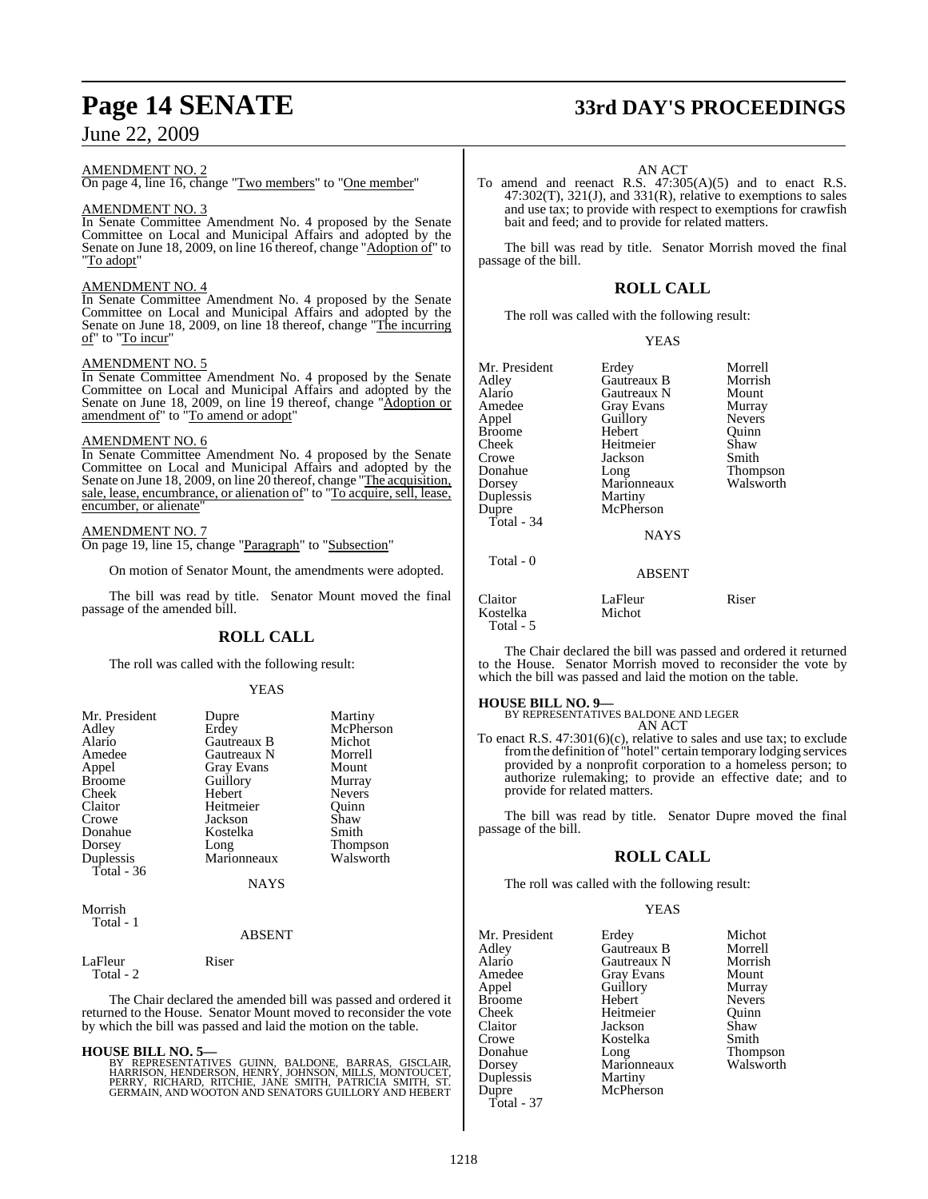### AMENDMENT NO. 2

On page 4, line 16, change "Two members" to "One member"

### AMENDMENT NO. 3

In Senate Committee Amendment No. 4 proposed by the Senate Committee on Local and Municipal Affairs and adopted by the Senate on June 18, 2009, on line 16 thereof, change "Adoption of" to "To adopt"

### AMENDMENT NO. 4

In Senate Committee Amendment No. 4 proposed by the Senate Committee on Local and Municipal Affairs and adopted by the Senate on June 18, 2009, on line 18 thereof, change "The incurring of" to "To incur"

### AMENDMENT NO. 5

In Senate Committee Amendment No. 4 proposed by the Senate Committee on Local and Municipal Affairs and adopted by the Senate on June 18, 2009, on line 19 thereof, change "Adoption or amendment of" to "To amend or adopt"

### AMENDMENT NO. 6

In Senate Committee Amendment No. 4 proposed by the Senate Committee on Local and Municipal Affairs and adopted by the Senate on June 18, 2009, on line 20 thereof, change "The acquisition, sale, lease, encumbrance, or alienation of" to "To acquire, sell, lease, encumber, or alienate"

### AMENDMENT NO. 7 On page 19, line 15, change "Paragraph" to "Subsection"

On motion of Senator Mount, the amendments were adopted.

The bill was read by title. Senator Mount moved the final passage of the amended bill.

### **ROLL CALL**

The roll was called with the following result:

### YEAS

| Mr. President<br>Adley<br>Alario<br>Amedee<br>Appel<br><b>Broome</b><br>Cheek<br>Claitor<br>Crowe | Dupre<br>Erdey<br><b>Gautreaux B</b><br>Gautreaux N<br><b>Gray Evans</b><br>Guillory<br>Hebert<br>Heitmeier<br>Jackson | Martiny<br>McPherson<br>Michot<br>Morrell<br>Mount<br>Murray<br><b>Nevers</b><br>Ouinn<br>Shaw |
|---------------------------------------------------------------------------------------------------|------------------------------------------------------------------------------------------------------------------------|------------------------------------------------------------------------------------------------|
| Dorsey<br>Duplessis<br>Total - 36                                                                 | Long<br>Marionneaux                                                                                                    | <b>Thompson</b><br>Walsworth                                                                   |
|                                                                                                   | <b>NAYS</b>                                                                                                            |                                                                                                |
| Morrish                                                                                           |                                                                                                                        |                                                                                                |

### ABSENT

LaFleur Riser Total - 2

Total - 1

The Chair declared the amended bill was passed and ordered it returned to the House. Senator Mount moved to reconsider the vote by which the bill was passed and laid the motion on the table.

### **HOUSE BILL NO. 5—**

BY REPRESENTATIVES GUINN, BALDONE, BARRAS, GISCLAIR,<br>HARRISON, HENDERSON, HENRY, JOHNSON, MILLS, MONTOUCET,<br>PERRY, RICHARD, RITCHIE, JANE SMITH, PATRICIA SMITH, ST.<br>GERMAIN, AND WOOTON AND SENATORS GUILLORY AND HEBERT

# **Page 14 SENATE 33rd DAY'S PROCEEDINGS**

### AN ACT

To amend and reenact R.S. 47:305(A)(5) and to enact R.S.  $47:302(T)$ ,  $321(J)$ , and  $331(R)$ , relative to exemptions to sales and use tax; to provide with respect to exemptions for crawfish bait and feed; and to provide for related matters.

The bill was read by title. Senator Morrish moved the final passage of the bill.

### **ROLL CALL**

The roll was called with the following result:

| Mr. President<br>Adlev<br>Alario<br>Amedee<br>Appel<br>Broome<br>Cheek<br>Crowe<br>Donahue<br>Dorsey<br>Duplessis | Erdey<br>Gautreaux B<br>Gautreaux N<br><b>Gray Evans</b><br>Guillory<br>Hebert<br>Heitmeier<br>Jackson<br>Long<br>Marionneaux<br>Martiny<br>McPherson | Morrell<br>Morrish<br>Mount<br>Murray<br><b>Nevers</b><br>Ouinn<br>Shaw<br>Smith<br><b>Thompson</b><br>Walsworth |
|-------------------------------------------------------------------------------------------------------------------|-------------------------------------------------------------------------------------------------------------------------------------------------------|------------------------------------------------------------------------------------------------------------------|
| Dupre<br>Total - 34<br>Total - 0                                                                                  | <b>NAYS</b><br><b>ABSENT</b>                                                                                                                          |                                                                                                                  |
| Claitor                                                                                                           | LaFleur                                                                                                                                               | Riser                                                                                                            |

The Chair declared the bill was passed and ordered it returned to the House. Senator Morrish moved to reconsider the vote by which the bill was passed and laid the motion on the table.

### **HOUSE BILL NO. 9—**

Kostelka Michot

Total - 5

BY REPRESENTATIVES BALDONE AND LEGER AN ACT

To enact R.S. 47:301(6)(c), relative to sales and use tax; to exclude fromthe definition of "hotel" certain temporary lodging services provided by a nonprofit corporation to a homeless person; to authorize rulemaking; to provide an effective date; and to provide for related matters.

The bill was read by title. Senator Dupre moved the final passage of the bill.

### **ROLL CALL**

The roll was called with the following result:

Guillory<br>Hebert

Heitmeier

Kostelka<br>Long

**Martiny** McPherson

### YEAS

Erdey Michot<br>Gautreaux B Morrell Gautreaux B Gautreaux N Morrish<br>Gray Evans Mount Gray Evans Mount<br> **America**<br> **America**<br> **America** Nevers<br>Ouinn Jackson Shaw<br>Kostelka Smith Thompson<br>Walsworth Marionneaux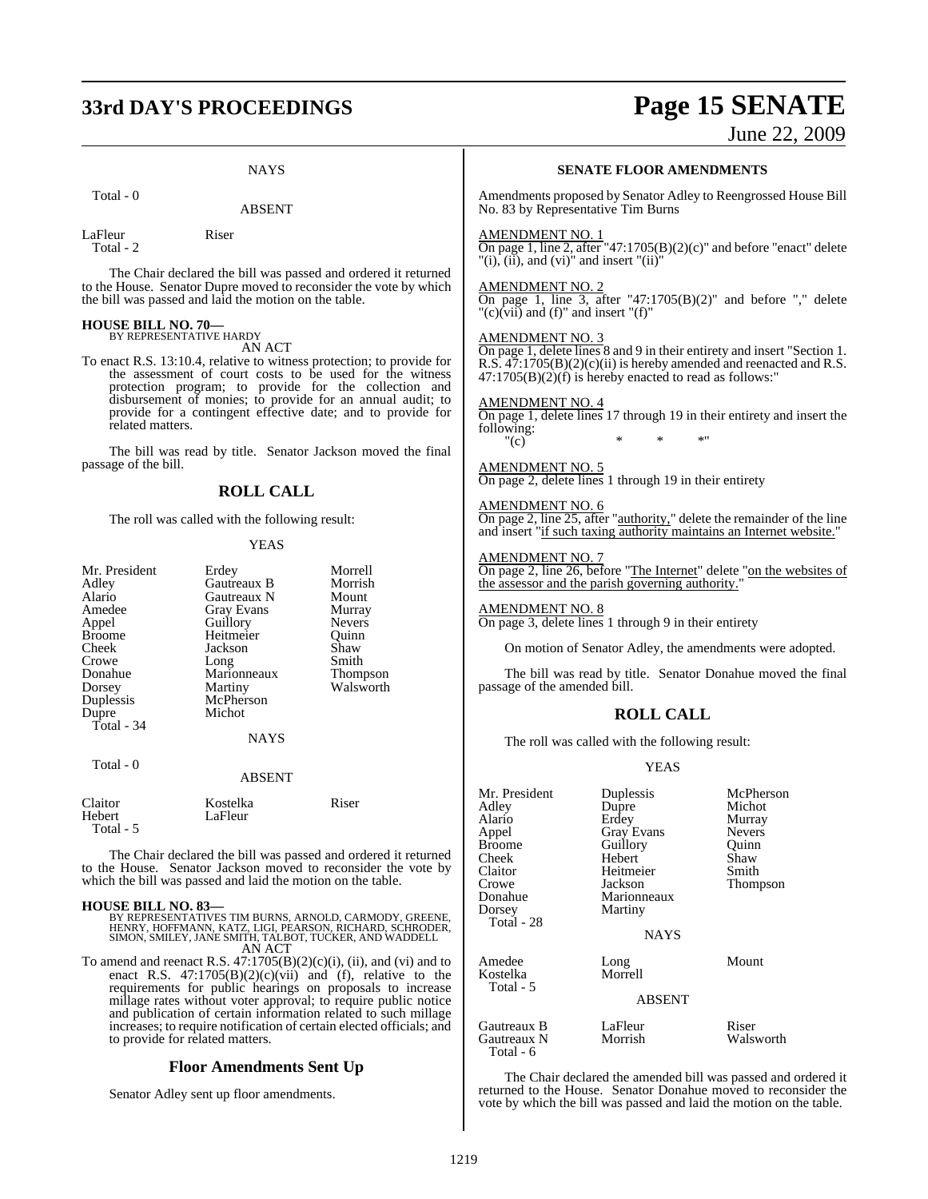# **33rd DAY'S PROCEEDINGS Page 15 SENATE**

June 22, 2009

### **NAYS**

ABSENT

Total - 0

Total - 2

LaFleur Riser

The Chair declared the bill was passed and ordered it returned to the House. Senator Dupre moved to reconsider the vote by which the bill was passed and laid the motion on the table.

### **HOUSE BILL NO. 70—** BY REPRESENTATIVE HARDY

AN ACT

To enact R.S. 13:10.4, relative to witness protection; to provide for the assessment of court costs to be used for the witness protection program; to provide for the collection and disbursement of monies; to provide for an annual audit; to provide for a contingent effective date; and to provide for related matters.

The bill was read by title. Senator Jackson moved the final passage of the bill.

### **ROLL CALL**

The roll was called with the following result:

### YEAS

| Mr. President<br>Adley<br>Alario<br>Amedee<br>Appel<br>Broome<br>Cheek<br>Crowe<br>Donahue<br>Dorsey<br>Duplessis<br>Dupre<br>Total - 34 | Erdey<br>Gautreaux B<br>Gautreaux N<br><b>Gray Evans</b><br>Guillory<br>Heitmeier<br>Jackson<br>Long<br>Marionneaux<br>Martiny<br>McPherson<br>Michot<br><b>NAYS</b> | Morrell<br>Morrish<br>Mount<br>Murray<br><b>Nevers</b><br>Ouinn<br>Shaw<br>Smith<br>Thompson<br>Walsworth |
|------------------------------------------------------------------------------------------------------------------------------------------|----------------------------------------------------------------------------------------------------------------------------------------------------------------------|-----------------------------------------------------------------------------------------------------------|
|                                                                                                                                          |                                                                                                                                                                      |                                                                                                           |
| Total - 0                                                                                                                                | <b>ABSENT</b>                                                                                                                                                        |                                                                                                           |
| Claitor                                                                                                                                  | Kostelka                                                                                                                                                             | Riser                                                                                                     |

| Kostelka | Riser |
|----------|-------|
| LaFleur  |       |
|          |       |
|          |       |

The Chair declared the bill was passed and ordered it returned to the House. Senator Jackson moved to reconsider the vote by which the bill was passed and laid the motion on the table.

### **HOUSE BILL NO. 83—**

BY REPRESENTATIVES TIM BURNS, ARNOLD, CARMODY, GREENE,<br>HENRY, HOFFMANN, KATZ, LIGI, PEARSON, RICHARD, SCHRODER,<br>SIMON, SMILEY, JANE SMITH, TALBOT, TUCKER, AND WADDELL AN ACT

To amend and reenact R.S.  $47:1705(B)(2)(c)(i)$ , (ii), and (vi) and to enact R.S.  $47:1705(B)(2)(c)(vii)$  and  $(f)$ , relative to the requirements for public hearings on proposals to increase millage rates without voter approval; to require public notice and publication of certain information related to such millage increases; to require notification of certain elected officials; and to provide for related matters.

### **Floor Amendments Sent Up**

Senator Adley sent up floor amendments.

### **SENATE FLOOR AMENDMENTS**

Amendments proposed by Senator Adley to Reengrossed House Bill No. 83 by Representative Tim Burns

### AMENDMENT NO. 1

On page 1, line 2, after "47:1705 $(B)(2)(c)$ " and before "enact" delete  $"(i)$ ,  $(ii)$ , and  $(vi)$ " and insert " $(ii)$ "

### AMENDMENT NO. 2

On page 1, line 3, after "47:1705 $(B)(2)$ " and before "," delete "(c) $(vii)$  and (f)" and insert "(f)"

### AMENDMENT NO. 3

On page 1, delete lines 8 and 9 in their entirety and insert "Section 1. R.S.  $47:1705(B)(2)(c)(ii)$  is hereby amended and reenacted and R.S.  $47:1705(B)(2)(f)$  is hereby enacted to read as follows:"

### AMENDMENT NO. 4

On page 1, delete lines 17 through 19 in their entirety and insert the following:<br>"(c)  $''(c)$  \* \* \* \*

### AMENDMENT NO. 5

On page 2, delete lines 1 through 19 in their entirety

### AMENDMENT NO. 6

On page 2, line 25, after "authority," delete the remainder of the line and insert "if such taxing authority maintains an Internet website."

### AMENDMENT NO. 7

On page 2, line 26, before "The Internet" delete "on the websites of the assessor and the parish governing authority."

AMENDMENT NO. 8 On page 3, delete lines 1 through 9 in their entirety

On motion of Senator Adley, the amendments were adopted.

The bill was read by title. Senator Donahue moved the final passage of the amended bill.

### **ROLL CALL**

The roll was called with the following result:

### YEAS

| Mr. President<br>Adley<br>Alario<br>Appel<br><b>Broome</b><br>Cheek<br>Claitor<br>Crowe<br>Donahue<br>Dorsey<br>Total - 28 | Duplessis<br>Dupre<br>Erdey<br><b>Gray Evans</b><br>Guillory<br>Hebert<br>Heitmeier<br>Jackson<br>Marionneaux<br>Martiny<br><b>NAYS</b> | McPherson<br>Michot<br>Murray<br><b>Nevers</b><br>Quinn<br>Shaw<br>Smith<br><b>Thompson</b> |
|----------------------------------------------------------------------------------------------------------------------------|-----------------------------------------------------------------------------------------------------------------------------------------|---------------------------------------------------------------------------------------------|
| Amedee<br>Kostelka<br>Total - 5                                                                                            | Long<br>Morrell<br><b>ABSENT</b>                                                                                                        | Mount                                                                                       |
| Gautreaux B<br>Gautreaux N<br>Total - 6                                                                                    | LaFleur<br>Morrish                                                                                                                      | Riser<br>Walsworth                                                                          |

The Chair declared the amended bill was passed and ordered it returned to the House. Senator Donahue moved to reconsider the vote by which the bill was passed and laid the motion on the table.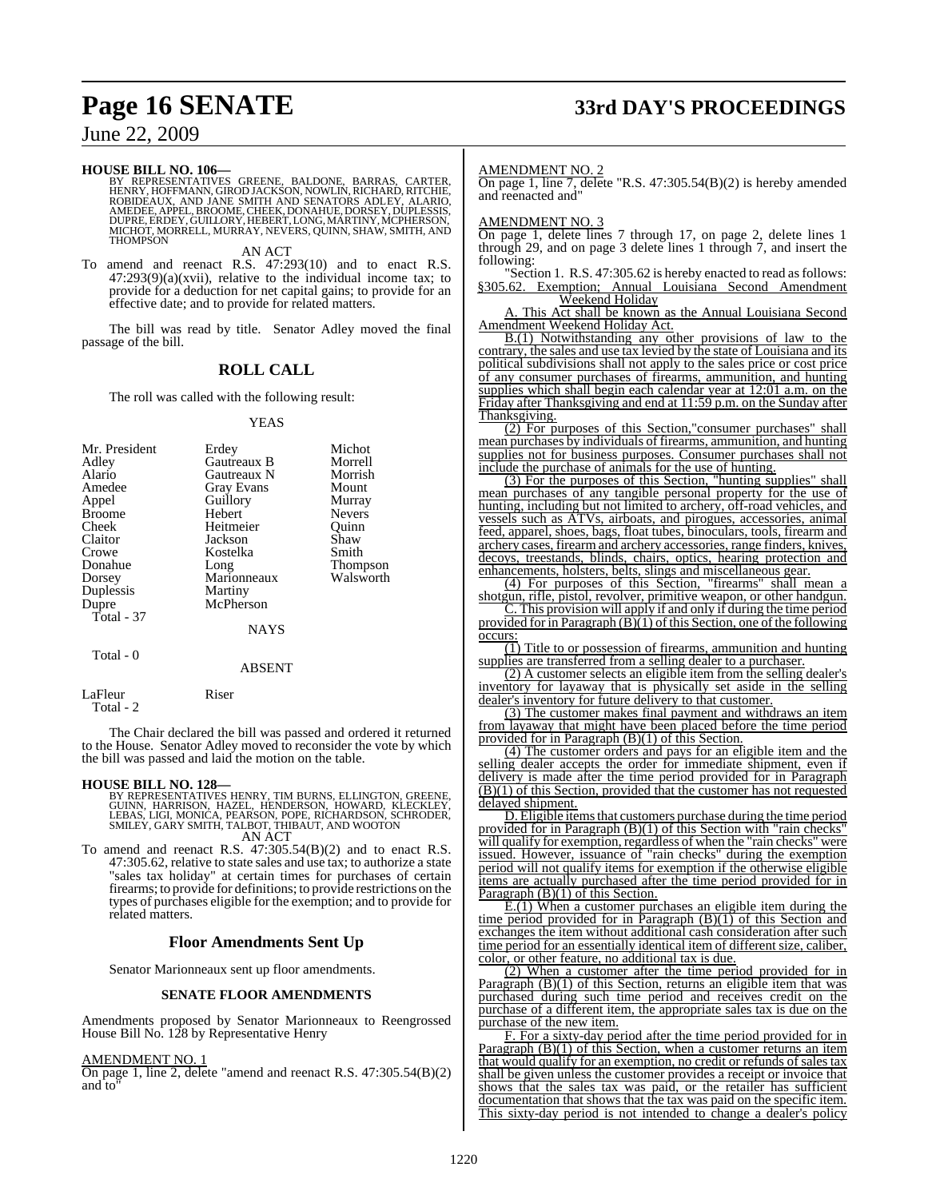# **Page 16 SENATE 33rd DAY'S PROCEEDINGS**

June 22, 2009

**HOUSE BILL NO. 106—**

BY REPRESENTATIVES GREENE, BALDONE, BARRAS, CARTER,<br>HENRY,HOFFMANN,GIRODJACKSON,NOWLIN,RICHARD,RITCHIE,<br>ROBIDEAUX, AND JANE SMITH AND SENATORS ADLEY, ALARIO,<br>AMEDEE,APPEL,BROOME,CHEEK,DONAHUE,DORSEY,DUPLESSIS,<br>DUPRE,ERDEY, MICHOT, MORRELL, MURRAY, NEVERS, QUINN, SHAW, SMITH, AND THOMPSON

AN ACT

To amend and reenact R.S. 47:293(10) and to enact R.S.  $47:293(9)(a)(xvii)$ , relative to the individual income tax; to provide for a deduction for net capital gains; to provide for an effective date; and to provide for related matters.

The bill was read by title. Senator Adley moved the final passage of the bill.

### **ROLL CALL**

The roll was called with the following result:

### YEAS

| Mr. President<br>Adley<br>Alario<br>Amedee<br>Appel<br><b>Broome</b><br>Cheek<br>Claitor<br>Crowe<br>Donahue<br>Dorsey<br>Duplessis<br>Dupre<br>Total - 37 | Erdey<br>Gautreaux B<br>Gautreaux N<br>Gray Evans<br>Guillory<br>Hebert<br>Heitmeier<br>Jackson<br>Kostelka<br>Long<br>Marionneaux<br>Martiny<br>McPherson<br><b>NAYS</b> | Michot<br>Morrell<br>Morrish<br>Mount<br>Murray<br><b>Nevers</b><br>Ouinn<br>Shaw<br>Smith<br><b>Thompson</b><br>Walsworth |
|------------------------------------------------------------------------------------------------------------------------------------------------------------|---------------------------------------------------------------------------------------------------------------------------------------------------------------------------|----------------------------------------------------------------------------------------------------------------------------|
| Total - 0                                                                                                                                                  |                                                                                                                                                                           |                                                                                                                            |

### ABSENT

LaFleur Riser Total - 2

The Chair declared the bill was passed and ordered it returned to the House. Senator Adley moved to reconsider the vote by which the bill was passed and laid the motion on the table.

### **HOUSE BILL NO. 128—**

BY REPRESENTATIVES HENRY, TIM BURNS, ELLINGTON, GREENE,<br>GUINN, HARRISON, HAZEL, HENDERSON, HOWARD, KLECKLEY,<br>LEBAS, LIGI, MONICA, PEARSON, POPE, RICHARDSON, SCHRODER,<br>SMILEY, GARY SMITH, TALBOT, THIBAUT, AND WOOTON AN ACT

To amend and reenact R.S. 47:305.54(B)(2) and to enact R.S. 47:305.62, relative to state sales and use tax; to authorize a state "sales tax holiday" at certain times for purchases of certain firearms; to provide for definitions; to provide restrictions on the types of purchases eligible for the exemption; and to provide for related matters.

### **Floor Amendments Sent Up**

Senator Marionneaux sent up floor amendments.

### **SENATE FLOOR AMENDMENTS**

Amendments proposed by Senator Marionneaux to Reengrossed House Bill No. 128 by Representative Henry

### AMENDMENT NO. 1

On page 1, line 2, delete "amend and reenact R.S. 47:305.54(B)(2) and to"

### AMENDMENT NO. 2

On page 1, line 7, delete "R.S. 47:305.54(B)(2) is hereby amended and reenacted and"

### AMENDMENT NO. 3

On page 1, delete lines 7 through 17, on page 2, delete lines 1 through 29, and on page 3 delete lines 1 through 7, and insert the following:

"Section 1. R.S. 47:305.62 is hereby enacted to read as follows: §305.62. Exemption; Annual Louisiana Second Amendment Weekend Holiday

A. This Act shall be known as the Annual Louisiana Second Amendment Weekend Holiday Act.

B.(1) Notwithstanding any other provisions of law to the contrary, the sales and use tax levied by the state of Louisiana and its political subdivisions shall not apply to the sales price or cost price of any consumer purchases of firearms, ammunition, and hunting supplies which shall begin each calendar year at 12:01 a.m. on the Friday after Thanksgiving and end at 11:59 p.m. on the Sunday after Thanksgiving.

(2) For purposes of this Section,"consumer purchases" shall mean purchases by individuals of firearms, ammunition, and hunting supplies not for business purposes. Consumer purchases shall not include the purchase of animals for the use of hunting.

(3) For the purposes of this Section, "hunting supplies" shall mean purchases of any tangible personal property for the use of hunting, including but not limited to archery, off-road vehicles, and vessels such as ATVs, airboats, and pirogues, accessories, animal feed, apparel, shoes, bags, float tubes, binoculars, tools, firearm and archery cases, firearm and archery accessories, range finders, knives, decoys, treestands, blinds, chairs, optics, hearing protection and enhancements, holsters, belts, slings and miscellaneous gear.

(4) For purposes of this Section, "firearms" shall mean a shotgun, rifle, pistol, revolver, primitive weapon, or other handgun.

C. This provision will apply if and only if during the time period provided for in Paragraph  $(B)(1)$  of this Section, one of the following occurs:

 $\overline{11}$ ) Title to or possession of firearms, ammunition and hunting supplies are transferred from a selling dealer to a purchaser.

(2) A customer selects an eligible item from the selling dealer's inventory for layaway that is physically set aside in the selling dealer's inventory for future delivery to that customer.

(3) The customer makes final payment and withdraws an item from layaway that might have been placed before the time period provided for in Paragraph (B)(1) of this Section.

(4) The customer orders and pays for an eligible item and the selling dealer accepts the order for immediate shipment, even if delivery is made after the time period provided for in Paragraph (B)(1) of this Section, provided that the customer has not requested delayed shipment.

D. Eligible items that customers purchase during the time period provided for in Paragraph (B)(1) of this Section with "rain checks" will qualify for exemption, regardless of when the "rain checks" were issued. However, issuance of "rain checks" during the exemption period will not qualify items for exemption if the otherwise eligible items are actually purchased after the time period provided for in Paragraph  $(B)(1)$  of this Section.

 $E(1)$  When a customer purchases an eligible item during the time period provided for in Paragraph  $(B)(1)$  of this Section and exchanges the item without additional cash consideration after such time period for an essentially identical item of different size, caliber, color, or other feature, no additional tax is due.

(2) When a customer after the time period provided for in Paragraph (B)(1) of this Section, returns an eligible item that was purchased during such time period and receives credit on the purchase of a different item, the appropriate sales tax is due on the purchase of the new item.

F. For a sixty-day period after the time period provided for in Paragraph (B)(1) of this Section, when a customer returns an item that would qualify for an exemption, no credit or refunds of sales tax shall be given unless the customer provides a receipt or invoice that shows that the sales tax was paid, or the retailer has sufficient documentation that shows that the tax was paid on the specific item. This sixty-day period is not intended to change a dealer's policy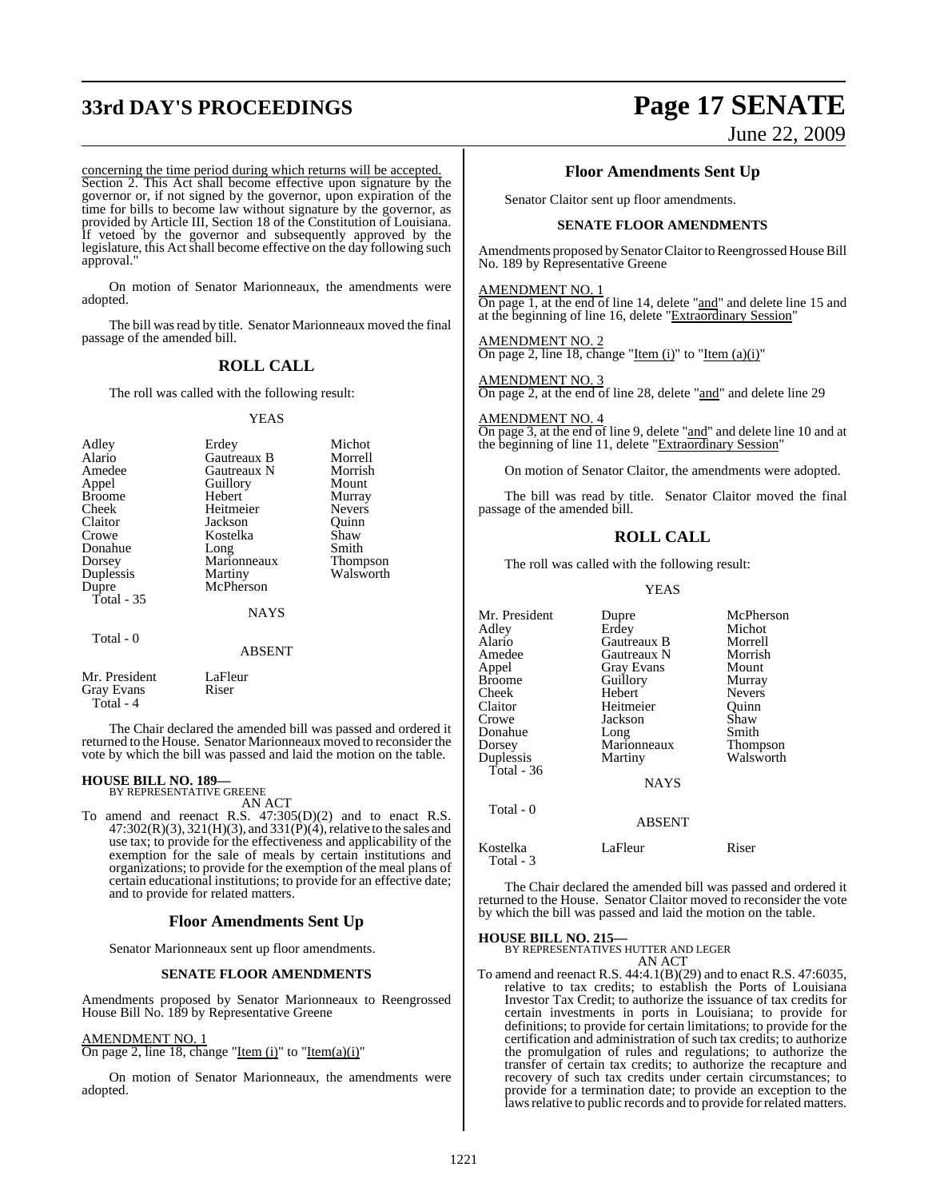# **33rd DAY'S PROCEEDINGS Page 17 SENATE**

# June 22, 2009

concerning the time period during which returns will be accepted. Section 2. This Act shall become effective upon signature by the governor or, if not signed by the governor, upon expiration of the time for bills to become law without signature by the governor, as provided by Article III, Section 18 of the Constitution of Louisiana. If vetoed by the governor and subsequently approved by the legislature, this Act shall become effective on the day following such approval."

On motion of Senator Marionneaux, the amendments were adopted.

The bill was read by title. Senator Marionneaux moved the final passage of the amended bill.

### **ROLL CALL**

The roll was called with the following result:

YEAS

| Erdey<br>Gautreaux B<br>Gautreaux N<br>Guillory<br>Hebert<br>Heitmeier<br>Jackson<br>Kostelka<br>Long<br>Marionneaux<br>Martiny<br>McPherson | Michot<br>Morrell<br>Morrish<br>Mount<br>Murray<br><b>Nevers</b><br>Ouinn<br>Shaw<br>Smith<br><b>Thompson</b><br>Walsworth |
|----------------------------------------------------------------------------------------------------------------------------------------------|----------------------------------------------------------------------------------------------------------------------------|
| <b>NAYS</b>                                                                                                                                  |                                                                                                                            |
| <b>ABSENT</b>                                                                                                                                |                                                                                                                            |
|                                                                                                                                              |                                                                                                                            |

Mr. President LaFleur<br>
Grav Evans Riser Gray Evans Total - 4

The Chair declared the amended bill was passed and ordered it returned to the House. Senator Marionneaux moved to reconsider the vote by which the bill was passed and laid the motion on the table.

## **HOUSE BILL NO. 189—** BY REPRESENTATIVE GREENE

AN ACT

To amend and reenact R.S. 47:305(D)(2) and to enact R.S.  $47:302(R)(3), 321(H)(3),$  and  $331(P)(4)$ , relative to the sales and use tax; to provide for the effectiveness and applicability of the exemption for the sale of meals by certain institutions and organizations; to provide for the exemption of the meal plans of certain educational institutions; to provide for an effective date; and to provide for related matters.

### **Floor Amendments Sent Up**

Senator Marionneaux sent up floor amendments.

### **SENATE FLOOR AMENDMENTS**

Amendments proposed by Senator Marionneaux to Reengrossed House Bill No. 189 by Representative Greene

### AMENDMENT NO. 1

On page 2, line 18, change "Item  $(i)$ " to "Item $(a)(i)$ "

On motion of Senator Marionneaux, the amendments were adopted.

### **Floor Amendments Sent Up**

Senator Claitor sent up floor amendments.

### **SENATE FLOOR AMENDMENTS**

Amendments proposed by Senator Claitor to Reengrossed House Bill No. 189 by Representative Greene

### AMENDMENT NO. 1

On page 1, at the end of line 14, delete "and" and delete line 15 and at the beginning of line 16, delete "Extraordinary Session"

AMENDMENT NO. 2 On page 2, line 18, change "Item  $(i)$ " to "Item  $(a)(i)$ "

AMENDMENT NO. 3 On page 2, at the end of line 28, delete "and" and delete line 29

AMENDMENT NO. 4

On page 3, at the end of line 9, delete "and" and delete line 10 and at the beginning of line 11, delete "Extraordinary Session"

On motion of Senator Claitor, the amendments were adopted.

The bill was read by title. Senator Claitor moved the final passage of the amended bill.

### **ROLL CALL**

The roll was called with the following result:

### YEAS

| Mr. President<br>Adlev<br>Alario<br>Amedee<br>Appel<br>Broome<br>Cheek<br>Claitor<br>Crowe<br>Donahue<br>Dorsey<br>Duplessis<br>Total - 36<br>Total - 0 | Dupre<br>Erdey<br>Gautreaux B<br>Gautreaux N<br>Gray Evans<br>Guillory<br>Hebert<br>Heitmeier<br>Jackson<br>Long<br>Marionneaux<br>Martiny<br><b>NAYS</b> | McPherson<br>Michot<br>Morrell<br>Morrish<br>Mount<br>Murray<br><b>Nevers</b><br>Ouinn<br>Shaw<br>Smith<br>Thompson<br>Walsworth |
|---------------------------------------------------------------------------------------------------------------------------------------------------------|-----------------------------------------------------------------------------------------------------------------------------------------------------------|----------------------------------------------------------------------------------------------------------------------------------|
|                                                                                                                                                         | <b>ABSENT</b>                                                                                                                                             |                                                                                                                                  |
| Kostelka<br>Total - 3                                                                                                                                   | LaFleur                                                                                                                                                   | Riser                                                                                                                            |

The Chair declared the amended bill was passed and ordered it returned to the House. Senator Claitor moved to reconsider the vote by which the bill was passed and laid the motion on the table.

### **HOUSE BILL NO. 215—**

BY REPRESENTATIVES HUTTER AND LEGER AN ACT

To amend and reenact R.S. 44:4.1(B)(29) and to enact R.S. 47:6035, relative to tax credits; to establish the Ports of Louisiana Investor Tax Credit; to authorize the issuance of tax credits for certain investments in ports in Louisiana; to provide for definitions; to provide for certain limitations; to provide for the certification and administration of such tax credits; to authorize the promulgation of rules and regulations; to authorize the transfer of certain tax credits; to authorize the recapture and recovery of such tax credits under certain circumstances; to provide for a termination date; to provide an exception to the laws relative to public records and to provide for related matters.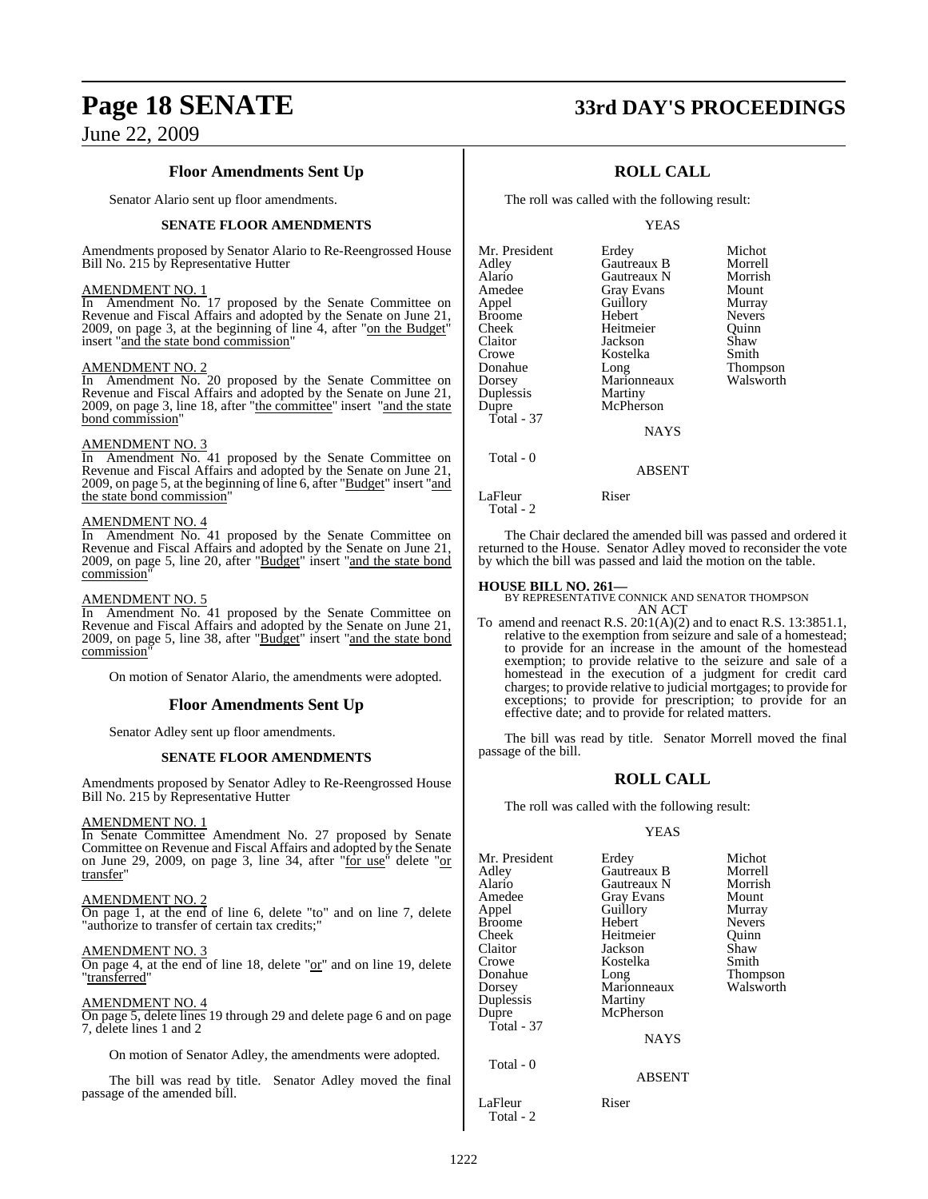### **Floor Amendments Sent Up**

Senator Alario sent up floor amendments.

### **SENATE FLOOR AMENDMENTS**

Amendments proposed by Senator Alario to Re-Reengrossed House Bill No. 215 by Representative Hutter

### AMENDMENT NO. 1

In Amendment No. 17 proposed by the Senate Committee on Revenue and Fiscal Affairs and adopted by the Senate on June 21, 2009, on page 3, at the beginning of line 4, after "on the Budget" insert "and the state bond commission"

### AMENDMENT NO. 2

In Amendment No. 20 proposed by the Senate Committee on Revenue and Fiscal Affairs and adopted by the Senate on June 21, 2009, on page 3, line 18, after "the committee" insert "and the state bond commission"

### AMENDMENT NO. 3

In Amendment No. 41 proposed by the Senate Committee on Revenue and Fiscal Affairs and adopted by the Senate on June 21, 2009, on page 5, at the beginning of line 6, after "Budget" insert "and the state bond commission"

### AMENDMENT NO. 4

In Amendment No. 41 proposed by the Senate Committee on Revenue and Fiscal Affairs and adopted by the Senate on June 21, 2009, on page 5, line 20, after "Budget" insert "and the state bond commission"

### AMENDMENT NO. 5

In Amendment No. 41 proposed by the Senate Committee on Revenue and Fiscal Affairs and adopted by the Senate on June 21, 2009, on page 5, line 38, after "Budget" insert "and the state bond commission"

On motion of Senator Alario, the amendments were adopted.

### **Floor Amendments Sent Up**

Senator Adley sent up floor amendments.

### **SENATE FLOOR AMENDMENTS**

Amendments proposed by Senator Adley to Re-Reengrossed House Bill No. 215 by Representative Hutter

### AMENDMENT NO. 1

In Senate Committee Amendment No. 27 proposed by Senate Committee on Revenue and Fiscal Affairs and adopted by the Senate on June 29, 2009, on page 3, line 34, after "for use" delete "or transfer"

### AMENDMENT NO. 2

On page 1, at the end of line 6, delete "to" and on line 7, delete "authorize to transfer of certain tax credits;"

### AMENDMENT NO. 3

On page 4, at the end of line 18, delete "or" and on line 19, delete "transferred"

### AMENDMENT NO. 4

On page 5, delete lines 19 through 29 and delete page 6 and on page 7, delete lines 1 and 2

On motion of Senator Adley, the amendments were adopted.

The bill was read by title. Senator Adley moved the final passage of the amended bill.

## **Page 18 SENATE 33rd DAY'S PROCEEDINGS**

### **ROLL CALL**

The roll was called with the following result:

YEAS

| Mr. President | Erdey       | Michot        |
|---------------|-------------|---------------|
| Adley         | Gautreaux B | Morrell       |
| Alario        | Gautreaux N | Morrish       |
| Amedee        | Gray Evans  | Mount         |
| Appel         | Guillory    | Murray        |
| Broome        | Hebert      | <b>Nevers</b> |
| Cheek         | Heitmeier   | Ouinn         |
| Claitor       | Jackson     | Shaw          |
| Crowe         | Kostelka    | Smith         |
| Donahue       | Long        | Thompson      |
| Dorsey        | Marionneaux | Walsworth     |
| Duplessis     | Martiny     |               |
| Dupre         | McPherson   |               |
| Total - 37    |             |               |
|               | <b>NAYS</b> |               |
| Total - 0     |             |               |
|               | ABSENT      |               |

The Chair declared the amended bill was passed and ordered it returned to the House. Senator Adley moved to reconsider the vote by which the bill was passed and laid the motion on the table.

LaFleur Riser

Total - 2

**HOUSE BILL NO. 261—** BY REPRESENTATIVE CONNICK AND SENATOR THOMPSON AN ACT

To amend and reenact R.S.  $20:1(A)(2)$  and to enact R.S. 13:3851.1, relative to the exemption from seizure and sale of a homestead; to provide for an increase in the amount of the homestead exemption; to provide relative to the seizure and sale of a homestead in the execution of a judgment for credit card charges; to provide relative to judicial mortgages; to provide for exceptions; to provide for prescription; to provide for an effective date; and to provide for related matters.

The bill was read by title. Senator Morrell moved the final passage of the bill.

### **ROLL CALL**

The roll was called with the following result:

### YEAS

| Mr. President | Erdey             | Michot        |
|---------------|-------------------|---------------|
| Adley         | Gautreaux B       | Morrell       |
| Alario        | Gautreaux N       | Morrish       |
| Amedee        | <b>Gray Evans</b> | Mount         |
| Appel         | Guillory          | Murray        |
| Broome        | Hebert            | <b>Nevers</b> |
| Cheek         | Heitmeier         | Ouinn         |
| Claitor       | Jackson           | Shaw          |
| Crowe         | Kostelka          | Smith         |
| Donahue       | Long              | Thompson      |
| Dorsey        | Marionneaux       | Walsworth     |
| Duplessis     | Martiny           |               |
| Dupre         | McPherson         |               |
| Total - $37$  |                   |               |
|               | <b>NAYS</b>       |               |
| Total - 0     |                   |               |
|               | <b>ABSENT</b>     |               |
|               |                   |               |

LaFleur Riser

1222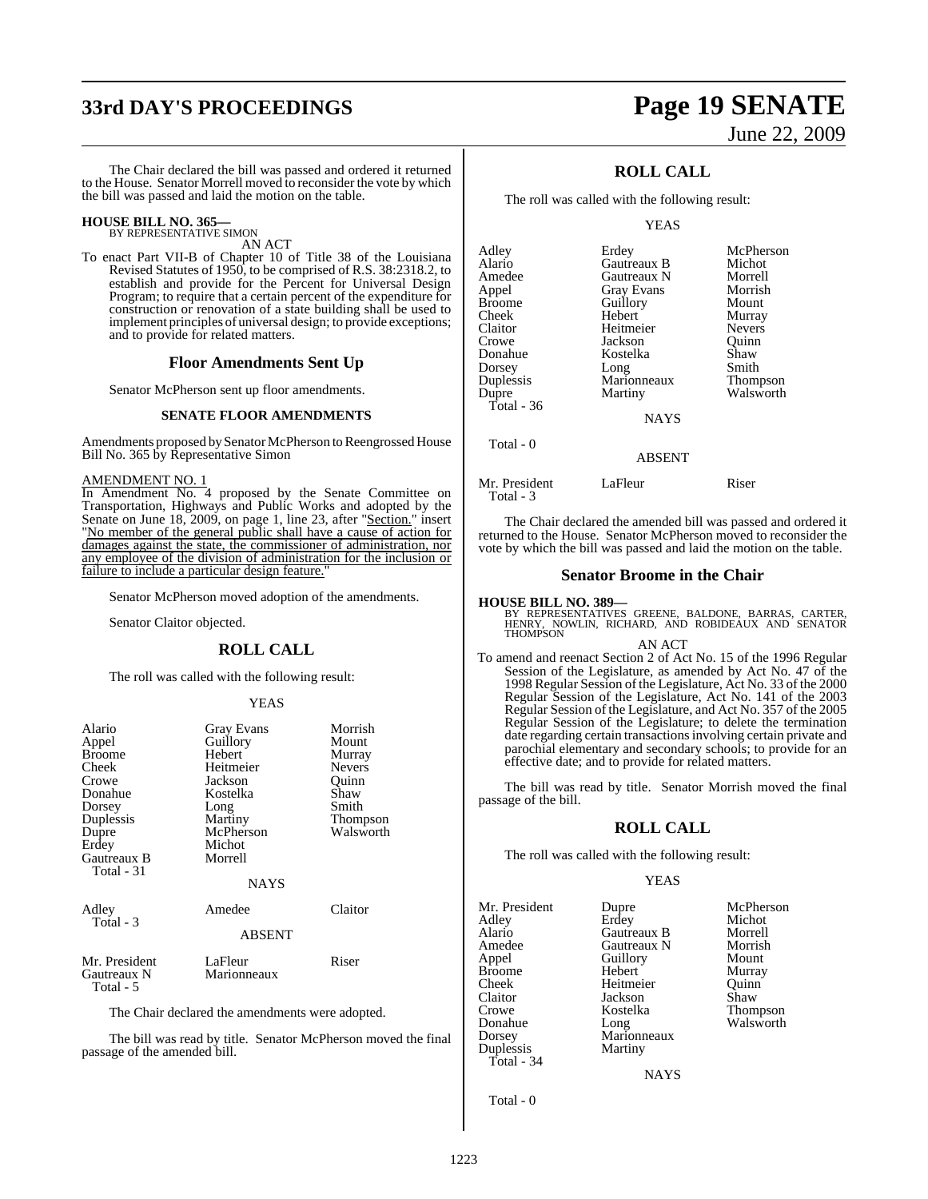# **33rd DAY'S PROCEEDINGS Page 19 SENATE**

# June 22, 2009

The Chair declared the bill was passed and ordered it returned to the House. Senator Morrell moved to reconsider the vote by which the bill was passed and laid the motion on the table.

## **HOUSE BILL NO. 365—** BY REPRESENTATIVE SIMON

AN ACT

To enact Part VII-B of Chapter 10 of Title 38 of the Louisiana Revised Statutes of 1950, to be comprised of R.S. 38:2318.2, to establish and provide for the Percent for Universal Design Program; to require that a certain percent of the expenditure for construction or renovation of a state building shall be used to implement principles of universal design; to provide exceptions; and to provide for related matters.

### **Floor Amendments Sent Up**

Senator McPherson sent up floor amendments.

### **SENATE FLOOR AMENDMENTS**

Amendments proposed by Senator McPherson to Reengrossed House Bill No. 365 by Representative Simon

AMENDMENT NO. 1

In Amendment No. 4 proposed by the Senate Committee on Transportation, Highways and Public Works and adopted by the Senate on June 18, 2009, on page 1, line 23, after "Section." insert "No member of the general public shall have a cause of action for damages against the state, the commissioner of administration, nor any employee of the division of administration for the inclusion or failure to include a particular design feature."

Senator McPherson moved adoption of the amendments.

Senator Claitor objected.

### **ROLL CALL**

The roll was called with the following result:

### YEAS

| Alario<br>Appel<br><b>Broome</b><br>Cheek                | Gray Evans<br>Guillory<br>Hebert<br>Heitmeier     | Morrish<br>Mount<br>Murray<br><b>Nevers</b> |
|----------------------------------------------------------|---------------------------------------------------|---------------------------------------------|
| Crowe<br>Donahue<br>Dorsey                               | Jackson<br>Kostelka<br>Long                       | Ouinn<br>Shaw<br>Smith                      |
| Duplessis<br>Dupre<br>Erdey<br>Gautreaux B<br>Total - 31 | Martiny<br>McPherson<br>Michot<br>Morrell<br>NAYS | Thompson<br>Walsworth                       |
| Adley<br>Total - 3                                       | Amedee<br><b>ABSENT</b>                           | Claitor                                     |
| Mr. President<br>Gautreaux N<br>Total - 5                | LaFleur<br>Marionneaux                            | Riser                                       |

The Chair declared the amendments were adopted.

The bill was read by title. Senator McPherson moved the final passage of the amended bill.

### **ROLL CALL**

The roll was called with the following result:

### YEAS

| Adley      | Erdey             | McPherson       |
|------------|-------------------|-----------------|
| Alario     | Gautreaux B       | Michot          |
| Amedee     | Gautreaux N       | Morrell         |
| Appel      | <b>Gray Evans</b> | Morrish         |
| Broome     | Guillory          | Mount           |
| Cheek      | Hebert            | Murray          |
| Claitor    | Heitmeier         | <b>Nevers</b>   |
| Crowe      | Jackson           | Ouinn           |
| Donahue    | Kostelka          | Shaw            |
| Dorsey     | Long              | Smith           |
| Duplessis  | Marionneaux       | <b>Thompson</b> |
| Dupre      | Martiny           | Walsworth       |
| Total - 36 |                   |                 |
|            | <b>NAYS</b>       |                 |
| Total - 0  |                   |                 |

Mr. President LaFleur Riser

Total - 3

The Chair declared the amended bill was passed and ordered it returned to the House. Senator McPherson moved to reconsider the vote by which the bill was passed and laid the motion on the table.

ABSENT

### **Senator Broome in the Chair**

### **HOUSE BILL NO. 389—**

BY REPRESENTATIVES GREENE, BALDONE, BARRAS, CARTER, HENRY, NOWLIN, RICHARD, AND ROBIDEAUX AND SENATOR THOMPSON

### AN ACT

To amend and reenact Section 2 of Act No. 15 of the 1996 Regular Session of the Legislature, as amended by Act No. 47 of the 1998 Regular Session of the Legislature, Act No. 33 of the 2000 Regular Session of the Legislature, Act No. 141 of the 2003 Regular Session of the Legislature, and Act No. 357 of the 2005 Regular Session of the Legislature; to delete the termination date regarding certain transactionsinvolving certain private and parochial elementary and secondary schools; to provide for an effective date; and to provide for related matters.

The bill was read by title. Senator Morrish moved the final passage of the bill.

### **ROLL CALL**

The roll was called with the following result:

### YEAS

Mr. President Dupre McPherson<br>
Adley Erdey Michot Alario Gautreaux B Morrell Amedee Gautreaux N Morrish Broome Hebert Murray<br>
Cheek Heitmeier Quinn Cheek Heitmeier Quinn<br>Claitor Iackson Shaw Claitor Jackson<br>Crowe Kostelka Crowe Kostelka Thompson Donahue Long Walsworth Dorsey Marionneaux Duplessis Martiny Total - 34

Appel Guillory<br>
Hebert Murray **NAYS** 

Michot<br>Morrell

Total - 0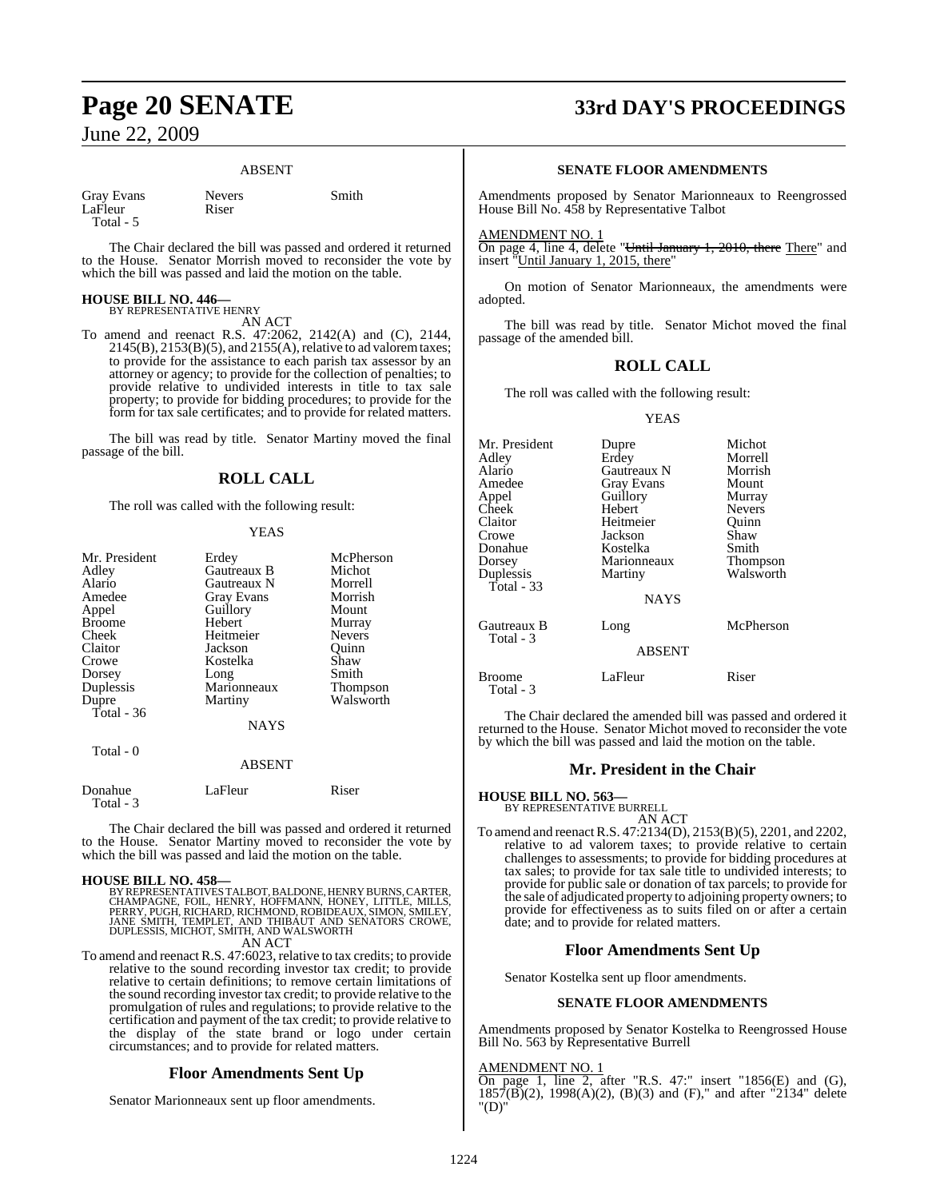### ABSENT

| Gray Evans | <b>Nevers</b> | Smith |
|------------|---------------|-------|
| LaFleur    | Riser         |       |
| Total - 5  |               |       |

The Chair declared the bill was passed and ordered it returned to the House. Senator Morrish moved to reconsider the vote by which the bill was passed and laid the motion on the table.

### **HOUSE BILL NO. 446—**

BY REPRESENTATIVE HENRY AN ACT

To amend and reenact R.S. 47:2062, 2142(A) and (C), 2144,  $2145(B)$ ,  $2153(B)(5)$ , and  $2155(A)$ , relative to ad valorem taxes; to provide for the assistance to each parish tax assessor by an attorney or agency; to provide for the collection of penalties; to provide relative to undivided interests in title to tax sale property; to provide for bidding procedures; to provide for the form for tax sale certificates; and to provide for related matters.

The bill was read by title. Senator Martiny moved the final passage of the bill.

### **ROLL CALL**

The roll was called with the following result:

### YEAS

| Mr. President | Erdey              | McPherson       |
|---------------|--------------------|-----------------|
| Adley         | <b>Gautreaux B</b> | Michot          |
| Alario        | Gautreaux N        | Morrell         |
| Amedee        | <b>Gray Evans</b>  | Morrish         |
| Appel         | Guillory           | Mount           |
| <b>Broome</b> | Hebert             | Murray          |
| Cheek         | Heitmeier          | <b>Nevers</b>   |
| Claitor       | Jackson            | Ouinn           |
| Crowe         | Kostelka           | Shaw            |
| Dorsey        | Long               | Smith           |
| Duplessis     | Marionneaux        | <b>Thompson</b> |
| Dupre         | Martiny            | Walsworth       |
| Total - 36    |                    |                 |
|               | <b>NAYS</b>        |                 |

|                      | <b>ABSENT</b> |       |
|----------------------|---------------|-------|
| Donahue<br>Total - 3 | LaFleur       | Riser |

The Chair declared the bill was passed and ordered it returned to the House. Senator Martiny moved to reconsider the vote by which the bill was passed and laid the motion on the table.

Total - 0

**HOUSE BILL NO. 458—** BY REPRESENTATIVES TALBOT, BALDONE, HENRY BURNS, CARTER, CHAMPAGNE, FOIL, HENRY, HOFFMANN, HONEY, LITTLE, MILLS,<br>PERRY, PUGH, RICHARD, RICHMOND, ROBIDEAUX, SIMON, SMILEY,<br>JANE SMITH, TEMPLET, AND THIBAUT AND SENATORS CROWE,<br>DUPLESSIS, MICHOT, SMITH, AND WALSWORTH AN ACT

To amend and reenact R.S. 47:6023, relative to tax credits; to provide relative to the sound recording investor tax credit; to provide relative to certain definitions; to remove certain limitations of the sound recording investor tax credit; to provide relative to the promulgation of rules and regulations; to provide relative to the certification and payment of the tax credit; to provide relative to the display of the state brand or logo under certain circumstances; and to provide for related matters.

### **Floor Amendments Sent Up**

Senator Marionneaux sent up floor amendments.

# **Page 20 SENATE 33rd DAY'S PROCEEDINGS**

### **SENATE FLOOR AMENDMENTS**

Amendments proposed by Senator Marionneaux to Reengrossed House Bill No. 458 by Representative Talbot

### AMENDMENT NO. 1

On page 4, line 4, delete "Until January 1, 2010, there There" and insert "Until January 1, 2015, there"

On motion of Senator Marionneaux, the amendments were adopted.

The bill was read by title. Senator Michot moved the final passage of the amended bill.

### **ROLL CALL**

The roll was called with the following result:

### YEAS

| Mr. President<br>Adley<br>Alario<br>Amedee<br>Appel<br>Cheek<br>Claitor<br>Crowe<br>Donahue<br>Dorsey<br>Duplessis<br>Total - 33 | Dupre<br>Erdey<br>Gautreaux N<br><b>Gray Evans</b><br>Guillory<br>Hebert<br>Heitmeier<br>Jackson<br>Kostelka<br>Marionneaux<br>Martiny<br><b>NAYS</b> | Michot<br>Morrell<br>Morrish<br>Mount<br>Murray<br><b>Nevers</b><br>Quinn<br>Shaw<br>Smith<br><b>Thompson</b><br>Walsworth |
|----------------------------------------------------------------------------------------------------------------------------------|-------------------------------------------------------------------------------------------------------------------------------------------------------|----------------------------------------------------------------------------------------------------------------------------|
| Gautreaux B<br>Total - 3                                                                                                         | Long<br><b>ABSENT</b>                                                                                                                                 | McPherson                                                                                                                  |
| Broome<br>Total - 3                                                                                                              | LaFleur                                                                                                                                               | Riser                                                                                                                      |

The Chair declared the amended bill was passed and ordered it returned to the House. Senator Michot moved to reconsider the vote by which the bill was passed and laid the motion on the table.

### **Mr. President in the Chair**

### **HOUSE BILL NO. 563—** BY REPRESENTATIVE BURRELL

AN ACT To amend and reenactR.S. 47:2134(D), 2153(B)(5), 2201, and 2202, relative to ad valorem taxes; to provide relative to certain challenges to assessments; to provide for bidding procedures at tax sales; to provide for tax sale title to undivided interests; to provide for public sale or donation of tax parcels; to provide for the sale of adjudicated property to adjoining property owners; to

provide for effectiveness as to suits filed on or after a certain date; and to provide for related matters.

### **Floor Amendments Sent Up**

Senator Kostelka sent up floor amendments.

### **SENATE FLOOR AMENDMENTS**

Amendments proposed by Senator Kostelka to Reengrossed House Bill No. 563 by Representative Burrell

### AMENDMENT NO. 1

On page 1, line 2, after "R.S. 47:" insert "1856 $(E)$  and  $(G)$ ,  $1857(B)(2)$ ,  $1998(A)(2)$ ,  $(B)(3)$  and  $(F)$ ," and after "2134" delete "(D)"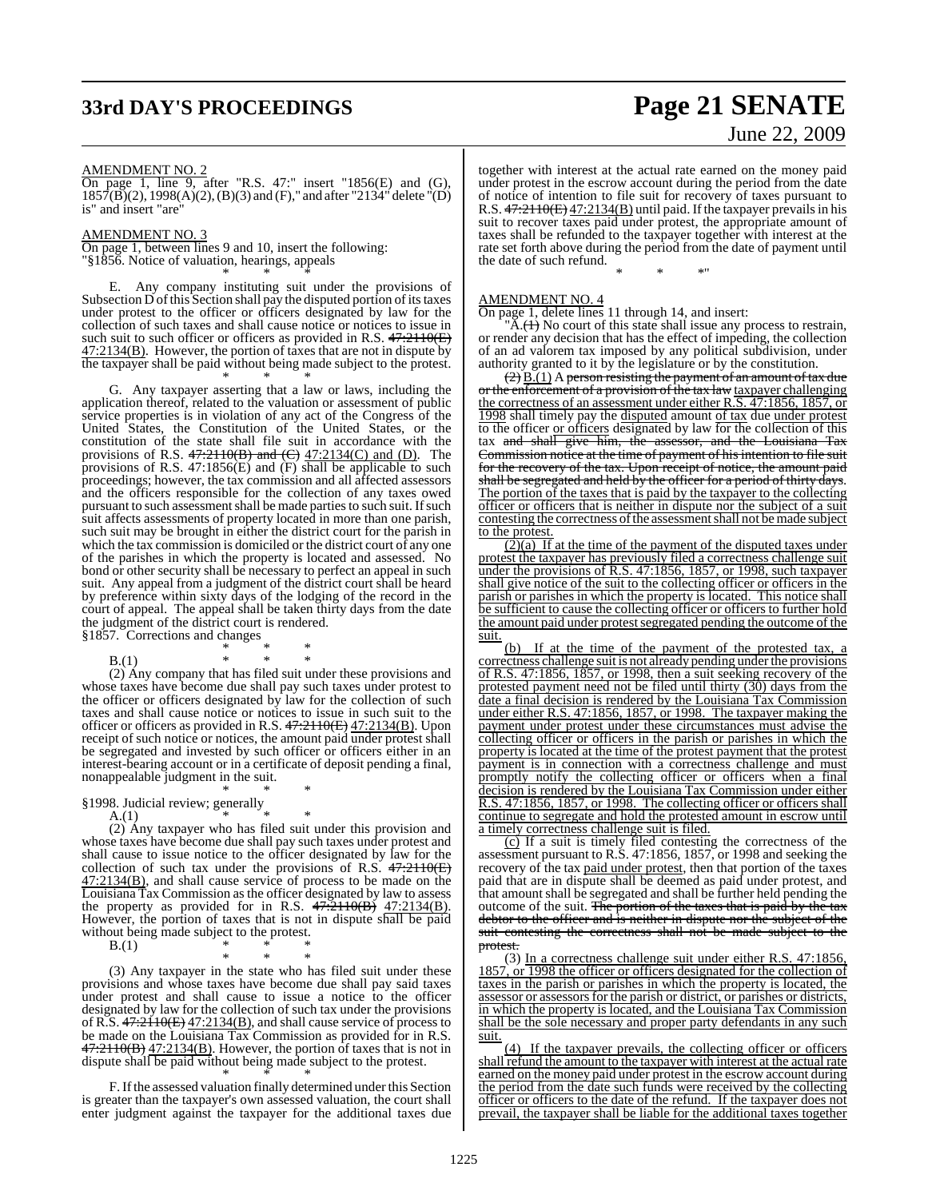# **33rd DAY'S PROCEEDINGS Page 21 SENATE**

# June 22, 2009

### AMENDMENT NO. 2

On page 1, line 9, after "R.S. 47:" insert "1856(E) and (G),  $1857(B)(2)$ ,  $1998(A)(2)$ ,  $(B)(3)$  and  $(F)$ ," and after "2134" delete "(D) is" and insert "are"

### AMENDMENT NO. 3

On page 1, between lines 9 and 10, insert the following: "§1856. Notice of valuation, hearings, appeals \* \* \*

Any company instituting suit under the provisions of Subsection D of this Section shall pay the disputed portion of its taxes under protest to the officer or officers designated by law for the collection of such taxes and shall cause notice or notices to issue in such suit to such officer or officers as provided in R.S.  $47.2110(E)$ 47:2134(B). However, the portion of taxes that are not in dispute by the taxpayer shall be paid without being made subject to the protest.

\* \* \*

G. Any taxpayer asserting that a law or laws, including the application thereof, related to the valuation or assessment of public service properties is in violation of any act of the Congress of the United States, the Constitution of the United States, or the constitution of the state shall file suit in accordance with the provisions of R.S.  $47:2110(B)$  and  $(C)$   $47:2134(C)$  and  $(D)$ . The provisions of R.S. 47:1856(E) and (F) shall be applicable to such proceedings; however, the tax commission and all affected assessors and the officers responsible for the collection of any taxes owed pursuant to such assessment shall be made parties to such suit. If such suit affects assessments of property located in more than one parish, such suit may be brought in either the district court for the parish in which the tax commission is domiciled or the district court of any one of the parishes in which the property is located and assessed. No bond or other security shall be necessary to perfect an appeal in such suit. Any appeal from a judgment of the district court shall be heard by preference within sixty days of the lodging of the record in the court of appeal. The appeal shall be taken thirty days from the date the judgment of the district court is rendered. §1857. Corrections and changes

\* \* \*

 $B(1)$ (2) Any company that has filed suit under these provisions and whose taxes have become due shall pay such taxes under protest to the officer or officers designated by law for the collection of such taxes and shall cause notice or notices to issue in such suit to the officer or officers as provided in R.S. 47:2110(E) 47:2134(B). Upon receipt of such notice or notices, the amount paid under protest shall be segregated and invested by such officer or officers either in an interest-bearing account or in a certificate of deposit pending a final, nonappealable judgment in the suit.

\* \* \* §1998. Judicial review; generally

A.(1)  $*$  \* \*

 $(A.1)$ <br>(2) Any taxpayer who has filed suit under this provision and whose taxes have become due shall pay such taxes under protest and shall cause to issue notice to the officer designated by law for the collection of such tax under the provisions of R.S.  $47:2110(E)$ 47:2134(B), and shall cause service of process to be made on the Louisiana Tax Commission asthe officer designated by law to assess the property as provided for in R.S.  $47\overline{\cdot}2110(B)$   $47\overline{\cdot}2134(B)$ . However, the portion of taxes that is not in dispute shall be paid without being made subject to the protest.

B.(1)  $*$  \* \*

\* \* \* (3) Any taxpayer in the state who has filed suit under these provisions and whose taxes have become due shall pay said taxes under protest and shall cause to issue a notice to the officer designated by law for the collection of such tax under the provisions of R.S.  $47:2110(E)$   $47:2134(B)$ , and shall cause service of process to be made on the Louisiana Tax Commission as provided for in R.S.  $47:2110(B)$   $47:2134(B)$ . However, the portion of taxes that is not in dispute shall be paid without being made subject to the protest.

\* \* \* F. If the assessed valuation finally determined under this Section is greater than the taxpayer's own assessed valuation, the court shall enter judgment against the taxpayer for the additional taxes due together with interest at the actual rate earned on the money paid under protest in the escrow account during the period from the date of notice of intention to file suit for recovery of taxes pursuant to R.S. 47:2110(E) 47:2134(B) until paid. If the taxpayer prevails in his suit to recover taxes paid under protest, the appropriate amount of taxes shall be refunded to the taxpayer together with interest at the rate set forth above during the period from the date of payment until the date of such refund.

\* \* \*"

AMENDMENT NO. 4

On page 1, delete lines 11 through 14, and insert:

 $\overline{A}$ .( $\overline{A}$ ) No court of this state shall issue any process to restrain, or render any decision that has the effect of impeding, the collection of an ad valorem tax imposed by any political subdivision, under authority granted to it by the legislature or by the constitution.

 $(2)$   $\underline{B}(1)$  A person resisting the payment of an amount of tax due or the enforcement of a provision of the tax law taxpayer challenging the correctness of an assessment under either R.S. 47:1856, 1857, or 1998 shall timely pay the disputed amount of tax due under protest to the officer or officers designated by law for the collection of this tax and shall give him, the assessor, and the Louisiana Tax Commission notice at the time of payment of his intention to file suit for the recovery of the tax. Upon receipt of notice, the amount paid shall be segregated and held by the officer for a period of thirty days. The portion of the taxes that is paid by the taxpayer to the collecting officer or officers that is neither in dispute nor the subject of a suit contesting the correctness of the assessment shall not be made subject to the protest.

 $(2)(a)$  If at the time of the payment of the disputed taxes under protest the taxpayer has previously filed a correctness challenge suit under the provisions of R.S. 47:1856, 1857, or 1998, such taxpayer shall give notice of the suit to the collecting officer or officers in the parish or parishes in which the property is located. This notice shall be sufficient to cause the collecting officer or officers to further hold the amount paid under protest segregated pending the outcome of the suit.

(b) If at the time of the payment of the protested tax, a correctness challenge suit is not already pending under the provisions of R.S. 47:1856, 1857, or 1998, then a suit seeking recovery of the protested payment need not be filed until thirty (30) days from the date a final decision is rendered by the Louisiana Tax Commission under either R.S. 47:1856, 1857, or 1998. The taxpayer making the payment under protest under these circumstances must advise the collecting officer or officers in the parish or parishes in which the property is located at the time of the protest payment that the protest payment is in connection with a correctness challenge and must promptly notify the collecting officer or officers when a final decision is rendered by the Louisiana Tax Commission under either R.S. 47:1856, 1857, or 1998. The collecting officer or officers shall continue to segregate and hold the protested amount in escrow until a timely correctness challenge suit is filed.

(c) If a suit is timely filed contesting the correctness of the assessment pursuant to R.S. 47:1856, 1857, or 1998 and seeking the recovery of the tax paid under protest, then that portion of the taxes paid that are in dispute shall be deemed as paid under protest, and that amount shall be segregated and shall be further held pending the outcome of the suit. The portion of the taxes that is paid by the tax debtor to the officer and is neither in dispute nor the subject of the suit contesting the correctness shall not be made subject to the protest.

(3) In a correctness challenge suit under either R.S. 47:1856, 1857, or 1998 the officer or officers designated for the collection of taxes in the parish or parishes in which the property is located, the assessor or assessors for the parish or district, or parishes or districts, in which the property is located, and the Louisiana Tax Commission shall be the sole necessary and proper party defendants in any such suit.

(4) If the taxpayer prevails, the collecting officer or officers shall refund the amount to the taxpayer with interest at the actual rate earned on the money paid under protest in the escrow account during the period from the date such funds were received by the collecting officer or officers to the date of the refund. If the taxpayer does not prevail, the taxpayer shall be liable for the additional taxes together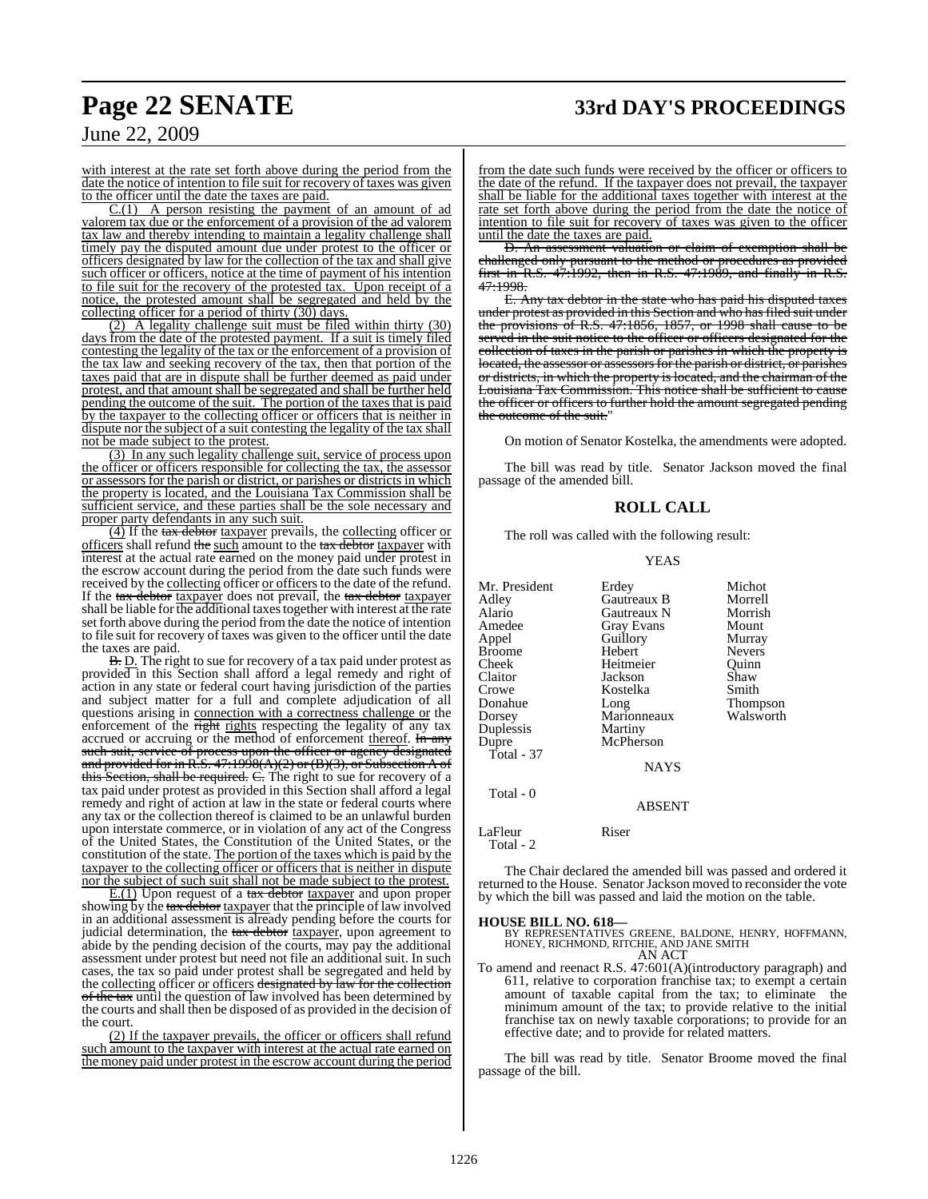# **Page 22 SENATE 33rd DAY'S PROCEEDINGS**

### June 22, 2009

with interest at the rate set forth above during the period from the date the notice of intention to file suit for recovery of taxes was given to the officer until the date the taxes are paid.

 $C(1)$  A person resisting the payment of an amount of ad valorem tax due or the enforcement of a provision of the ad valorem tax law and thereby intending to maintain a legality challenge shall timely pay the disputed amount due under protest to the officer or officers designated by law for the collection of the tax and shall give such officer or officers, notice at the time of payment of his intention to file suit for the recovery of the protested tax. Upon receipt of a notice, the protested amount shall be segregated and held by the collecting officer for a period of thirty (30) days.

(2) A legality challenge suit must be filed within thirty (30) days from the date of the protested payment. If a suit is timely filed contesting the legality of the tax or the enforcement of a provision of the tax law and seeking recovery of the tax, then that portion of the taxes paid that are in dispute shall be further deemed as paid under protest, and that amount shall be segregated and shall be further held pending the outcome of the suit. The portion of the taxes that is paid by the taxpayer to the collecting officer or officers that is neither in dispute nor the subject of a suit contesting the legality of the tax shall not be made subject to the protest.

(3) In any such legality challenge suit, service of process upon the officer or officers responsible for collecting the tax, the assessor or assessors for the parish or district, or parishes or districts in which the property is located, and the Louisiana Tax Commission shall be sufficient service, and these parties shall be the sole necessary and proper party defendants in any such suit.

(4) If the tax debtor taxpayer prevails, the collecting officer or officers shall refund the such amount to the  $\frac{1}{\text{max}}$  debtor taxpayer with interest at the actual rate earned on the money paid under protest in the escrow account during the period from the date such funds were received by the collecting officer or officers to the date of the refund. If the tax debtor taxpayer does not prevail, the tax debtor taxpayer shall be liable for the additional taxes together with interest at the rate set forth above during the period from the date the notice of intention to file suit for recovery of taxes was given to the officer until the date the taxes are paid.

B. D. The right to sue for recovery of a tax paid under protest as provided in this Section shall afford a legal remedy and right of action in any state or federal court having jurisdiction of the parties and subject matter for a full and complete adjudication of all questions arising in connection with a correctness challenge or the enforcement of the right rights respecting the legality of any tax accrued or accruing or the method of enforcement thereof. In any such suit, service of process upon the officer or agency designated and provided for in R.S. 47:1998(A)(2) or (B)(3), or Subsection A of this Section, shall be required. C. The right to sue for recovery of a tax paid under protest as provided in this Section shall afford a legal remedy and right of action at law in the state or federal courts where any tax or the collection thereof is claimed to be an unlawful burden upon interstate commerce, or in violation of any act of the Congress of the United States, the Constitution of the United States, or the constitution of the state. The portion of the taxes which is paid by the taxpayer to the collecting officer or officers that is neither in dispute nor the subject of such suit shall not be made subject to the protest.

E.(1) Upon request of a tax debtor taxpayer and upon proper showing by the tax debtor taxpayer that the principle of law involved in an additional assessment is already pending before the courts for judicial determination, the tax debtor taxpayer, upon agreement to abide by the pending decision of the courts, may pay the additional assessment under protest but need not file an additional suit. In such cases, the tax so paid under protest shall be segregated and held by the collecting officer or officers designated by law for the collection of the tax until the question of law involved has been determined by the courts and shall then be disposed of as provided in the decision of the court.

(2) If the taxpayer prevails, the officer or officers shall refund such amount to the taxpayer with interest at the actual rate earned on the money paid under protest in the escrow account during the period

from the date such funds were received by the officer or officers to the date of the refund. If the taxpayer does not prevail, the taxpayer shall be liable for the additional taxes together with interest at the rate set forth above during the period from the date the notice of intention to file suit for recovery of taxes was given to the officer until the date the taxes are paid.

D. An assessment valuation or claim of exemption shall be challenged only pursuant to the method or procedures as provided first in R.S. 47:1992, then in R.S. 47:1989, and finally in R.S. 47:1998.

E. Any tax debtor in the state who has paid his disputed taxes under protest as provided in this Section and who hasfiled suit under the provisions of R.S. 47:1856, 1857, or 1998 shall cause to be served in the suit notice to the officer or officers designated for the collection of taxes in the parish or parishes in which the property is located, the assessor or assessors for the parish or district, or parishes or districts, in which the property is located, and the chairman of the Louisiana Tax Commission. This notice shall be sufficient to cause the officer or officers to further hold the amount segregated pending the outcome of the suit."

On motion of Senator Kostelka, the amendments were adopted.

The bill was read by title. Senator Jackson moved the final passage of the amended bill.

### **ROLL CALL**

The roll was called with the following result:

### YEAS

| Mr. President<br>Adley | Erdey<br>Gautreaux B | Michot<br>Morrell |
|------------------------|----------------------|-------------------|
| Alario                 | Gautreaux N          | Morrish           |
| Amedee                 | <b>Gray Evans</b>    | Mount             |
| Appel                  | Guillory             | Murray            |
| Broome                 | Hebert               | <b>Nevers</b>     |
| Cheek                  | Heitmeier            | Ouinn             |
| Claitor                | Jackson              | Shaw              |
| Crowe                  | Kostelka             | Smith             |
| Donahue                | Long                 | Thompson          |
| Dorsey                 | Marionneaux          | Walsworth         |
| Duplessis              | Martiny              |                   |
| Dupre                  | McPherson            |                   |
| Total - 37             |                      |                   |
|                        | <b>NAYS</b>          |                   |
| Total - 0              |                      |                   |
|                        | <b>ABSENT</b>        |                   |
| LaFleur<br>Total - 2   | Riser                |                   |

The Chair declared the amended bill was passed and ordered it returned to the House. Senator Jackson moved to reconsider the vote by which the bill was passed and laid the motion on the table.

### **HOUSE BILL NO. 618—**

BY REPRESENTATIVES GREENE, BALDONE, HENRY, HOFFMANN, HONEY, RICHMOND, RITCHIE, AND JANE SMITH AN ACT

To amend and reenact R.S. 47:601(A)(introductory paragraph) and 611, relative to corporation franchise tax; to exempt a certain amount of taxable capital from the tax; to eliminate the minimum amount of the tax; to provide relative to the initial franchise tax on newly taxable corporations; to provide for an effective date; and to provide for related matters.

The bill was read by title. Senator Broome moved the final passage of the bill.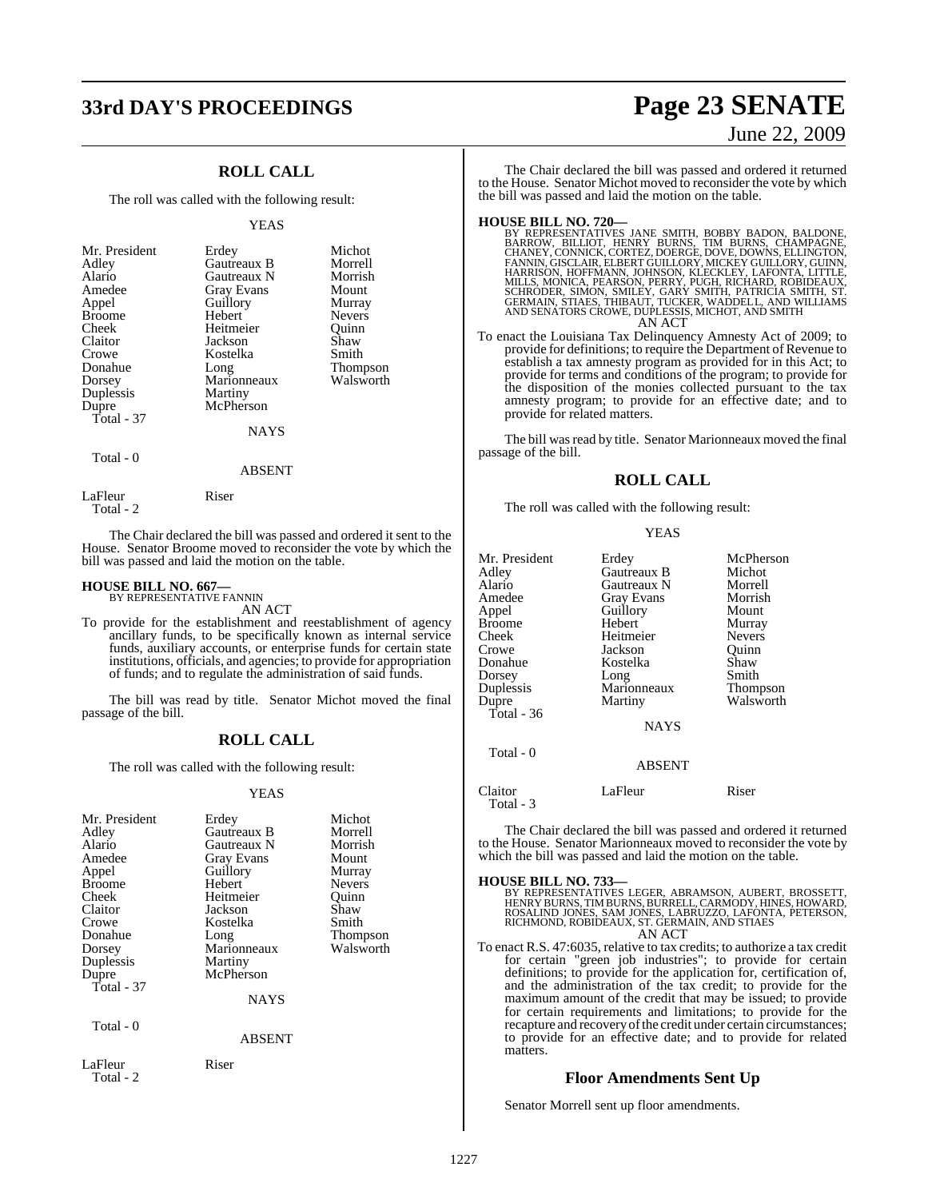# **33rd DAY'S PROCEEDINGS Page 23 SENATE**

### **ROLL CALL**

The roll was called with the following result:

### YEAS

| Mr. President<br>Adley<br>Alario<br>Amedee<br>Appel<br><b>Broome</b><br>Cheek<br>Claitor<br>Crowe<br>Donahue<br>Dorsey<br>Duplessis<br>Dupre<br>Total - 37 | Erdey<br>Gautreaux B<br>Gautreaux N<br><b>Gray Evans</b><br>Guillory<br>Hebert<br>Heitmeier<br>Jackson<br>Kostelka<br>Long<br>Marionneaux<br>Martiny<br>McPherson<br><b>NAYS</b> | Michot<br>Morrell<br>Morrish<br>Mount<br>Murray<br><b>Nevers</b><br>Ouinn<br>Shaw<br>Smith<br>Thompson<br>Walsworth |
|------------------------------------------------------------------------------------------------------------------------------------------------------------|----------------------------------------------------------------------------------------------------------------------------------------------------------------------------------|---------------------------------------------------------------------------------------------------------------------|
| Total - 0                                                                                                                                                  |                                                                                                                                                                                  |                                                                                                                     |

LaFleur Riser Total - 2

The Chair declared the bill was passed and ordered it sent to the House. Senator Broome moved to reconsider the vote by which the bill was passed and laid the motion on the table.

ABSENT

### **HOUSE BILL NO. 667—** BY REPRESENTATIVE FANNIN

AN ACT

To provide for the establishment and reestablishment of agency ancillary funds, to be specifically known as internal service funds, auxiliary accounts, or enterprise funds for certain state institutions, officials, and agencies; to provide for appropriation of funds; and to regulate the administration of said funds.

The bill was read by title. Senator Michot moved the final passage of the bill.

### **ROLL CALL**

The roll was called with the following result:

### YEAS

| Mr. President        | Erdey             | Michot          |
|----------------------|-------------------|-----------------|
| Adley                | Gautreaux B       | Morrell         |
| Alario               | Gautreaux N       | Morrish         |
| Amedee               | <b>Gray Evans</b> | Mount           |
| Appel                | Guillory          | Murray          |
| Broome               | Hebert            | <b>Nevers</b>   |
| Cheek                | Heitmeier         | Ouinn           |
| Claitor              | Jackson           | Shaw            |
| Crowe                | Kostelka          | Smith           |
| Donahue              | Long              | <b>Thompson</b> |
| Dorsey               | Marionneaux       | Walsworth       |
| Duplessis            | Martiny           |                 |
| Dupre                | McPherson         |                 |
| Total - 37           |                   |                 |
|                      | <b>NAYS</b>       |                 |
| Total - 0            |                   |                 |
|                      | <b>ABSENT</b>     |                 |
| LaFleur<br>Total - 2 | Riser             |                 |

# June 22, 2009

The Chair declared the bill was passed and ordered it returned to the House. Senator Michot moved to reconsider the vote by which the bill was passed and laid the motion on the table.

**HOUSE BILL NO. 720—**<br>BY REPRESENTATIVES JANE SMITH, BOBBY BADON, BALDONE,<br>BARROW, BILLIOT, HENRY BURNS, TIM BURNS, CHAMPAGNE,<br>CHANEY, CONNICK, CORTEZ, DOERGE, DOVE, DOWNS, ELLINGTON,<br>FANNIN, GISCLAIR, ELBERT GUILLORY, MIC

AN ACT

To enact the Louisiana Tax Delinquency Amnesty Act of 2009; to provide for definitions; to require the Department of Revenue to establish a tax amnesty program as provided for in this Act; to provide for terms and conditions of the program; to provide for the disposition of the monies collected pursuant to the tax amnesty program; to provide for an effective date; and to provide for related matters.

The bill was read by title. Senator Marionneaux moved the final passage of the bill.

### **ROLL CALL**

YEAS

The roll was called with the following result:

| Mr. President<br>Adley<br>Alario<br>Amedee<br>Appel<br>Broome<br>Cheek<br>Crowe<br>Donahue<br>Dorsey<br>Duplessis<br>Dupre<br>Total - $36$ | Erdey<br>Gautreaux B<br>Gautreaux N<br>Gray Evans<br>Guillory<br>Hebert<br>Heitmeier<br>Jackson<br>Kostelka<br>Long<br>Marionneaux<br>Martiny | McPherson<br>Michot<br>Morrell<br>Morrish<br>Mount<br>Murray<br><b>Nevers</b><br>Quinn<br>Shaw<br>Smith<br>Thompson<br>Walsworth |
|--------------------------------------------------------------------------------------------------------------------------------------------|-----------------------------------------------------------------------------------------------------------------------------------------------|----------------------------------------------------------------------------------------------------------------------------------|
|                                                                                                                                            | <b>NAYS</b>                                                                                                                                   |                                                                                                                                  |
| Total - 0                                                                                                                                  | <b>ABSENT</b>                                                                                                                                 |                                                                                                                                  |
| Claitor<br>Total - 3                                                                                                                       | LaFleur                                                                                                                                       | Riser                                                                                                                            |

The Chair declared the bill was passed and ordered it returned to the House. Senator Marionneaux moved to reconsider the vote by which the bill was passed and laid the motion on the table.



To enact R.S. 47:6035, relative to tax credits; to authorize a tax credit for certain "green job industries"; to provide for certain definitions; to provide for the application for, certification of, and the administration of the tax credit; to provide for the maximum amount of the credit that may be issued; to provide for certain requirements and limitations; to provide for the recapture and recovery of the credit under certain circumstances; to provide for an effective date; and to provide for related matters.

### **Floor Amendments Sent Up**

Senator Morrell sent up floor amendments.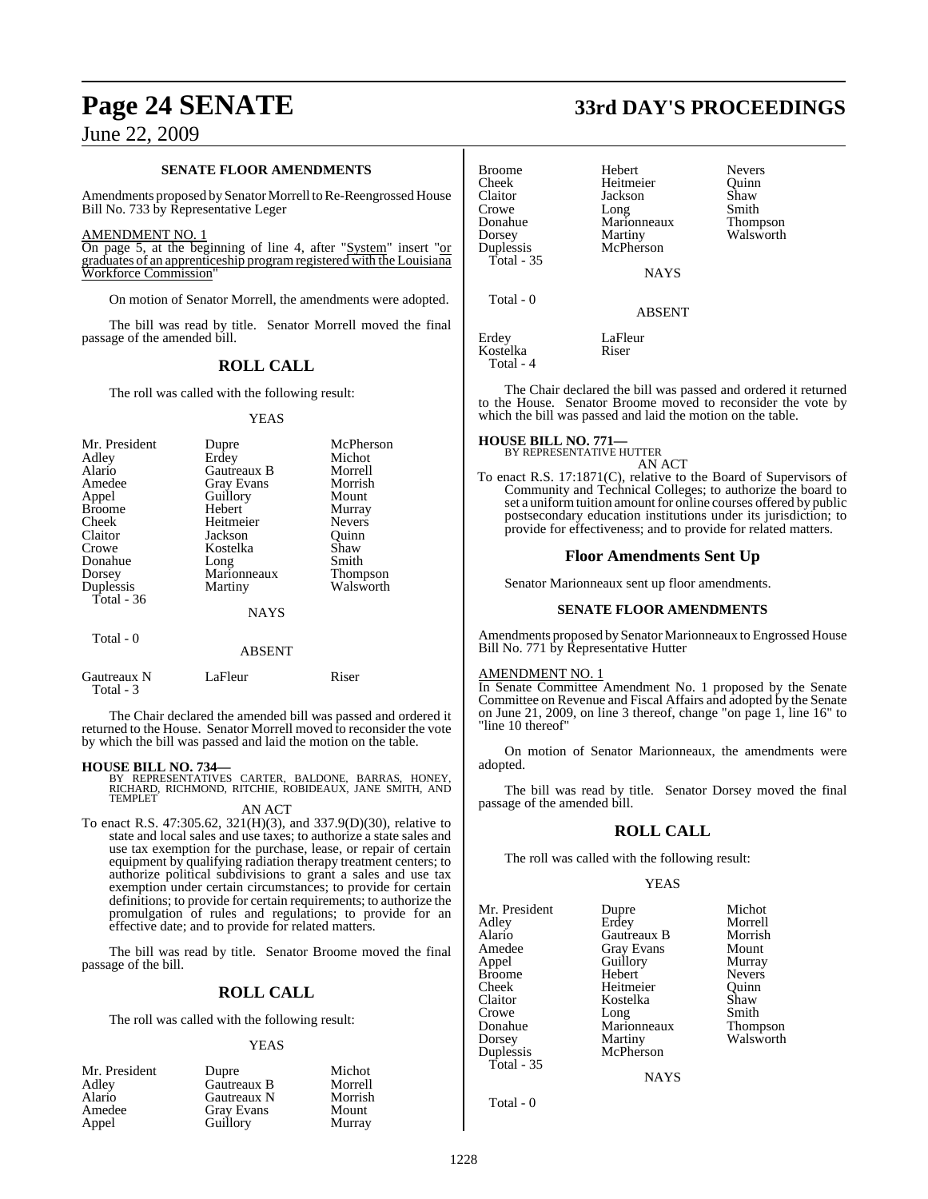### **SENATE FLOOR AMENDMENTS**

Amendments proposed by Senator Morrell to Re-Reengrossed House Bill No. 733 by Representative Leger

### AMENDMENT NO. 1

On page 5, at the beginning of line 4, after "System" insert "or graduates of an apprenticeship programregistered with the Louisiana Workforce Commission"

On motion of Senator Morrell, the amendments were adopted.

The bill was read by title. Senator Morrell moved the final passage of the amended bill.

### **ROLL CALL**

The roll was called with the following result:

### YEAS

| Mr. President<br>Adley<br>Alario<br>Amedee<br>Appel<br><b>Broome</b><br>Cheek<br>Claitor<br>Crowe<br>Donahue<br>Dorsey<br>Duplessis | Dupre<br>Erdey<br>Gautreaux B<br><b>Gray Evans</b><br>Guillory<br>Hebert<br>Heitmeier<br>Jackson<br>Kostelka<br>Long<br>Marionneaux<br>Martiny | McPherson<br>Michot<br>Morrell<br>Morrish<br>Mount<br>Murray<br><b>Nevers</b><br>Ouinn<br>Shaw<br>Smith<br><b>Thompson</b><br>Walsworth |
|-------------------------------------------------------------------------------------------------------------------------------------|------------------------------------------------------------------------------------------------------------------------------------------------|-----------------------------------------------------------------------------------------------------------------------------------------|
| Total - 36                                                                                                                          | <b>NAYS</b>                                                                                                                                    |                                                                                                                                         |
| Total - 0                                                                                                                           |                                                                                                                                                |                                                                                                                                         |

### ABSENT

| Gautreaux N | LaFleur | Riser |
|-------------|---------|-------|
| Total - 3   |         |       |

The Chair declared the amended bill was passed and ordered it returned to the House. Senator Morrell moved to reconsider the vote by which the bill was passed and laid the motion on the table.

### **HOUSE BILL NO. 734—**

BY REPRESENTATIVES CARTER, BALDONE, BARRAS, HONEY, RICHARD, RICHMOND, RITCHIE, ROBIDEAUX, JANE SMITH, AND TEMPLET

### AN ACT

To enact R.S. 47:305.62, 321(H)(3), and 337.9(D)(30), relative to state and local sales and use taxes; to authorize a state sales and use tax exemption for the purchase, lease, or repair of certain equipment by qualifying radiation therapy treatment centers; to authorize political subdivisions to grant a sales and use tax exemption under certain circumstances; to provide for certain definitions; to provide for certain requirements; to authorize the promulgation of rules and regulations; to provide for an effective date; and to provide for related matters.

The bill was read by title. Senator Broome moved the final passage of the bill.

### **ROLL CALL**

The roll was called with the following result:

### YEAS

| Mr. President | Dupre             | Michot  |
|---------------|-------------------|---------|
| Adley         | Gautreaux B       | Morrell |
| Alario        | Gautreaux N       | Morrish |
| Amedee        | <b>Gray Evans</b> | Mount   |
| Appel         | Guillory          | Murray  |

# **Page 24 SENATE 33rd DAY'S PROCEEDINGS**

| <b>Broome</b><br>Cheek<br>Claitor<br>Crowe<br>Donahue<br>Dorsey<br>Duplessis<br>Total - 35 | Hebert<br>Heitmeier<br>Jackson<br>Long<br>Marionneaux<br>Martiny<br>McPherson<br><b>NAYS</b> | <b>Nevers</b><br>Ouinn<br>Shaw<br>Smith<br>Thompson<br>Walsworth |
|--------------------------------------------------------------------------------------------|----------------------------------------------------------------------------------------------|------------------------------------------------------------------|
| Total - 0                                                                                  | <b>ABSENT</b>                                                                                |                                                                  |
| Erdey<br>Kostelka                                                                          | LaFleur<br>Riser                                                                             |                                                                  |

The Chair declared the bill was passed and ordered it returned to the House. Senator Broome moved to reconsider the vote by which the bill was passed and laid the motion on the table.

### **HOUSE BILL NO. 771—**

Total - 4

BY REPRESENTATIVE HUTTER AN ACT

To enact R.S. 17:1871(C), relative to the Board of Supervisors of Community and Technical Colleges; to authorize the board to set a uniform tuition amount for online courses offered by public postsecondary education institutions under its jurisdiction; to provide for effectiveness; and to provide for related matters.

### **Floor Amendments Sent Up**

Senator Marionneaux sent up floor amendments.

### **SENATE FLOOR AMENDMENTS**

Amendments proposed by Senator Marionneaux to Engrossed House Bill No. 771 by Representative Hutter

### AMENDMENT NO. 1

In Senate Committee Amendment No. 1 proposed by the Senate Committee on Revenue and Fiscal Affairs and adopted by the Senate on June 21, 2009, on line 3 thereof, change "on page 1, line 16" to "line 10 thereof"

On motion of Senator Marionneaux, the amendments were adopted.

The bill was read by title. Senator Dorsey moved the final passage of the amended bill.

### **ROLL CALL**

The roll was called with the following result:

### YEAS

| Mr. President<br>Adley<br>Alario<br>Amedee<br>Appel<br><b>Broome</b> | Dupre<br>Erdey<br>Gautreaux B<br><b>Gray Evans</b><br>Guillory<br>Hebert | Michot<br>Morrell<br>Morrish<br>Mount<br>Murray<br><b>Nevers</b> |
|----------------------------------------------------------------------|--------------------------------------------------------------------------|------------------------------------------------------------------|
|                                                                      |                                                                          |                                                                  |
|                                                                      |                                                                          |                                                                  |
|                                                                      |                                                                          |                                                                  |
|                                                                      |                                                                          |                                                                  |
|                                                                      |                                                                          |                                                                  |
| Cheek                                                                | Heitmeier                                                                | Ouinn                                                            |
| Claitor                                                              | Kostelka                                                                 | Shaw                                                             |
| Crowe                                                                | Long                                                                     | Smith                                                            |
| Donahue                                                              | Marionneaux                                                              | <b>Thompson</b>                                                  |
| Dorsey                                                               | Martiny                                                                  | Walsworth                                                        |
| Duplessis                                                            | McPherson                                                                |                                                                  |
| Total $-35$                                                          |                                                                          |                                                                  |
|                                                                      | <b>NAYS</b>                                                              |                                                                  |
|                                                                      |                                                                          |                                                                  |

Total - 0

1228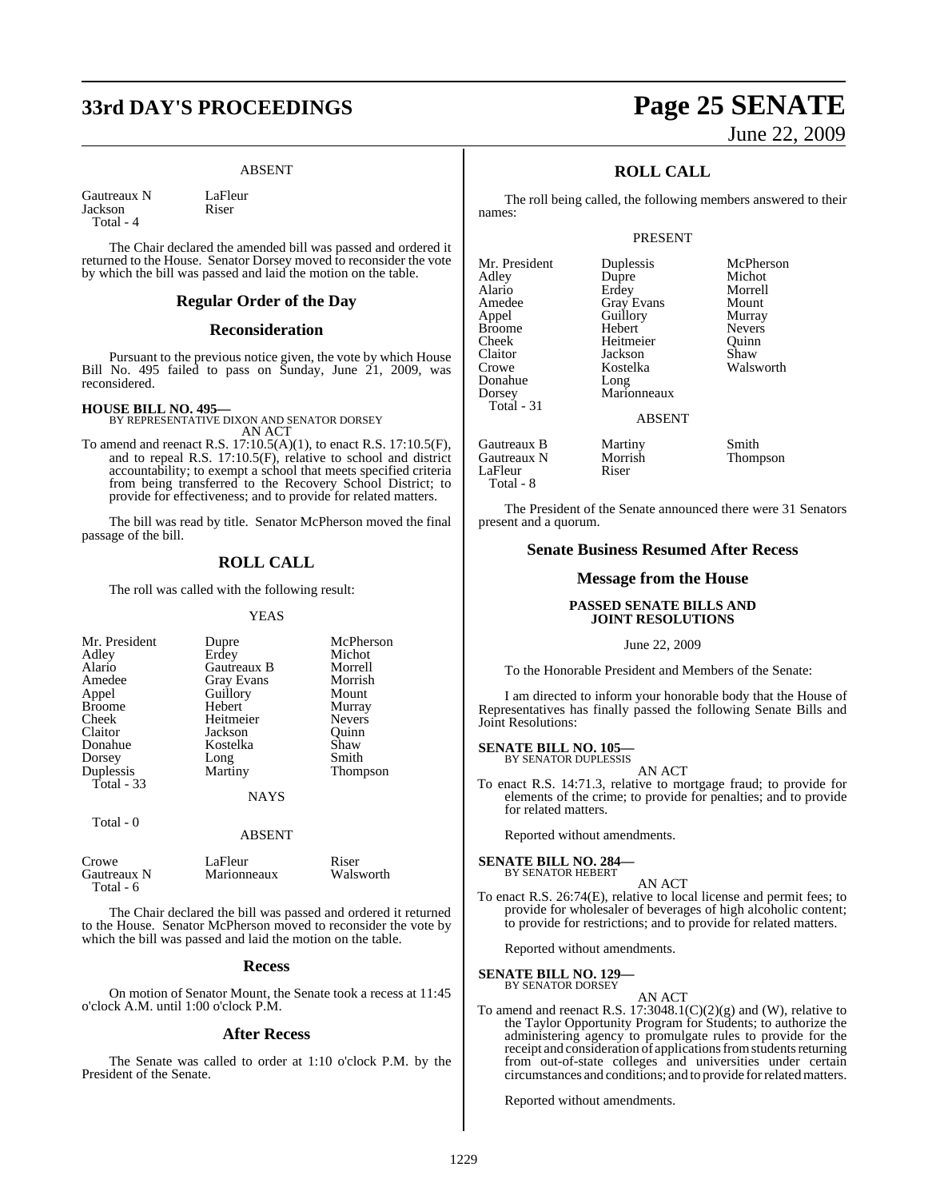# **33rd DAY'S PROCEEDINGS Page 25 SENATE**

### ABSENT

Gautreaux N LaFleur<br>Iackson Riser **Jackson** Total - 4

The Chair declared the amended bill was passed and ordered it returned to the House. Senator Dorsey moved to reconsider the vote by which the bill was passed and laid the motion on the table.

### **Regular Order of the Day**

### **Reconsideration**

Pursuant to the previous notice given, the vote by which House Bill No. 495 failed to pass on Sunday, June 21, 2009, was reconsidered.

**HOUSE BILL NO. 495—** BY REPRESENTATIVE DIXON AND SENATOR DORSEY AN ACT

To amend and reenact R.S. 17:10.5(A)(1), to enact R.S. 17:10.5(F), and to repeal R.S. 17:10.5(F), relative to school and district accountability; to exempt a school that meets specified criteria from being transferred to the Recovery School District; to provide for effectiveness; and to provide for related matters.

The bill was read by title. Senator McPherson moved the final passage of the bill.

### **ROLL CALL**

The roll was called with the following result:

### YEAS

| Mr. President | Dupre             | McPherson     |
|---------------|-------------------|---------------|
| Adley         | Erdey             | Michot        |
| Alario        | Gautreaux B       | Morrell       |
| Amedee        | <b>Gray Evans</b> | Morrish       |
| Appel         | Guillory          | Mount         |
| <b>Broome</b> | Hebert            | Murray        |
| Cheek         | Heitmeier         | <b>Nevers</b> |
| Claitor       | Jackson           | Ouinn         |
| Donahue       | Kostelka          | Shaw          |
| Dorsey        | Long              | Smith         |
| Duplessis     | Martiny           | Thompson      |
| Total $-33$   |                   |               |
|               | <b>NAYS</b>       |               |
| Total - 0     |                   |               |

ABSENT

| Crowe       | LaFleur     | Riser     |
|-------------|-------------|-----------|
| Gautreaux N | Marionneaux | Walsworth |
| Total - 6   |             |           |

The Chair declared the bill was passed and ordered it returned to the House. Senator McPherson moved to reconsider the vote by which the bill was passed and laid the motion on the table.

### **Recess**

On motion of Senator Mount, the Senate took a recess at 11:45 o'clock A.M. until 1:00 o'clock P.M.

### **After Recess**

The Senate was called to order at 1:10 o'clock P.M. by the President of the Senate.

# June 22, 2009

### **ROLL CALL**

The roll being called, the following members answered to their names:

### PRESENT

**Duplessis McPherson**<br> **Dupre** Michot Dupre Michot<br>Erdev Morrell Erdey Morrell<br>Gray Evans Mount Gray Evans Mount<br> **American**<br> **American** Guillory Murray<br>
Hebert Nevers Hebert Nevers<br>
Heitmeier Quinn Heitmeier Quinn<br>Jackson Shaw Jackson<br>Kostelka Long Marionneaux

Walsworth

### ABSENT

Gautreaux B Martiny Smith Gautreaux N Morrish Thompson<br>LaFleur Riser LaFleur Total - 8

The President of the Senate announced there were 31 Senators present and a quorum.

### **Senate Business Resumed After Recess**

### **Message from the House**

### **PASSED SENATE BILLS AND JOINT RESOLUTIONS**

June 22, 2009

To the Honorable President and Members of the Senate:

I am directed to inform your honorable body that the House of Representatives has finally passed the following Senate Bills and Joint Resolutions:

### **SENATE BILL NO. 105—** BY SENATOR DUPLESSIS

AN ACT

To enact R.S. 14:71.3, relative to mortgage fraud; to provide for elements of the crime; to provide for penalties; and to provide for related matters.

Reported without amendments.

### **SENATE BILL NO. 284—** BY SENATOR HEBERT

AN ACT

To enact R.S. 26:74(E), relative to local license and permit fees; to provide for wholesaler of beverages of high alcoholic content; to provide for restrictions; and to provide for related matters.

Reported without amendments.

### **SENATE BILL NO. 129—** BY SENATOR DORSEY

AN ACT

To amend and reenact R.S.  $17:3048.1(C)(2)(g)$  and (W), relative to the Taylor Opportunity Program for Students; to authorize the administering agency to promulgate rules to provide for the receipt and consideration of applications from students returning from out-of-state colleges and universities under certain circumstances and conditions; and to provide for related matters.

Reported without amendments.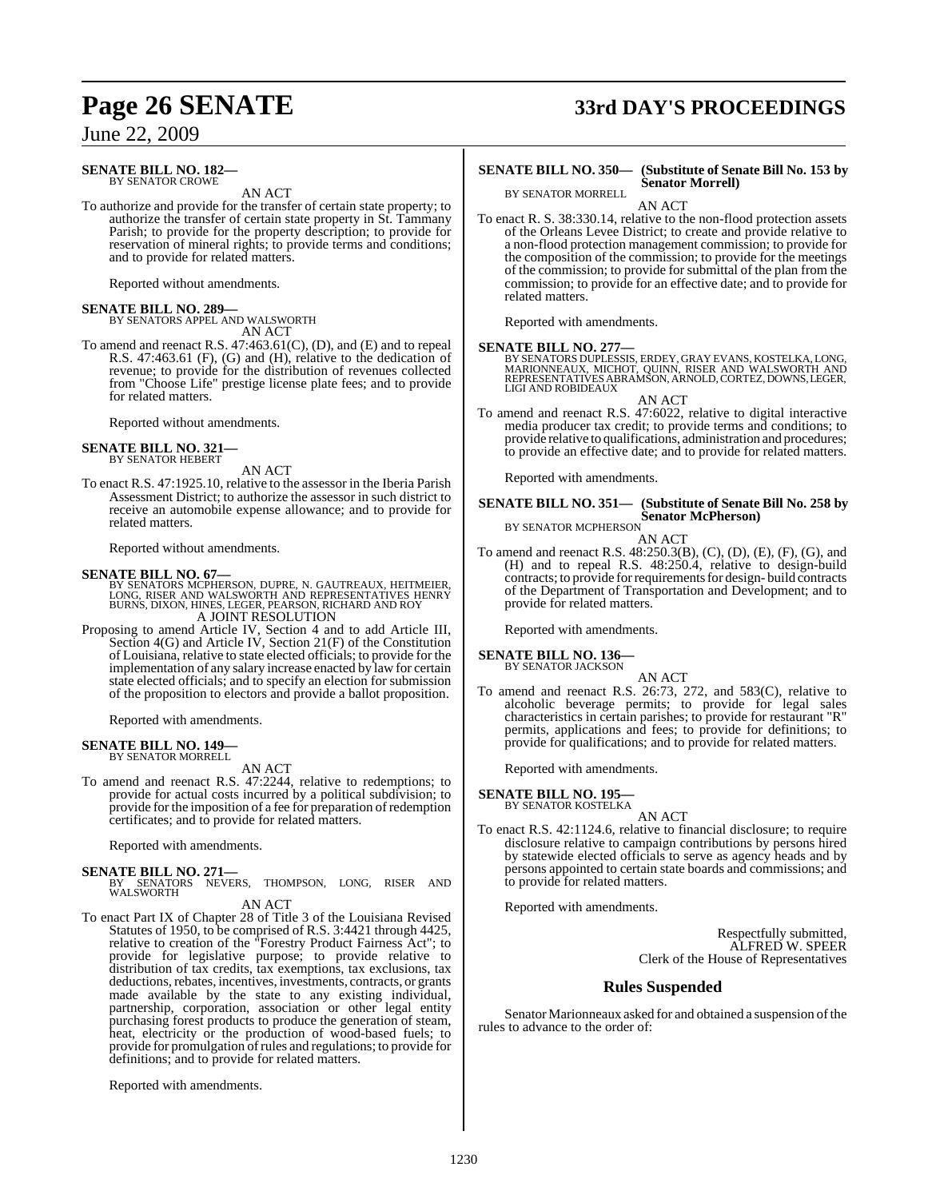### **SENATE BILL NO. 182—** BY SENATOR CROWE

AN ACT

To authorize and provide for the transfer of certain state property; to authorize the transfer of certain state property in St. Tammany Parish; to provide for the property description; to provide for reservation of mineral rights; to provide terms and conditions; and to provide for related matters.

Reported without amendments.

### **SENATE BILL NO. 289—**

BY SENATORS APPEL AND WALSWORTH AN ACT

To amend and reenact R.S. 47:463.61(C), (D), and (E) and to repeal R.S. 47:463.61 (F), (G) and (H), relative to the dedication of revenue; to provide for the distribution of revenues collected from "Choose Life" prestige license plate fees; and to provide for related matters.

Reported without amendments.

### **SENATE BILL NO. 321—** BY SENATOR HEBERT

AN ACT

To enact R.S. 47:1925.10, relative to the assessor in the Iberia Parish Assessment District; to authorize the assessor in such district to receive an automobile expense allowance; and to provide for related matters.

Reported without amendments.

### **SENATE BILL NO. 67—**

- BY SENATORS MCPHERSON, DUPRE, N. GAUTREAUX, HEITMEIER,<br>LONG, RISER AND WALSWORTH AND REPRESENTATIVES HENRY<br>BURNS, DIXON, HINES, LEGER, PEARSON, RICHARD AND ROY
	- A JOINT RESOLUTION
- Proposing to amend Article IV, Section 4 and to add Article III, Section 4(G) and Article IV, Section 21(F) of the Constitution of Louisiana, relative to state elected officials; to provide for the implementation of any salary increase enacted by law for certain state elected officials; and to specify an election for submission of the proposition to electors and provide a ballot proposition.

Reported with amendments.

### **SENATE BILL NO. 149—** BY SENATOR MORRELL

AN ACT

To amend and reenact R.S. 47:2244, relative to redemptions; to provide for actual costs incurred by a political subdivision; to provide for the imposition of a fee for preparation of redemption certificates; and to provide for related matters.

Reported with amendments.

- **SENATE BILL NO. 271—**<br>BY SENATORS NEVERS, THOMPSON, LONG, RISER AND<br>WALSWORTH
	- AN ACT
- To enact Part IX of Chapter 28 of Title 3 of the Louisiana Revised Statutes of 1950, to be comprised of R.S. 3:4421 through 4425, relative to creation of the "Forestry Product Fairness Act"; to provide for legislative purpose; to provide relative to distribution of tax credits, tax exemptions, tax exclusions, tax deductions, rebates, incentives, investments, contracts, or grants made available by the state to any existing individual, partnership, corporation, association or other legal entity purchasing forest products to produce the generation of steam, heat, electricity or the production of wood-based fuels; to provide for promulgation ofrules and regulations; to provide for definitions; and to provide for related matters.

Reported with amendments.

# **Page 26 SENATE 33rd DAY'S PROCEEDINGS**

### **SENATE BILL NO. 350— (Substitute of Senate Bill No. 153 by Senator Morrell)**

BY SENATOR MORRELL AN ACT

To enact R. S. 38:330.14, relative to the non-flood protection assets of the Orleans Levee District; to create and provide relative to a non-flood protection management commission; to provide for the composition of the commission; to provide for the meetings of the commission; to provide for submittal of the plan from the commission; to provide for an effective date; and to provide for related matters.

Reported with amendments.

### **SENATE BILL NO. 277—**

BY SENATORS DUPLESSIS, ERDEY, GRAY EVANS, KOSTELKA, LONG,<br>MARIONNEAUX, MICHOT, QUINN, RISER AND WALSWORTH AND<br>REPRESENTATIVES ABRAMSON, ARNOLD, CORTEZ, DOWNS, LEGER,<br>LIGI AND ROBIDEAUX

AN ACT

To amend and reenact R.S. 47:6022, relative to digital interactive media producer tax credit; to provide terms and conditions; to provide relative to qualifications, administration and procedures; to provide an effective date; and to provide for related matters.

Reported with amendments.

### **SENATE BILL NO. 351— (Substitute of Senate Bill No. 258 by Senator McPherson)** BY SENATOR MCPHERSON

AN ACT

To amend and reenact R.S. 48:250.3(B), (C), (D), (E), (F), (G), and (H) and to repeal R.S. 48:250.4, relative to design-build contracts; to provide for requirements for design- build contracts of the Department of Transportation and Development; and to provide for related matters.

Reported with amendments.

### **SENATE BILL NO. 136—**

BY SENATOR JACKSON AN ACT

To amend and reenact R.S. 26:73, 272, and 583(C), relative to alcoholic beverage permits; to provide for legal sales characteristics in certain parishes; to provide for restaurant "R" permits, applications and fees; to provide for definitions; to provide for qualifications; and to provide for related matters.

Reported with amendments.

### **SENATE BILL NO. 195**

BY SENATOR KOSTELKA

AN ACT To enact R.S. 42:1124.6, relative to financial disclosure; to require disclosure relative to campaign contributions by persons hired by statewide elected officials to serve as agency heads and by persons appointed to certain state boards and commissions; and to provide for related matters.

Reported with amendments.

Respectfully submitted, ALFRED W. SPEER Clerk of the House of Representatives

### **Rules Suspended**

Senator Marionneaux asked for and obtained a suspension of the rules to advance to the order of: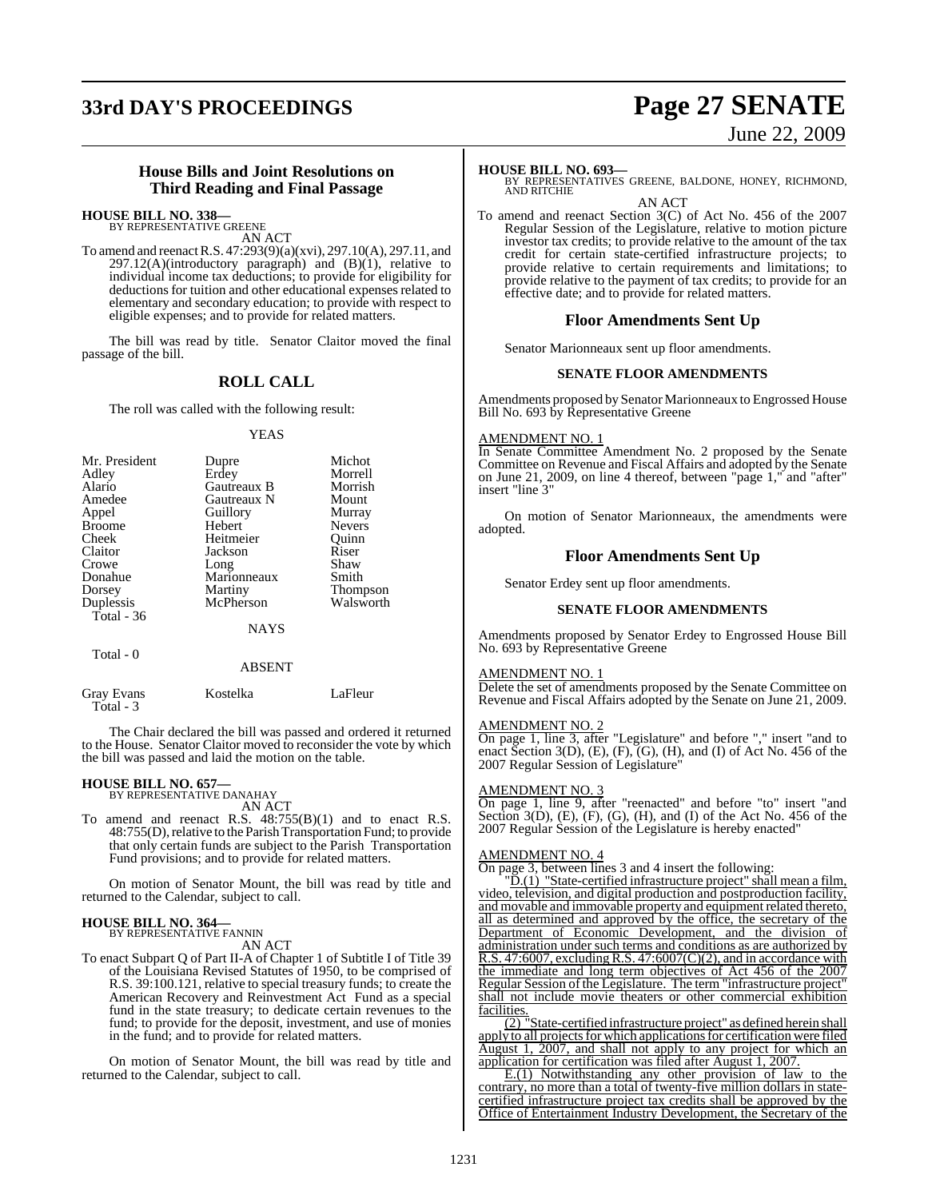# **33rd DAY'S PROCEEDINGS Page 27 SENATE**

# June 22, 2009

### **House Bills and Joint Resolutions on Third Reading and Final Passage**

### **HOUSE BILL NO. 338—**

BY REPRESENTATIVE GREENE AN ACT

To amend and reenactR.S. 47:293(9)(a)(xvi), 297.10(A), 297.11, and  $297.12(A)$ (introductory paragraph) and  $(B)(1)$ , relative to individual income tax deductions; to provide for eligibility for deductions for tuition and other educational expenses related to elementary and secondary education; to provide with respect to eligible expenses; and to provide for related matters.

The bill was read by title. Senator Claitor moved the final passage of the bill.

### **ROLL CALL**

The roll was called with the following result:

### YEAS

| Mr. President | Dupre       | Michot        |
|---------------|-------------|---------------|
| Adley         | Erdey       | Morrell       |
| Alario        | Gautreaux B | Morrish       |
| Amedee        | Gautreaux N | Mount         |
| Appel         | Guillory    | Murray        |
| <b>Broome</b> | Hebert      | <b>Nevers</b> |
| Cheek         | Heitmeier   | Ouinn         |
| Claitor       | Jackson     | Riser         |
| Crowe         | Long        | Shaw          |
| Donahue       | Marionneaux | Smith         |
| Dorsey        | Martiny     | Thompson      |
| Duplessis     | McPherson   | Walsworth     |
| Total - 36    |             |               |
|               | <b>NAYS</b> |               |
| Total - 0     |             |               |
|               | ABSENT      |               |

The Chair declared the bill was passed and ordered it returned to the House. Senator Claitor moved to reconsider the vote by which the bill was passed and laid the motion on the table.

## **HOUSE BILL NO. 657—** BY REPRESENTATIVE DANAHAY

Total - 3

AN ACT

Gray Evans Kostelka LaFleur

To amend and reenact R.S. 48:755(B)(1) and to enact R.S. 48:755(D), relative to the Parish Transportation Fund; to provide that only certain funds are subject to the Parish Transportation Fund provisions; and to provide for related matters.

On motion of Senator Mount, the bill was read by title and returned to the Calendar, subject to call.

### **HOUSE BILL NO. 364—** BY REPRESENTATIVE FANNIN

AN ACT

To enact Subpart Q of Part II-A of Chapter 1 of Subtitle I of Title 39 of the Louisiana Revised Statutes of 1950, to be comprised of R.S. 39:100.121, relative to special treasury funds; to create the American Recovery and Reinvestment Act Fund as a special fund in the state treasury; to dedicate certain revenues to the fund; to provide for the deposit, investment, and use of monies in the fund; and to provide for related matters.

On motion of Senator Mount, the bill was read by title and returned to the Calendar, subject to call.

### **HOUSE BILL NO. 693—**

BY REPRESENTATIVES GREENE, BALDONE, HONEY, RICHMOND, AND RITCHIE AN ACT

To amend and reenact Section 3(C) of Act No. 456 of the 2007 Regular Session of the Legislature, relative to motion picture investor tax credits; to provide relative to the amount of the tax credit for certain state-certified infrastructure projects; to provide relative to certain requirements and limitations; to provide relative to the payment of tax credits; to provide for an effective date; and to provide for related matters.

### **Floor Amendments Sent Up**

Senator Marionneaux sent up floor amendments.

### **SENATE FLOOR AMENDMENTS**

Amendments proposed by Senator Marionneaux to Engrossed House Bill No. 693 by Representative Greene

### AMENDMENT NO. 1

In Senate Committee Amendment No. 2 proposed by the Senate Committee on Revenue and Fiscal Affairs and adopted by the Senate on June 21, 2009, on line 4 thereof, between "page 1," and "after" insert "line 3"

On motion of Senator Marionneaux, the amendments were adopted.

### **Floor Amendments Sent Up**

Senator Erdey sent up floor amendments.

### **SENATE FLOOR AMENDMENTS**

Amendments proposed by Senator Erdey to Engrossed House Bill No. 693 by Representative Greene

### AMENDMENT NO. 1

Delete the set of amendments proposed by the Senate Committee on Revenue and Fiscal Affairs adopted by the Senate on June 21, 2009.

### AMENDMENT NO. 2

On page 1, line 3, after "Legislature" and before "," insert "and to enact Section 3(D),  $(E)$ ,  $(F)$ ,  $(G)$ ,  $(H)$ , and  $(I)$  of Act No. 456 of the 2007 Regular Session of Legislature"

### AMENDMENT NO. 3

On page 1, line 9, after "reenacted" and before "to" insert "and Section  $3(D)$ ,  $(E)$ ,  $(F)$ ,  $(G)$ ,  $(H)$ , and  $(I)$  of the Act No. 456 of the 2007 Regular Session of the Legislature is hereby enacted"

### AMENDMENT NO. 4

On page 3, between lines 3 and 4 insert the following:

"D.(1) "State-certified infrastructure project" shall mean a film, video, television, and digital production and postproduction facility, and movable and immovable property and equipment related thereto, all as determined and approved by the office, the secretary of the Department of Economic Development, and the division of administration under such terms and conditions as are authorized by R.S. 47:6007, excluding R.S. 47:6007 $(C)(2)$ , and in accordance with the immediate and long term objectives of Act 456 of the 2007 Regular Session of the Legislature. The term "infrastructure project" shall not include movie theaters or other commercial exhibition facilities.

State-certified infrastructure project" as defined herein shall apply to all projects for which applications for certification were filed August 1, 2007, and shall not apply to any project for which an application for certification was filed after August 1, 2007.

E.(1) Notwithstanding any other provision of law to the contrary, no more than a total of twenty-five million dollars in statecertified infrastructure project tax credits shall be approved by the Office of Entertainment Industry Development, the Secretary of the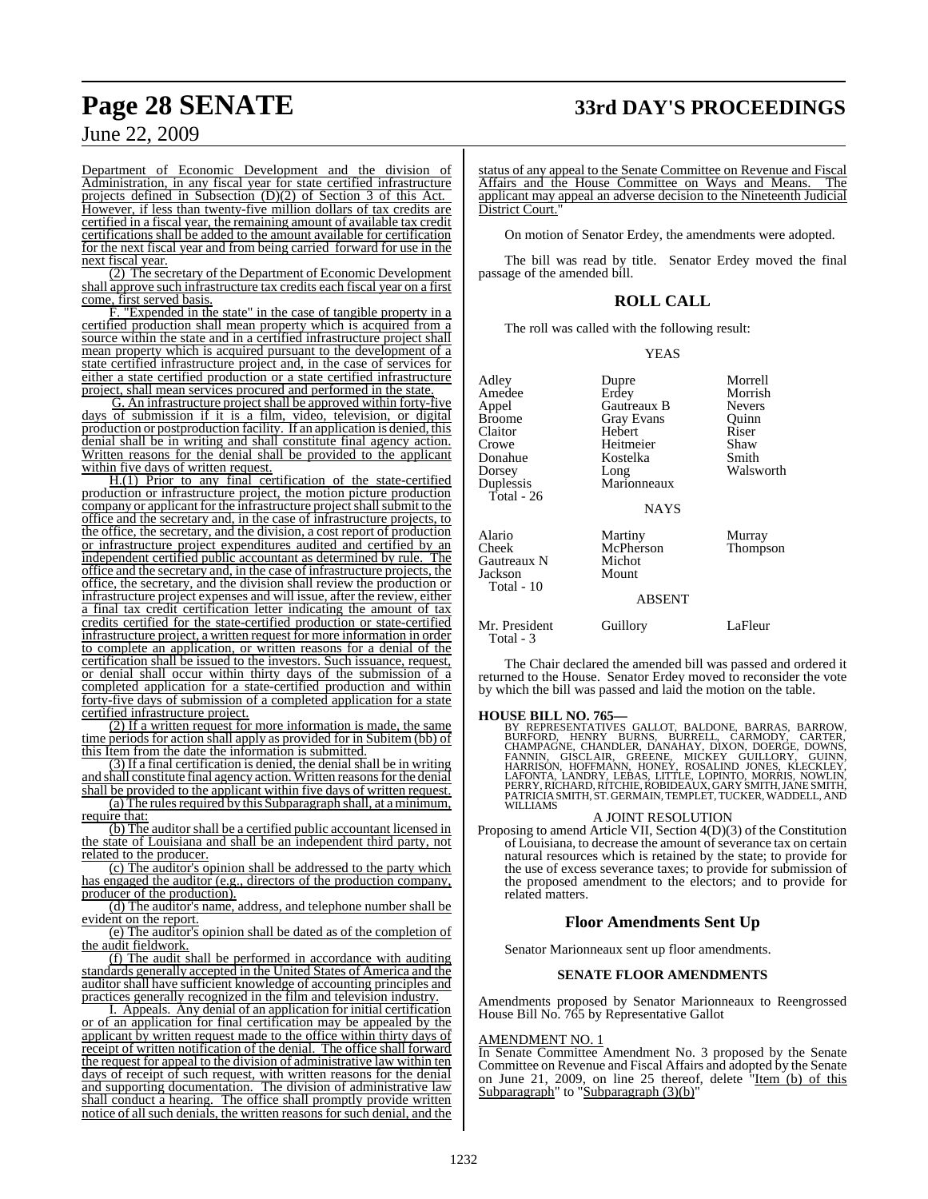# **Page 28 SENATE 33rd DAY'S PROCEEDINGS**

June 22, 2009

Department of Economic Development and the division of Administration, in any fiscal year for state certified infrastructure projects defined in Subsection (D)(2) of Section 3 of this Act. However, if less than twenty-five million dollars of tax credits are certified in a fiscal year, the remaining amount of available tax credit certifications shall be added to the amount available for certification for the next fiscal year and from being carried forward for use in the next fiscal year.

(2) The secretary of the Department of Economic Development shall approve such infrastructure tax credits each fiscal year on a first come, first served basis.

"Expended in the state" in the case of tangible property in a certified production shall mean property which is acquired from a source within the state and in a certified infrastructure project shall mean property which is acquired pursuant to the development of a state certified infrastructure project and, in the case of services for either a state certified production or a state certified infrastructure project, shall mean services procured and performed in the state.

G. An infrastructure project shall be approved within forty-five days of submission if it is a film, video, television, or digital production or postproduction facility. If an application is denied, this denial shall be in writing and shall constitute final agency action. Written reasons for the denial shall be provided to the applicant within five days of written request.

H.(1) Prior to any final certification of the state-certified production or infrastructure project, the motion picture production company or applicant for the infrastructure project shall submit to the office and the secretary and, in the case of infrastructure projects, to the office, the secretary, and the division, a cost report of production or infrastructure project expenditures audited and certified by an independent certified public accountant as determined by rule. The office and the secretary and, in the case of infrastructure projects, the office, the secretary, and the division shall review the production or infrastructure project expenses and will issue, after the review, either a final tax credit certification letter indicating the amount of tax credits certified for the state-certified production or state-certified infrastructure project, a written request for more information in order to complete an application, or written reasons for a denial of the certification shall be issued to the investors. Such issuance, request, or denial shall occur within thirty days of the submission of a completed application for a state-certified production and within forty-five days of submission of a completed application for a state certified infrastructure project.

(2) If a written request for more information is made, the same time periods for action shall apply as provided for in Subitem (bb) of this Item from the date the information is submitted.

(3) If a final certification is denied, the denial shall be in writing and shall constitute final agency action. Written reasons for the denial shall be provided to the applicant within five days of written request.

 $(a)$  The rules required by this Subparagraph shall, at a minimum, require that:

(b) The auditor shall be a certified public accountant licensed in the state of Louisiana and shall be an independent third party, not related to the producer.

(c) The auditor's opinion shall be addressed to the party which has engaged the auditor (e.g., directors of the production company, producer of the production).

(d) The auditor's name, address, and telephone number shall be evident on the report.

(e) The auditor's opinion shall be dated as of the completion of the audit fieldwork.

(f) The audit shall be performed in accordance with auditing standards generally accepted in the United States of America and the auditor shall have sufficient knowledge of accounting principles and practices generally recognized in the film and television industry.

I. Appeals. Any denial of an application for initial certification or of an application for final certification may be appealed by the applicant by written request made to the office within thirty days of receipt of written notification of the denial. The office shall forward the request for appeal to the division of administrative law within ten days of receipt of such request, with written reasons for the denial and supporting documentation. The division of administrative law shall conduct a hearing. The office shall promptly provide written notice of all such denials, the written reasons for such denial, and the

status of any appeal to the Senate Committee on Revenue and Fiscal Affairs and the House Committee on Ways and Means. applicant may appeal an adverse decision to the Nineteenth Judicial District Court.

On motion of Senator Erdey, the amendments were adopted.

The bill was read by title. Senator Erdey moved the final passage of the amended bill.

### **ROLL CALL**

The roll was called with the following result:

### YEAS

| Adley<br>Amedee<br>Appel<br><b>Broome</b><br>Claitor<br>Crowe<br>Donahue<br>Dorsey<br>Duplessis<br>Total - 26 | Dupre<br>Erdey<br>Gautreaux B<br><b>Gray Evans</b><br>Hebert<br>Heitmeier<br>Kostelka<br>Long<br>Marionneaux<br><b>NAYS</b> | Morrell<br>Morrish<br><b>Nevers</b><br>Quinn<br>Riser<br>Shaw<br>Smith<br>Walsworth |
|---------------------------------------------------------------------------------------------------------------|-----------------------------------------------------------------------------------------------------------------------------|-------------------------------------------------------------------------------------|
| Alario<br>Cheek<br>Gautreaux N<br>Jackson<br>Total - 10                                                       | Martiny<br>McPherson<br>Michot<br>Mount<br><b>ABSENT</b>                                                                    | Murray<br>Thompson                                                                  |
| Mr. President<br>Total - 3                                                                                    | Guillory                                                                                                                    | LaFleur                                                                             |

The Chair declared the amended bill was passed and ordered it returned to the House. Senator Erdey moved to reconsider the vote by which the bill was passed and laid the motion on the table.

### **HOUSE BILL NO. 765—**

BY REPRESENTATIVES GALLOT, BALDONE, BARRAS, BARROW,<br>BURFORD, HENRY BURNS, BURRELL, CARMODY, CARTER,<br>CHAMPAGNE, CHANDLER, DANAHAY, DIXON, DOERGE, DOWNS,<br>FANNIN, GISCLAIR, GREENE, MICKEY GUILLORY, GUINN,<br>HARRISON, HOFFMANN,

### A JOINT RESOLUTION

Proposing to amend Article VII, Section 4(D)(3) of the Constitution of Louisiana, to decrease the amount of severance tax on certain natural resources which is retained by the state; to provide for the use of excess severance taxes; to provide for submission of the proposed amendment to the electors; and to provide for related matters.

### **Floor Amendments Sent Up**

Senator Marionneaux sent up floor amendments.

### **SENATE FLOOR AMENDMENTS**

Amendments proposed by Senator Marionneaux to Reengrossed House Bill No. 765 by Representative Gallot

### AMENDMENT NO. 1

In Senate Committee Amendment No. 3 proposed by the Senate Committee on Revenue and Fiscal Affairs and adopted by the Senate on June 21, 2009, on line 25 thereof, delete "Item (b) of this Subparagraph" to "Subparagraph (3)(b)"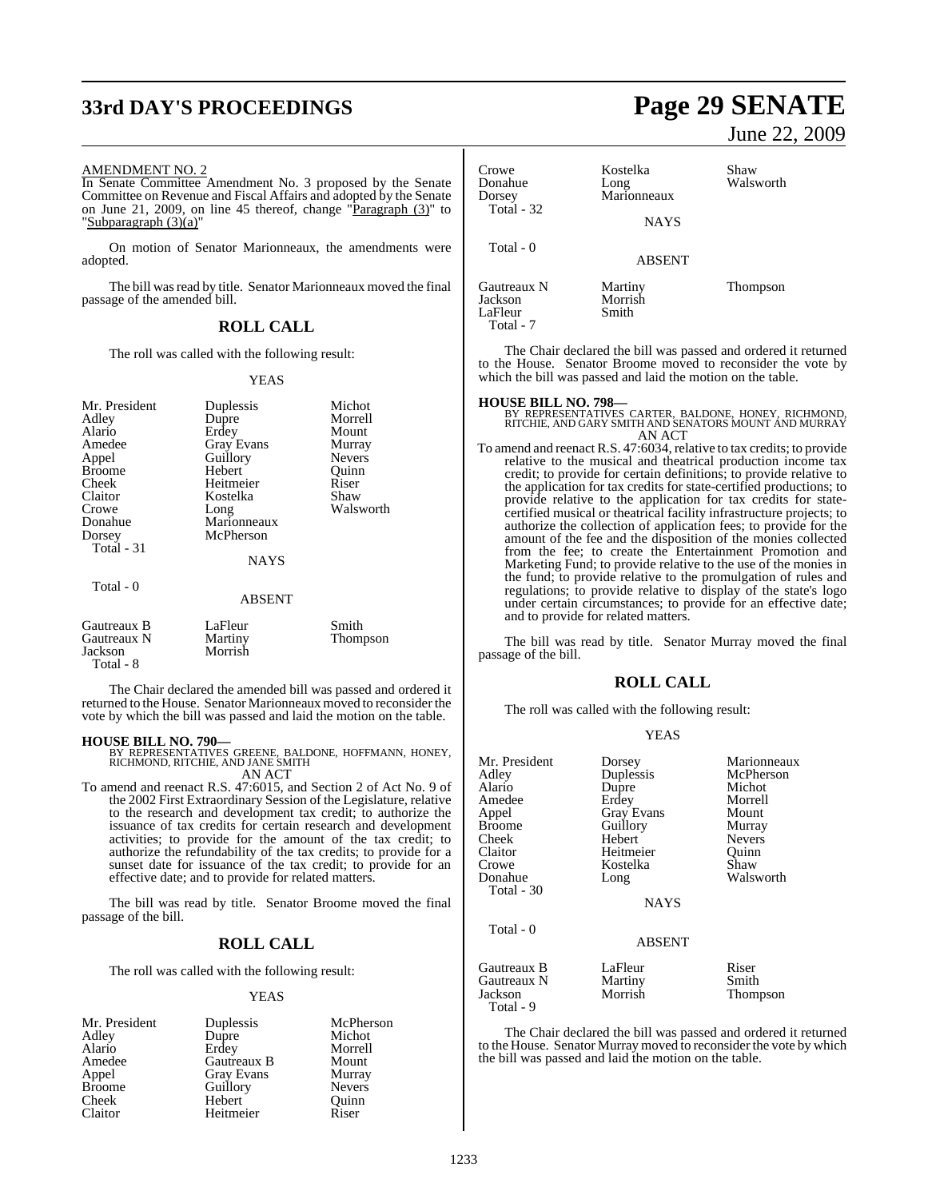# **33rd DAY'S PROCEEDINGS Page 29 SENATE**

### AMENDMENT NO. 2

In Senate Committee Amendment No. 3 proposed by the Senate Committee on Revenue and Fiscal Affairs and adopted by the Senate on June 21, 2009, on line 45 thereof, change "Paragraph (3)" to "Subparagraph (3)(a)"

On motion of Senator Marionneaux, the amendments were adopted.

The bill was read by title. Senator Marionneaux moved the final passage of the amended bill.

### **ROLL CALL**

The roll was called with the following result:

### YEAS

| Mr. President<br>Adley<br>Alario<br>Amedee<br>Appel<br><b>Broome</b><br>Cheek<br>Claitor<br>Crowe<br>Donahue<br>Dorsey<br>Total - 31 | Duplessis<br>Dupre<br>Erdey<br><b>Gray Evans</b><br>Guillory<br>Hebert<br>Heitmeier<br>Kostelka<br>Long<br>Marionneaux<br>McPherson<br><b>NAYS</b> | Michot<br>Morrell<br>Mount<br>Murray<br><b>Nevers</b><br>Quinn<br>Riser<br>Shaw<br>Walsworth |
|--------------------------------------------------------------------------------------------------------------------------------------|----------------------------------------------------------------------------------------------------------------------------------------------------|----------------------------------------------------------------------------------------------|
| Total - 0                                                                                                                            | <b>ABSENT</b>                                                                                                                                      |                                                                                              |
| Gautreaux B<br>Gautreaux N<br>Jackson<br>Total - 8                                                                                   | LaFleur<br>Martiny<br>Morrish                                                                                                                      | Smith<br>Thompson                                                                            |

The Chair declared the amended bill was passed and ordered it returned to the House. Senator Marionneaux moved to reconsider the vote by which the bill was passed and laid the motion on the table.

**HOUSE BILL NO. 790—** BY REPRESENTATIVES GREENE, BALDONE, HOFFMANN, HONEY, RICHMOND, RITCHIE, AND JANE SMITH AN ACT

To amend and reenact R.S. 47:6015, and Section 2 of Act No. 9 of the 2002 First Extraordinary Session of the Legislature, relative to the research and development tax credit; to authorize the issuance of tax credits for certain research and development activities; to provide for the amount of the tax credit; to authorize the refundability of the tax credits; to provide for a sunset date for issuance of the tax credit; to provide for an effective date; and to provide for related matters.

The bill was read by title. Senator Broome moved the final passage of the bill.

### **ROLL CALL**

The roll was called with the following result:

### YEAS

| Mr. President | Duplessis         | McPherson     |
|---------------|-------------------|---------------|
| Adley         | Dupre             | Michot        |
| Alario        | Erdey             | Morrell       |
| Amedee        | Gautreaux B       | Mount         |
| Appel         | <b>Gray Evans</b> | Murray        |
| <b>Broome</b> | Guillory          | <b>Nevers</b> |
| Cheek         | Hebert            | Ouinn         |
| Claitor       | Heitmeier         | Riser         |

June 22, 2009

| Crowe<br>Donahue<br>Dorsey<br>Total $-32$ | Kostelka<br>Long<br>Marionneaux | Shaw<br>Walsworth |
|-------------------------------------------|---------------------------------|-------------------|
| Total - 0                                 | <b>NAYS</b><br><b>ABSENT</b>    |                   |
| Gautreaux N<br>Jackson<br>LaFleur         | Martiny<br>Morrish<br>Smith     | Thompson          |

The Chair declared the bill was passed and ordered it returned to the House. Senator Broome moved to reconsider the vote by which the bill was passed and laid the motion on the table.

Total - 7

**HOUSE BILL NO. 798—** BY REPRESENTATIVES CARTER, BALDONE, HONEY, RICHMOND, RITCHIE, AND GARY SMITH AND SENATORS MOUNT AND MURRAY AN ACT

To amend and reenact R.S. 47:6034, relative to tax credits; to provide relative to the musical and theatrical production income tax credit; to provide for certain definitions; to provide relative to the application for tax credits for state-certified productions; to provide relative to the application for tax credits for statecertified musical or theatrical facility infrastructure projects; to authorize the collection of application fees; to provide for the amount of the fee and the disposition of the monies collected from the fee; to create the Entertainment Promotion and Marketing Fund; to provide relative to the use of the monies in the fund; to provide relative to the promulgation of rules and regulations; to provide relative to display of the state's logo under certain circumstances; to provide for an effective date; and to provide for related matters.

The bill was read by title. Senator Murray moved the final passage of the bill.

### **ROLL CALL**

YEAS

The roll was called with the following result:

| Mr. President<br>Adley<br>Alario<br>Amedee<br>Appel<br><b>Broome</b><br>Cheek<br>Claitor<br>Crowe<br>Donahue<br>Total - 30 | Dorsey<br>Duplessis<br>Dupre<br>Erdey<br><b>Gray Evans</b><br>Guillory<br>Hebert<br>Heitmeier<br>Kostelka<br>Long<br><b>NAYS</b> | Marionneaux<br>McPherson<br>Michot<br>Morrell<br>Mount<br>Murray<br><b>Nevers</b><br>Ouinn<br>Shaw<br>Walsworth |
|----------------------------------------------------------------------------------------------------------------------------|----------------------------------------------------------------------------------------------------------------------------------|-----------------------------------------------------------------------------------------------------------------|
| Total - 0                                                                                                                  | <b>ABSENT</b>                                                                                                                    |                                                                                                                 |
| Gautreaux B<br>Gautreaux N<br>Jackson<br>Total - 9                                                                         | LaFleur<br>Martiny<br>Morrish                                                                                                    | Riser<br>Smith<br>Thompson                                                                                      |

The Chair declared the bill was passed and ordered it returned to the House. Senator Murray moved to reconsider the vote by which the bill was passed and laid the motion on the table.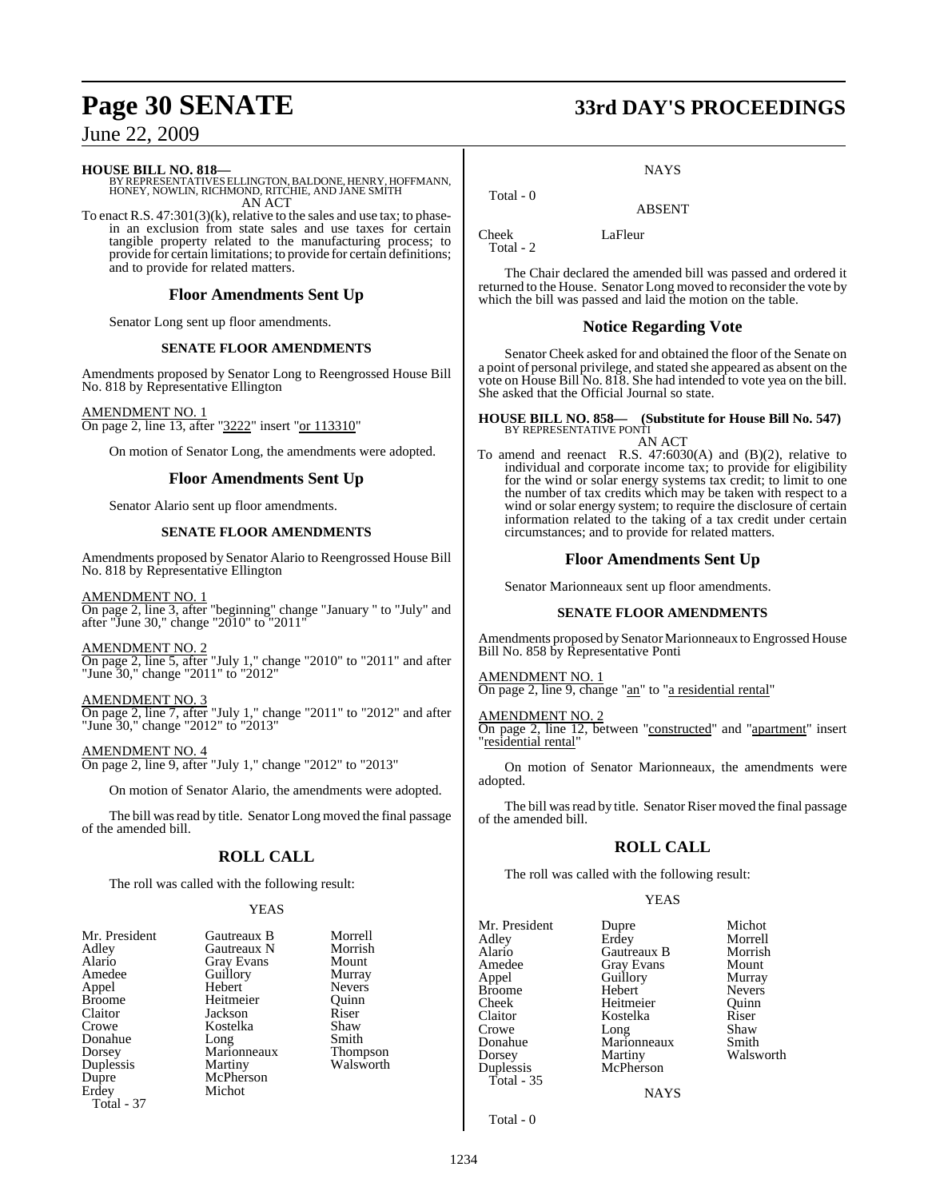### **HOUSE BILL NO. 818—**

BY REPRESENTATIVES ELLINGTON, BALDONE, HENRY, HOFFMANN,<br>HONEY, NOWLIN, RICHMOND, RITCHIE, AND JANE SMITH<br>AN ACT

To enact R.S. 47:301(3)(k), relative to the sales and use tax; to phasein an exclusion from state sales and use taxes for certain tangible property related to the manufacturing process; to provide for certain limitations; to provide for certain definitions; and to provide for related matters.

### **Floor Amendments Sent Up**

Senator Long sent up floor amendments.

### **SENATE FLOOR AMENDMENTS**

Amendments proposed by Senator Long to Reengrossed House Bill No. 818 by Representative Ellington

AMENDMENT NO. 1 On page 2, line 13, after "3222" insert "or 113310"

On motion of Senator Long, the amendments were adopted.

### **Floor Amendments Sent Up**

Senator Alario sent up floor amendments.

### **SENATE FLOOR AMENDMENTS**

Amendments proposed by Senator Alario to Reengrossed House Bill No. 818 by Representative Ellington

AMENDMENT NO. 1 On page 2, line 3, after "beginning" change "January " to "July" and after "June 30," change "2010" to "2011"

AMENDMENT NO. 2

On page 2, line 5, after "July 1," change "2010" to "2011" and after "June 30," change "2011" to "2012"

AMENDMENT NO. 3 On page 2, line 7, after "July 1," change "2011" to "2012" and after "June 30," change "2012" to "2013"

AMENDMENT NO. 4

On page 2, line 9, after "July 1," change "2012" to "2013"

On motion of Senator Alario, the amendments were adopted.

The bill was read by title. Senator Long moved the final passage of the amended bill.

### **ROLL CALL**

The roll was called with the following result:

### YEAS

| Mr. President | Gautreaux B       | Morre         |
|---------------|-------------------|---------------|
| Adlev         | Gautreaux N       | <b>Morris</b> |
| Alario        | <b>Gray Evans</b> | Moun          |
| Amedee        | Guillory          | Murra         |
| Appel         | Hebert            | Never:        |
| Broome        | Heitmeier         | Ouinn         |
| Claitor       | Jackson           | Riser         |
| Crowe         | Kostelka          | Shaw          |
| Donahue       | Long              | Smith         |
| Dorsey        | Marionneaux       | Thom          |
| Duplessis     | Martiny           | Walsw         |
| Dupre         | McPherson         |               |
| Erdev         | Michot            |               |
| Total - 37    |                   |               |
|               |                   |               |

Morrell Morrish Mount Murray Nevers<br>Ouinn Shaw

Smith Thompson Walsworth

**Page 30 SENATE 33rd DAY'S PROCEEDINGS**

**NAYS** 

ABSENT

Cheek LaFleur Total - 2

Total - 0

The Chair declared the amended bill was passed and ordered it returned to the House. Senator Long moved to reconsider the vote by which the bill was passed and laid the motion on the table.

### **Notice Regarding Vote**

Senator Cheek asked for and obtained the floor of the Senate on a point of personal privilege, and stated she appeared as absent on the vote on House Bill No. 818. She had intended to vote yea on the bill. She asked that the Official Journal so state.

### **HOUSE BILL NO. 858— (Substitute for House Bill No. 547)** BY REPRESENTATIVE PONTI AN ACT

To amend and reenact R.S.  $47:6030(A)$  and  $(B)(2)$ , relative to individual and corporate income tax; to provide for eligibility for the wind or solar energy systems tax credit; to limit to one the number of tax credits which may be taken with respect to a wind or solar energy system; to require the disclosure of certain information related to the taking of a tax credit under certain circumstances; and to provide for related matters.

### **Floor Amendments Sent Up**

Senator Marionneaux sent up floor amendments.

### **SENATE FLOOR AMENDMENTS**

Amendments proposed by Senator Marionneaux to Engrossed House Bill No. 858 by Representative Ponti

AMENDMENT NO. 1 On page 2, line 9, change "an" to "a residential rental"

AMENDMENT NO. 2

On page 2, line 12, between "constructed" and "apartment" insert "residential rental"

On motion of Senator Marionneaux, the amendments were adopted.

The bill was read by title. Senator Riser moved the final passage of the amended bill.

### **ROLL CALL**

The roll was called with the following result:

YEAS

Kostelka

Mr. President Dupre Michot<br>Adley Erdey Morrell Adley Erdey Morrell **Gautreaux B** Morrish<br> **Grav Evans** Mount Amedee Gray Evans Mount<br>
Appel Guillory Murray Guillory Murray<br>
Hebert Nevers Broome Hebert Nevers<br>
Cheek Heitmeier Ouinn Cheek Heitmeier Quinn Crowe Long Shaw<br>
Donahue Marionneaux Smith Donahue Marionneaux<br>Dorsey Martiny Walsworth

**NAYS** 

Total - 0

Total - 35

Duplessis McPherson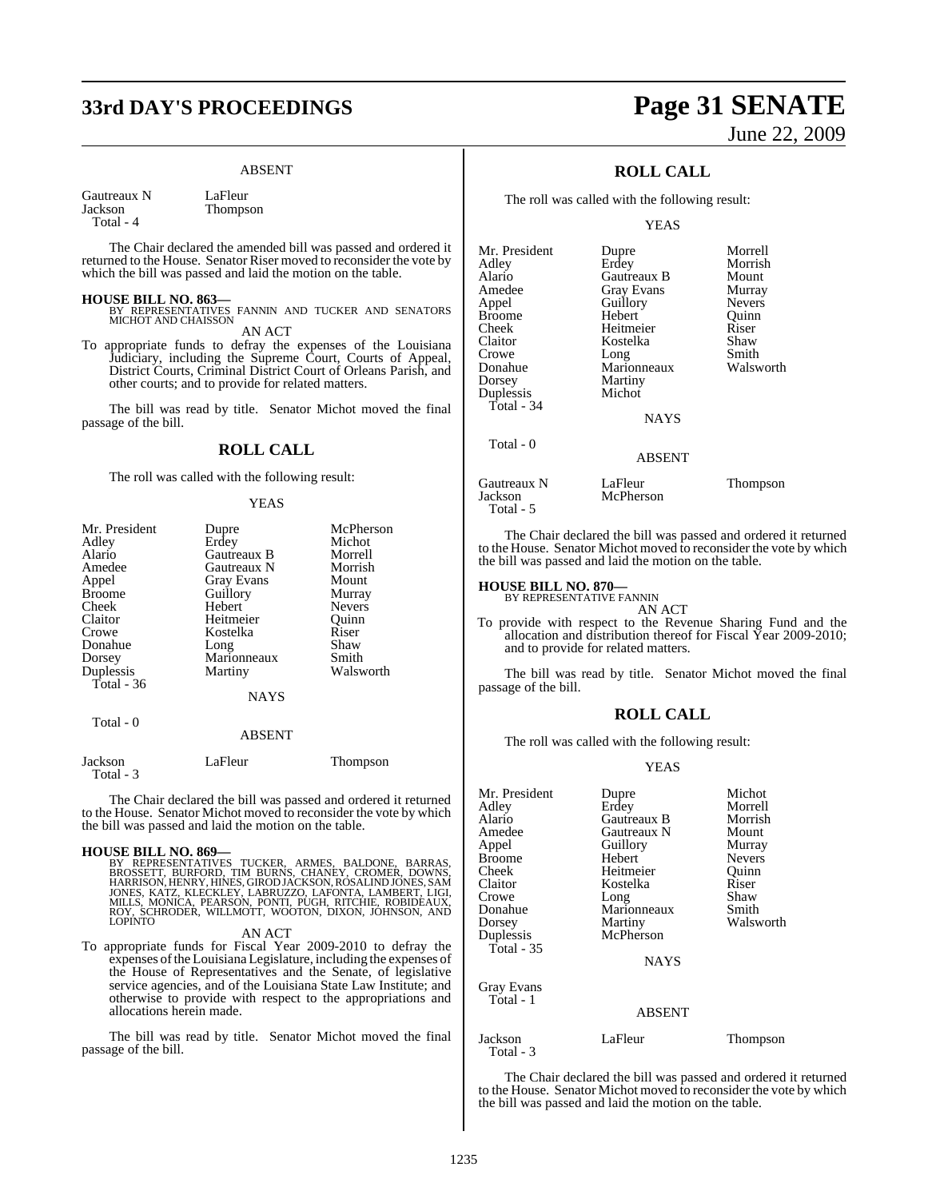# **33rd DAY'S PROCEEDINGS Page 31 SENATE**

Thompson

### ABSENT

Gautreaux N LaFleur<br>Iackson Thomps Total - 4

The Chair declared the amended bill was passed and ordered it returned to the House. Senator Riser moved to reconsider the vote by which the bill was passed and laid the motion on the table.

### **HOUSE BILL NO. 863—**

- BY REPRESENTATIVES FANNIN AND TUCKER AND SENATORS MICHOT AND CHAISSON AN ACT
- To appropriate funds to defray the expenses of the Louisiana Judiciary, including the Supreme Court, Courts of Appeal, District Courts, Criminal District Court of Orleans Parish, and other courts; and to provide for related matters.

The bill was read by title. Senator Michot moved the final passage of the bill.

### **ROLL CALL**

The roll was called with the following result:

### YEAS

| Mr. President | Dupre             | McPherson       |
|---------------|-------------------|-----------------|
| Adley         | Erdey             | Michot          |
| Alario        | Gautreaux B       | Morrell         |
| Amedee        | Gautreaux N       | Morrish         |
| Appel         | <b>Gray Evans</b> | Mount           |
| <b>Broome</b> | Guillory          | Murray          |
| Cheek         | Hebert            | <b>Nevers</b>   |
| Claitor       | Heitmeier         | Ouinn           |
| Crowe         | Kostelka          | Riser           |
| Donahue       | Long              | Shaw            |
| Dorsey        | Marionneaux       | Smith           |
| Duplessis     | Martiny           | Walsworth       |
| Total - 36    |                   |                 |
|               | <b>NAYS</b>       |                 |
| Total - 0     |                   |                 |
|               | <b>ABSENT</b>     |                 |
| Jackson       | LaFleur           | <b>Thompson</b> |

The Chair declared the bill was passed and ordered it returned to the House. Senator Michot moved to reconsider the vote by which the bill was passed and laid the motion on the table.

### **HOUSE BILL NO. 869—**

Total - 3

BY REPRESENTATIVES TUCKER, ARMES, BALDONE, BARRAS,<br>BROSSETT, BURFORD, TIM BURNS, CHANEY, CROMER, DOWNS,<br>HARRISON,HENRY,HINES,GIRODJACKSON,ROSALINDJONES,SAM<br>JONES, KATZ, KLECKLEY,LABRUZZO,LAFONTA,LAMBERT,LIGI,<br>MILLS, MONICA

AN ACT

To appropriate funds for Fiscal Year 2009-2010 to defray the expenses ofthe Louisiana Legislature, including the expenses of the House of Representatives and the Senate, of legislative service agencies, and of the Louisiana State Law Institute; and otherwise to provide with respect to the appropriations and allocations herein made.

The bill was read by title. Senator Michot moved the final passage of the bill.

# June 22, 2009

### **ROLL CALL**

The roll was called with the following result:

YEAS

| Mr. President | Dupre             | Morrell       |
|---------------|-------------------|---------------|
| Adley         | Erdey             | Morrish       |
| Alario        | Gautreaux B       | Mount         |
| Amedee        | <b>Gray Evans</b> | Murray        |
| Appel         | Guillory          | <b>Nevers</b> |
| Broome        | Hebert            | Ouinn         |
| Cheek         | Heitmeier         | Riser         |
| Claitor       | Kostelka          | Shaw          |
| Crowe         | Long              | Smith         |
| Donahue       | Marionneaux       | Walsworth     |
| Dorsey        | <b>Martiny</b>    |               |
| Duplessis     | Michot            |               |
| Total - $34$  |                   |               |
|               | <b>NAYS</b>       |               |
| Total - 0     |                   |               |
|               | ABSENT            |               |
|               |                   |               |

Gautreaux N LaFleur Thompson<br>Jackson McPherson Thompson Total - 5

The Chair declared the bill was passed and ordered it returned to the House. Senator Michot moved to reconsider the vote by which the bill was passed and laid the motion on the table.

### **HOUSE BILL NO. 870—** BY REPRESENTATIVE FANNIN

AN ACT

McPherson

To provide with respect to the Revenue Sharing Fund and the allocation and distribution thereof for Fiscal Year 2009-2010; and to provide for related matters.

The bill was read by title. Senator Michot moved the final passage of the bill.

### **ROLL CALL**

The roll was called with the following result:

### YEAS

| Mr. President           | Dupre         | Michot        |
|-------------------------|---------------|---------------|
| Adley                   | Erdey         | Morrell       |
| Alario                  | Gautreaux B   | Morrish       |
| Amedee                  | Gautreaux N   | Mount         |
| Appel                   | Guillory      | Murray        |
| Broome                  | Hebert        | <b>Nevers</b> |
| Cheek                   | Heitmeier     | Ouinn         |
| Claitor                 | Kostelka      | Riser         |
| Crowe                   | Long          | Shaw          |
| Donahue                 | Marionneaux   | Smith         |
| Dorsey                  | Martiny       | Walsworth     |
| Duplessis               | McPherson     |               |
| Total - 35              |               |               |
|                         | <b>NAYS</b>   |               |
| Gray Evans<br>Total - 1 |               |               |
|                         | <b>ABSENT</b> |               |
| Jackson<br>Total - 3    | LaFleur       | Thompson      |

The Chair declared the bill was passed and ordered it returned to the House. Senator Michot moved to reconsider the vote by which the bill was passed and laid the motion on the table.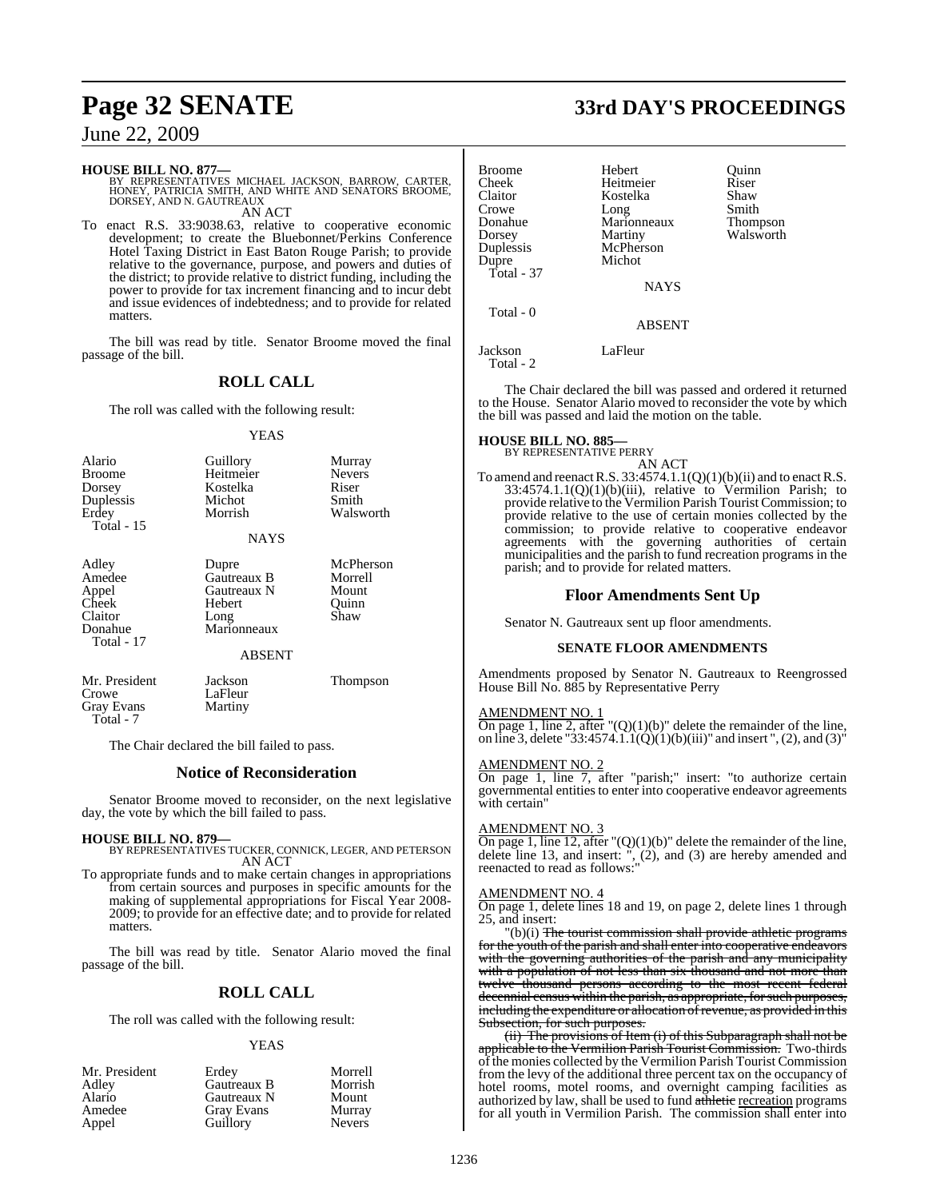# **HOUSE BILL NO. 877—**<br>BY REPRESENTATIVES MICHAEL JACKSON, BARROW, CARTER,<br>HONEY, PATRICIA SMITH, AND WHITE AND SENATORS BROOME,<br>DORSEY, AND N. GAUTREAUX AN ACT

To enact R.S. 33:9038.63, relative to cooperative economic development; to create the Bluebonnet/Perkins Conference Hotel Taxing District in East Baton Rouge Parish; to provide relative to the governance, purpose, and powers and duties of the district; to provide relative to district funding, including the power to provide for tax increment financing and to incur debt and issue evidences of indebtedness; and to provide for related matters.

The bill was read by title. Senator Broome moved the final passage of the bill.

### **ROLL CALL**

The roll was called with the following result:

### YEAS

| Alario<br><b>Broome</b><br>Dorsey<br>Duplessis<br>Erdey<br><b>Total</b> - 15 | Guillory<br>Heitmeier<br>Kostelka<br>Michot<br>Morrish<br><b>NAYS</b>          | Murray<br><b>Nevers</b><br>Riser<br>Smith<br>Walsworth |
|------------------------------------------------------------------------------|--------------------------------------------------------------------------------|--------------------------------------------------------|
| Adley<br>Amedee<br>Appel<br>Cheek<br>Claitor<br>Donahue<br>Total - 17        | Dupre<br>Gautreaux B<br>Gautreaux N<br>Hebert<br>Long<br>Marionneaux<br>ABSENT | McPherson<br>Morrell<br>Mount<br>Ouinn<br>Shaw         |
| Mr. President<br>Crowe<br><b>Gray Evans</b>                                  | Jackson<br>LaFleur<br>Martiny                                                  | Thompson                                               |

The Chair declared the bill failed to pass.

### **Notice of Reconsideration**

Senator Broome moved to reconsider, on the next legislative day, the vote by which the bill failed to pass.

### **HOUSE BILL NO. 879—**

Total - 7

BY REPRESENTATIVES TUCKER, CONNICK, LEGER, AND PETERSON AN ACT

To appropriate funds and to make certain changes in appropriations from certain sources and purposes in specific amounts for the making of supplemental appropriations for Fiscal Year 2008- 2009; to provide for an effective date; and to provide for related matters.

The bill was read by title. Senator Alario moved the final passage of the bill.

### **ROLL CALL**

The roll was called with the following result:

### YEAS

| Mr. President | Erdev             | Morrell       |
|---------------|-------------------|---------------|
| Adley         | Gautreaux B       | Morrish       |
| Alario        | Gautreaux N       | Mount         |
| Amedee        | <b>Gray Evans</b> | Murray        |
| Appel         | Guillory          | <b>Nevers</b> |

# **Page 32 SENATE 33rd DAY'S PROCEEDINGS**

| Broome<br>Cheek<br>Claitor<br>Crowe<br>Donahue<br>Dorsey<br>Duplessis<br>Dupre | Hebert<br>Heitmeier<br>Kostelka<br>Long<br>Marionneaux<br>Martiny<br>McPherson<br>Michot | Ouinn<br>Riser<br>Shaw<br>Smith<br><b>Thompson</b><br>Walsworth |
|--------------------------------------------------------------------------------|------------------------------------------------------------------------------------------|-----------------------------------------------------------------|
| Total - 37                                                                     | <b>NAYS</b>                                                                              |                                                                 |
| Total - 0                                                                      | <b>ABSENT</b>                                                                            |                                                                 |

Jackson LaFleur Total - 2

The Chair declared the bill was passed and ordered it returned to the House. Senator Alario moved to reconsider the vote by which the bill was passed and laid the motion on the table.

### **HOUSE BILL NO. 885—**

BY REPRESENTATIVE PERRY AN ACT

To amend and reenact R.S.  $33:4574.1.1(Q)(1)(b)(ii)$  and to enact R.S.  $33:4574.1.1(Q)(1)(b)(iii)$ , relative to Vermilion Parish; to provide relative to the Vermilion Parish Tourist Commission; to provide relative to the use of certain monies collected by the commission; to provide relative to cooperative endeavor agreements with the governing authorities of certain municipalities and the parish to fund recreation programs in the parish; and to provide for related matters.

### **Floor Amendments Sent Up**

Senator N. Gautreaux sent up floor amendments.

### **SENATE FLOOR AMENDMENTS**

Amendments proposed by Senator N. Gautreaux to Reengrossed House Bill No. 885 by Representative Perry

### AMENDMENT NO. 1

On page 1, line 2, after  $\Gamma$ (Q)(1)(b)" delete the remainder of the line, on line 3, delete "33:4574.1.1(Q)(1)(b)(iii)" and insert ", (2), and (3)"

### AMENDMENT NO. 2

On page 1, line 7, after "parish;" insert: "to authorize certain governmental entities to enter into cooperative endeavor agreements with certain"

### AMENDMENT NO. 3

On page 1, line 12, after " $(Q)(1)(b)$ " delete the remainder of the line, delete line 13, and insert: ", (2), and (3) are hereby amended and reenacted to read as follows:"

### AMENDMENT NO. 4

On page 1, delete lines 18 and 19, on page 2, delete lines 1 through 25, and insert:

(b)(i) The tourist commission shall provide athletic programs for the youth of the parish and shall enter into cooperative endeavors with the governing authorities of the parish and any municipality with a population of not less than six thousand and not more than twelve thousand persons according to the most recent federal decennial census within the parish, as appropriate, for such purposes, including the expenditure or allocation of revenue, as provided in this Subsection, for such purposes.

(ii) The provisions of Item (i) of this Subparagraph shall not be applicable to the Vermilion Parish Tourist Commission. Two-thirds of the monies collected by the Vermilion Parish Tourist Commission from the levy of the additional three percent tax on the occupancy of hotel rooms, motel rooms, and overnight camping facilities as authorized by law, shall be used to fund athletic recreation programs for all youth in Vermilion Parish. The commission shall enter into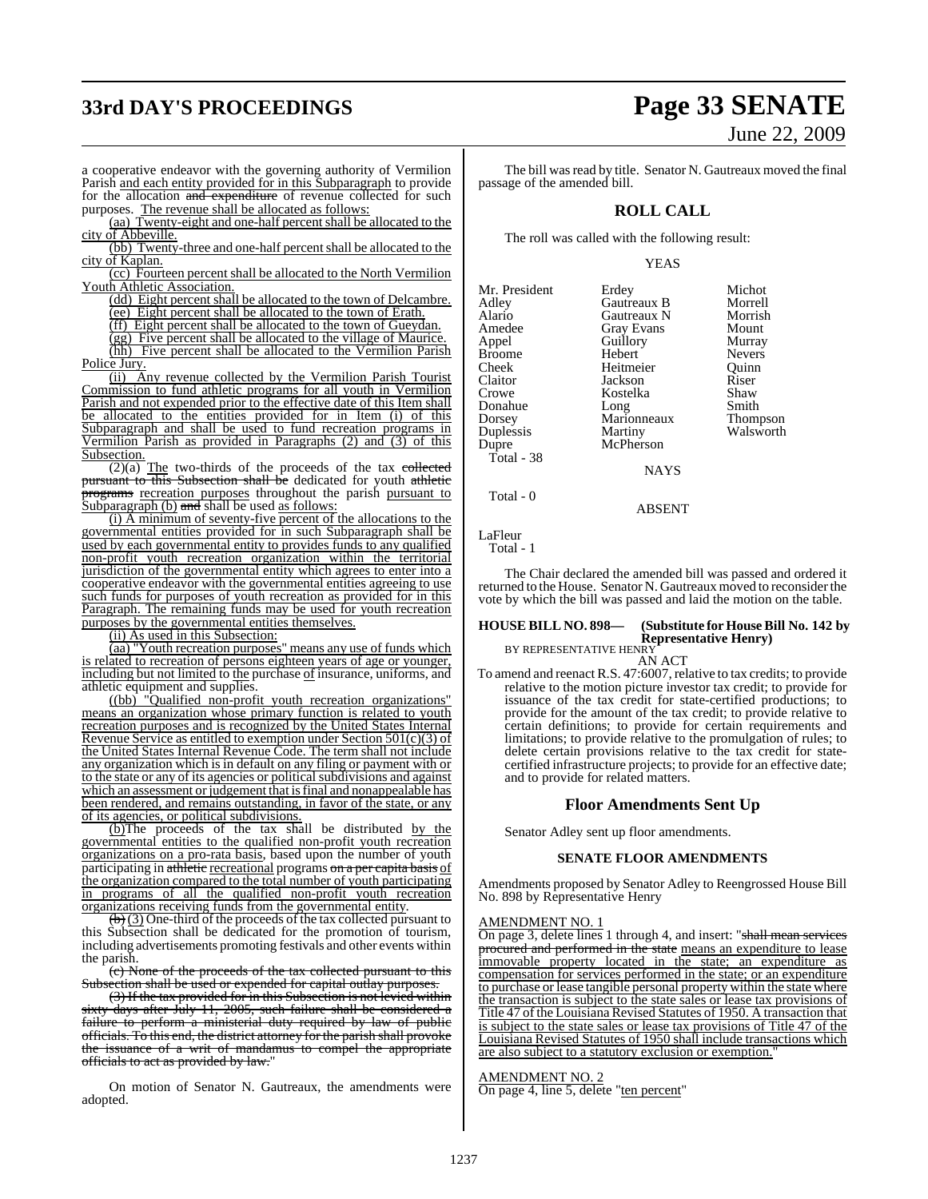# **33rd DAY'S PROCEEDINGS Page 33 SENATE**

# June 22, 2009

a cooperative endeavor with the governing authority of Vermilion Parish and each entity provided for in this Subparagraph to provide for the allocation and expenditure of revenue collected for such purposes. The revenue shall be allocated as follows:

(aa) Twenty-eight and one-half percent shall be allocated to the

city of Abbeville. (bb) Twenty-three and one-half percent shall be allocated to the city of Kaplan.

(cc) Fourteen percent shall be allocated to the North Vermilion Youth Athletic Association.

(dd) Eight percent shall be allocated to the town of Delcambre.

(ee) Eight percent shall be allocated to the town of Erath.

(ff) Eight percent shall be allocated to the town of Gueydan.

(gg) Five percent shall be allocated to the village of Maurice.

(hh) Five percent shall be allocated to the Vermilion Parish Police Jury.

(ii) Any revenue collected by the Vermilion Parish Tourist Commission to fund athletic programs for all youth in Vermilion Parish and not expended prior to the effective date of this Item shall be allocated to the entities provided for in Item (i) of this Subparagraph and shall be used to fund recreation programs in Vermilion Parish as provided in Paragraphs (2) and (3) of this Subsection.

 $\overline{(2)(a)}$  The two-thirds of the proceeds of the tax collected pursuant to this Subsection shall be dedicated for youth athletic **perams** recreation purposes throughout the parish pursuant to Subparagraph  $(b)$  and shall be used as follows:

(i) A minimum of seventy-five percent of the allocations to the governmental entities provided for in such Subparagraph shall be used by each governmental entity to provides funds to any qualified non-profit youth recreation organization within the territorial jurisdiction of the governmental entity which agrees to enter into a cooperative endeavor with the governmental entities agreeing to use such funds for purposes of youth recreation as provided for in this Paragraph. The remaining funds may be used for youth recreation purposes by the governmental entities themselves.

(ii) As used in this Subsection:

(aa) "Youth recreation purposes" means any use of funds which is related to recreation of persons eighteen years of age or younger, including but not limited to the purchase of insurance, uniforms, and athletic equipment and supplies.

((bb) "Qualified non-profit youth recreation organizations" means an organization whose primary function is related to youth recreation purposes and is recognized by the United States Internal Revenue Service as entitled to exemption under Section 501(c)(3) of the United States Internal Revenue Code. The term shall not include any organization which is in default on any filing or payment with or to the state or any of its agencies or political subdivisions and against which an assessment or judgement that is final and nonappealable has been rendered, and remains outstanding, in favor of the state, or any of its agencies, or political subdivisions.

(b)The proceeds of the tax shall be distributed by the governmental entities to the qualified non-profit youth recreation organizations on a pro-rata basis, based upon the number of youth participating in athletic recreational programs on a per capita basis of the organization compared to the total number of youth participating in programs of all the qualified non-profit youth recreation organizations receiving funds from the governmental entity.

 $\left(\frac{b}{b}\right)$  (3) One-third of the proceeds of the tax collected pursuant to this Subsection shall be dedicated for the promotion of tourism, including advertisements promoting festivals and other events within the parish.

(c) None of the proceeds of the tax collected pursuant to this Subsection shall be used or expended for capital outlay purposes

(3) If the tax provided for in this Subsection is not levied within sixty days after July 11, 2005, such failure shall be considered a failure to perform a ministerial duty required by law of public officials. To this end, the district attorney for the parish shall provoke the issuance of a writ of mandamus to compel the appropriate officials to act as provided by law."

On motion of Senator N. Gautreaux, the amendments were adopted.

The bill was read by title. Senator N. Gautreaux moved the final passage of the amended bill.

### **ROLL CALL**

The roll was called with the following result:

### YEAS

Erdey Michot<br>Gautreaux B Morrell

| Mr. President |
|---------------|
| Adley         |
| Alario        |
| Amedee        |
| Appel         |
| Broome        |
| Cheek         |
| Claitor       |
| Crowe         |
| Donahue       |
| Dorsey        |
| Duplessis     |
| Dupre         |
| Total - 38    |
|               |

Gautreaux B Morrell<br>Gautreaux N Morrish Gautreaux N Morris<br>
Grav Evans Mount Gray Evans Mount<br> **American**<br> **American** Application<br>
Guillory Murray<br>
Hebert Nevers Hebert Nevers<br>
Heitmeier Quinn Heitmeier Quinn<br>
Jackson Riser Jackson Riser<br>Kostelka Shaw Kostelka Shaw<br>Long Smith Long Smith<br>Marionneaux Thompson Marionneaux<br>Martiny Walsworth

**NAYS** 

McPherson

### ABSENT

LaFleur Total - 1

Total - 0

The Chair declared the amended bill was passed and ordered it returned to the House. Senator N. Gautreaux moved to reconsider the vote by which the bill was passed and laid the motion on the table.

### **HOUSE BILL NO. 898— (Substitute for House Bill No. 142 by Representative Henry)**

BY REPRESENTATIVE HENRY AN ACT

To amend and reenact R.S. 47:6007, relative to tax credits; to provide relative to the motion picture investor tax credit; to provide for issuance of the tax credit for state-certified productions; to provide for the amount of the tax credit; to provide relative to certain definitions; to provide for certain requirements and limitations; to provide relative to the promulgation of rules; to delete certain provisions relative to the tax credit for statecertified infrastructure projects; to provide for an effective date; and to provide for related matters.

### **Floor Amendments Sent Up**

Senator Adley sent up floor amendments.

### **SENATE FLOOR AMENDMENTS**

Amendments proposed by Senator Adley to Reengrossed House Bill No. 898 by Representative Henry

### AMENDMENT NO. 1

On page 3, delete lines 1 through 4, and insert: "shall mean services procured and performed in the state means an expenditure to lease immovable property located in the state; an expenditure as compensation for services performed in the state; or an expenditure to purchase or lease tangible personal property within the state where the transaction is subject to the state sales or lease tax provisions of Title 47 of the Louisiana Revised Statutes of 1950. A transaction that is subject to the state sales or lease tax provisions of Title 47 of the Louisiana Revised Statutes of 1950 shall include transactions which are also subject to a statutory exclusion or exemption."

### AMENDMENT NO. 2

On page 4, line 5, delete "ten percent"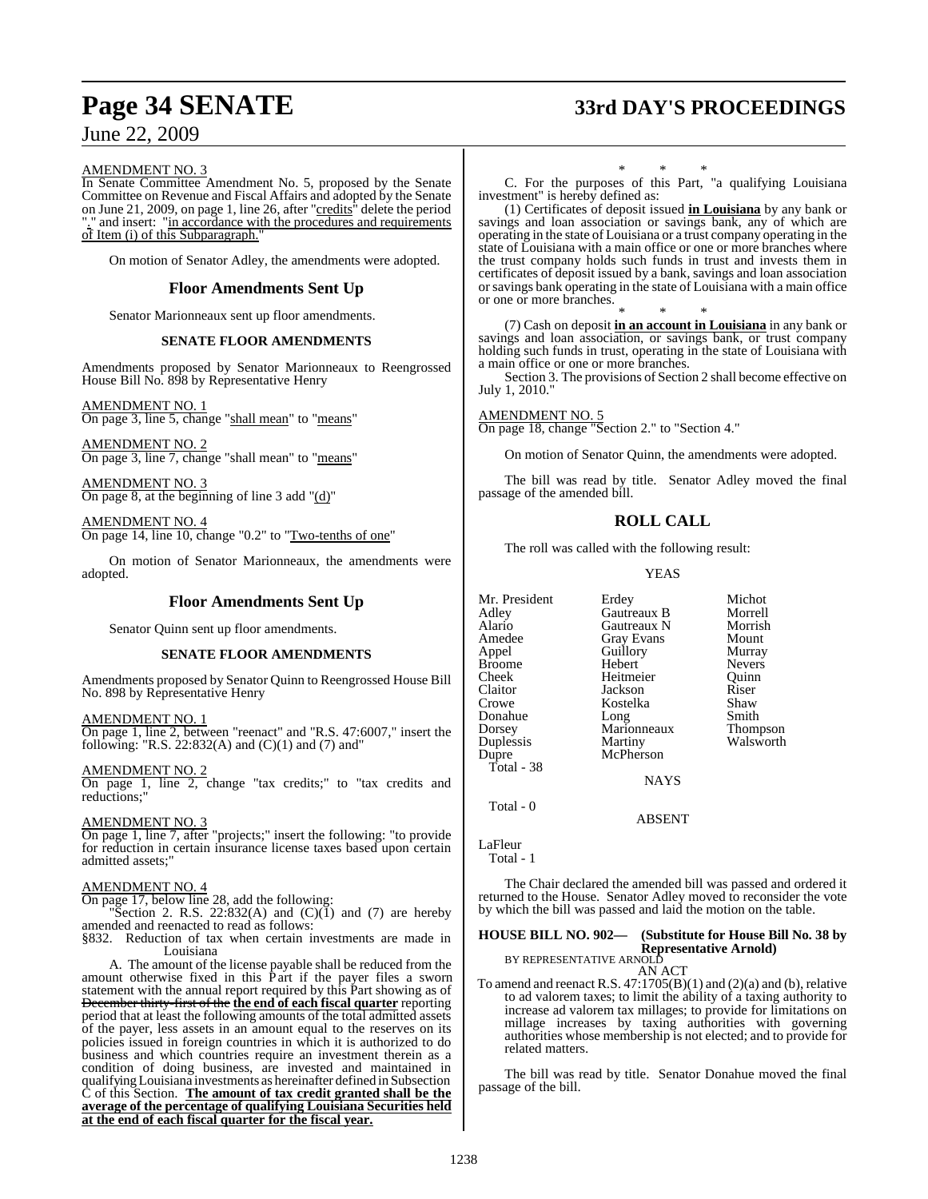# **Page 34 SENATE 33rd DAY'S PROCEEDINGS**

June 22, 2009

### AMENDMENT NO. 3

In Senate Committee Amendment No. 5, proposed by the Senate Committee on Revenue and Fiscal Affairs and adopted by the Senate on June 21, 2009, on page 1, line 26, after "credits" delete the period and insert: "in accordance with the procedures and requirements of Item (i) of this Subparagraph.

On motion of Senator Adley, the amendments were adopted.

### **Floor Amendments Sent Up**

Senator Marionneaux sent up floor amendments.

### **SENATE FLOOR AMENDMENTS**

Amendments proposed by Senator Marionneaux to Reengrossed House Bill No. 898 by Representative Henry

### AMENDMENT NO. 1

On page 3, line 5, change "shall mean" to "means"

AMENDMENT NO. 2 On page 3, line 7, change "shall mean" to "means"

AMENDMENT NO. 3 On page 8, at the beginning of line 3 add "(d)"

AMENDMENT NO. 4 On page 14, line 10, change "0.2" to "Two-tenths of one"

On motion of Senator Marionneaux, the amendments were adopted.

### **Floor Amendments Sent Up**

Senator Quinn sent up floor amendments.

### **SENATE FLOOR AMENDMENTS**

Amendments proposed by Senator Quinn to Reengrossed House Bill No. 898 by Representative Henry

AMENDMENT NO. 1

On page 1, line 2, between "reenact" and "R.S. 47:6007," insert the following: "R.S. 22:832(A) and  $(C)(1)$  and  $(7)$  and"

AMENDMENT NO. 2

On page 1, line 2, change "tax credits;" to "tax credits and reductions;"

AMENDMENT NO. 3

On page 1, line 7, after "projects;" insert the following: "to provide for reduction in certain insurance license taxes based upon certain admitted assets;"

### AMENDMENT NO. 4

On page 17, below line 28, add the following:

"Section 2. R.S. 22:832(A) and  $(C)(1)$  and  $(7)$  are hereby amended and reenacted to read as follows:

§832. Reduction of tax when certain investments are made in Louisiana

A. The amount of the license payable shall be reduced from the amount otherwise fixed in this Part if the payer files a sworn statement with the annual report required by this Part showing as of December thirty-first of the **the end of each fiscal quarter** reporting period that at least the following amounts of the total admitted assets of the payer, less assets in an amount equal to the reserves on its policies issued in foreign countries in which it is authorized to do business and which countries require an investment therein as a condition of doing business, are invested and maintained in qualifying Louisiana investments as hereinafter defined in Subsection C of this Section. **The amount of tax credit granted shall be the average of the percentage of qualifying Louisiana Securities held at the end of each fiscal quarter for the fiscal year.**

\* \* \* C. For the purposes of this Part, "a qualifying Louisiana investment" is hereby defined as:

(1) Certificates of deposit issued **in Louisiana** by any bank or savings and loan association or savings bank, any of which are operating in the state of Louisiana or a trust company operating in the state of Louisiana with a main office or one or more branches where the trust company holds such funds in trust and invests them in certificates of deposit issued by a bank, savings and loan association orsavings bank operating in the state of Louisiana with a main office or one or more branches.

\* \* \* (7) Cash on deposit **in an account in Louisiana** in any bank or savings and loan association, or savings bank, or trust company holding such funds in trust, operating in the state of Louisiana with a main office or one or more branches.

Section 3. The provisions of Section 2 shall become effective on July 1, 2010."

AMENDMENT NO. 5 On page 18, change "Section 2." to "Section 4."

On motion of Senator Quinn, the amendments were adopted.

The bill was read by title. Senator Adley moved the final passage of the amended bill.

### **ROLL CALL**

The roll was called with the following result:

YEAS

| Mr. President | Erdey       | Michot        |
|---------------|-------------|---------------|
| Adley         | Gautreaux B | Morrell       |
| Alario        | Gautreaux N | Morrish       |
| Amedee        | Gray Evans  | Mount         |
| Appel         | Guillory    | Murray        |
| <b>Broome</b> | Hebert      | <b>Nevers</b> |
| Cheek         | Heitmeier   | Ouinn         |
| Claitor       | Jackson     | Riser         |
| Crowe         | Kostelka    | Shaw          |
| Donahue       | Long        | Smith         |
| Dorsey        | Marionneaux | Thompson      |
| Duplessis     | Martiny     | Walsworth     |
| Dupre         | McPherson   |               |
| Total - 38    |             |               |
|               | <b>NAYS</b> |               |
| Total - 0     |             |               |
|               | ABSENT      |               |

LaFleur

```
 Total - 1
```
The Chair declared the amended bill was passed and ordered it returned to the House. Senator Adley moved to reconsider the vote by which the bill was passed and laid the motion on the table.

### **HOUSE BILL NO. 902— (Substitute for House Bill No. 38 by Representative Arnold)** BY REPRESENTATIVE ARNOLD

AN ACT To amend and reenact R.S. 47:1705(B)(1) and (2)(a) and (b), relative to ad valorem taxes; to limit the ability of a taxing authority to increase ad valorem tax millages; to provide for limitations on millage increases by taxing authorities with governing authorities whose membership is not elected; and to provide for related matters.

The bill was read by title. Senator Donahue moved the final passage of the bill.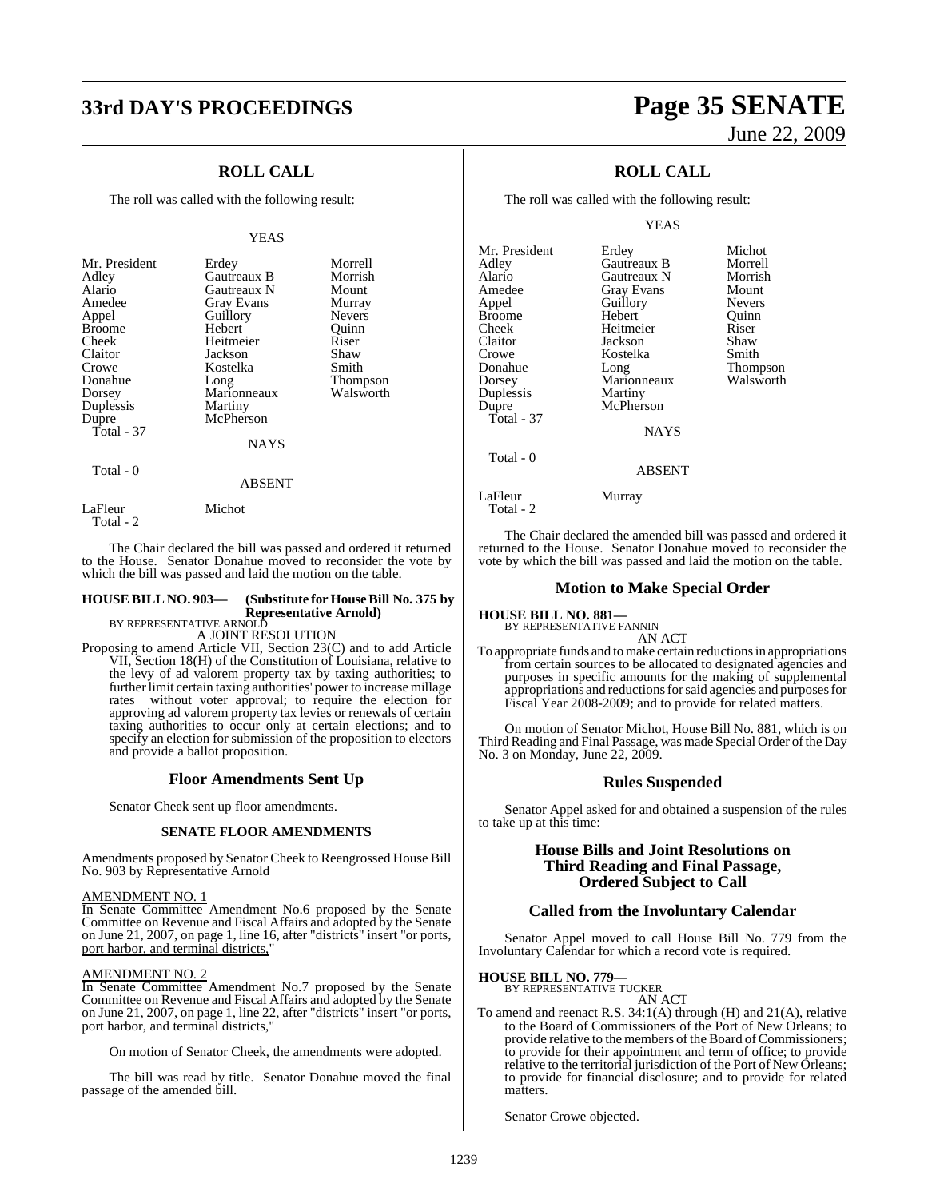## **33rd DAY'S PROCEEDINGS Page 35 SENATE**

### **ROLL CALL**

The roll was called with the following result:

### YEAS

| Mr. President<br>Adley<br>Alario<br>Amedee<br>Appel<br><b>Broome</b><br>Cheek<br>Claitor<br>Crowe<br>Donahue<br>Dorsey<br>Duplessis<br>Dupre<br>Total - 37 | Erdey<br>Gautreaux B<br><b>Gautreaux N</b><br><b>Gray Evans</b><br>Guillory<br>Hebert<br>Heitmeier<br>Jackson<br>Kostelka<br>Long<br>Marionneaux<br>Martiny<br>McPherson | Morrell<br>Morrish<br>Mount<br>Murray<br><b>Nevers</b><br>Ouinn<br>Riser<br>Shaw<br>Smith<br><b>Thompson</b><br>Walsworth |
|------------------------------------------------------------------------------------------------------------------------------------------------------------|--------------------------------------------------------------------------------------------------------------------------------------------------------------------------|---------------------------------------------------------------------------------------------------------------------------|
|                                                                                                                                                            | NAYS                                                                                                                                                                     |                                                                                                                           |

Total - 0

ABSENT

LaFleur Michot Total - 2

The Chair declared the bill was passed and ordered it returned to the House. Senator Donahue moved to reconsider the vote by which the bill was passed and laid the motion on the table.

### **HOUSE BILL NO. 903— (Substitute for HouseBill No. 375 by Representative Arnold)** BY REPRESENTATIVE ARNOLD

A JOINT RESOLUTION

Proposing to amend Article VII, Section 23(C) and to add Article VII, Section 18(H) of the Constitution of Louisiana, relative to the levy of ad valorem property tax by taxing authorities; to further limit certain taxing authorities' power to increase millage rates without voter approval; to require the election for approving ad valorem property tax levies or renewals of certain taxing authorities to occur only at certain elections; and to specify an election for submission of the proposition to electors and provide a ballot proposition.

### **Floor Amendments Sent Up**

Senator Cheek sent up floor amendments.

### **SENATE FLOOR AMENDMENTS**

Amendments proposed by Senator Cheek to Reengrossed House Bill No. 903 by Representative Arnold

### AMENDMENT NO. 1

In Senate Committee Amendment No.6 proposed by the Senate Committee on Revenue and Fiscal Affairs and adopted by the Senate on June 21, 2007, on page 1, line 16, after "districts" insert "or ports, port harbor, and terminal districts,

### AMENDMENT NO. 2

In Senate Committee Amendment No.7 proposed by the Senate Committee on Revenue and Fiscal Affairs and adopted by the Senate on June 21, 2007, on page 1, line 22, after "districts" insert "or ports, port harbor, and terminal districts,"

On motion of Senator Cheek, the amendments were adopted.

The bill was read by title. Senator Donahue moved the final passage of the amended bill.

# June 22, 2009

### **ROLL CALL**

The roll was called with the following result:

YEAS

| Mr. President          | Erdey             | Michot        |
|------------------------|-------------------|---------------|
| Adlev                  | Gautreaux B       | Morrell       |
| Alario                 | Gautreaux N       | Morrish       |
| Amedee                 | <b>Gray Evans</b> | Mount         |
| Appel                  | Guillory          | <b>Nevers</b> |
| Broome                 | Hebert            | Quinn         |
| Cheek                  | Heitmeier         | Riser         |
| Claitor                | Jackson           | Shaw          |
| Crowe                  | Kostelka          | Smith         |
| Donahue                | Long              | Thompson      |
| Dorsey                 | Marionneaux       | Walsworth     |
| Duplessis              | Martiny           |               |
| Dupre                  | McPherson         |               |
| Total - 37             |                   |               |
|                        | <b>NAYS</b>       |               |
| Total - 0              |                   |               |
|                        | <b>ABSENT</b>     |               |
| LaFleur<br>Total - $2$ | Murray            |               |

The Chair declared the amended bill was passed and ordered it returned to the House. Senator Donahue moved to reconsider the vote by which the bill was passed and laid the motion on the table.

### **Motion to Make Special Order**

**HOUSE BILL NO. 881—**

BY REPRESENTATIVE FANNIN AN ACT

To appropriate funds and tomake certain reductions in appropriations from certain sources to be allocated to designated agencies and purposes in specific amounts for the making of supplemental appropriations and reductionsforsaid agencies and purposesfor Fiscal Year 2008-2009; and to provide for related matters.

On motion of Senator Michot, House Bill No. 881, which is on Third Reading and Final Passage, was made Special Order ofthe Day No. 3 on Monday, June 22, 2009.

### **Rules Suspended**

Senator Appel asked for and obtained a suspension of the rules to take up at this time:

### **House Bills and Joint Resolutions on Third Reading and Final Passage, Ordered Subject to Call**

### **Called from the Involuntary Calendar**

Senator Appel moved to call House Bill No. 779 from the Involuntary Calendar for which a record vote is required.

## **HOUSE BILL NO. 779—** BY REPRESENTATIVE TUCKER

- AN ACT
- To amend and reenact R.S. 34:1(A) through (H) and 21(A), relative to the Board of Commissioners of the Port of New Orleans; to provide relative to the members of the Board of Commissioners; to provide for their appointment and term of office; to provide relative to the territorial jurisdiction of the Port of New Orleans; to provide for financial disclosure; and to provide for related matters.

Senator Crowe objected.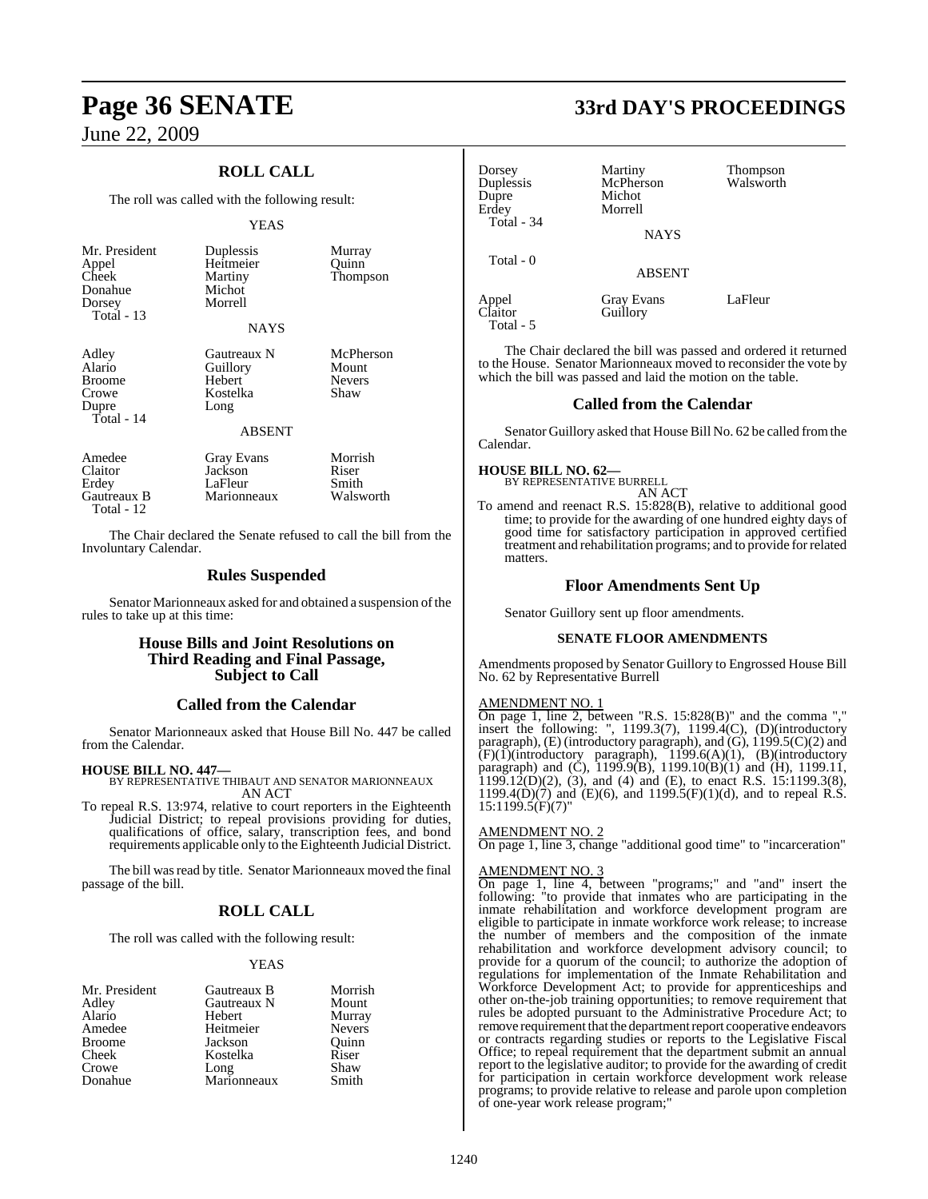### **ROLL CALL**

The roll was called with the following result:

### YEAS

| Mr. President<br>Appel<br>Cheek<br>Donahue<br>Dorsey<br>Total $-13$ | Duplessis<br>Heitmeier<br>Martiny<br>Michot<br>Morrell<br>NAYS         | Murray<br>Ouinn<br><b>Thompson</b>          |
|---------------------------------------------------------------------|------------------------------------------------------------------------|---------------------------------------------|
| Adley<br>Alario<br><b>Broome</b><br>Crowe<br>Dupre<br>Total - $14$  | Gautreaux N<br>Guillory<br>Hebert<br>Kostelka<br>Long<br><b>ABSENT</b> | McPherson<br>Mount<br><b>Nevers</b><br>Shaw |
| Amedee<br>Claitor<br>Erdey                                          | <b>Gray Evans</b><br>Jackson<br>LaFleur                                | Morrish<br>Riser<br>Smith                   |

The Chair declared the Senate refused to call the bill from the Involuntary Calendar.

Gautreaux B Marionneaux Walsworth

### **Rules Suspended**

Senator Marionneaux asked for and obtained a suspension of the rules to take up at this time:

### **House Bills and Joint Resolutions on Third Reading and Final Passage, Subject to Call**

### **Called from the Calendar**

Senator Marionneaux asked that House Bill No. 447 be called from the Calendar.

### **HOUSE BILL NO. 447—**

Total - 12

BY REPRESENTATIVE THIBAUT AND SENATOR MARIONNEAUX AN ACT

To repeal R.S. 13:974, relative to court reporters in the Eighteenth Judicial District; to repeal provisions providing for duties, qualifications of office, salary, transcription fees, and bond requirements applicable only to the Eighteenth Judicial District.

The bill was read by title. Senator Marionneaux moved the final passage of the bill.

### **ROLL CALL**

The roll was called with the following result:

### YEAS

| Mr. President | Gautreaux B | Morrish       |
|---------------|-------------|---------------|
| Adley         | Gautreaux N | Mount         |
| Alario        | Hebert      | Murray        |
| Amedee        | Heitmeier   | <b>Nevers</b> |
| <b>Broome</b> | Jackson     | Ouinn         |
| Cheek         | Kostelka    | Riser         |
| Crowe         | Long        | Shaw          |
| Donahue       | Marionneaux | Smith         |

# **Page 36 SENATE 33rd DAY'S PROCEEDINGS**

| Dorsey<br>Duplessis<br>Dupre<br>Erdey<br>Total - 34 | Martiny<br>McPherson<br>Michot<br>Morrell<br><b>NAYS</b> | Thompson<br>Walsworth |
|-----------------------------------------------------|----------------------------------------------------------|-----------------------|
| Total - 0                                           | <b>ABSENT</b>                                            |                       |
| Appel<br>Claitor                                    | <b>Gray Evans</b><br>Guillory                            | LaFleur               |

The Chair declared the bill was passed and ordered it returned to the House. Senator Marionneaux moved to reconsider the vote by which the bill was passed and laid the motion on the table.

### **Called from the Calendar**

Senator Guillory asked that House Bill No. 62 be called fromthe Calendar.

Total - 5

**HOUSE BILL NO. 62—** BY REPRESENTATIVE BURRELL AN ACT

To amend and reenact R.S. 15:828(B), relative to additional good time; to provide for the awarding of one hundred eighty days of good time for satisfactory participation in approved certified treatment and rehabilitation programs; and to provide forrelated matters.

### **Floor Amendments Sent Up**

Senator Guillory sent up floor amendments.

### **SENATE FLOOR AMENDMENTS**

Amendments proposed by Senator Guillory to Engrossed House Bill No. 62 by Representative Burrell

### AMENDMENT NO. 1

On page 1, line 2, between "R.S. 15:828(B)" and the comma "," insert the following: ", 1199.3(7), 1199.4(C), (D)(introductory paragraph), (E) (introductory paragraph), and (G), 1199.5(C)(2) and  $(F)(1)$ (introductory paragraph), 1199.6(A)(1), (B)(introductory paragraph) and (C),  $1199.9(B)$ ,  $1199.10(B)(1)$  and (H),  $1199.11$ , 1199.12(D)(2), (3), and (4) and (E), to enact R.S. 15:1199.3(8), 1199.4(D)(7) and (E)(6), and 1199.5(F)(1)(d), and to repeal R.S.  $15:1199.5(F)(7)$ 

### AMENDMENT NO. 2

On page 1, line 3, change "additional good time" to "incarceration"

### AMENDMENT NO. 3

On page 1, line 4, between "programs;" and "and" insert the following: "to provide that inmates who are participating in the inmate rehabilitation and workforce development program are eligible to participate in inmate workforce work release; to increase the number of members and the composition of the inmate rehabilitation and workforce development advisory council; to provide for a quorum of the council; to authorize the adoption of regulations for implementation of the Inmate Rehabilitation and Workforce Development Act; to provide for apprenticeships and other on-the-job training opportunities; to remove requirement that rules be adopted pursuant to the Administrative Procedure Act; to remove requirement that the department report cooperative endeavors or contracts regarding studies or reports to the Legislative Fiscal Office; to repeal requirement that the department submit an annual report to the legislative auditor; to provide for the awarding of credit for participation in certain workforce development work release programs; to provide relative to release and parole upon completion of one-year work release program;"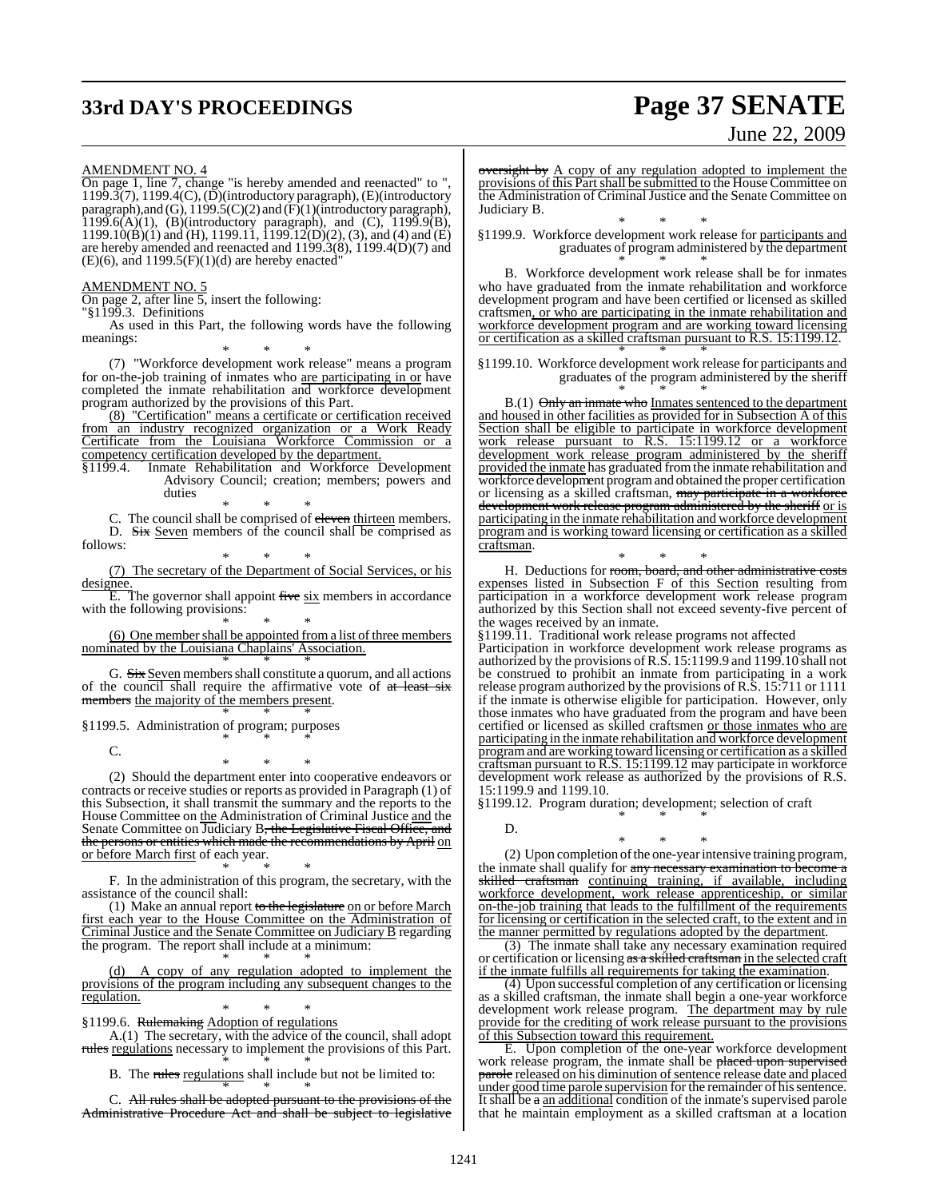# **33rd DAY'S PROCEEDINGS Page 37 SENATE**

# June 22, 2009

AMENDMENT NO. 4

On page 1, line 7, change "is hereby amended and reenacted" to ",  $1199.3(7)$ ,  $1199.4(C)$ ,  $(D)$ (introductory paragraph),  $(E)$ (introductory paragraph),and (G), 1199.5(C)(2) and (F)(1)(introductory paragraph), 1199.6(A)(1), (B)(introductory paragraph), and (C),  $1199.9(B)$ ,  $1199.10(B)(1)$  and (H),  $1199.1\overline{1}$ ,  $1199.1\overline{2}(D)(2)$ , (3), and (4) and (E) are hereby amended and reenacted and 1199.3(8), 1199.4(D)(7) and  $(E)(6)$ , and 1199.5 $(F)(1)(d)$  are hereby enacted"

### AMENDMENT NO. 5

On page 2, after line 5, insert the following:

"§1199.3. Definitions

As used in this Part, the following words have the following meanings:

\* \* \* (7) "Workforce development work release" means a program for on-the-job training of inmates who are participating in or have completed the inmate rehabilitation and workforce development program authorized by the provisions of this Part.

(8) "Certification" means a certificate or certification received from an industry recognized organization or a Work Ready Certificate from the Louisiana Workforce Commission or a competency certification developed by the department.<br>§1199.4. Inmate Rehabilitation and Workforce

Inmate Rehabilitation and Workforce Development Advisory Council; creation; members; powers and duties

\* \* \* C. The council shall be comprised of eleven thirteen members. D. Six Seven members of the council shall be comprised as follows:

\* \* \* (7) The secretary of the Department of Social Services, or his designee.

 $\overline{E}$ . The governor shall appoint five six members in accordance with the following provisions:

\* \* \* (6) One member shall be appointed from a list of three members nominated by the Louisiana Chaplains' Association.

\* \* \* G. Six Seven members shall constitute a quorum, and all actions of the council shall require the affirmative vote of at least six members the majority of the members present.

 $*$  \* \*  $*$ 

\* \* \* §1199.5. Administration of program; purposes

C.

\* \* \* (2) Should the department enter into cooperative endeavors or contracts or receive studies or reports as provided in Paragraph (1) of this Subsection, it shall transmit the summary and the reports to the House Committee on the Administration of Criminal Justice and the Senate Committee on Judiciary B, the Legislative Fiscal Office, and the persons or entities which made the recommendations by April on or before March first of each year.

\* \* \* F. In the administration of this program, the secretary, with the assistance of the council shall:

(1) Make an annual report to the legislature on or before March first each year to the House Committee on the Administration of Criminal Justice and the Senate Committee on Judiciary B regarding the program. The report shall include at a minimum: \* \* \*

(d) A copy of any regulation adopted to implement the provisions of the program including any subsequent changes to the regulation.

\* \* \* §1199.6. Rulemaking Adoption of regulations

A.(1) The secretary, with the advice of the council, shall adopt rules regulations necessary to implement the provisions of this Part.

\* \* \* B. The rules regulations shall include but not be limited to:

\* \* \* C. All rules shall be adopted pursuant to the provisions of the Administrative Procedure Act and shall be subject to legislative oversight by A copy of any regulation adopted to implement the provisions of this Part shall be submitted to the House Committee on the Administration of Criminal Justice and the Senate Committee on Judiciary B.

\* \* \* §1199.9. Workforce development work release for participants and graduates of program administered by the department \* \* \*

B. Workforce development work release shall be for inmates who have graduated from the inmate rehabilitation and workforce development program and have been certified or licensed as skilled craftsmen, or who are participating in the inmate rehabilitation and workforce development program and are working toward licensing or certification as a skilled craftsman pursuant to R.S. 15:1199.12. \* \* \*

§1199.10. Workforce development work release for participants and graduates of the program administered by the sheriff \* \* \*

B.(1) Only an inmate who Inmates sentenced to the department and housed in other facilities as provided for in Subsection A of this Section shall be eligible to participate in workforce development work release pursuant to R.S. 15:1199.12 or a workforce development work release program administered by the sheriff provided the inmate has graduated fromthe inmate rehabilitation and workforce development program and obtained the proper certification or licensing as a skilled craftsman, may participate in a workforce development work release program administered by the sheriff or is participating in the inmate rehabilitation and workforce development program and is working toward licensing or certification as a skilled craftsman.

\* \* \* H. Deductions for room, board, and other administrative costs expenses listed in Subsection F of this Section resulting from participation in a workforce development work release program authorized by this Section shall not exceed seventy-five percent of the wages received by an inmate.

§1199.11. Traditional work release programs not affected

Participation in workforce development work release programs as authorized by the provisions ofR.S. 15:1199.9 and 1199.10 shall not be construed to prohibit an inmate from participating in a work release program authorized by the provisions of R.S. 15:711 or 1111 if the inmate is otherwise eligible for participation. However, only those inmates who have graduated from the program and have been certified or licensed as skilled craftsmen or those inmates who are participating in the inmate rehabilitation and workforce development programand are working toward licensing or certification as a skilled craftsman pursuant to R.S. 15:1199.12 may participate in workforce development work release as authorized by the provisions of R.S. 15:1199.9 and 1199.10.

§1199.12. Program duration; development; selection of craft \* \* \*

D.

\* \* \* (2) Upon completion of the one-year intensive training program, the inmate shall qualify for any necessary examination to become a skilled craftsman continuing training, if available, including workforce development, work release apprenticeship, or similar on-the-job training that leads to the fulfillment of the requirements for licensing or certification in the selected craft, to the extent and in the manner permitted by regulations adopted by the department.

(3) The inmate shall take any necessary examination required or certification or licensing as a skilled craftsman in the selected craft if the inmate fulfills all requirements for taking the examination.

(4) Upon successful completion of any certification or licensing as a skilled craftsman, the inmate shall begin a one-year workforce development work release program. The department may by rule provide for the crediting of work release pursuant to the provisions of this Subsection toward this requirement.

E. Upon completion of the one-year workforce development work release program, the inmate shall be placed upon supervised parole released on his diminution of sentence release date and placed under good time parole supervision for the remainder of his sentence. It shall be a an additional condition of the inmate's supervised parole that he maintain employment as a skilled craftsman at a location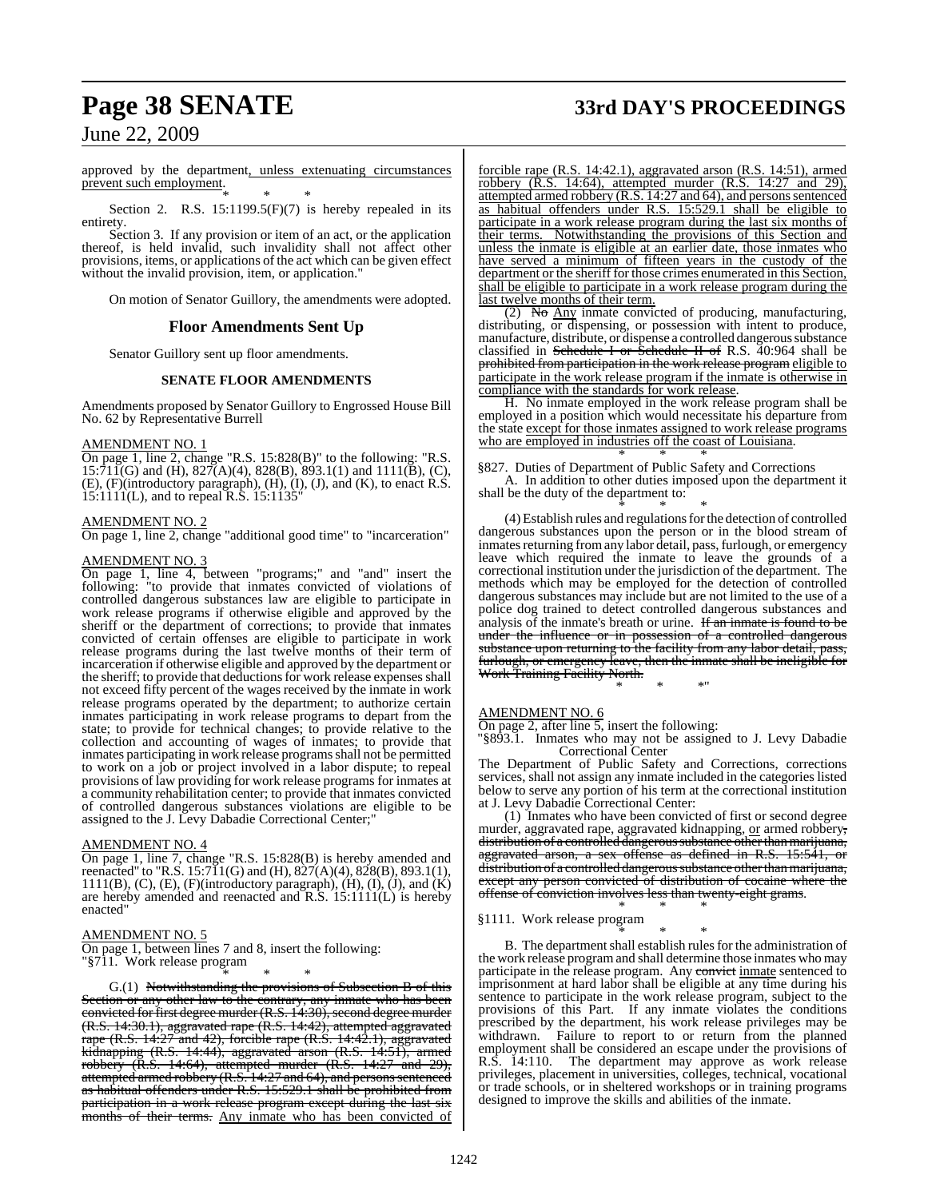# **Page 38 SENATE 33rd DAY'S PROCEEDINGS**

June 22, 2009

approved by the department, unless extenuating circumstances prevent such employment. \* \* \*

Section 2. R.S.  $15:1199.5(F)(7)$  is hereby repealed in its entirety.

Section 3. If any provision or item of an act, or the application thereof, is held invalid, such invalidity shall not affect other provisions, items, or applications of the act which can be given effect without the invalid provision, item, or application."

On motion of Senator Guillory, the amendments were adopted.

### **Floor Amendments Sent Up**

Senator Guillory sent up floor amendments.

### **SENATE FLOOR AMENDMENTS**

Amendments proposed by Senator Guillory to Engrossed House Bill No. 62 by Representative Burrell

### AMENDMENT NO. 1

On page 1, line 2, change "R.S. 15:828(B)" to the following: "R.S.  $15:\overline{7}11\overline{(G)}$  and  $(H)$ ,  $827\overline{(A)}(4)$ ,  $828\overline{(B)}$ ,  $893.1(1)$  and  $1111\overline{(B)}$ ,  $(C)$ , (E), (F)(introductory paragraph), (H), (I), (J), and (K), to enact R.S. 15:1111(L), and to repeal R.S. 15:1135"

### AMENDMENT NO. 2

On page 1, line 2, change "additional good time" to "incarceration"

### AMENDMENT NO. 3

On page 1, line 4, between "programs;" and "and" insert the following: "to provide that inmates convicted of violations of controlled dangerous substances law are eligible to participate in work release programs if otherwise eligible and approved by the sheriff or the department of corrections; to provide that inmates convicted of certain offenses are eligible to participate in work release programs during the last twelve months of their term of incarceration if otherwise eligible and approved by the department or the sheriff; to provide that deductions for work release expenses shall not exceed fifty percent of the wages received by the inmate in work release programs operated by the department; to authorize certain inmates participating in work release programs to depart from the state; to provide for technical changes; to provide relative to the collection and accounting of wages of inmates; to provide that inmates participating in work release programs shall not be permitted to work on a job or project involved in a labor dispute; to repeal provisions of law providing for work release programs for inmates at a community rehabilitation center; to provide that inmates convicted of controlled dangerous substances violations are eligible to be assigned to the J. Levy Dabadie Correctional Center;"

### AMENDMENT NO. 4

On page 1, line 7, change "R.S. 15:828(B) is hereby amended and reenacted" to "R.S. 15:711(G) and (H), 827(A)(4), 828(B), 893.1(1),  $1111(B)$ , (C), (E), (F)(introductory paragraph), (H), (I), (J), and (K) are hereby amended and reenacted and R.S. 15:1111(L) is hereby enacted"

### AMENDMENT NO. 5

On page 1, between lines 7 and 8, insert the following: "§711. Work release program

\* \* \* G.(1) Notwithstanding the provisions of Subsection B of this Section or any other law to the contrary, any inmate who has been convicted for first degree murder (R.S. 14:30), second degree murder (R.S. 14:30.1), aggravated rape (R.S. 14:42), attempted aggravated rape (R.S. 14:27 and 42), forcible rape (R.S. 14:42.1), aggravated kidnapping (R.S. 14:44), aggravated arson (R.S. 14:51), armed robbery (R.S. 14:64), attempted murder (R.S. 14:27 and 29), attempted armed robbery (R.S. 14:27 and 64), and persons sentenced as habitual offenders under R.S. 15:529.1 shall be prohibited from participation in a work release program except during the last six months of their terms. Any inmate who has been convicted of

forcible rape (R.S. 14:42.1), aggravated arson (R.S. 14:51), armed robbery (R.S. 14:64), attempted murder (R.S. 14:27 and 29), attempted armed robbery (R.S. 14:27 and 64), and persons sentenced as habitual offenders under R.S. 15:529.1 shall be eligible to participate in a work release program during the last six months of their terms. Notwithstanding the provisions of this Section and unless the inmate is eligible at an earlier date, those inmates who have served a minimum of fifteen years in the custody of the department or the sheriff for those crimes enumerated in this Section, shall be eligible to participate in a work release program during the last twelve months of their term.

(2) No Any inmate convicted of producing, manufacturing, distributing, or dispensing, or possession with intent to produce, manufacture, distribute, or dispense a controlled dangerous substance classified in Schedule I or Schedule II of R.S. 40:964 shall be prohibited from participation in the work release program eligible to participate in the work release program if the inmate is otherwise in compliance with the standards for work release.

H. No inmate employed in the work release program shall be employed in a position which would necessitate his departure from the state except for those inmates assigned to work release programs who are employed in industries off the coast of Louisiana. \* \* \*

### §827. Duties of Department of Public Safety and Corrections

A. In addition to other duties imposed upon the department it shall be the duty of the department to:

\* \* \* (4) Establish rules and regulations for the detection of controlled dangerous substances upon the person or in the blood stream of inmates returning from any labor detail, pass, furlough, or emergency leave which required the inmate to leave the grounds of a correctional institution under the jurisdiction of the department. The methods which may be employed for the detection of controlled dangerous substances may include but are not limited to the use of a police dog trained to detect controlled dangerous substances and analysis of the inmate's breath or urine. If an inmate is found to be under the influence or in possession of a controlled dangerous substance upon returning to the facility from any labor detail, pass, furlough, or emergency leave, then the inmate shall be ineligible for Work Training Facility North.

\* \* \*"

### AMENDMENT NO. 6

On page 2, after line 5, insert the following:

"§893.1. Inmates who may not be assigned to J. Levy Dabadie Correctional Center

The Department of Public Safety and Corrections, corrections services, shall not assign any inmate included in the categories listed below to serve any portion of his term at the correctional institution at J. Levy Dabadie Correctional Center:

(1) Inmates who have been convicted of first or second degree murder, aggravated rape, aggravated kidnapping, or armed robbery, distribution of a controlled dangerous substance other than marijuana, aggravated arson, a sex offense as defined in R.S. 15:541, or distribution of a controlled dangerous substance other than marijuana, except any person convicted of distribution of cocaine where the offense of conviction involves less than twenty-eight grams.

### \* \* \* §1111. Work release program

\* \* \* B. The department shall establish rules for the administration of the work release programand shall determine those inmates who may participate in the release program. Any convict inmate sentenced to imprisonment at hard labor shall be eligible at any time during his sentence to participate in the work release program, subject to the provisions of this Part. If any inmate violates the conditions prescribed by the department, his work release privileges may be withdrawn. Failure to report to or return from the planned employment shall be considered an escape under the provisions of R.S. 14:110. The department may approve as work release privileges, placement in universities, colleges, technical, vocational or trade schools, or in sheltered workshops or in training programs designed to improve the skills and abilities of the inmate.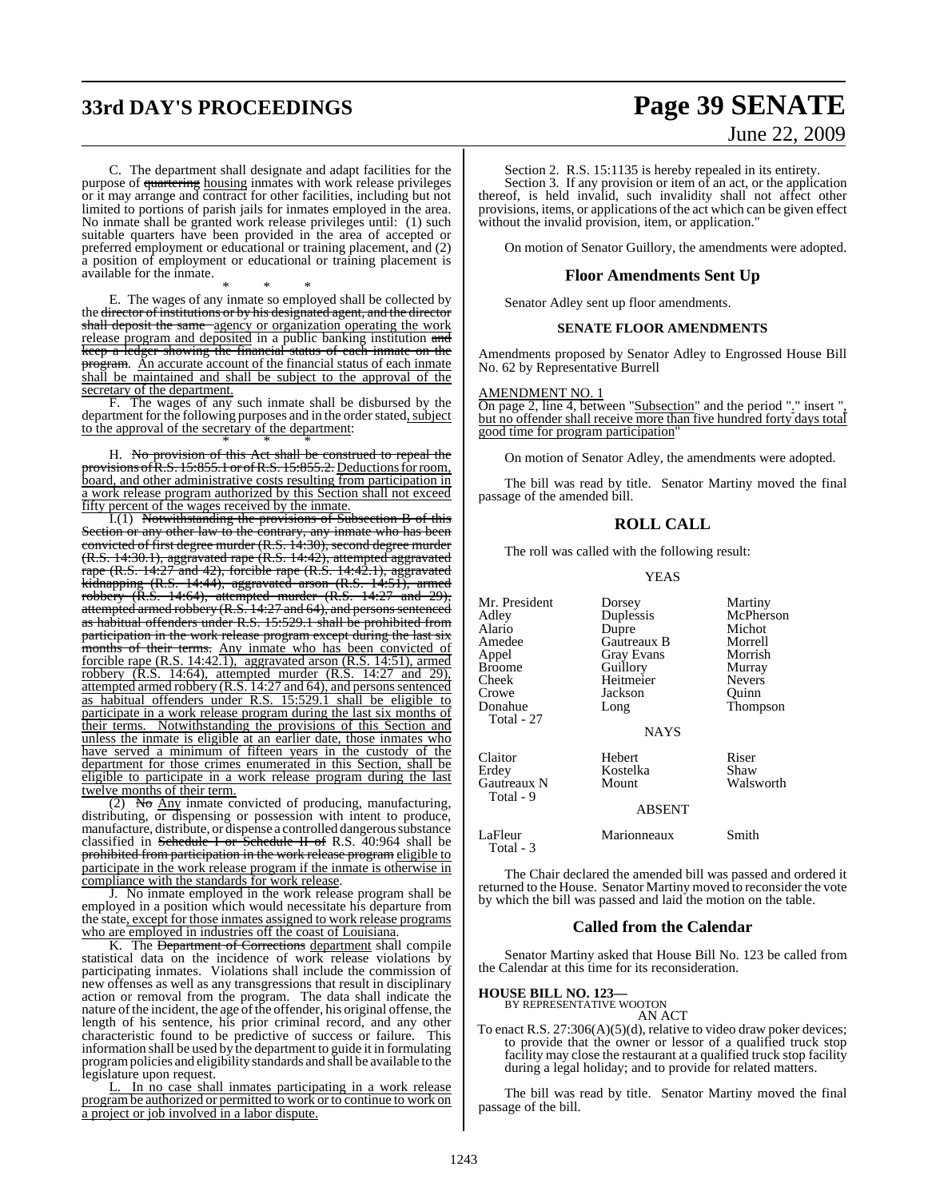# **33rd DAY'S PROCEEDINGS Page 39 SENATE**

# June 22, 2009

C. The department shall designate and adapt facilities for the purpose of <del>quartering</del> housing inmates with work release privileges or it may arrange and contract for other facilities, including but not limited to portions of parish jails for inmates employed in the area. No inmate shall be granted work release privileges until: (1) such suitable quarters have been provided in the area of accepted or preferred employment or educational or training placement, and (2) a position of employment or educational or training placement is available for the inmate.

\* \* \* E. The wages of any inmate so employed shall be collected by the director of institutions or by his designated agent, and the director shall deposit the same agency or organization operating the work release program and deposited in a public banking institution and keep a ledger showing the financial status of each inmate on the program. An accurate account of the financial status of each inmate shall be maintained and shall be subject to the approval of the secretary of the department.

F. The wages of any such inmate shall be disbursed by the department for the following purposes and in the order stated, subject to the approval of the secretary of the department: \* \* \*

H. No provision of this Act shall be construed to repeal the provisions of R.S. 15:855.1 or of R.S. 15:855.2. Deductions for room, board, and other administrative costs resulting from participation in a work release program authorized by this Section shall not exceed fifty percent of the wages received by the inmate.

I.(1) Notwithstanding the provisions of Subsection B of this Section or any other law to the contrary, any inmate who has been convicted of first degree murder (R.S. 14:30), second degree murder (R.S. 14:30.1), aggravated rape (R.S. 14:42), attempted aggravated rape (R.S. 14:27 and 42), forcible rape (R.S. 14:42.1), aggravated kidnapping (R.S. 14:44), aggravated arson (R.S. 14:51), armed robbery (R.S. 14:64), attempted murder (R.S. 14:27 and 29), attempted armed robbery (R.S. 14:27 and 64), and persons sentenced as habitual offenders under R.S. 15:529.1 shall be prohibited from participation in the work release program except during the last six months of their terms. Any inmate who has been convicted of forcible rape (R.S. 14:42.1), aggravated arson (R.S. 14:51), armed robbery (R.S. 14:64), attempted murder (R.S. 14:27 and 29), attempted armed robbery (R.S. 14:27 and 64), and persons sentenced as habitual offenders under R.S. 15:529.1 shall be eligible to participate in a work release program during the last six months of their terms. Notwithstanding the provisions of this Section and unless the inmate is eligible at an earlier date, those inmates who have served a minimum of fifteen years in the custody of the department for those crimes enumerated in this Section, shall be eligible to participate in a work release program during the last twelve months of their term.

(2) No Any inmate convicted of producing, manufacturing, distributing, or dispensing or possession with intent to produce, manufacture, distribute, or dispense a controlled dangerous substance classified in Schedule I or Schedule II of R.S. 40:964 shall be prohibited from participation in the work release program eligible to participate in the work release program if the inmate is otherwise in compliance with the standards for work release.

J. No inmate employed in the work release program shall be employed in a position which would necessitate his departure from the state, except for those inmates assigned to work release programs who are employed in industries off the coast of Louisiana.

K. The Department of Corrections department shall compile statistical data on the incidence of work release violations by participating inmates. Violations shall include the commission of new offenses as well as any transgressions that result in disciplinary action or removal from the program. The data shall indicate the nature of the incident, the age of the offender, his original offense, the length of his sentence, his prior criminal record, and any other characteristic found to be predictive of success or failure. This information shall be used by the department to guide it in formulating programpolicies and eligibility standards and shall be available to the legislature upon request.

L. In no case shall inmates participating in a work release programbe authorized or permitted to work or to continue to work on a project or job involved in a labor dispute.

Section 2. R.S. 15:1135 is hereby repealed in its entirety. Section 3. If any provision or item of an act, or the application thereof, is held invalid, such invalidity shall not affect other provisions, items, or applications of the act which can be given effect without the invalid provision, item, or application."

On motion of Senator Guillory, the amendments were adopted.

### **Floor Amendments Sent Up**

Senator Adley sent up floor amendments.

### **SENATE FLOOR AMENDMENTS**

Amendments proposed by Senator Adley to Engrossed House Bill No. 62 by Representative Burrell

### AMENDMENT NO. 1

On page 2, line 4, between "Subsection" and the period "." insert " but no offender shall receive more than five hundred forty days total good time for program participation"

On motion of Senator Adley, the amendments were adopted.

The bill was read by title. Senator Martiny moved the final passage of the amended bill.

### **ROLL CALL**

The roll was called with the following result:

YEAS

| Mr. President<br>Adlev<br>Alario<br>Amedee<br>Appel<br><b>Broome</b><br>Cheek<br>Crowe<br>Donahue<br>Total - 27 | Dorsey<br>Duplessis<br>Dupre<br>Gautreaux B<br><b>Gray Evans</b><br>Guillory<br>Heitmeier<br>Jackson<br>Long | Martiny<br>McPherson<br>Michot<br>Morrell<br>Morrish<br>Murray<br><b>Nevers</b><br>Quinn<br>Thompson |
|-----------------------------------------------------------------------------------------------------------------|--------------------------------------------------------------------------------------------------------------|------------------------------------------------------------------------------------------------------|
|                                                                                                                 | <b>NAYS</b>                                                                                                  |                                                                                                      |
| Claitor<br>Erdev<br>Gautreaux N<br>Total - 9                                                                    | Hebert<br>Kostelka<br>Mount<br><b>ABSENT</b>                                                                 | Riser<br>Shaw<br>Walsworth                                                                           |
| LaFleur<br>Total - 3                                                                                            | Marionneaux                                                                                                  | Smith                                                                                                |

The Chair declared the amended bill was passed and ordered it returned to the House. Senator Martiny moved to reconsider the vote by which the bill was passed and laid the motion on the table.

### **Called from the Calendar**

Senator Martiny asked that House Bill No. 123 be called from the Calendar at this time for its reconsideration.

### **HOUSE BILL NO. 123—** BY REPRESENTATIVE WOOTON

AN ACT

To enact R.S. 27:306(A)(5)(d), relative to video draw poker devices; to provide that the owner or lessor of a qualified truck stop facility may close the restaurant at a qualified truck stop facility during a legal holiday; and to provide for related matters.

The bill was read by title. Senator Martiny moved the final passage of the bill.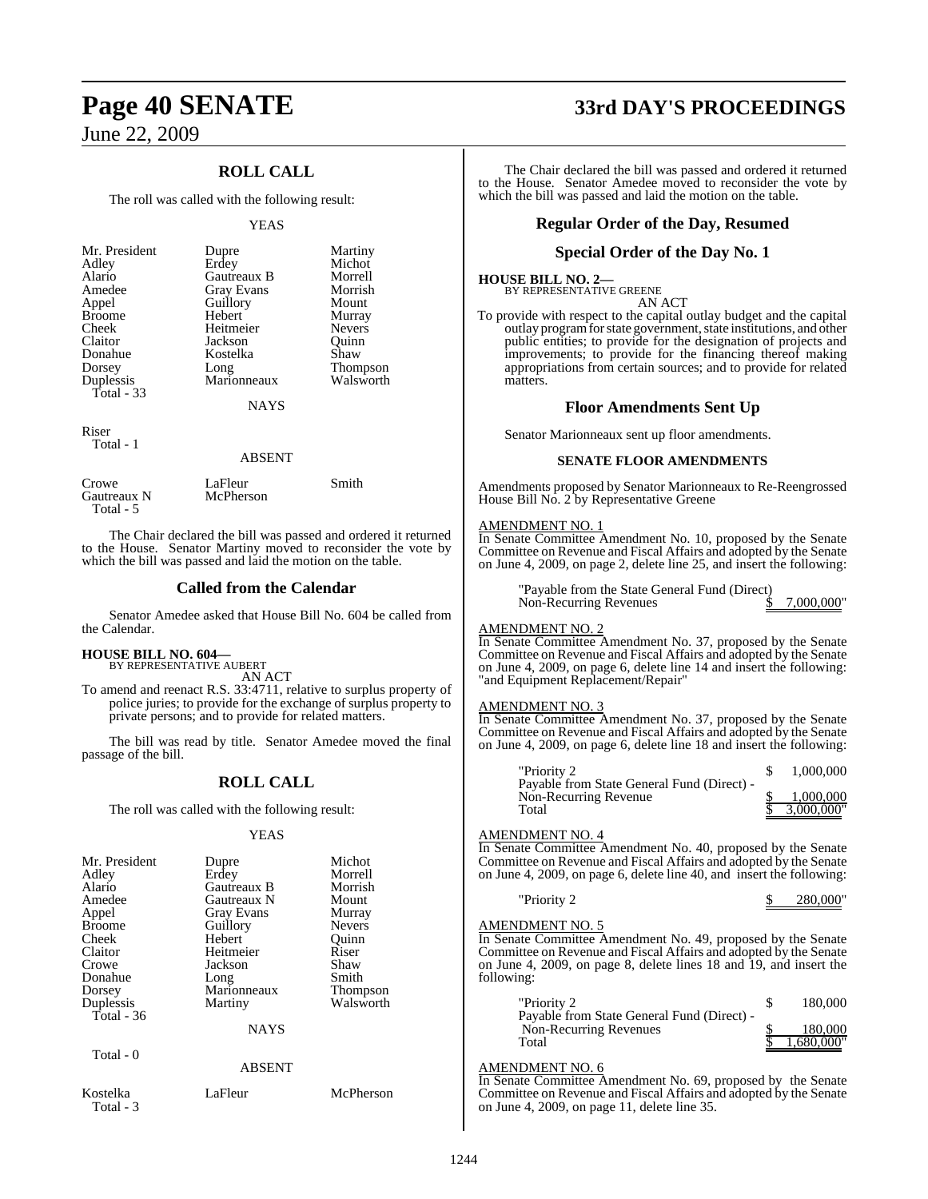### **ROLL CALL**

The roll was called with the following result:

### YEAS

| Mr. President<br>Adley<br>Alario<br>Amedee<br>Appel<br><b>Broome</b><br>Cheek<br>Claitor<br>Donahue<br>Dorsey<br>Duplessis<br>Total $-33$ | Dupre<br>Erdey<br>Gautreaux B<br><b>Gray Evans</b><br>Guillory<br>Hebert<br>Heitmeier<br>Jackson<br>Kostelka<br>Long<br>Marionneaux<br>NAYS | Martiny<br>Michot<br>Morrell<br>Morrish<br>Mount<br>Murray<br><b>Nevers</b><br>Ouinn<br>Shaw<br><b>Thompson</b><br>Walsworth |
|-------------------------------------------------------------------------------------------------------------------------------------------|---------------------------------------------------------------------------------------------------------------------------------------------|------------------------------------------------------------------------------------------------------------------------------|
| Riser                                                                                                                                     |                                                                                                                                             |                                                                                                                              |

Total - 1

### ABSENT

| Crowe<br>Gautreaux N | LaFleur<br>McPherson | Smith |
|----------------------|----------------------|-------|
| Total - 5            |                      |       |

The Chair declared the bill was passed and ordered it returned to the House. Senator Martiny moved to reconsider the vote by which the bill was passed and laid the motion on the table.

### **Called from the Calendar**

Senator Amedee asked that House Bill No. 604 be called from the Calendar.

### **HOUSE BILL NO. 604—**

BY REPRESENTATIVE AUBERT AN ACT

To amend and reenact R.S. 33:4711, relative to surplus property of police juries; to provide for the exchange of surplus property to private persons; and to provide for related matters.

The bill was read by title. Senator Amedee moved the final passage of the bill.

### **ROLL CALL**

The roll was called with the following result:

### YEAS

| Mr. President         | Dupre             | Michot          |
|-----------------------|-------------------|-----------------|
| Adley                 | Erdey             | Morrell         |
| Alario                | Gautreaux B       | Morrish         |
| Amedee                | Gautreaux N       | Mount           |
|                       |                   |                 |
| Appel                 | <b>Gray Evans</b> | Murray          |
| <b>Broome</b>         | Guillory          | <b>Nevers</b>   |
| Cheek                 | Hebert            | Ouinn           |
| Claitor               | Heitmeier         | Riser           |
| Crowe                 | Jackson           | Shaw            |
| Donahue               | Long              | Smith           |
| Dorsey                | Marionneaux       | <b>Thompson</b> |
| Duplessis             | Martiny           | Walsworth       |
| Total $-36$           |                   |                 |
|                       | <b>NAYS</b>       |                 |
| Total - 0             |                   |                 |
|                       | <b>ABSENT</b>     |                 |
| Kostelka<br>Total - 3 | LaFleur           | McPherson       |

# **Page 40 SENATE 33rd DAY'S PROCEEDINGS**

The Chair declared the bill was passed and ordered it returned to the House. Senator Amedee moved to reconsider the vote by which the bill was passed and laid the motion on the table.

### **Regular Order of the Day, Resumed**

### **Special Order of the Day No. 1**

**HOUSE BILL NO. 2—** BY REPRESENTATIVE GREENE

AN ACT

To provide with respect to the capital outlay budget and the capital outlay program for state government, state institutions, and other public entities; to provide for the designation of projects and improvements; to provide for the financing thereof making appropriations from certain sources; and to provide for related matters.

### **Floor Amendments Sent Up**

Senator Marionneaux sent up floor amendments.

### **SENATE FLOOR AMENDMENTS**

Amendments proposed by Senator Marionneaux to Re-Reengrossed House Bill No. 2 by Representative Greene

### AMENDMENT NO. 1

In Senate Committee Amendment No. 10, proposed by the Senate Committee on Revenue and Fiscal Affairs and adopted by the Senate on June 4, 2009, on page 2, delete line 25, and insert the following:

> "Payable from the State General Fund (Direct) Non-Recurring Revenues  $\frac{\text{S}}{2,000,000}$ "

### AMENDMENT NO. 2

In Senate Committee Amendment No. 37, proposed by the Senate Committee on Revenue and Fiscal Affairs and adopted by the Senate on June 4, 2009, on page 6, delete line 14 and insert the following: "and Equipment Replacement/Repair"

### AMENDMENT NO. 3

In Senate Committee Amendment No. 37, proposed by the Senate Committee on Revenue and Fiscal Affairs and adopted by the Senate on June 4, 2009, on page 6, delete line 18 and insert the following:

| "Priority 2                                | 1,000,000  |
|--------------------------------------------|------------|
| Payable from State General Fund (Direct) - |            |
| Non-Recurring Revenue                      | 1,000,000  |
| Total                                      | 3,000,000" |

### AMENDMENT NO. 4

In Senate Committee Amendment No. 40, proposed by the Senate Committee on Revenue and Fiscal Affairs and adopted by the Senate on June 4, 2009, on page 6, delete line 40, and insert the following:

# "Priority 2 \$ 280,000"

AMENDMENT NO. 5 In Senate Committee Amendment No. 49, proposed by the Senate Committee on Revenue and Fiscal Affairs and adopted by the Senate on June 4, 2009, on page 8, delete lines 18 and 19, and insert the following:

| "Priority 2                                | 180,000    |
|--------------------------------------------|------------|
| Payable from State General Fund (Direct) - |            |
| Non-Recurring Revenues                     | 180,000    |
| Total                                      | 1.680.000" |

### AMENDMENT NO. 6

In Senate Committee Amendment No. 69, proposed by the Senate Committee on Revenue and Fiscal Affairs and adopted by the Senate on June 4, 2009, on page 11, delete line 35.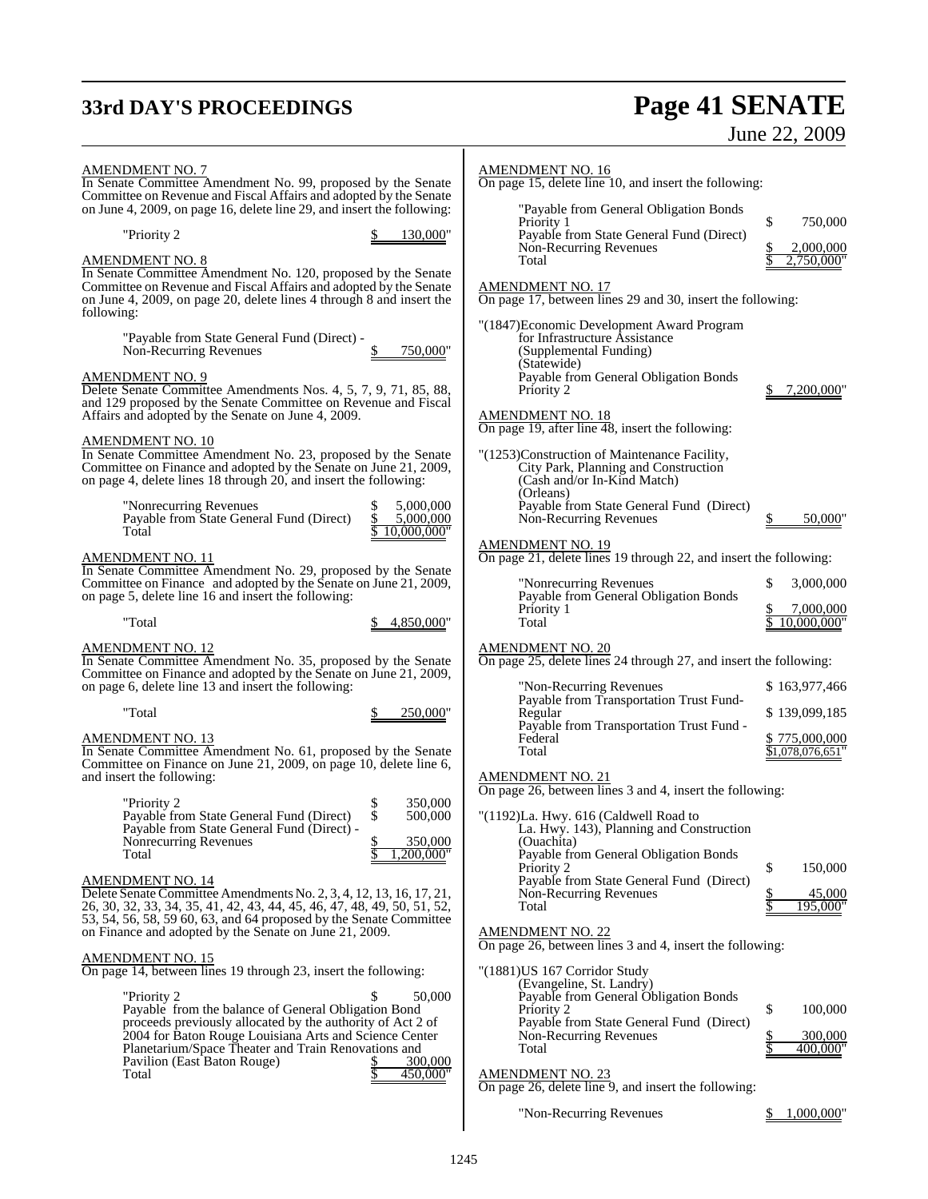# **33rd DAY'S PROCEEDINGS Page 41 SENATE**

### June 22, 2009

| <b>AMENDMENT NO. 7</b><br>In Senate Committee Amendment No. 99, proposed by the Senate<br>Committee on Revenue and Fiscal Affairs and adopted by the Senate<br>on June 4, 2009, on page 16, delete line 29, and insert the following:<br>"Priority 2<br>130,000"<br><b>AMENDMENT NO. 8</b><br>In Senate Committee Amendment No. 120, proposed by the Senate<br>Committee on Revenue and Fiscal Affairs and adopted by the Senate<br>on June 4, 2009, on page 20, delete lines 4 through 8 and insert the<br>following:                      | <b>AMENDMENT NO. 16</b><br>On page 15, delete line 10, and insert the following:<br>"Payable from General Obligation Bonds<br>\$<br>750,000<br>Priority 1<br>Payable from State General Fund (Direct)<br>Non-Recurring Revenues<br>2,000,000<br>$2,750,000$ "<br>Total<br><b>AMENDMENT NO. 17</b><br>On page 17, between lines 29 and 30, insert the following:<br>"(1847) Economic Development Award Program |
|---------------------------------------------------------------------------------------------------------------------------------------------------------------------------------------------------------------------------------------------------------------------------------------------------------------------------------------------------------------------------------------------------------------------------------------------------------------------------------------------------------------------------------------------|---------------------------------------------------------------------------------------------------------------------------------------------------------------------------------------------------------------------------------------------------------------------------------------------------------------------------------------------------------------------------------------------------------------|
| "Payable from State General Fund (Direct) -<br>750,000"<br>Non-Recurring Revenues<br><b>AMENDMENT NO. 9</b><br>Delete Senate Committee Amendments Nos. 4, 5, 7, 9, 71, 85, 88,<br>and 129 proposed by the Senate Committee on Revenue and Fiscal<br>Affairs and adopted by the Senate on June 4, 2009.<br><b>AMENDMENT NO. 10</b>                                                                                                                                                                                                           | for Infrastructure Assistance<br>(Supplemental Funding)<br>(Statewide)<br>Payable from General Obligation Bonds<br>Priority 2<br>7,200,000<br><b>AMENDMENT NO. 18</b><br>On page 19, after line 48, insert the following:                                                                                                                                                                                     |
| In Senate Committee Amendment No. 23, proposed by the Senate<br>Committee on Finance and adopted by the Senate on June 21, 2009,<br>on page 4, delete lines 18 through 20, and insert the following:<br>"Nonrecurring Revenues"<br>5,000,000<br>Payable from State General Fund (Direct)<br>5,000,000<br>10.000.000"<br>Total<br><b>AMENDMENT NO. 11</b><br>In Senate Committee Amendment No. 29, proposed by the Senate                                                                                                                    | "(1253)Construction of Maintenance Facility,<br>City Park, Planning and Construction<br>(Cash and/or In-Kind Match)<br>(Orleans)<br>Payable from State General Fund (Direct)<br>Non-Recurring Revenues<br>50,000<br><b>AMENDMENT NO. 19</b><br>On page 21, delete lines 19 through 22, and insert the following:                                                                                              |
| Committee on Finance and adopted by the Senate on June 21, 2009,<br>on page 5, delete line 16 and insert the following:<br>"Total<br>4,850,000"<br><b>AMENDMENT NO. 12</b><br>In Senate Committee Amendment No. 35, proposed by the Senate                                                                                                                                                                                                                                                                                                  | "Nonrecurring Revenues<br>\$<br>3,000,000<br>Payable from General Obligation Bonds<br>7,000,000<br>Priority 1<br>Total<br>10.000.000"<br><b>AMENDMENT NO. 20</b><br>On page 25, delete lines 24 through 27, and insert the following:                                                                                                                                                                         |
| Committee on Finance and adopted by the Senate on June 21, 2009,<br>on page 6, delete line 13 and insert the following:<br>"Total<br>250,000"<br><b>AMENDMENT NO. 13</b><br>In Senate Committee Amendment No. 61, proposed by the Senate<br>Committee on Finance on June 21, 2009, on page 10, delete line 6,                                                                                                                                                                                                                               | "Non-Recurring Revenues"<br>\$163,977,466<br>Payable from Transportation Trust Fund-<br>Regular<br>\$139,099,185<br>Payable from Transportation Trust Fund -<br>Federal<br>\$775,000,000<br>Total<br>\$1,078,076,651"                                                                                                                                                                                         |
| and insert the following:<br>350,000<br>"Priority 2<br>\$<br>\$<br>Payable from State General Fund (Direct)<br>500,000<br>Payable from State General Fund (Direct) -<br>350,000<br>Nonrecurring Revenues<br>Total<br>,200,000"<br><b>AMENDMENT NO. 14</b><br>Delete Senate Committee Amendments No. 2, 3, 4, 12, 13, 16, 17, 21,<br>26, 30, 32, 33, 34, 35, 41, 42, 43, 44, 45, 46, 47, 48, 49, 50, 51, 52,<br>53, 54, 56, 58, 59 60, 63, and 64 proposed by the Senate Committee<br>on Finance and adopted by the Senate on June 21, 2009. | <b>AMENDMENT NO. 21</b><br>On page 26, between lines 3 and 4, insert the following:<br>"(1192)La. Hwy. 616 (Caldwell Road to<br>La. Hwy. 143), Planning and Construction<br>(Ouachita)<br>Payable from General Obligation Bonds<br>\$<br>Priority 2<br>150,000<br>Payable from State General Fund (Direct)<br>Non-Recurring Revenues<br>45,000<br>\$<br>195,000"<br>Total<br><b>AMENDMENT NO. 22</b>          |
| <b>AMENDMENT NO. 15</b><br>On page 14, between lines 19 through 23, insert the following:<br>50,000<br>"Priority 2<br>Payable from the balance of General Obligation Bond<br>proceeds previously allocated by the authority of Act 2 of<br>2004 for Baton Rouge Louisiana Arts and Science Center<br>Planetarium/Space Theater and Train Renovations and<br>Pavilion (East Baton Rouge)<br>300,000<br>450,000"<br>Total                                                                                                                     | On page 26, between lines 3 and 4, insert the following:<br>"(1881) US 167 Corridor Study<br>(Evangeline, St. Landry)<br>Payable from General Obligation Bonds<br>\$<br>100,000<br>Priority 2<br>Payable from State General Fund (Direct)<br>300,000<br>Non-Recurring Revenues<br>Total<br>400,000"<br><b>AMENDMENT NO. 23</b><br>On page 26, delete line 9, and insert the following:                        |

"Non-Recurring Revenues \$ 1,000,000"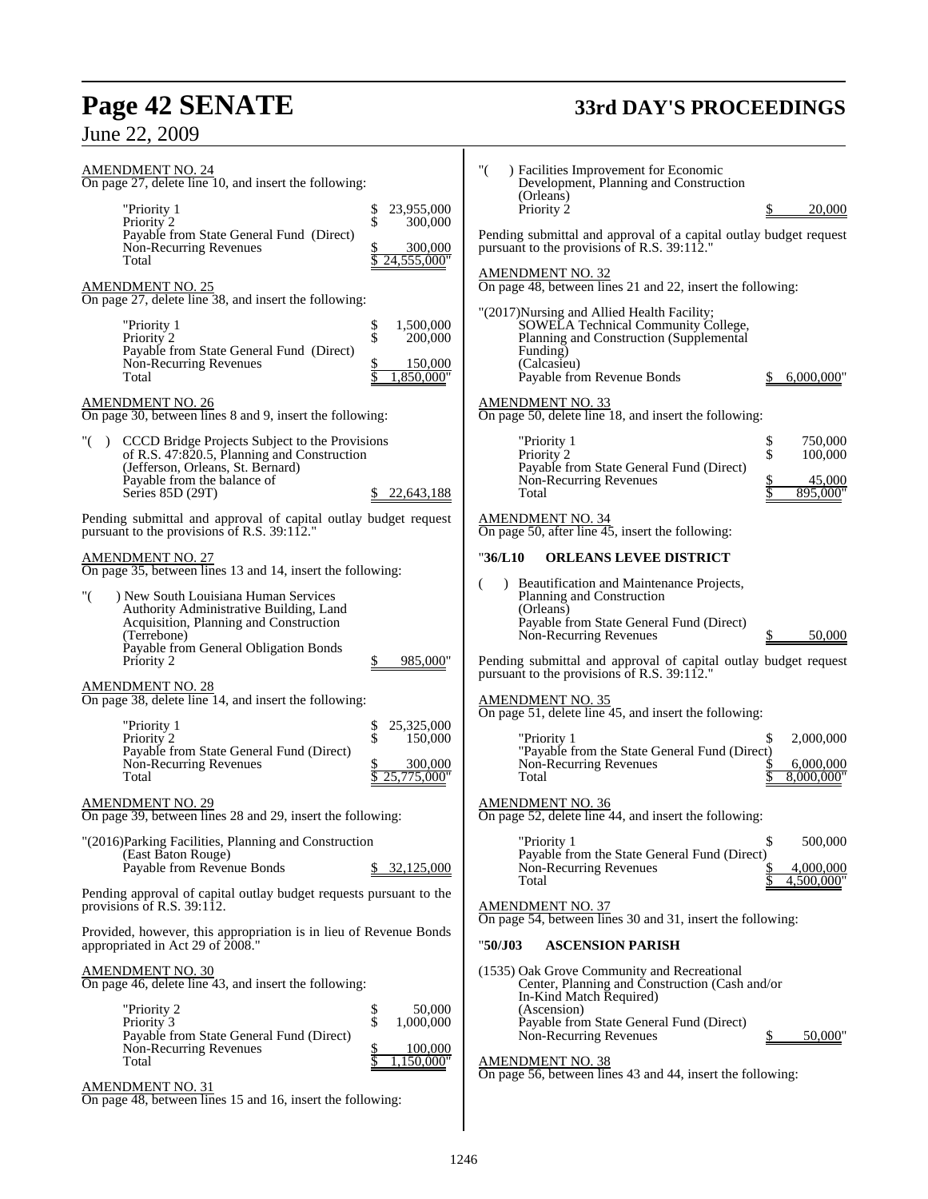# **Page 42 SENATE 33rd DAY'S PROCEEDINGS**

# June 22, 2009

| AMENDMENT NO. 24<br>On page 27, delete line 10, and insert the following:                                                                                                                                         | "(<br>) Facilities Improvement for Economic<br>Development, Planning and Construction<br>(Orleans)                                                                                                                                                                                   |
|-------------------------------------------------------------------------------------------------------------------------------------------------------------------------------------------------------------------|--------------------------------------------------------------------------------------------------------------------------------------------------------------------------------------------------------------------------------------------------------------------------------------|
| "Priority 1<br>23,955,000<br>Տ<br>Տ<br>Priority 2<br>300,000                                                                                                                                                      | Priority 2<br>20,000                                                                                                                                                                                                                                                                 |
| Payable from State General Fund (Direct)<br>Non-Recurring Revenues<br>300,000<br>24,555,000"<br>Total                                                                                                             | Pending submittal and approval of a capital outlay budget request<br>pursuant to the provisions of R.S. 39:112."                                                                                                                                                                     |
| <b>AMENDMENT NO. 25</b><br>On page 27, delete line 38, and insert the following:                                                                                                                                  | <b>AMENDMENT NO. 32</b><br>On page 48, between lines 21 and 22, insert the following:                                                                                                                                                                                                |
| \$<br>\$<br>1,500,000<br>"Priority 1<br>Priority 2<br>200,000<br>Payable from State General Fund (Direct)<br>Non-Recurring Revenues<br>150,000                                                                    | "(2017) Nursing and Allied Health Facility;<br>SOWELA Technical Community College,<br>Planning and Construction (Supplemental<br>Funding)<br>(Calcasieu)                                                                                                                             |
| ,850,000"<br>Total                                                                                                                                                                                                | Payable from Revenue Bonds<br>6,000,000"                                                                                                                                                                                                                                             |
| <b>AMENDMENT NO. 26</b><br>On page 30, between lines 8 and 9, insert the following:                                                                                                                               | <b>AMENDMENT NO. 33</b><br>On page 50, delete line 18, and insert the following:                                                                                                                                                                                                     |
| "() CCCD Bridge Projects Subject to the Provisions<br>of R.S. 47:820.5, Planning and Construction<br>(Jefferson, Orleans, St. Bernard)<br>Payable from the balance of<br>Series 85D (29T)<br>22,643,188<br>\$.    | \$<br>"Priority 1<br>750,000<br>\$<br>Priority 2<br>100,000<br>Payable from State General Fund (Direct)<br>Non-Recurring Revenues<br>45,000<br>895,000"<br>Total                                                                                                                     |
| Pending submittal and approval of capital outlay budget request<br>pursuant to the provisions of R.S. 39:112."                                                                                                    | <b>AMENDMENT NO. 34</b><br>On page 50, after line $\overline{45}$ , insert the following:                                                                                                                                                                                            |
| <b>AMENDMENT NO. 27</b><br>On page 35, between lines 13 and 14, insert the following:                                                                                                                             | "36/L10<br><b>ORLEANS LEVEE DISTRICT</b>                                                                                                                                                                                                                                             |
| "(<br>) New South Louisiana Human Services<br>Authority Administrative Building, Land<br>Acquisition, Planning and Construction<br>(Terrebone)<br>Payable from General Obligation Bonds<br>Priority 2<br>985,000" | Beautification and Maintenance Projects,<br>Planning and Construction<br>(Orleans)<br>Payable from State General Fund (Direct)<br>Non-Recurring Revenues<br>50,000<br>Pending submittal and approval of capital outlay budget request<br>pursuant to the provisions of R.S. 39:112." |
| <b>AMENDMENT NO. 28</b><br>On page 38, delete line 14, and insert the following:                                                                                                                                  | <b>AMENDMENT NO. 35</b><br>On page 51, delete line 45, and insert the following:                                                                                                                                                                                                     |
| 25,325,000<br>"Priority 1<br>\$<br>\$<br>Priority 2<br>150,000<br>Payable from State General Fund (Direct)<br>Non-Recurring Revenues<br>300,000<br>25,775,000"<br>Total                                           | "Priority 1<br>2,000,000<br>S<br>"Payable from the State General Fund (Direct)<br>Non-Recurring Revenues<br>6,000,000<br>8,000,000"<br>Total                                                                                                                                         |
| <b>AMENDMENT NO. 29</b><br>On page 39, between lines 28 and 29, insert the following:                                                                                                                             | <b>AMENDMENT NO. 36</b><br>On page 52, delete line 44, and insert the following:                                                                                                                                                                                                     |
| "(2016)Parking Facilities, Planning and Construction<br>(East Baton Rouge)<br>Payable from Revenue Bonds<br>32,125,000                                                                                            | \$<br>"Priority 1<br>500,000<br>Payable from the State General Fund (Direct)<br>Non-Recurring Revenues<br>4,000,000<br>4,500,000"<br>Total                                                                                                                                           |
| Pending approval of capital outlay budget requests pursuant to the<br>provisions of R.S. 39:112.                                                                                                                  | <b>AMENDMENT NO. 37</b><br>On page 54, between lines 30 and 31, insert the following:                                                                                                                                                                                                |
| Provided, however, this appropriation is in lieu of Revenue Bonds<br>appropriated in Act 29 of 2008."                                                                                                             | "50/J03<br><b>ASCENSION PARISH</b>                                                                                                                                                                                                                                                   |
| <b>AMENDMENT NO. 30</b><br>On page 46, delete line 43, and insert the following:<br>"Priority 2<br>50,000<br>\$<br>\$<br>1,000,000<br>Priority 3<br>Payable from State General Fund (Direct)                      | (1535) Oak Grove Community and Recreational<br>Center, Planning and Construction (Cash and/or<br>In-Kind Match Required)<br>(Ascension)<br>Payable from State General Fund (Direct)<br>Non-Recurring Revenues<br>50,000"                                                             |
| Non-Recurring Revenues<br>\$<br>100,000<br>s<br>Total<br>,150,000"                                                                                                                                                | <b>AMENDMENT NO. 38</b><br>On page 56, between lines 43 and 44, insert the following:                                                                                                                                                                                                |
| <b>AMENDMENT NO. 31</b><br>On page 48, between lines 15 and 16, insert the following:                                                                                                                             |                                                                                                                                                                                                                                                                                      |

 $\overline{\phantom{a}}$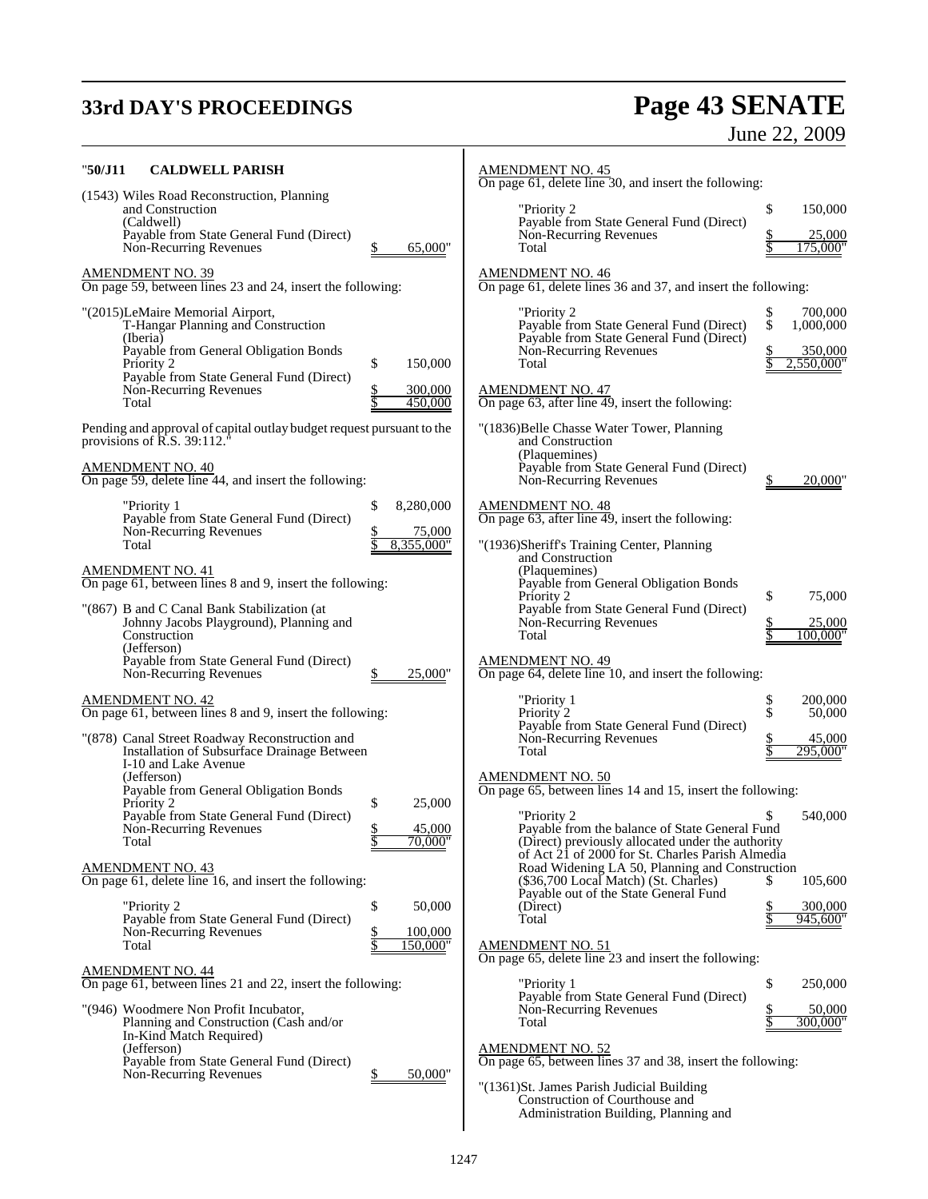# **33rd DAY'S PROCEEDINGS Page 43 SENATE**

# June 22, 2009

| "50/J11<br><b>CALDWELL PARISH</b>                                                                                                                                                                                                                                     | <b>AMENDMENT NO. 45</b><br>On page 61, delete line 30, and insert the following:                                                                                                                                                                                                                                                   |
|-----------------------------------------------------------------------------------------------------------------------------------------------------------------------------------------------------------------------------------------------------------------------|------------------------------------------------------------------------------------------------------------------------------------------------------------------------------------------------------------------------------------------------------------------------------------------------------------------------------------|
| (1543) Wiles Road Reconstruction, Planning<br>and Construction<br>(Caldwell)<br>Payable from State General Fund (Direct)<br>65,000"<br>Non-Recurring Revenues                                                                                                         | \$<br>"Priority 2<br>150,000<br>Payable from State General Fund (Direct)<br>Non-Recurring Revenues<br>25,000<br>175,000"<br>Total                                                                                                                                                                                                  |
| <b>AMENDMENT NO. 39</b><br>On page 59, between lines 23 and 24, insert the following:                                                                                                                                                                                 | <b>AMENDMENT NO. 46</b><br>On page 61, delete lines 36 and 37, and insert the following:                                                                                                                                                                                                                                           |
| "(2015)LeMaire Memorial Airport,<br>T-Hangar Planning and Construction<br>(Iberia)<br>Payable from General Obligation Bonds<br>\$<br>150,000<br>Priority 2<br>Payable from State General Fund (Direct)<br>Non-Recurring Revenues<br>300,000<br>Total<br>450,000       | "Priority 2<br>\$<br>700,000<br>\$<br>Payable from State General Fund (Direct)<br>1,000,000<br>Payable from State General Fund (Direct)<br>Non-Recurring Revenues<br>350,000<br>2,550,000"<br>Total<br><b>AMENDMENT NO. 47</b><br>On page $63$ , after line $\overline{49}$ , insert the following:                                |
| Pending and approval of capital outlay budget request pursuant to the<br>provisions of $\overline{R}$ .S. 39:112. <sup><math>\overline{ }</math></sup><br><b>AMENDMENT NO. 40</b><br>On page 59, delete line 44, and insert the following:                            | "(1836)Belle Chasse Water Tower, Planning<br>and Construction<br>(Plaquemines)<br>Payable from State General Fund (Direct)<br>Non-Recurring Revenues<br>20,000                                                                                                                                                                     |
| \$<br>8,280,000<br>"Priority 1<br>Payable from State General Fund (Direct)<br>Non-Recurring Revenues<br>75,000<br>8,355,000"<br>Total                                                                                                                                 | <b>AMENDMENT NO. 48</b><br>On page $63$ , after line $49$ , insert the following:<br>"(1936)Sheriff's Training Center, Planning<br>and Construction                                                                                                                                                                                |
| <b>AMENDMENT NO. 41</b><br>On page 61, between lines 8 and 9, insert the following:<br>"(867) B and C Canal Bank Stabilization (at<br>Johnny Jacobs Playground), Planning and<br>Construction<br>(Jefferson)                                                          | (Plaquemines)<br>Payable from General Obligation Bonds<br>\$<br>Priority 2<br>75,000<br>Payable from State General Fund (Direct)<br>Non-Recurring Revenues<br>25,000<br>100,000'<br>Total                                                                                                                                          |
| Payable from State General Fund (Direct)<br>Non-Recurring Revenues<br>25,000"<br><b>AMENDMENT NO. 42</b><br>On page 61, between lines 8 and 9, insert the following:<br>"(878) Canal Street Roadway Reconstruction and<br>Installation of Subsurface Drainage Between | <b>AMENDMENT NO. 49</b><br>On page 64, delete line 10, and insert the following:<br>\$<br>"Priority 1<br>200,000<br>\$<br>Priority 2<br>50,000<br>Payable from State General Fund (Direct)<br>Non-Recurring Revenues<br>45,000<br>295,000"<br>Total                                                                                |
| I-10 and Lake Avenue<br>(Jefferson)<br>Payable from General Obligation Bonds<br>Priority 2<br>\$<br>25,000<br>Payable from State General Fund (Direct)<br>45,000<br>Non-Recurring Revenues<br>70,000"<br>Total<br><b>AMENDMENT NO. 43</b>                             | <b>AMENDMENT NO. 50</b><br>On page 65, between lines 14 and 15, insert the following:<br>"Priority 2<br>\$<br>540,000<br>Payable from the balance of State General Fund<br>(Direct) previously allocated under the authority<br>of Act 21 of 2000 for St. Charles Parish Almedia<br>Road Widening LA 50, Planning and Construction |
| On page 61, delete line 16, and insert the following:<br>\$<br>"Priority 2<br>50,000<br>Payable from State General Fund (Direct)<br>Non-Recurring Revenues<br>100,000<br>Total<br>150.000"                                                                            | (\$36,700 Local Match) (St. Charles)<br>105,600<br>S.<br>Payable out of the State General Fund<br>(Direct)<br>300,000<br>Total<br>945,600"<br><b>AMENDMENT NO. 51</b><br>On page 65, delete line 23 and insert the following:                                                                                                      |
| <b>AMENDMENT NO. 44</b><br>On page 61, between lines 21 and 22, insert the following:                                                                                                                                                                                 | \$<br>250,000<br>"Priority 1                                                                                                                                                                                                                                                                                                       |
| "(946) Woodmere Non Profit Incubator,<br>Planning and Construction (Cash and/or<br>In-Kind Match Required)<br>(Jefferson)<br>Payable from State General Fund (Direct)<br>50,000"<br>Non-Recurring Revenues                                                            | Payable from State General Fund (Direct)<br>Non-Recurring Revenues<br>50,000<br>300,000"<br>Total<br><b>AMENDMENT NO. 52</b><br>On page 65, between lines 37 and 38, insert the following:<br>"(1361)St. James Parish Judicial Building<br>Construction of Courthouse and<br>Administration Building, Planning and                 |

 $\overline{\phantom{a}}$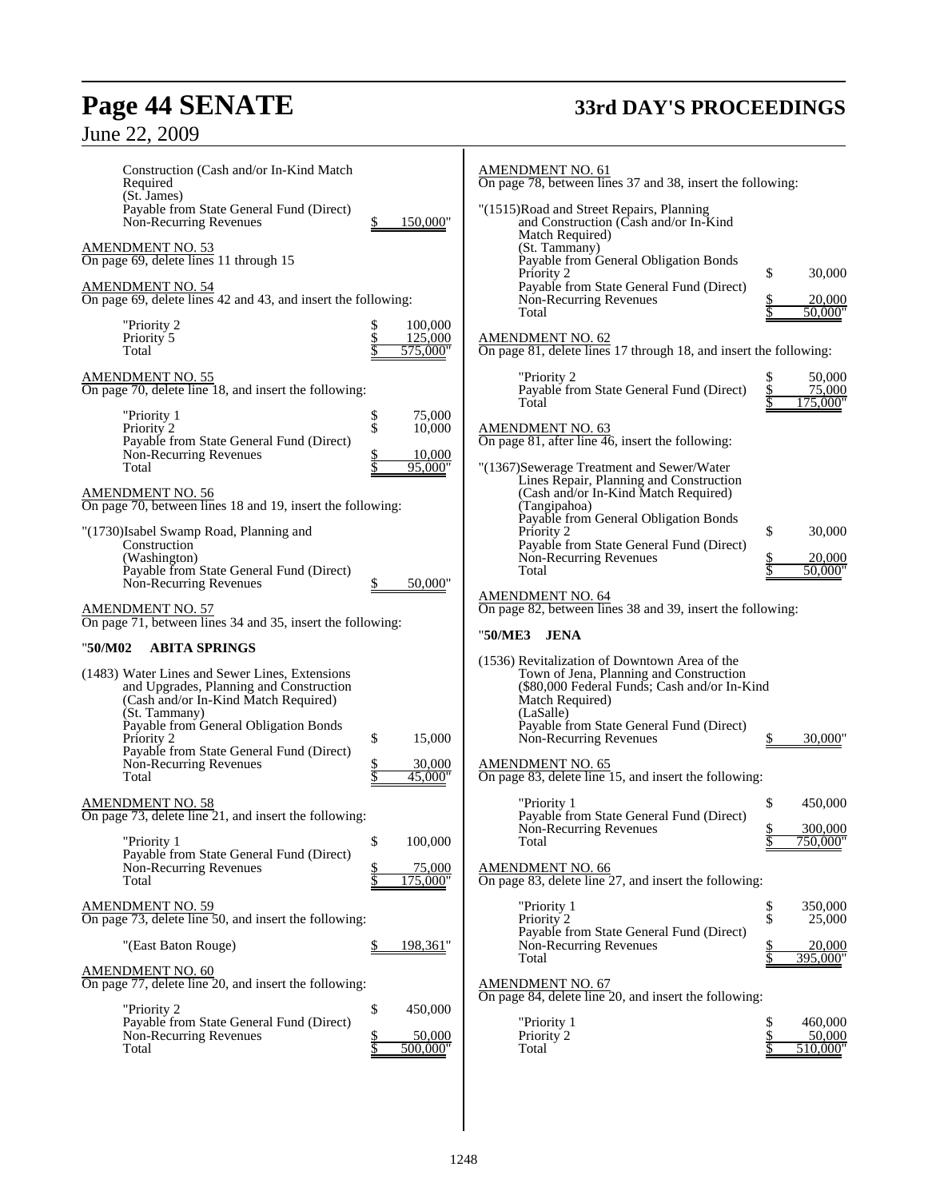# **Page 44 SENATE 33rd DAY'S PROCEEDINGS**

| Construction (Cash and/or In-Kind Match<br>Required                                                                                                                                                                                                                                                                |                                                       | <b>AMENDMENT NO. 61</b><br>On page 78, between lines 37 and 38, insert the following:                                                                                                                                                                                     |                                            |
|--------------------------------------------------------------------------------------------------------------------------------------------------------------------------------------------------------------------------------------------------------------------------------------------------------------------|-------------------------------------------------------|---------------------------------------------------------------------------------------------------------------------------------------------------------------------------------------------------------------------------------------------------------------------------|--------------------------------------------|
| (St. James)<br>Payable from State General Fund (Direct)<br>Non-Recurring Revenues                                                                                                                                                                                                                                  | \$<br>150,000"                                        | "(1515)Road and Street Repairs, Planning<br>and Construction (Cash and/or In-Kind<br>Match Required)                                                                                                                                                                      |                                            |
| <b>AMENDMENT NO. 53</b><br>On page 69, delete lines 11 through 15                                                                                                                                                                                                                                                  |                                                       | (St. Tammany)<br>Payable from General Obligation Bonds<br>Priority 2                                                                                                                                                                                                      | \$<br>30,000                               |
| <b>AMENDMENT NO. 54</b><br>On page 69, delete lines 42 and 43, and insert the following:                                                                                                                                                                                                                           |                                                       | Payable from State General Fund (Direct)<br>Non-Recurring Revenues<br>Total                                                                                                                                                                                               | 20,000<br>50.000"                          |
| "Priority 2<br>Priority 5<br>Total                                                                                                                                                                                                                                                                                 | 100,000<br>\$<br>$\frac{1}{3}$<br>125,000<br>575,000" | <b>AMENDMENT NO. 62</b><br>On page 81, delete lines 17 through 18, and insert the following:                                                                                                                                                                              |                                            |
| <b>AMENDMENT NO. 55</b><br>On page 70, delete line 18, and insert the following:                                                                                                                                                                                                                                   |                                                       | "Priority 2<br>Payable from State General Fund (Direct)                                                                                                                                                                                                                   | 50,000<br>S<br>75,000<br>\$                |
| "Priority 1<br>Priority 2<br>Payable from State General Fund (Direct)                                                                                                                                                                                                                                              | \$<br>75,000<br>\$<br>10,000                          | Total<br><b>AMENDMENT NO. 63</b><br>On page 81, after line $\overline{46}$ , insert the following:                                                                                                                                                                        | 175,000"                                   |
| Non-Recurring Revenues<br>Total                                                                                                                                                                                                                                                                                    | 10,000<br>95,000"                                     | "(1367)Sewerage Treatment and Sewer/Water<br>Lines Repair, Planning and Construction                                                                                                                                                                                      |                                            |
| <b>AMENDMENT NO. 56</b><br>On page 70, between lines 18 and 19, insert the following:<br>"(1730)Isabel Swamp Road, Planning and                                                                                                                                                                                    |                                                       | (Cash and/or In-Kind Match Required)<br>(Tangipahoa)<br>Payable from General Obligation Bonds<br>Priority 2                                                                                                                                                               | \$<br>30,000                               |
| Construction<br>(Washington)<br>Payable from State General Fund (Direct)                                                                                                                                                                                                                                           |                                                       | Payable from State General Fund (Direct)<br>Non-Recurring Revenues<br>Total                                                                                                                                                                                               | $\frac{20,000}{50,000}$                    |
| Non-Recurring Revenues<br><b>AMENDMENT NO. 57</b><br>On page 71, between lines 34 and 35, insert the following:                                                                                                                                                                                                    | 50,000"                                               | <b>AMENDMENT NO. 64</b><br>On page 82, between lines 38 and 39, insert the following:                                                                                                                                                                                     |                                            |
|                                                                                                                                                                                                                                                                                                                    |                                                       | "50/ME3<br><b>JENA</b>                                                                                                                                                                                                                                                    |                                            |
| <b>ABITA SPRINGS</b><br>"50/M02<br>(1483) Water Lines and Sewer Lines, Extensions<br>and Upgrades, Planning and Construction<br>(Cash and/or In-Kind Match Required)<br>(St. Tammany)<br>Payable from General Obligation Bonds<br>Priority 2<br>Payable from State General Fund (Direct)<br>Non-Recurring Revenues | \$<br>15,000<br>30,000                                | (1536) Revitalization of Downtown Area of the<br>Town of Jena, Planning and Construction<br>(\$80,000 Federal Funds; Cash and/or In-Kind<br>Match Required)<br>(LaSalle)<br>Payable from State General Fund (Direct)<br>Non-Recurring Revenues<br><b>AMENDMENT NO. 65</b> | 30,000                                     |
| Total                                                                                                                                                                                                                                                                                                              | <u>\$</u><br>Տ<br>45,000"                             | On page 83, delete line 15, and insert the following:                                                                                                                                                                                                                     |                                            |
| AMENDMENT NO. 58<br>On page $73$ , delete line $21$ , and insert the following:<br>"Priority 1                                                                                                                                                                                                                     | \$<br>100,000                                         | "Priority 1<br>Payable from State General Fund (Direct)<br>Non-Recurring Revenues<br>Total                                                                                                                                                                                | \$<br>450,000<br>300,000<br>750,000"<br>\$ |
| Payable from State General Fund (Direct)<br>Non-Recurring Revenues<br>Total                                                                                                                                                                                                                                        | 75,000<br>\$<br>\$<br>175,000"                        | <b>AMENDMENT NO. 66</b><br>On page 83, delete line 27, and insert the following:                                                                                                                                                                                          |                                            |
| <b>AMENDMENT NO. 59</b><br>On page 73, delete line 50, and insert the following:                                                                                                                                                                                                                                   |                                                       | "Priority 1<br>Priority 2<br>Payable from State General Fund (Direct)                                                                                                                                                                                                     | \$<br>350,000<br>\$<br>25,000              |
| "(East Baton Rouge)                                                                                                                                                                                                                                                                                                | 198,361"                                              | Non-Recurring Revenues<br>Total                                                                                                                                                                                                                                           | 20,000<br>395,000"                         |
| <b>AMENDMENT NO. 60</b><br>On page 77, delete line 20, and insert the following:                                                                                                                                                                                                                                   |                                                       | <b>AMENDMENT NO. 67</b><br>On page 84, delete line 20, and insert the following:                                                                                                                                                                                          |                                            |
| "Priority 2<br>Payable from State General Fund (Direct)<br>Non-Recurring Revenues<br>Total                                                                                                                                                                                                                         | \$<br>450,000<br>50,000<br>\$<br>\$<br>500,000"       | "Priority 1<br>Priority 2<br>Total                                                                                                                                                                                                                                        | \$<br>460,000<br>50,000<br>510,000         |
|                                                                                                                                                                                                                                                                                                                    |                                                       |                                                                                                                                                                                                                                                                           |                                            |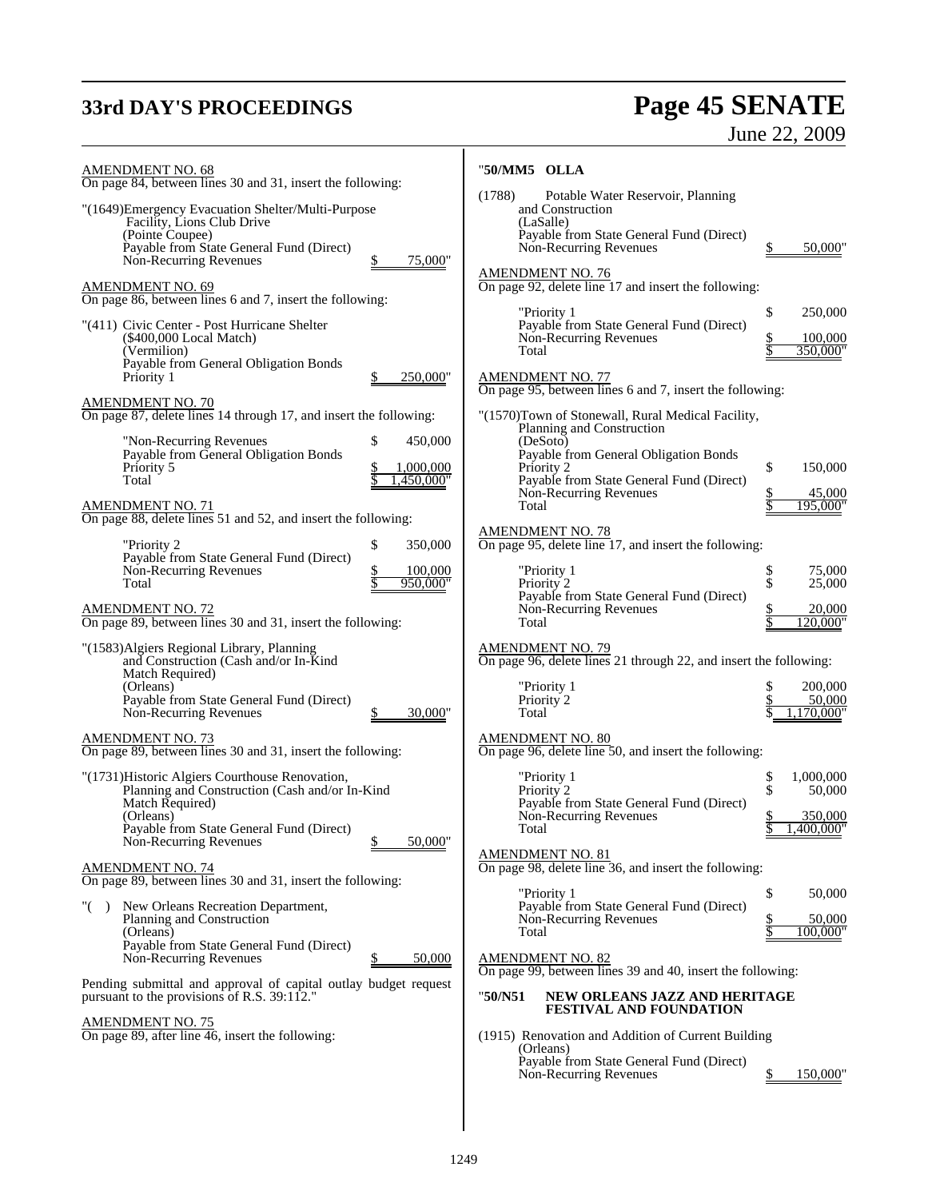# **33rd DAY'S PROCEEDINGS Page 45 SENATE**

# June 22, 2009

| <b>AMENDMENT NO. 68</b><br>On page 84, between lines 30 and 31, insert the following:                                                                                                                                                                                                                                                               | "50/MM5 OLLA                                                                                      |                                                                                                                                                                                                                                                           |                                                                |
|-----------------------------------------------------------------------------------------------------------------------------------------------------------------------------------------------------------------------------------------------------------------------------------------------------------------------------------------------------|---------------------------------------------------------------------------------------------------|-----------------------------------------------------------------------------------------------------------------------------------------------------------------------------------------------------------------------------------------------------------|----------------------------------------------------------------|
| "(1649) Emergency Evacuation Shelter/Multi-Purpose<br>Facility, Lions Club Drive<br>(Pointe Coupee)<br>Payable from State General Fund (Direct)<br>Non-Recurring Revenues                                                                                                                                                                           | (1788)<br>and Construction<br>(LaSalle)<br>75,000"<br><b>AMENDMENT NO. 76</b>                     | Potable Water Reservoir, Planning<br>Payable from State General Fund (Direct)<br>Non-Recurring Revenues                                                                                                                                                   | 50,000"                                                        |
| <b>AMENDMENT NO. 69</b><br>On page 86, between lines 6 and 7, insert the following:                                                                                                                                                                                                                                                                 | "Priority 1                                                                                       | On page 92, delete line 17 and insert the following:                                                                                                                                                                                                      | \$<br>250,000                                                  |
| "(411) Civic Center - Post Hurricane Shelter<br>(\$400,000 Local Match)<br>(Vermilion)<br>Payable from General Obligation Bonds<br>Priority 1                                                                                                                                                                                                       | Total<br>250,000"                                                                                 | Payable from State General Fund (Direct)<br>Non-Recurring Revenues                                                                                                                                                                                        | 100,000<br>350,000"                                            |
| <b>AMENDMENT NO. 70</b><br>On page 87, delete lines 14 through 17, and insert the following:                                                                                                                                                                                                                                                        |                                                                                                   | AMENDMENT NO. 77<br>On page 95, between lines 6 and 7, insert the following:<br>"(1570)Town of Stonewall, Rural Medical Facility,                                                                                                                         |                                                                |
| "Non-Recurring Revenues<br>\$<br>Payable from General Obligation Bonds<br>Priority 5<br>Total<br><b>AMENDMENT NO. 71</b><br>On page 88, delete lines 51 and 52, and insert the following:                                                                                                                                                           | 450,000<br>(DeSoto)<br>1,000,000<br>Priority 2<br>,450,000"<br>Total                              | Planning and Construction<br>Payable from General Obligation Bonds<br>Payable from State General Fund (Direct)<br>Non-Recurring Revenues                                                                                                                  | \$<br>150,000<br>45,000<br>195,000"                            |
| \$<br>"Priority 2<br>Payable from State General Fund (Direct)<br>Non-Recurring Revenues<br>Total<br><b>AMENDMENT NO. 72</b>                                                                                                                                                                                                                         | <b>AMENDMENT NO. 78</b><br>350,000<br>100,000<br>"Priority 1<br>950,000"<br>Priority <sub>2</sub> | On page 95, delete line 17, and insert the following:<br>Payable from State General Fund (Direct)<br>Non-Recurring Revenues                                                                                                                               | \$<br>75,000<br>\$<br>25,000<br>20,000                         |
| On page 89, between lines 30 and 31, insert the following:<br>"(1583) Algiers Regional Library, Planning                                                                                                                                                                                                                                            | Total<br><b>AMENDMENT NO. 79</b>                                                                  |                                                                                                                                                                                                                                                           | 120,000"                                                       |
| and Construction (Cash and/or In-Kind<br>Match Required)<br>(Orleans)<br>Payable from State General Fund (Direct)<br>Non-Recurring Revenues                                                                                                                                                                                                         | "Priority 1<br>Priority 2<br>30,000"<br>Total                                                     | On page 96, delete lines 21 through 22, and insert the following:                                                                                                                                                                                         | 200,000<br>50,000<br>1,170,000"                                |
| AMENDMENT NO. 73<br>On page 89, between lines 30 and 31, insert the following:                                                                                                                                                                                                                                                                      | <u>AMENDMENT NO. 80</u>                                                                           | On page 96, delete line 50, and insert the following:                                                                                                                                                                                                     |                                                                |
| "(1731) Historic Algiers Courthouse Renovation,<br>Planning and Construction (Cash and/or In-Kind<br>Match Required)<br>(Orleans)<br>Payable from State General Fund (Direct)<br>Non-Recurring Revenues                                                                                                                                             | "Priority 1<br>Priority <sup>2</sup><br>Total<br>50,000"<br><b>AMENDMENT NO. 81</b>               | Payable from State General Fund (Direct)<br>Non-Recurring Revenues                                                                                                                                                                                        | \$<br>\$<br>1,000,000<br>50,000<br>350,000<br>\$<br>1,400,000" |
| <b>AMENDMENT NO. 74</b><br>On page 89, between lines 30 and 31, insert the following:                                                                                                                                                                                                                                                               | "Priority 1                                                                                       | On page 98, delete line 36, and insert the following:                                                                                                                                                                                                     | \$<br>50,000                                                   |
| New Orleans Recreation Department,<br>Planning and Construction<br>(Orleans)<br>Payable from State General Fund (Direct)<br>Non-Recurring Revenues<br>Pending submittal and approval of capital outlay budget request<br>pursuant to the provisions of R.S. 39:112."<br><b>AMENDMENT NO. 75</b><br>On page 89, after line 46, insert the following: | Total<br>50,000<br><b>AMENDMENT NO. 82</b><br>"50/N51                                             | Payable from State General Fund (Direct)<br>Non-Recurring Revenues<br>On page 99, between lines 39 and 40, insert the following:<br>NEW ORLEANS JAZZ AND HERITAGE<br><b>FESTIVAL AND FOUNDATION</b><br>(1915) Renovation and Addition of Current Building | 50,000<br>100,000"                                             |
|                                                                                                                                                                                                                                                                                                                                                     | (Orleans)                                                                                         | Payable from State General Fund (Direct)<br>Non-Recurring Revenues                                                                                                                                                                                        | 150,000"                                                       |

Ŧ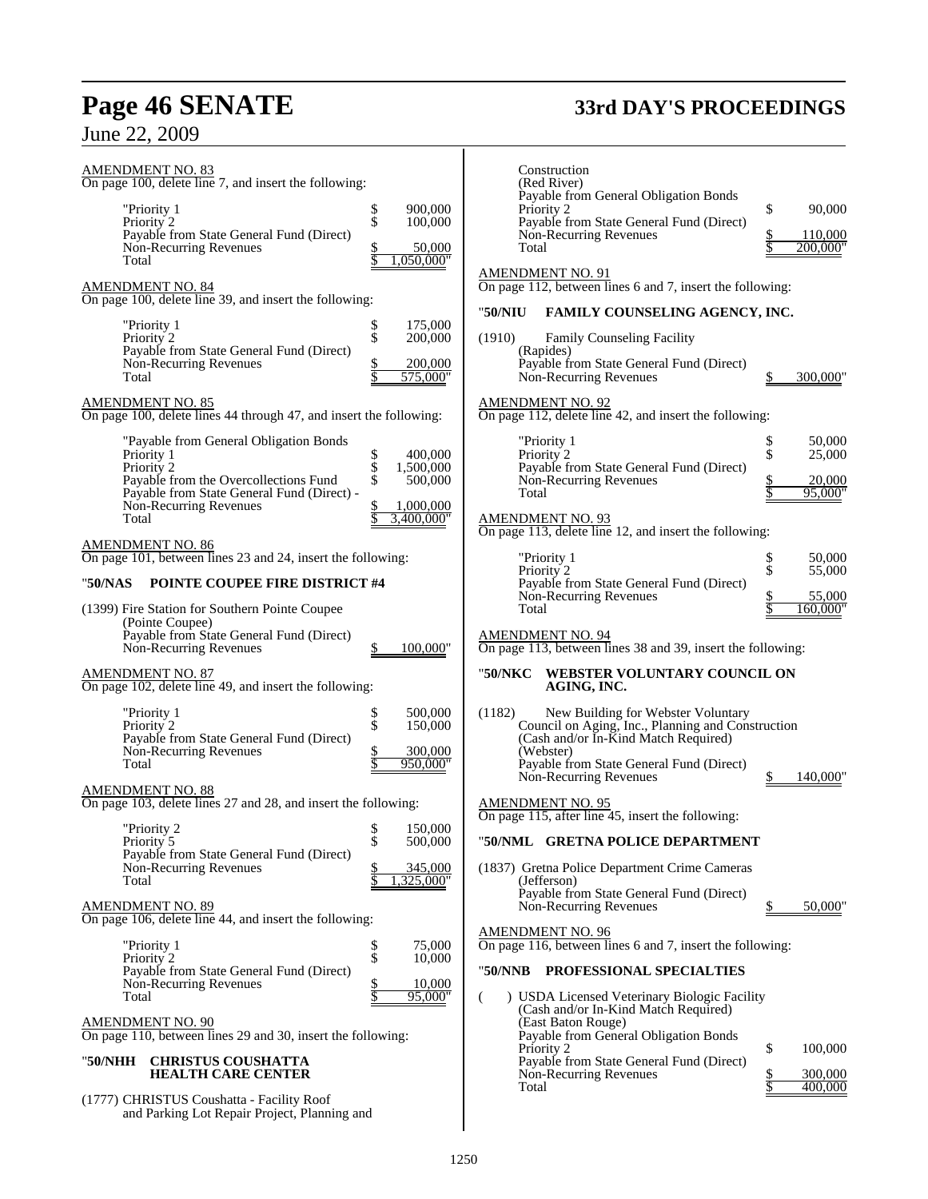# **Page 46 SENATE 33rd DAY'S PROCEEDINGS**

# June 22, 2009

| <u>AMENDMENT NO. 83</u><br>On page 100, delete line 7, and insert the following:              |                                             |  |
|-----------------------------------------------------------------------------------------------|---------------------------------------------|--|
| "Priority 1<br>Priority 2<br>Payable from State General Fund (Direct)                         | 900,000<br>\$<br>\$<br>100,000              |  |
| Non-Recurring Revenues<br>Total                                                               | \$<br>50,000<br>050,000                     |  |
| <b>AMENDMENT NO. 84</b><br>On page 100, delete line 39, and insert the following:             |                                             |  |
| "Priority 1<br>Priority <sup>2</sup>                                                          | \$<br>\$<br>175,000<br>200,000              |  |
| Payable from State General Fund (Direct)<br>Non-Recurring Revenues<br>Total                   | <u>\$</u><br>200,000<br>575,000"            |  |
| <u>AMENDMENT NO. 85</u><br>On page 100, delete lines 44 through 47, and insert the following: |                                             |  |
| "Payable from General Obligation Bonds                                                        |                                             |  |
| Priority 1<br>Priority 2<br>Payable from the Overcollections Fund                             | \$<br>\$<br>400,000<br>1,500,000<br>500,000 |  |
| Payable from State General Fund (Direct) -<br>Non-Recurring Revenues                          | 1,000,000                                   |  |
| Total                                                                                         | 3,400,000'                                  |  |
| AMENDMENT NO. 86<br>On page 101, between lines 23 and 24, insert the following:               |                                             |  |
| POINTE COUPEE FIRE DISTRICT #4<br>"50/NAS                                                     |                                             |  |
| (1399) Fire Station for Southern Pointe Coupee                                                |                                             |  |
| (Pointe Coupee)<br>Payable from State General Fund (Direct)<br>Non-Recurring Revenues         | 100,000"                                    |  |
| AMENDMENT NO. 87<br>On page 102, delete line 49, and insert the following:                    |                                             |  |
| "Priority 1<br>Priority 2                                                                     | \$<br>\$<br>500,000<br>150,000              |  |
| Payable from State General Fund (Direct)<br>Non-Recurring Revenues<br>Total                   | $\frac{1}{3}$<br>300,000<br>950,000'        |  |
| AMENDMENT NO. 88<br>On page 103, delete lines 27 and 28, and insert the following:            |                                             |  |
| "Priority 2<br>Priority 5                                                                     | 150,000<br>Տ<br>\$<br>500,000               |  |
| Payable from State General Fund (Direct)<br>Non-Recurring Revenues                            | 345.000                                     |  |
| Total                                                                                         |                                             |  |
| <u>AMENDMENT NO. 89</u><br>On page 106, delete line 44, and insert the following:             |                                             |  |
| "Priority 1<br>Priority 2<br>Payable from State General Fund (Direct)                         | \$<br>\$<br>75,000<br>10,000                |  |
| Non-Recurring Revenues<br>Total                                                               | <u>\$</u><br>10,000<br>95                   |  |
| AMENDMENT NO. 90<br>On page 110, between lines 29 and 30, insert the following:               |                                             |  |
| <b>CHRISTUS COUSHATTA</b><br>"50/NHH<br><b>HEALTH CARE CENTER</b>                             |                                             |  |
| (1777) CHRISTUS Coushatta - Facility Roof                                                     |                                             |  |

and Parking Lot Repair Project, Planning and

| Construction<br>(Red River)<br>Payable from General Obligation Bonds<br>Priority 2                                                        | \$<br>90,000                  |
|-------------------------------------------------------------------------------------------------------------------------------------------|-------------------------------|
| Payable from State General Fund (Direct)<br>Non-Recurring Revenues<br>Total                                                               | \$<br>110,000<br>$200,000$ "  |
| <u>AMENDMENT NO. 91</u><br>On page 112, between lines 6 and 7, insert the following:                                                      |                               |
| FAMILY COUNSELING AGENCY, INC.<br>"50/NIU                                                                                                 |                               |
| <b>Family Counseling Facility</b><br>(1910)                                                                                               |                               |
| (Rapides)<br>Payable from State General Fund (Direct)<br>Non-Recurring Revenues                                                           | 300,000<br>\$                 |
| AMENDMENT NO. 92<br>On page 112, delete line 42, and insert the following:                                                                |                               |
| "Priority 1<br>Priority 2                                                                                                                 | 50,000<br>\$<br>\$<br>25,000  |
| Payable from State General Fund (Direct)<br>Non-Recurring Revenues                                                                        | 20,000                        |
| Total                                                                                                                                     | \$<br>\$<br>95,000"           |
| <u>AMENDMENT NO. 93</u><br>On page 113, delete line 12, and insert the following:                                                         |                               |
| "Priority 1<br>Priority 2                                                                                                                 | \$<br>50,000<br>\$<br>55,000  |
| Payable from State General Fund (Direct)<br>Non-Recurring Revenues                                                                        | \$<br>55,000                  |
| Total                                                                                                                                     | 160,000"                      |
| AMENDMENT NO. 94<br>On page 113, between lines 38 and 39, insert the following:                                                           |                               |
| WEBSTER VOLUNTARY COUNCIL ON<br>"50/NKC<br>AGING, INC.                                                                                    |                               |
| New Building for Webster Voluntary<br>(1182)<br>Council on Aging, Inc., Planning and Construction<br>(Cash and/or In-Kind Match Required) |                               |
| (Webster)<br>Payable from State General Fund (Direct)<br>Non-Recurring Revenues                                                           | 140,000'<br>\$                |
| AMENDMENT NO. 95<br>On page $1\overline{15}$ , after line 45, insert the following:                                                       |                               |
| "50/NML    GRETNA POLICE DEPARTMENT                                                                                                       |                               |
| (1837) Gretna Police Department Crime Cameras<br>(Jefferson)<br>Payable from State General Fund (Direct)<br>Non-Recurring Revenues        | \$<br>50,000                  |
| AMENDMENT NO. 96<br>On page 116, between lines 6 and 7, insert the following:                                                             |                               |
| "50/NNB<br><b>PROFESSIONAL SPECIALTIES</b>                                                                                                |                               |
| ) USDA Licensed Veterinary Biologic Facility<br>(<br>(Cash and/or In-Kind Match Required)                                                 |                               |
| (East Baton Rouge)<br>Payable from General Obligation Bonds                                                                               |                               |
| Priority 2<br>Payable from State General Fund (Direct)                                                                                    | \$<br>100,000                 |
| Non-Recurring Revenues<br>Total                                                                                                           | \$<br>Տ<br>300,000<br>400,000 |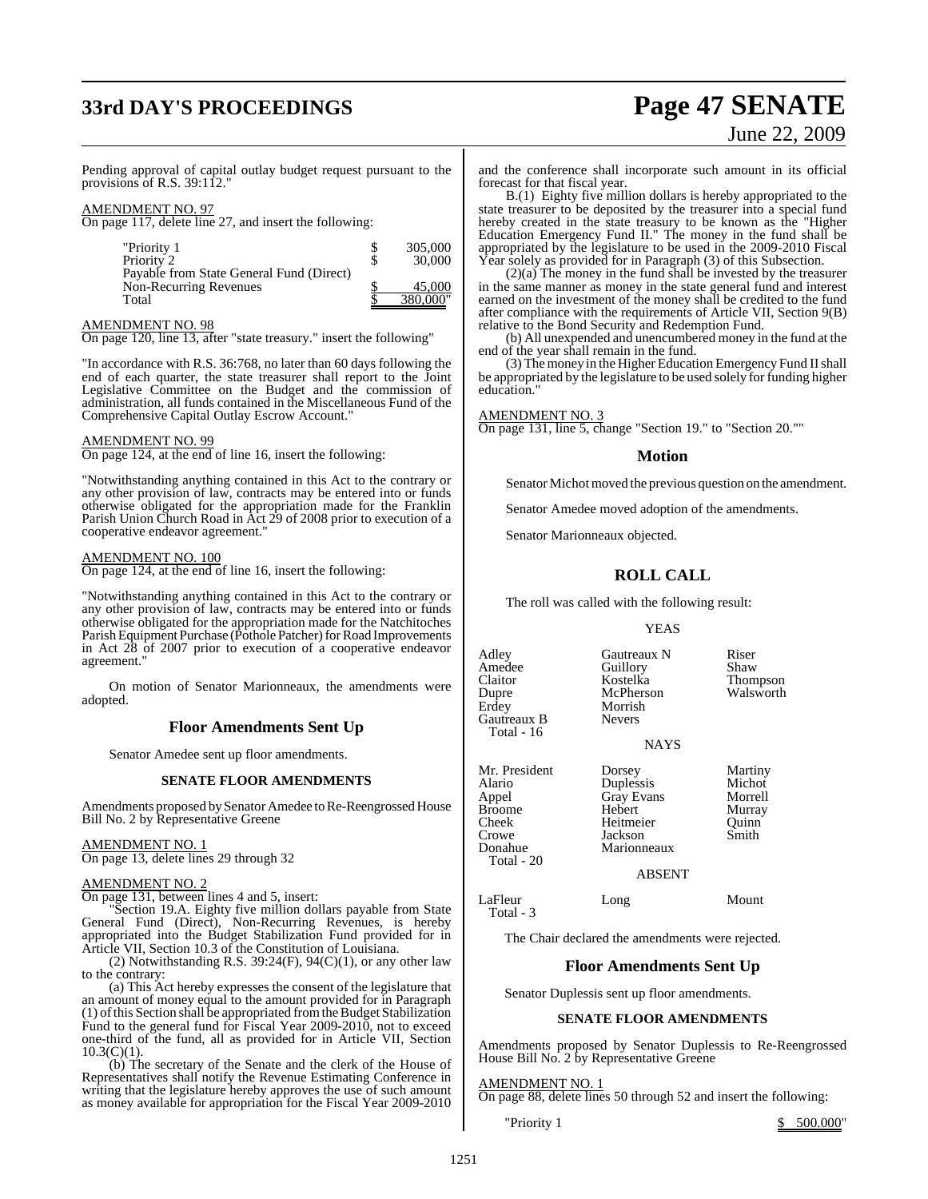# **33rd DAY'S PROCEEDINGS Page 47 SENATE**

# June 22, 2009

Pending approval of capital outlay budget request pursuant to the provisions of R.S. 39:112."

### AMENDMENT NO. 97

On page 117, delete line 27, and insert the following:

| "Priority 1                              | S | 305,000  |
|------------------------------------------|---|----------|
| Priority 2                               | S | 30,000   |
| Payable from State General Fund (Direct) |   |          |
| Non-Recurring Revenues                   |   | 45,000   |
| Total                                    |   | 380,000" |

### AMENDMENT NO. 98

On page 120, line 13, after "state treasury." insert the following"

"In accordance with R.S. 36:768, no later than 60 days following the end of each quarter, the state treasurer shall report to the Joint Legislative Committee on the Budget and the commission of administration, all funds contained in the Miscellaneous Fund of the Comprehensive Capital Outlay Escrow Account."

### AMENDMENT NO. 99

On page 124, at the end of line 16, insert the following:

"Notwithstanding anything contained in this Act to the contrary or any other provision of law, contracts may be entered into or funds otherwise obligated for the appropriation made for the Franklin Parish Union Church Road in Act 29 of 2008 prior to execution of a cooperative endeavor agreement."

### AMENDMENT NO. 100

On page 124, at the end of line 16, insert the following:

"Notwithstanding anything contained in this Act to the contrary or any other provision of law, contracts may be entered into or funds otherwise obligated for the appropriation made for the Natchitoches Parish Equipment Purchase (Pothole Patcher) for Road Improvements in Act 28 of 2007 prior to execution of a cooperative endeavor agreement."

On motion of Senator Marionneaux, the amendments were adopted.

### **Floor Amendments Sent Up**

Senator Amedee sent up floor amendments.

### **SENATE FLOOR AMENDMENTS**

Amendments proposed by Senator Amedee to Re-Reengrossed House Bill No. 2 by Representative Greene

### AMENDMENT NO. 1

On page 13, delete lines 29 through 32

### AMENDMENT NO. 2

On page 131, between lines 4 and 5, insert:

"Section 19.A. Eighty five million dollars payable from State General Fund (Direct), Non-Recurring Revenues, is hereby appropriated into the Budget Stabilization Fund provided for in Article VII, Section 10.3 of the Constitution of Louisiana.

(2) Notwithstanding R.S.  $39:24(F)$ ,  $94(C)(1)$ , or any other law to the contrary:

(a) This Act hereby expresses the consent of the legislature that an amount of money equal to the amount provided for in Paragraph  $(1)$  of this Section shall be appropriated from the Budget Stabilization Fund to the general fund for Fiscal Year 2009-2010, not to exceed one-third of the fund, all as provided for in Article VII, Section  $10.3(C)(1)$ .

(b) The secretary of the Senate and the clerk of the House of Representatives shall notify the Revenue Estimating Conference in writing that the legislature hereby approves the use of such amount as money available for appropriation for the Fiscal Year 2009-2010 and the conference shall incorporate such amount in its official forecast for that fiscal year.

B.(1) Eighty five million dollars is hereby appropriated to the state treasurer to be deposited by the treasurer into a special fund hereby created in the state treasury to be known as the "Higher Education Emergency Fund II." The money in the fund shall be appropriated by the legislature to be used in the 2009-2010 Fiscal Year solely as provided for in Paragraph (3) of this Subsection.

(2)(a) The money in the fund shall be invested by the treasurer in the same manner as money in the state general fund and interest earned on the investment of the money shall be credited to the fund after compliance with the requirements of Article VII, Section 9(B) relative to the Bond Security and Redemption Fund.

(b) All unexpended and unencumbered money in the fund at the end of the year shall remain in the fund.

(3) The money in the Higher Education Emergency Fund II shall be appropriated by the legislature to be used solely for funding higher education.

AMENDMENT NO. 3

On page 131, line 5, change "Section 19." to "Section 20.""

### **Motion**

Senator Michot moved the previous question on the amendment.

Senator Amedee moved adoption of the amendments.

Senator Marionneaux objected.

### **ROLL CALL**

The roll was called with the following result:

### YEAS

Adley Gautreaux N Riser<br>Amedee Guillory Shaw Amedee Guillory<br>Claitor Kostelka Claitor Kostelka Thompson Dupre McPherson<br>Erdey Morrish Morrish<br>Nevers Gautreaux B Total - 16 **NAYS** Mr. President Dorsey Martiny<br>Alario Duplessis Michot **Duplessis** Appel Gray Evans Morrell<br>Broome Hebert Murray Broome

Cheek Heitmeier Quinn Crowe Jackson<br>Donahue Marionn

Marionneaux

ABSENT

LaFleur Long Mount

The Chair declared the amendments were rejected.

### **Floor Amendments Sent Up**

Senator Duplessis sent up floor amendments.

### **SENATE FLOOR AMENDMENTS**

Amendments proposed by Senator Duplessis to Re-Reengrossed House Bill No. 2 by Representative Greene

### AMENDMENT NO. 1

On page 88, delete lines 50 through 52 and insert the following:

"Priority 1 \$ 500.000"

Total - 20

Total - 3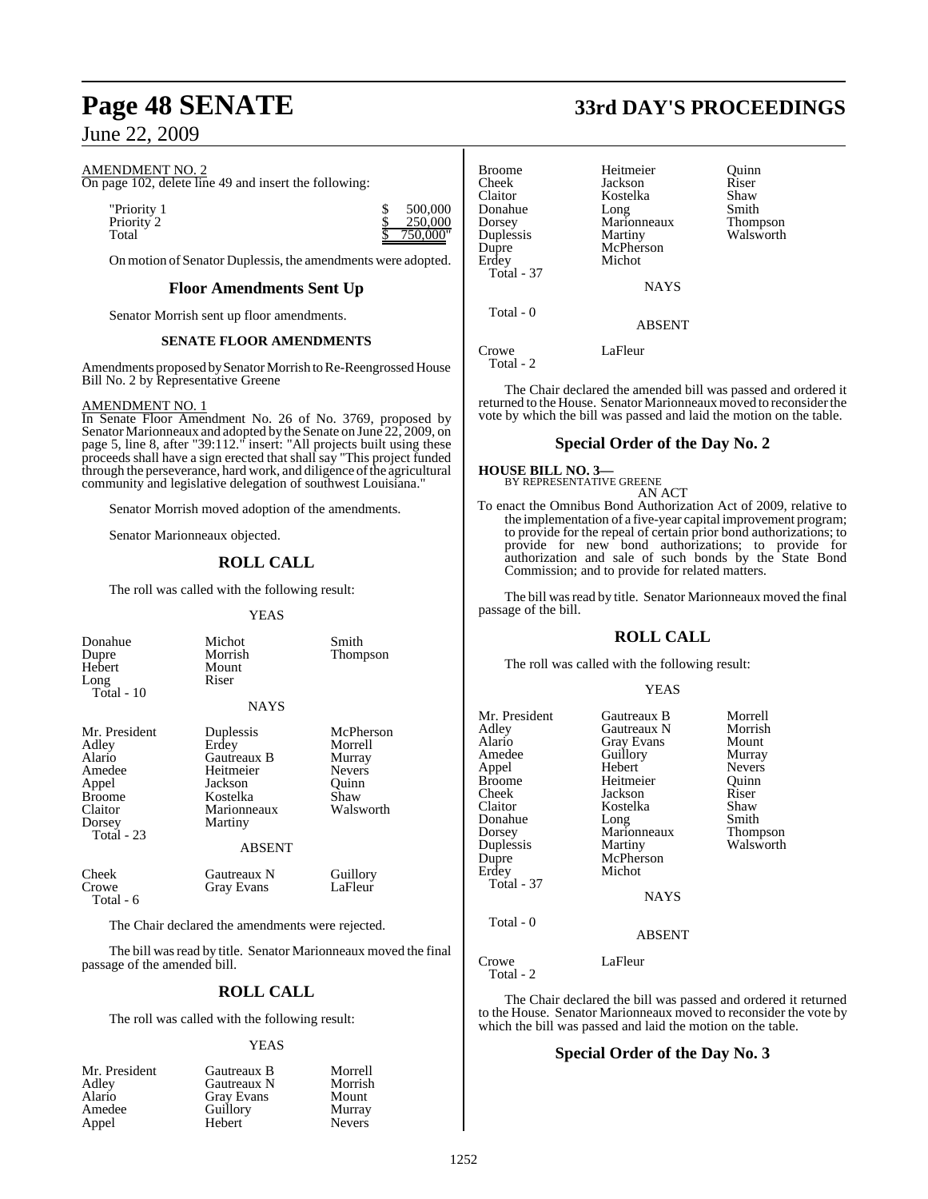### AMENDMENT NO. 2

On page 102, delete line 49 and insert the following:

"Priority 1 \$ 500,000<br>Priority 2 \$ 500,000 Priority<sup>2</sup>

On motion of Senator Duplessis, the amendments were adopted.

### **Floor Amendments Sent Up**

Senator Morrish sent up floor amendments.

### **SENATE FLOOR AMENDMENTS**

Amendments proposed by Senator Morrish to Re-Reengrossed House Bill No. 2 by Representative Greene

### AMENDMENT NO. 1

In Senate Floor Amendment No. 26 of No. 3769, proposed by Senator Marionneaux and adopted by the Senate on June 22, 2009, on page 5, line 8, after "39:112." insert: "All projects built using these proceeds shall have a sign erected that shall say "This project funded through the perseverance, hard work, and diligence of the agricultural community and legislative delegation of southwest Louisiana."

Senator Morrish moved adoption of the amendments.

Senator Marionneaux objected.

### **ROLL CALL**

The roll was called with the following result:

### YEAS

| Donahue<br>Dupre<br>Hebert<br>Long<br>Total - 10                                                        | Michot<br>Morrish<br>Mount<br>Riser<br><b>NAYS</b>                                                               | Smith<br>Thompson                                                             |
|---------------------------------------------------------------------------------------------------------|------------------------------------------------------------------------------------------------------------------|-------------------------------------------------------------------------------|
| Mr. President<br>Adley<br>Alario<br>Amedee<br>Appel<br><b>Broome</b><br>Claitor<br>Dorsey<br>Total - 23 | Duplessis<br>Erdey<br>Gautreaux B<br>Heitmeier<br>Jackson<br>Kostelka<br>Marionneaux<br>Martiny<br><b>ABSENT</b> | McPherson<br>Morrell<br>Murray<br><b>Nevers</b><br>Ouinn<br>Shaw<br>Walsworth |
| Cheek<br>Crowe<br>Total - 6                                                                             | Gautreaux N<br><b>Gray Evans</b>                                                                                 | Guillory<br>LaFleur                                                           |

The Chair declared the amendments were rejected.

The bill was read by title. Senator Marionneaux moved the final passage of the amended bill.

### **ROLL CALL**

The roll was called with the following result:

### YEAS

| Mr. President | Gautreaux B       | Morrell       |
|---------------|-------------------|---------------|
| Adley         | Gautreaux N       | Morrish       |
| Alario        | <b>Gray Evans</b> | Mount         |
| Amedee        | Guillory          | Murray        |
| Appel         | Hebert            | <b>Nevers</b> |

# **Page 48 SENATE 33rd DAY'S PROCEEDINGS**

| <b>Broome</b><br>Cheek<br>Claitor<br>Donahue<br>Dorsey<br>Duplessis<br>Dupre<br>Erdey<br>Total - 37 | Heitmeier<br>Jackson<br>Kostelka<br>Long<br>Marionneaux<br>Martiny<br>McPherson<br>Michot | Ouinn<br>Riser<br>Shaw<br>Smith<br><b>Thompson</b><br>Walsworth |
|-----------------------------------------------------------------------------------------------------|-------------------------------------------------------------------------------------------|-----------------------------------------------------------------|
|                                                                                                     | <b>NAYS</b>                                                                               |                                                                 |
| Total - 0                                                                                           | <b>ABSENT</b>                                                                             |                                                                 |
| Crowe                                                                                               | LaFleur                                                                                   |                                                                 |

Total - 2

750,0<u>00</u>"

The Chair declared the amended bill was passed and ordered it returned to the House. Senator Marionneaux moved to reconsider the vote by which the bill was passed and laid the motion on the table.

### **Special Order of the Day No. 2**

### **HOUSE BILL NO. 3—** BY REPRESENTATIVE GREENE AN ACT

To enact the Omnibus Bond Authorization Act of 2009, relative to the implementation of a five-year capital improvement program; to provide for the repeal of certain prior bond authorizations; to provide for new bond authorizations; to provide for authorization and sale of such bonds by the State Bond Commission; and to provide for related matters.

The bill was read by title. Senator Marionneaux moved the final passage of the bill.

### **ROLL CALL**

The roll was called with the following result:

### YEAS

| Mr. President<br>Adley<br>Alario<br>Amedee<br>Appel<br>Broome<br>Cheek<br>Claitor<br>Donahue<br>Dorsey<br>Duplessis<br>Dupre<br>Erdey<br>Total - 37 | Gautreaux B<br>Gautreaux N<br>Gray Evans<br>Guillory<br>Hebert<br>Heitmeier<br>Jackson<br>Kostelka<br>Long<br>Marionneaux<br>Martiny<br>McPherson<br>Michot<br><b>NAYS</b> | Morrell<br>Morrish<br>Mount<br>Murray<br><b>Nevers</b><br>Quinn<br>Riser<br>Shaw<br>Smith<br>Thompson<br>Walsworth |
|-----------------------------------------------------------------------------------------------------------------------------------------------------|----------------------------------------------------------------------------------------------------------------------------------------------------------------------------|--------------------------------------------------------------------------------------------------------------------|
| Total - 0                                                                                                                                           | <b>ABSENT</b>                                                                                                                                                              |                                                                                                                    |
| Crowe<br>Total - 2                                                                                                                                  | LaFleur                                                                                                                                                                    |                                                                                                                    |

The Chair declared the bill was passed and ordered it returned to the House. Senator Marionneaux moved to reconsider the vote by which the bill was passed and laid the motion on the table.

### **Special Order of the Day No. 3**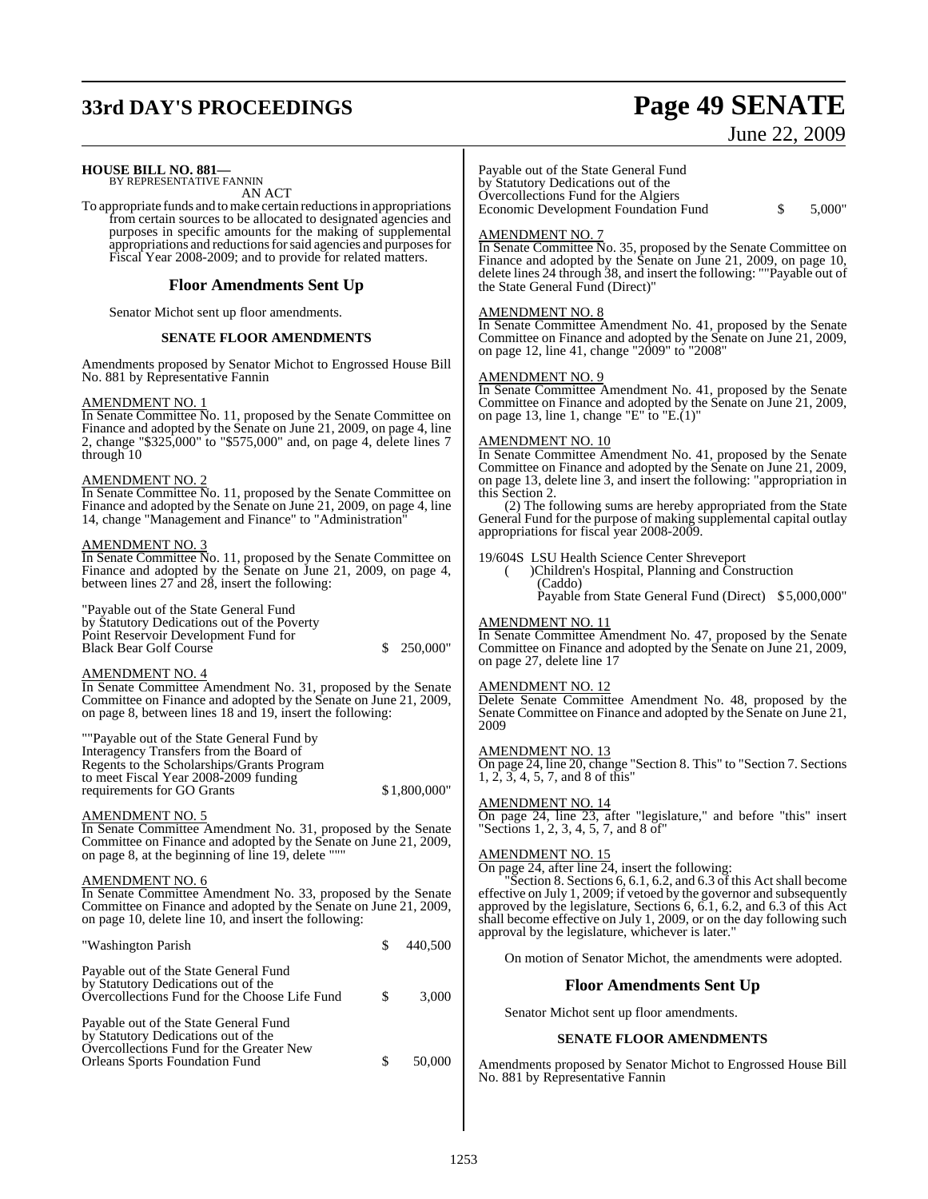# **33rd DAY'S PROCEEDINGS Page 49 SENATE**

### June 22, 2009

### **HOUSE BILL NO. 881—** BY REPRESENTATIVE FANNIN

AN ACT

To appropriate funds and to make certain reductions in appropriations from certain sources to be allocated to designated agencies and purposes in specific amounts for the making of supplemental appropriations and reductions for said agencies and purposes for Fiscal Year 2008-2009; and to provide for related matters.

### **Floor Amendments Sent Up**

Senator Michot sent up floor amendments.

### **SENATE FLOOR AMENDMENTS**

Amendments proposed by Senator Michot to Engrossed House Bill No. 881 by Representative Fannin

### AMENDMENT NO. 1

In Senate Committee No. 11, proposed by the Senate Committee on Finance and adopted by the Senate on June 21, 2009, on page 4, line 2, change "\$325,000" to "\$575,000" and, on page 4, delete lines 7 through 10

### AMENDMENT NO. 2

In Senate Committee No. 11, proposed by the Senate Committee on Finance and adopted by the Senate on June 21, 2009, on page 4, line 14, change "Management and Finance" to "Administration"

### AMENDMENT NO. 3

In Senate Committee No. 11, proposed by the Senate Committee on Finance and adopted by the Senate on June 21, 2009, on page 4, between lines 27 and 28, insert the following:

"Payable out of the State General Fund by Statutory Dedications out of the Poverty Point Reservoir Development Fund for Black Bear Golf Course  $\qquad \qquad$  \$ 250,000"

### AMENDMENT NO. 4

In Senate Committee Amendment No. 31, proposed by the Senate Committee on Finance and adopted by the Senate on June 21, 2009, on page 8, between lines 18 and 19, insert the following:

""Payable out of the State General Fund by Interagency Transfers from the Board of Regents to the Scholarships/Grants Program to meet Fiscal Year 2008-2009 funding requirements for GO Grants  $$1,800,000"$ 

### AMENDMENT NO. 5

In Senate Committee Amendment No. 31, proposed by the Senate Committee on Finance and adopted by the Senate on June 21, 2009, on page 8, at the beginning of line 19, delete '

### AMENDMENT NO. 6

In Senate Committee Amendment No. 33, proposed by the Senate Committee on Finance and adopted by the Senate on June 21, 2009, on page 10, delete line 10, and insert the following:

| "Washington Parish                                                                                                                                                |    | 440,500 |
|-------------------------------------------------------------------------------------------------------------------------------------------------------------------|----|---------|
| Payable out of the State General Fund<br>by Statutory Dedications out of the<br>Overcollections Fund for the Choose Life Fund                                     | £. | 3,000   |
| Payable out of the State General Fund<br>by Statutory Dedications out of the<br>Overcollections Fund for the Greater New<br><b>Orleans Sports Foundation Fund</b> |    | 50,000  |

Payable out of the State General Fund by Statutory Dedications out of the Overcollections Fund for the Algiers Economic Development Foundation Fund \$ 5,000"

### AMENDMENT NO. 7

In Senate Committee No. 35, proposed by the Senate Committee on Finance and adopted by the Senate on June 21, 2009, on page 10, delete lines 24 through 38, and insert the following: ""Payable out of the State General Fund (Direct)"

### AMENDMENT NO. 8

In Senate Committee Amendment No. 41, proposed by the Senate Committee on Finance and adopted by the Senate on June 21, 2009, on page 12, line 41, change "2009" to "2008"

### AMENDMENT NO. 9

In Senate Committee Amendment No. 41, proposed by the Senate Committee on Finance and adopted by the Senate on June 21, 2009, on page 13, line 1, change "E" to "E. $(1)$ "

### AMENDMENT NO. 10

In Senate Committee Amendment No. 41, proposed by the Senate Committee on Finance and adopted by the Senate on June 21, 2009, on page 13, delete line 3, and insert the following: "appropriation in this Section 2.

(2) The following sums are hereby appropriated from the State General Fund for the purpose of making supplemental capital outlay appropriations for fiscal year 2008-2009.

19/604S LSU Health Science Center Shreveport

( )Children's Hospital, Planning and Construction (Caddo)

Payable from State General Fund (Direct) \$5,000,000"

### AMENDMENT NO. 11

In Senate Committee Amendment No. 47, proposed by the Senate Committee on Finance and adopted by the Senate on June 21, 2009, on page 27, delete line 17

### AMENDMENT NO. 12

Delete Senate Committee Amendment No. 48, proposed by the Senate Committee on Finance and adopted by the Senate on June 21, 2009

### AMENDMENT NO. 13

On page 24, line 20, change "Section 8. This" to "Section 7. Sections 1, 2, 3, 4, 5, 7, and 8 of this"

### AMENDMENT NO. 14

On page 24, line 23, after "legislature," and before "this" insert "Sections 1, 2, 3, 4, 5, 7, and 8 of"

### AMENDMENT NO. 15

 $\overline{\text{On page 24}}$ , after line 24, insert the following:

Section 8. Sections  $6, 6.1, 6.2$ , and  $6.3$  of this Act shall become effective on July 1, 2009; if vetoed by the governor and subsequently approved by the legislature, Sections 6, 6.1, 6.2, and 6.3 of this Act shall become effective on July 1, 2009, or on the day following such approval by the legislature, whichever is later."

On motion of Senator Michot, the amendments were adopted.

### **Floor Amendments Sent Up**

Senator Michot sent up floor amendments.

### **SENATE FLOOR AMENDMENTS**

Amendments proposed by Senator Michot to Engrossed House Bill No. 881 by Representative Fannin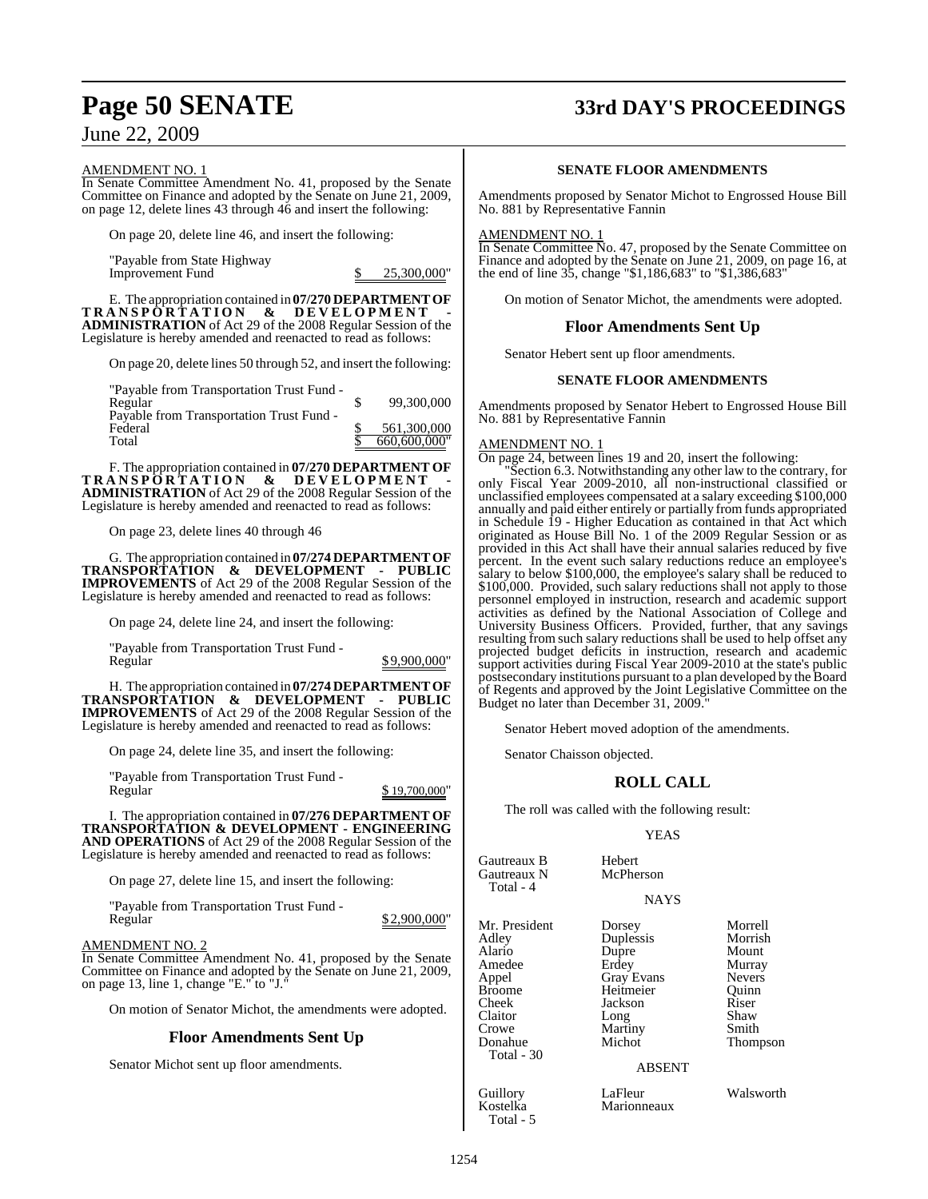## **Page 50 SENATE 33rd DAY'S PROCEEDINGS**

June 22, 2009

### AMENDMENT NO. 1

In Senate Committee Amendment No. 41, proposed by the Senate Committee on Finance and adopted by the Senate on June 21, 2009, on page 12, delete lines 43 through 46 and insert the following:

On page 20, delete line 46, and insert the following:

"Payable from State Highway Improvement Fund \$ 25,300,000"

E. The appropriation contained in **07/270 DEPARTMENTOF TRANSPORTATION & DEVELOPMENT - ADMINISTRATION** of Act 29 of the 2008 Regular Session of the Legislature is hereby amended and reenacted to read as follows:

On page 20, delete lines 50 through 52, and insert the following:

"Payable from Transportation Trust Fund -

| Regular                                  | 99,300,000   |
|------------------------------------------|--------------|
| Payable from Transportation Trust Fund - |              |
| Federal                                  | 561,300,000  |
| Total                                    | 660,600,000" |

F. The appropriation contained in **07/270 DEPARTMENT OF TRANSPORTATION & DEVELOPMENT - ADMINISTRATION** of Act 29 of the 2008 Regular Session of the Legislature is hereby amended and reenacted to read as follows:

On page 23, delete lines 40 through 46

G. The appropriation contained in **07/274 DEPARTMENTOF TRANSPORTATION & DEVELOPMENT - PUBLIC IMPROVEMENTS** of Act 29 of the 2008 Regular Session of the Legislature is hereby amended and reenacted to read as follows:

On page 24, delete line 24, and insert the following:

"Payable from Transportation Trust Fund - Regular  $$9,900,000"$ 

H. The appropriation contained in **07/274 DEPARTMENTOF TRANSPORTATION & DEVELOPMENT - PUBLIC IMPROVEMENTS** of Act 29 of the 2008 Regular Session of the Legislature is hereby amended and reenacted to read as follows:

On page 24, delete line 35, and insert the following:

"Payable from Transportation Trust Fund - \$ 19,700,000"

I. The appropriation contained in **07/276 DEPARTMENT OF TRANSPORTATION & DEVELOPMENT - ENGINEERING AND OPERATIONS** of Act 29 of the 2008 Regular Session of the Legislature is hereby amended and reenacted to read as follows:

On page 27, delete line 15, and insert the following:

"Payable from Transportation Trust Fund -

 $$ 2,900,000"$ 

### AMENDMENT NO. 2

In Senate Committee Amendment No. 41, proposed by the Senate Committee on Finance and adopted by the Senate on June 21, 2009, on page 13, line 1, change "E." to "J."

On motion of Senator Michot, the amendments were adopted.

### **Floor Amendments Sent Up**

Senator Michot sent up floor amendments.

### **SENATE FLOOR AMENDMENTS**

Amendments proposed by Senator Michot to Engrossed House Bill No. 881 by Representative Fannin

### AMENDMENT NO. 1

In Senate Committee No. 47, proposed by the Senate Committee on Finance and adopted by the Senate on June 21, 2009, on page 16, at the end of line 35, change "\$1,186,683" to "\$1,386,683"

On motion of Senator Michot, the amendments were adopted.

### **Floor Amendments Sent Up**

Senator Hebert sent up floor amendments.

### **SENATE FLOOR AMENDMENTS**

Amendments proposed by Senator Hebert to Engrossed House Bill No. 881 by Representative Fannin

### AMENDMENT NO. 1

On page 24, between lines 19 and 20, insert the following:

"Section 6.3. Notwithstanding any other law to the contrary, for only Fiscal Year 2009-2010, all non-instructional classified or unclassified employees compensated at a salary exceeding \$100,000 annually and paid either entirely or partially from funds appropriated in Schedule 19 - Higher Education as contained in that Act which originated as House Bill No. 1 of the 2009 Regular Session or as provided in this Act shall have their annual salaries reduced by five percent. In the event such salary reductions reduce an employee's salary to below \$100,000, the employee's salary shall be reduced to \$100,000. Provided, such salary reductions shall not apply to those personnel employed in instruction, research and academic support activities as defined by the National Association of College and University Business Officers. Provided, further, that any savings resulting from such salary reductions shall be used to help offset any projected budget deficits in instruction, research and academic support activities during Fiscal Year 2009-2010 at the state's public postsecondary institutions pursuant to a plan developed by the Board of Regents and approved by the Joint Legislative Committee on the Budget no later than December 31, 2009."

Senator Hebert moved adoption of the amendments.

Senator Chaisson objected.

### **ROLL CALL**

The roll was called with the following result:

### YEAS

| Gautreaux B<br>Gautreaux N<br>Total - 4                                                                                    | Hebert<br>McPherson<br><b>NAYS</b>                                                                                               |                                                                                                       |
|----------------------------------------------------------------------------------------------------------------------------|----------------------------------------------------------------------------------------------------------------------------------|-------------------------------------------------------------------------------------------------------|
| Mr. President<br>Adley<br>Alario<br>Amedee<br>Appel<br><b>Broome</b><br>Cheek<br>Claitor<br>Crowe<br>Donahue<br>Total - 30 | Dorsey<br>Duplessis<br>Dupre<br>Erdey<br><b>Gray Evans</b><br>Heitmeier<br>Jackson<br>Long<br>Martiny<br>Michot<br><b>ABSENT</b> | Morrell<br>Morrish<br>Mount<br>Murray<br><b>Nevers</b><br>Ouinn<br>Riser<br>Shaw<br>Smith<br>Thompson |
| Guillory<br>Kostelka                                                                                                       | LaFleur<br>Marionneaux                                                                                                           | Walsworth                                                                                             |

Total - 5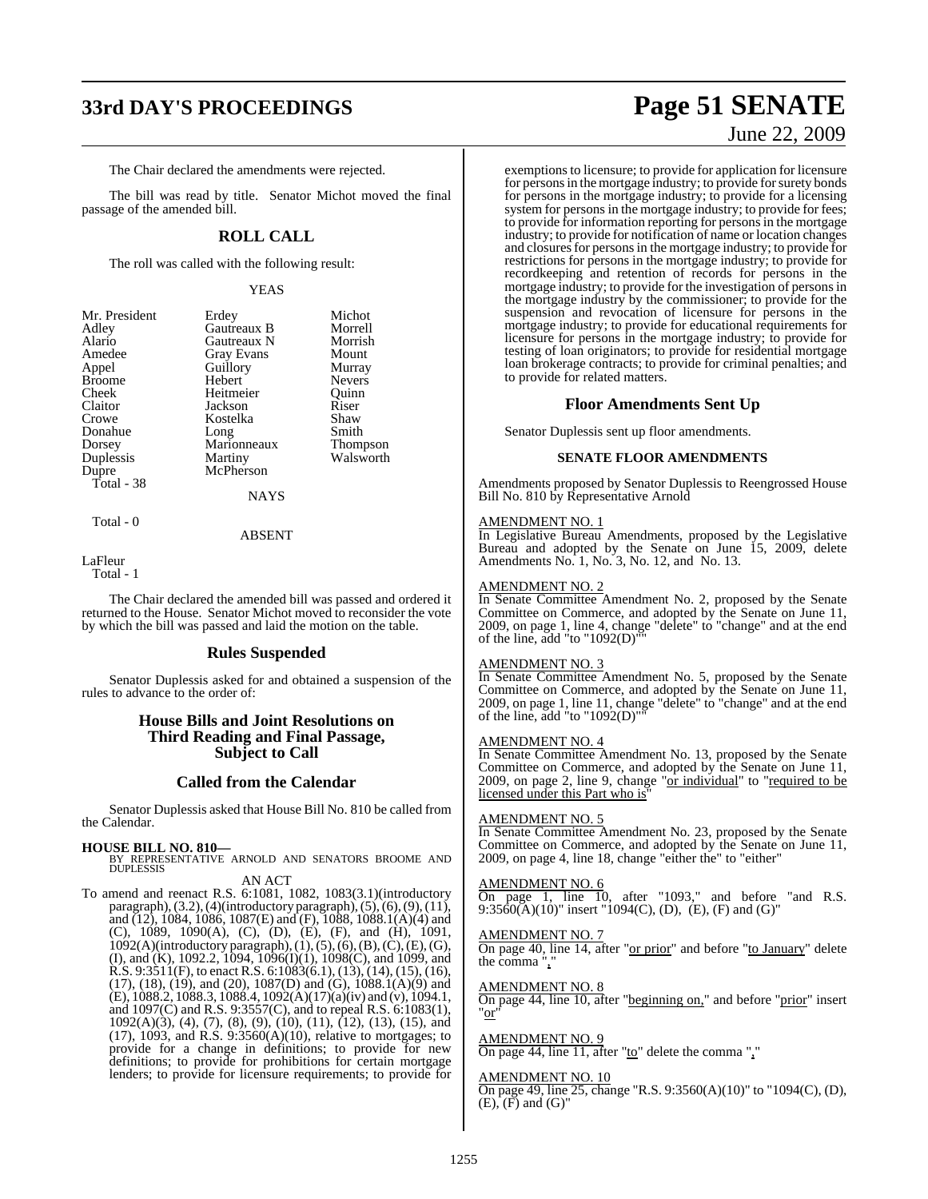# **33rd DAY'S PROCEEDINGS Page 51 SENATE**

The Chair declared the amendments were rejected.

The bill was read by title. Senator Michot moved the final passage of the amended bill.

### **ROLL CALL**

The roll was called with the following result:

### YEAS

| Mr. President | Erdey             | Michot          |
|---------------|-------------------|-----------------|
| Adley         | Gautreaux B       | Morrell         |
| Alario        | Gautreaux N       | Morrish         |
| Amedee        | <b>Gray Evans</b> | Mount           |
| Appel         | Guillory          | Murray          |
| <b>Broome</b> | Hebert            | <b>Nevers</b>   |
| Cheek         | Heitmeier         | Quinn           |
| Claitor       | Jackson           | Riser           |
| Crowe         | Kostelka          | Shaw            |
| Donahue       | Long              | Smith           |
| Dorsey        | Marionneaux       | <b>Thompson</b> |
| Duplessis     | Martiny           | Walsworth       |
| Dupre         | McPherson         |                 |
| Total - 38    |                   |                 |
|               | <b>NAYS</b>       |                 |
|               |                   |                 |

Total - 0

### ABSENT

LaFleur

Total - 1

The Chair declared the amended bill was passed and ordered it returned to the House. Senator Michot moved to reconsider the vote by which the bill was passed and laid the motion on the table.

### **Rules Suspended**

Senator Duplessis asked for and obtained a suspension of the rules to advance to the order of:

### **House Bills and Joint Resolutions on Third Reading and Final Passage, Subject to Call**

### **Called from the Calendar**

Senator Duplessis asked that House Bill No. 810 be called from the Calendar.

### **HOUSE BILL NO. 810—**

BY REPRESENTATIVE ARNOLD AND SENATORS BROOME AND DUPLESSIS AN ACT

To amend and reenact R.S. 6:1081, 1082, 1083(3.1)(introductory paragraph),  $(3.2)$ ,  $(4)$ (introductory paragraph),  $(5)$ ,  $(6)$ ,  $(9)$ ,  $(11)$ , and  $(12)$ , 1084, 1086, 1087(E) and (F), 1088, 1088.1(A)(4) and (C), 1089, 1090(A), (C), (D), (E), (F), and (H), 1091, 1092(A)(introductory paragraph),(1),(5),(6),(B),(C),(E),(G), (I), and (K), 1092.2, 1094, 1096(I)(1), 1098(C), and 1099, and  $R.S. 9:3511(F)$ , to enact  $R.S. 6:1083(6.1), (13), (14), (15), (16)$ , (17), (18), (19), and (20), 1087(D) and (G), 1088.1(A)(9) and (E), 1088.2, 1088.3, 1088.4, 1092(A)(17)(a)(iv) and (v), 1094.1, and 1097(C) and R.S. 9:3557(C), and to repeal R.S. 6:1083(1), 1092(A)(3), (4), (7), (8), (9), (10), (11), (12), (13), (15), and  $(17)$ , 1093, and R.S. 9:3560 $(A)(10)$ , relative to mortgages; to provide for a change in definitions; to provide for new definitions; to provide for prohibitions for certain mortgage lenders; to provide for licensure requirements; to provide for

# June 22, 2009

exemptions to licensure; to provide for application for licensure for persons in the mortgage industry; to provide for surety bonds for persons in the mortgage industry; to provide for a licensing system for persons in the mortgage industry; to provide for fees; to provide for information reporting for persons in the mortgage industry; to provide for notification of name or location changes and closures for persons in the mortgage industry; to provide for restrictions for persons in the mortgage industry; to provide for recordkeeping and retention of records for persons in the mortgage industry; to provide for the investigation of persons in the mortgage industry by the commissioner; to provide for the suspension and revocation of licensure for persons in the mortgage industry; to provide for educational requirements for licensure for persons in the mortgage industry; to provide for testing of loan originators; to provide for residential mortgage loan brokerage contracts; to provide for criminal penalties; and to provide for related matters.

### **Floor Amendments Sent Up**

Senator Duplessis sent up floor amendments.

### **SENATE FLOOR AMENDMENTS**

Amendments proposed by Senator Duplessis to Reengrossed House Bill No. 810 by Representative Arnold

### AMENDMENT NO. 1

In Legislative Bureau Amendments, proposed by the Legislative Bureau and adopted by the Senate on June 15, 2009, delete Amendments No. 1, No. 3, No. 12, and No. 13.

### AMENDMENT NO. 2

In Senate Committee Amendment No. 2, proposed by the Senate Committee on Commerce, and adopted by the Senate on June 11, 2009, on page 1, line 4, change "delete" to "change" and at the end of the line, add "to "1092(D)""

### AMENDMENT NO. 3

In Senate Committee Amendment No. 5, proposed by the Senate Committee on Commerce, and adopted by the Senate on June 11, 2009, on page 1, line 11, change "delete" to "change" and at the end of the line, add "to "1092(D)""

### AMENDMENT NO. 4

In Senate Committee Amendment No. 13, proposed by the Senate Committee on Commerce, and adopted by the Senate on June 11, 2009, on page 2, line 9, change "or individual" to "required to be licensed under this Part who is"

### AMENDMENT NO. 5

In Senate Committee Amendment No. 23, proposed by the Senate Committee on Commerce, and adopted by the Senate on June 11, 2009, on page 4, line 18, change "either the" to "either"

### AMENDMENT NO. 6

On page 1, line 10, after "1093," and before "and R.S. 9:35 $60(A)(10)$ " insert "1094(C), (D), (E), (F) and (G)"

### AMENDMENT NO. 7

On page 40, line 14, after "or prior" and before "to January" delete the comma ","

### AMENDMENT NO. 8

On page 44, line 10, after "beginning on," and before "prior" insert "or"

### AMENDMENT NO. 9

On page 44, line 11, after "to" delete the comma ","

### AMENDMENT NO. 10

On page 49, line 25, change "R.S. 9:3560(A)(10)" to "1094(C), (D),  $(E)$ ,  $(F)$  and  $(G)$ "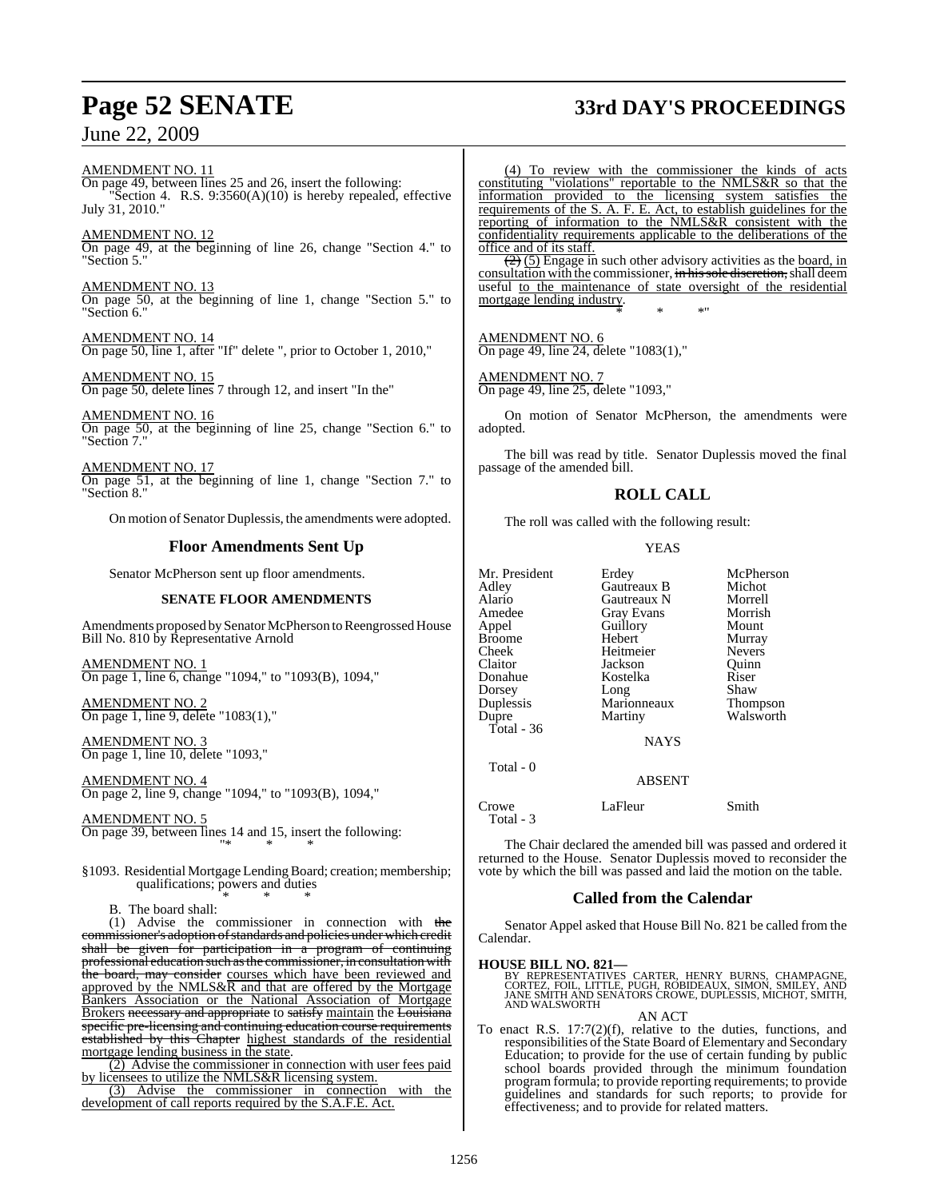# **Page 52 SENATE 33rd DAY'S PROCEEDINGS**

AMENDMENT NO. 11 On page 49, between lines 25 and 26, insert the following: "Section 4. R.S. 9:3560(A)(10) is hereby repealed, effective July 31, 2010."

AMENDMENT NO. 12 On page 49, at the beginning of line 26, change "Section 4." to "Section 5."

AMENDMENT NO. 13 On page 50, at the beginning of line 1, change "Section 5." to "Section 6."

AMENDMENT NO. 14 On page 50, line 1, after "If" delete ", prior to October 1, 2010,"

AMENDMENT NO. 15 On page 50, delete lines 7 through 12, and insert "In the"

AMENDMENT NO. 16 On page 50, at the beginning of line 25, change "Section 6." to "Section 7."

AMENDMENT NO. 17 On page 51, at the beginning of line 1, change "Section 7." to "Section 8."

On motion of Senator Duplessis, the amendments were adopted.

### **Floor Amendments Sent Up**

Senator McPherson sent up floor amendments.

### **SENATE FLOOR AMENDMENTS**

Amendments proposed by Senator McPherson to Reengrossed House Bill No. 810 by Representative Arnold

AMENDMENT NO. 1 On page 1, line 6, change "1094," to "1093(B), 1094,"

AMENDMENT NO. 2 On page 1, line 9, delete "1083(1),"

AMENDMENT NO. 3 On page 1, line 10, delete "1093,"

AMENDMENT NO. 4 On page 2, line 9, change "1094," to "1093(B), 1094,"

AMENDMENT NO. 5 On page 39, between lines 14 and 15, insert the following: "\* \* \*

§1093. Residential Mortgage Lending Board; creation; membership; qualifications; powers and duties \* \* \*

B. The board shall:

(1) Advise the commissioner in connection with the commissioner's adoption of standards and policies under which credit shall be given for participation in a program of continuing professional education such asthe commissioner, in consultation with the board, may consider courses which have been reviewed and approved by the NMLS&R and that are offered by the Mortgage Bankers Association or the National Association of Mortgage Brokers necessary and appropriate to satisfy maintain the Louisiana specific pre-licensing and continuing education course requirements established by this Chapter highest standards of the residential mortgage lending business in the state.

(2) Advise the commissioner in connection with user fees paid by licensees to utilize the NMLS&R licensing system.

(3) Advise the commissioner in connection with the development of call reports required by the S.A.F.E. Act.

(4) To review with the commissioner the kinds of acts constituting "violations" reportable to the NMLS&R so that the information provided to the licensing system satisfies the requirements of the S. A. F. E. Act, to establish guidelines for the reporting of information to the NMLS&R consistent with the confidentiality requirements applicable to the deliberations of the office and of its staff.

 $\left(\frac{2}{2}\right)$  (5) Engage in such other advisory activities as the board, in consultation with the commissioner, in his sole discretion, shall deem useful to the maintenance of state oversight of the residential mortgage lending industry. \* \* \*"

AMENDMENT NO. 6 On page 49, line 24, delete "1083(1),"

AMENDMENT NO. 7 On page 49, line 25, delete "1093,"

On motion of Senator McPherson, the amendments were adopted.

The bill was read by title. Senator Duplessis moved the final passage of the amended bill.

### **ROLL CALL**

The roll was called with the following result:

### YEAS

| Mr. President<br>Adley<br>Alario<br>Amedee<br>Appel<br><b>Broome</b><br>Cheek<br>Claitor<br>Donahue<br>Dorsey<br>Duplessis<br>Dupre<br>Total - $36$<br>Total - 0 | Erdey<br>Gautreaux B<br>Gautreaux N<br><b>Gray Evans</b><br>Guillory<br>Hebert<br>Heitmeier<br>Jackson<br>Kostelka<br>Long<br>Marionneaux<br>Martiny<br><b>NAYS</b><br><b>ABSENT</b> | McPherson<br>Michot<br>Morrell<br>Morrish<br>Mount<br>Murray<br><b>Nevers</b><br>Ouinn<br>Riser<br>Shaw<br>Thompson<br>Walsworth |
|------------------------------------------------------------------------------------------------------------------------------------------------------------------|--------------------------------------------------------------------------------------------------------------------------------------------------------------------------------------|----------------------------------------------------------------------------------------------------------------------------------|
| Crowe<br>Total - 3                                                                                                                                               | LaFleur                                                                                                                                                                              | Smith                                                                                                                            |

The Chair declared the amended bill was passed and ordered it returned to the House. Senator Duplessis moved to reconsider the vote by which the bill was passed and laid the motion on the table.

### **Called from the Calendar**

Senator Appel asked that House Bill No. 821 be called from the Calendar.

**HOUSE BILL NO. 821—** BY REPRESENTATIVES CARTER, HENRY BURNS, CHAMPAGNE, CORTEZ, FOIL, LITTLE, PUGH, ROBIDEAUX, SIMON, SMILEY, AND JANE SMITH AND SENATORS CROWE, DUPLESSIS, MICHOT, SMITH, AND WALSWORTH

AN ACT

To enact R.S. 17:7(2)(f), relative to the duties, functions, and responsibilities of the State Board of Elementary and Secondary Education; to provide for the use of certain funding by public school boards provided through the minimum foundation program formula; to provide reporting requirements; to provide guidelines and standards for such reports; to provide for effectiveness; and to provide for related matters.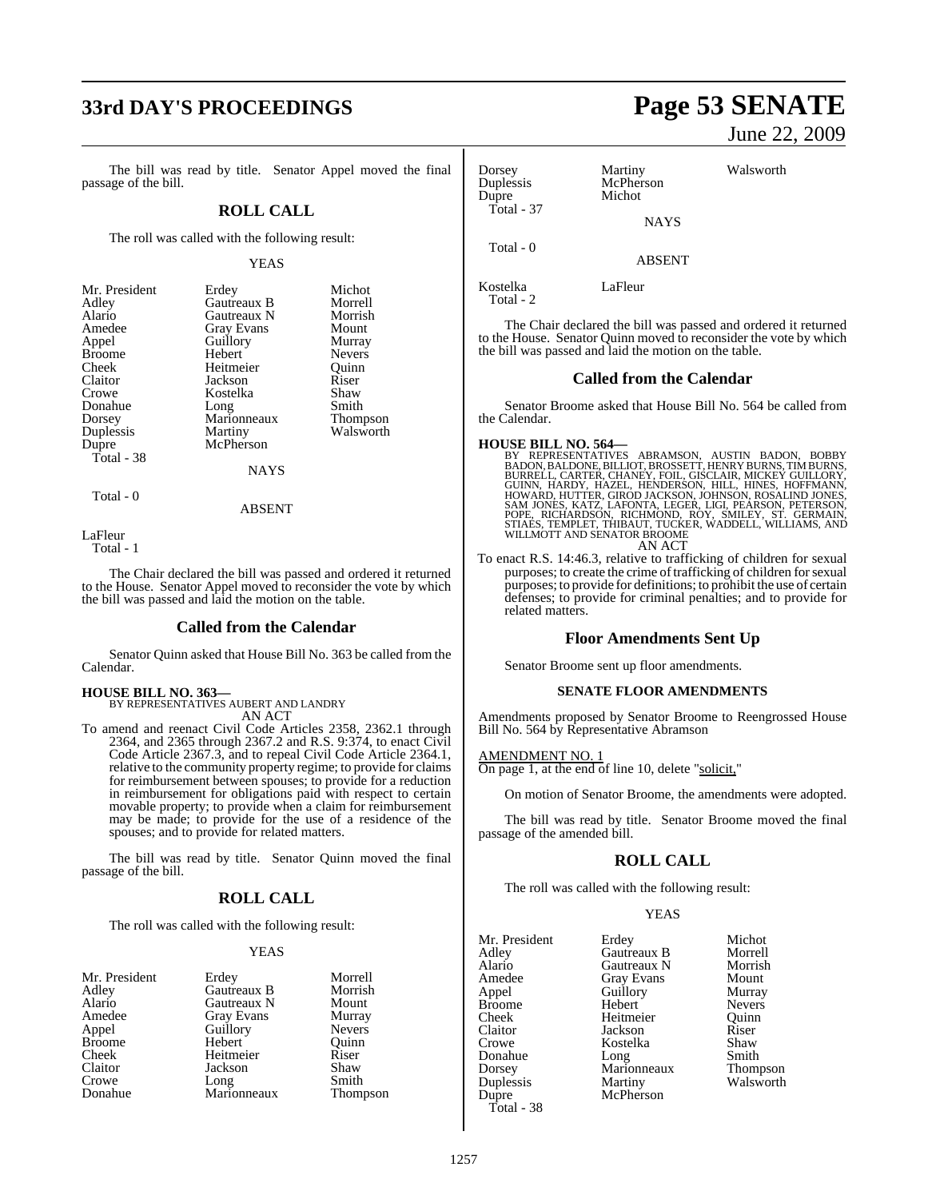# **33rd DAY'S PROCEEDINGS Page 53 SENATE**

The bill was read by title. Senator Appel moved the final passage of the bill.

### **ROLL CALL**

The roll was called with the following result:

### YEAS

| Erdey             | Michot        |
|-------------------|---------------|
| Gautreaux B       | Morrell       |
| Gautreaux N       | Morrish       |
| <b>Gray Evans</b> | Mount         |
| Guillory          | Murray        |
| Hebert            | <b>Nevers</b> |
| Heitmeier         | Ouinn         |
| Jackson           | Riser         |
| Kostelka          | Shaw          |
| Long              | Smith         |
| Marionneaux       | Thompson      |
| Martiny           | Walsworth     |
| McPherson         |               |
|                   |               |
| NAYS              |               |
|                   |               |

Total - 0

ABSENT

LaFleur

Total - 1

The Chair declared the bill was passed and ordered it returned to the House. Senator Appel moved to reconsider the vote by which the bill was passed and laid the motion on the table.

### **Called from the Calendar**

Senator Quinn asked that House Bill No. 363 be called from the Calendar.

### **HOUSE BILL NO. 363—** BY REPRESENTATIVES AUBERT AND LANDRY

AN ACT

To amend and reenact Civil Code Articles 2358, 2362.1 through 2364, and 2365 through 2367.2 and R.S. 9:374, to enact Civil Code Article 2367.3, and to repeal Civil Code Article 2364.1, relative to the community property regime; to provide for claims for reimbursement between spouses; to provide for a reduction in reimbursement for obligations paid with respect to certain movable property; to provide when a claim for reimbursement may be made; to provide for the use of a residence of the spouses; and to provide for related matters.

The bill was read by title. Senator Quinn moved the final passage of the bill.

### **ROLL CALL**

The roll was called with the following result:

### YEAS

| Mr. President |  |
|---------------|--|
| Adley         |  |
| Alario        |  |
| Amedee        |  |
| Appel         |  |
| <b>Broome</b> |  |
| Cheek         |  |
| Claitor       |  |
| Crowe         |  |
| Donahue       |  |

Erdey Morrell<br>Gautreaux B Morrish **Gautreaux B** Morrish<br> **Gautreaux N** Mount Gautreaux N Mount<br>Gray Evans Murray Gray Evans Guillory Nevers<br>
Hebert Quinn Hebert Quinn<br>
Heitmeier Riser Heitmeier Jackson Shaw<br>Long Smith Long Smith<br>
Marionneaux Thompson Marionneaux

# June 22, 2009

| Dorsey<br>Duplessis<br>Dupre | Martiny<br>McPherson<br>Michot | Walsworth |
|------------------------------|--------------------------------|-----------|
| Total - 37                   | <b>NAYS</b>                    |           |
| Total - 0                    | ABSENT                         |           |

Kostelka LaFleur

Total - 2

The Chair declared the bill was passed and ordered it returned to the House. Senator Quinn moved to reconsider the vote by which the bill was passed and laid the motion on the table.

### **Called from the Calendar**

Senator Broome asked that House Bill No. 564 be called from the Calendar.

- **HOUSE BILL NO. 564—**<br>BY REPRESENTATIVES ABRAMSON, AUSTIN BADON, BOBBY<br>BADON, BALDONE, BILLIOT, BROSSETT, HENRY BURNS, TIM BURNS,<br>BURRELL, CARTER, CHANEY, FOIL, GISCLAIR, MICKEY GUILLORY,<br>GUINN, HARDY, HAZEL, HENDERSON, JO AN ACT
- To enact R.S. 14:46.3, relative to trafficking of children for sexual purposes; to create the crime of trafficking of children for sexual purposes; to provide for definitions; to prohibit the use of certain defenses; to provide for criminal penalties; and to provide for related matters.

### **Floor Amendments Sent Up**

Senator Broome sent up floor amendments.

### **SENATE FLOOR AMENDMENTS**

Amendments proposed by Senator Broome to Reengrossed House Bill No. 564 by Representative Abramson

AMENDMENT NO. 1 On page 1, at the end of line 10, delete "solicit,"

On motion of Senator Broome, the amendments were adopted.

The bill was read by title. Senator Broome moved the final passage of the amended bill.

### **ROLL CALL**

The roll was called with the following result:

Guillory

McPherson

### YEAS

Mr. President Erdey Michot<br>Adley Gautreaux B Morrell Adley Gautreaux B Morrell Alario Gautreaux N Morrish Amedee Gray Evans Mount<br>
Appel Guillory Murray Broome Hebert Nevers<br>
Cheek Heitmeier Quinn Cheek Heitmeier Quinn Claitor Jackson Riser Donahue Dorsey Marionneaux Thompson Duplessis Martiny Walsworth Total - 38

Kostelka Shaw<br>Long Smith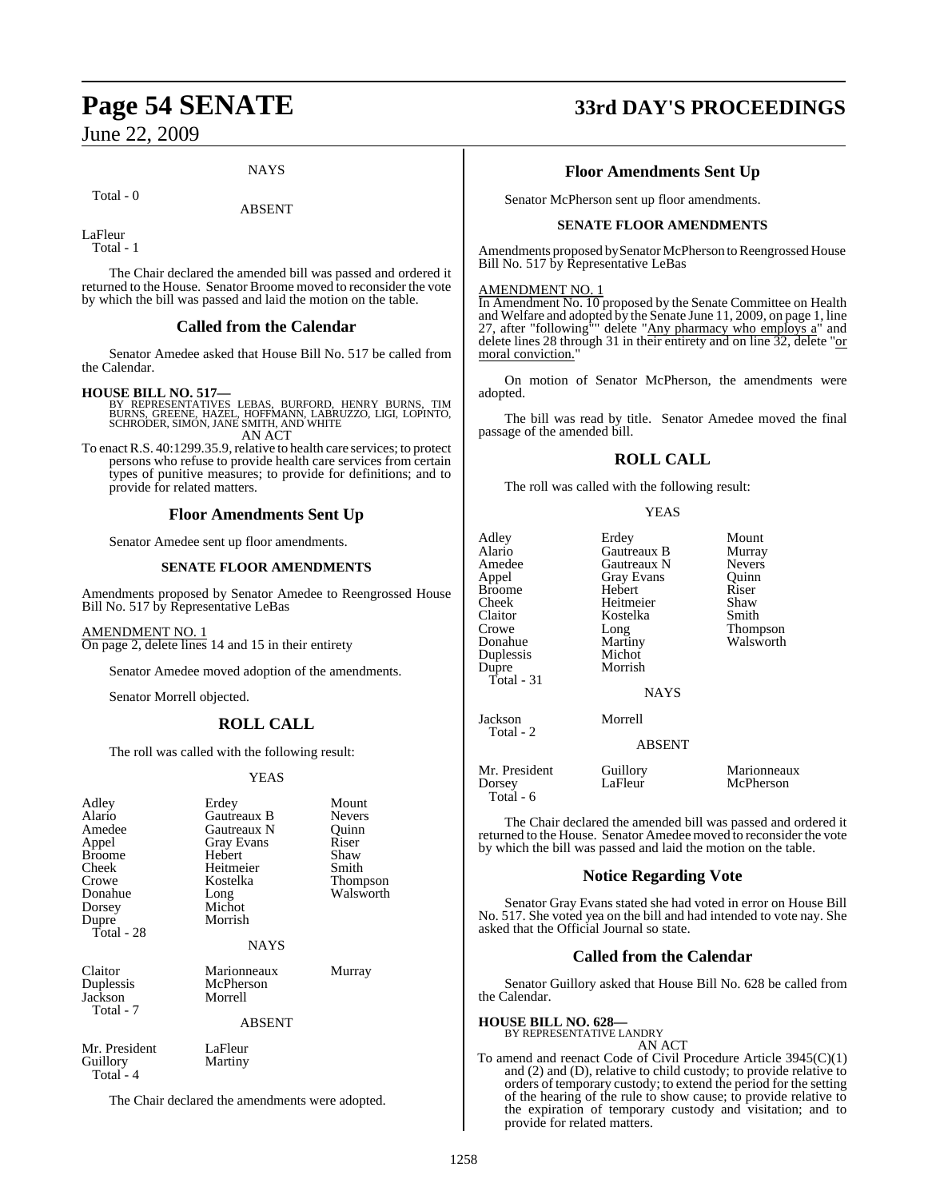### **NAYS**

Total - 0

ABSENT

LaFleur Total - 1

The Chair declared the amended bill was passed and ordered it returned to the House. Senator Broome moved to reconsider the vote by which the bill was passed and laid the motion on the table.

### **Called from the Calendar**

Senator Amedee asked that House Bill No. 517 be called from the Calendar.

- **HOUSE BILL NO. 517—** BY REPRESENTATIVES LEBAS, BURFORD, HENRY BURNS, TIM BURNS, GREENE, HAZEL, HOFFMANN, LABRUZZO, LIGI, LOPINTO, SCHRODER, SIMON, JANE SMITH, AND WHITE AN ACT
- To enact R.S. 40:1299.35.9, relative to health care services; to protect persons who refuse to provide health care services from certain types of punitive measures; to provide for definitions; and to provide for related matters.

### **Floor Amendments Sent Up**

Senator Amedee sent up floor amendments.

### **SENATE FLOOR AMENDMENTS**

Amendments proposed by Senator Amedee to Reengrossed House Bill No. 517 by Representative LeBas

### AMENDMENT NO. 1

On page 2, delete lines 14 and 15 in their entirety

Senator Amedee moved adoption of the amendments.

Senator Morrell objected.

### **ROLL CALL**

The roll was called with the following result:

### YEAS

| Adley         | Erdey             | Mount     |
|---------------|-------------------|-----------|
| Alario        | Gautreaux B       | Nevers    |
| Amedee        | Gautreaux N       | Quinn     |
| Appel         | <b>Gray Evans</b> | Riser     |
| Broome        | Hebert            | Shaw      |
| Cheek         | Heitmeier         | Smith     |
| Crowe         | Kostelka          | Thompson  |
| Donahue       | Long              | Walsworth |
| Dorsey        | Michot            |           |
| Dupre         | Morrish           |           |
| Total - 28    |                   |           |
|               | <b>NAYS</b>       |           |
| Claitor       | Marionneaux       | Murray    |
| Duplessis     | McPherson         |           |
| Jackson       | Morrell           |           |
| Total - 7     |                   |           |
|               | <b>ABSENT</b>     |           |
| Mr. President | LaFleur           |           |
| Guillory      | Martiny           |           |
| Total - 4     |                   |           |

The Chair declared the amendments were adopted.

# **Page 54 SENATE 33rd DAY'S PROCEEDINGS**

### **Floor Amendments Sent Up**

Senator McPherson sent up floor amendments.

### **SENATE FLOOR AMENDMENTS**

Amendments proposed by Senator McPherson to Reengrossed House Bill No. 517 by Representative LeBas

### AMENDMENT NO. 1

In Amendment No. 10 proposed by the Senate Committee on Health and Welfare and adopted by the Senate June 11, 2009, on page 1, line 27, after "following"" delete "Any pharmacy who employs a" and delete lines 28 through 31 in their entirety and on line 32, delete "or moral conviction."

On motion of Senator McPherson, the amendments were adopted.

The bill was read by title. Senator Amedee moved the final passage of the amended bill.

### **ROLL CALL**

The roll was called with the following result:

### YEAS

| Adley<br>Alario<br>Amedee<br>Appel<br><b>Broome</b><br>Cheek<br>Claitor<br>Crowe<br>Donahue<br>Duplessis<br>Dupre<br>Total - 31 | Erdey<br>Gautreaux B<br>Gautreaux N<br>Gray Evans<br>Hebert<br>Heitmeier<br>Kostelka<br>Long<br>Martiny<br>Michot<br>Morrish | Mount<br>Murray<br><b>Nevers</b><br>Quinn<br>Riser<br>Shaw<br>Smith<br>Thompson<br>Walsworth |
|---------------------------------------------------------------------------------------------------------------------------------|------------------------------------------------------------------------------------------------------------------------------|----------------------------------------------------------------------------------------------|
|                                                                                                                                 | <b>NAYS</b>                                                                                                                  |                                                                                              |
| Jackson                                                                                                                         | Morrell                                                                                                                      |                                                                                              |
| Total - 2                                                                                                                       | <b>ABSENT</b>                                                                                                                |                                                                                              |
|                                                                                                                                 |                                                                                                                              |                                                                                              |

McPherson

Mr. President Guillory Marionneaux<br>
Dorsey LaFleur McPherson Total - 6

The Chair declared the amended bill was passed and ordered it returned to the House. Senator Amedee moved to reconsider the vote by which the bill was passed and laid the motion on the table.

### **Notice Regarding Vote**

Senator Gray Evans stated she had voted in error on House Bill No. 517. She voted yea on the bill and had intended to vote nay. She asked that the Official Journal so state.

### **Called from the Calendar**

Senator Guillory asked that House Bill No. 628 be called from the Calendar.

### **HOUSE BILL NO. 628—**

BY REPRESENTATIVE LANDRY AN ACT

To amend and reenact Code of Civil Procedure Article 3945(C)(1) and (2) and (D), relative to child custody; to provide relative to orders of temporary custody; to extend the period for the setting of the hearing of the rule to show cause; to provide relative to the expiration of temporary custody and visitation; and to provide for related matters.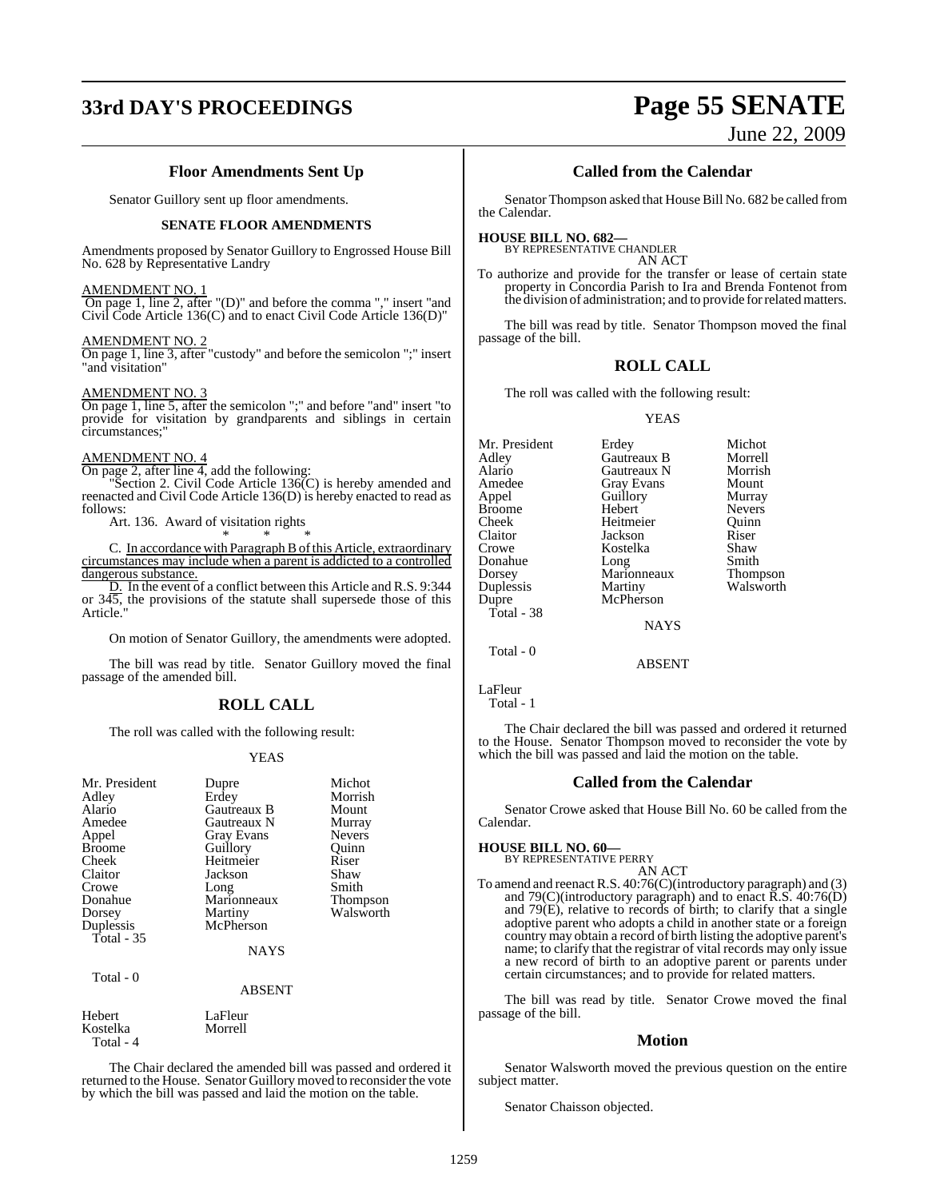# **33rd DAY'S PROCEEDINGS Page 55 SENATE**

June 22, 2009

### **Floor Amendments Sent Up**

Senator Guillory sent up floor amendments.

### **SENATE FLOOR AMENDMENTS**

Amendments proposed by Senator Guillory to Engrossed House Bill No. 628 by Representative Landry

### AMENDMENT NO. 1

 On page 1, line 2, after "(D)" and before the comma "," insert "and Civil Code Article 136(C) and to enact Civil Code Article 136(D)"

### AMENDMENT NO. 2

On page 1, line 3, after "custody" and before the semicolon ";" insert "and visitation"

### AMENDMENT NO. 3

On page 1, line 5, after the semicolon ";" and before "and" insert "to provide for visitation by grandparents and siblings in certain circumstances;"

### AMENDMENT NO. 4

Total - 4

On page 2, after line 4, add the following:

"Section 2. Civil Code Article 136(C) is hereby amended and reenacted and Civil Code Article 136(D) is hereby enacted to read as follows:

Art. 136. Award of visitation rights

\* \* \* C. In accordance with Paragraph B of this Article, extraordinary circumstances may include when a parent is addicted to a controlled dangerous substance.

D. In the event of a conflict between this Article and R.S. 9:344 or  $34\overline{5}$ , the provisions of the statute shall supersede those of this Article."

On motion of Senator Guillory, the amendments were adopted.

The bill was read by title. Senator Guillory moved the final passage of the amended bill.

### **ROLL CALL**

The roll was called with the following result:

### YEAS

| Mr. President     | Dupre         | Michot                |
|-------------------|---------------|-----------------------|
| Adley             | Erdey         | Morrish               |
| Alario            | Gautreaux B   | Mount                 |
| Amedee            | Gautreaux N   | Murray                |
| Appel             | Gray Evans    | <b>Nevers</b>         |
| <b>Broome</b>     | Guillory      | Quinn                 |
| Cheek             | Heitmeier     | Riser                 |
| Claitor           | Jackson       | Shaw                  |
| Crowe             | Long          | Smith                 |
| Donahue           | Marionneaux   |                       |
|                   |               | Thompson<br>Walsworth |
| Dorsey            | Martiny       |                       |
| Duplessis         | McPherson     |                       |
| <b>Total</b> - 35 |               |                       |
|                   | <b>NAYS</b>   |                       |
|                   |               |                       |
| Total - 0         |               |                       |
|                   | <b>ABSENT</b> |                       |
| Hebert            | LaFleur       |                       |
| Kostelka          | Morrell       |                       |
|                   |               |                       |

The Chair declared the amended bill was passed and ordered it returned to the House. Senator Guillory moved to reconsider the vote by which the bill was passed and laid the motion on the table.

### **Called from the Calendar**

Senator Thompson asked that House Bill No. 682 be called from the Calendar.

### **HOUSE BILL NO. 682—**

BY REPRESENTATIVE CHANDLER AN ACT

To authorize and provide for the transfer or lease of certain state property in Concordia Parish to Ira and Brenda Fontenot from the division of administration; and to provide forrelatedmatters.

The bill was read by title. Senator Thompson moved the final passage of the bill.

### **ROLL CALL**

The roll was called with the following result:

### YEAS

| Mr. President | Erdey       | Michot          |
|---------------|-------------|-----------------|
| Adlev         | Gautreaux B | Morrell         |
| Alario        | Gautreaux N | Morrish         |
| Amedee        | Gray Evans  | Mount           |
| Appel         | Guillory    | Murray          |
| Broome        | Hebert      | <b>Nevers</b>   |
| Cheek         | Heitmeier   | Ouinn           |
| Claitor       | Jackson     | Riser           |
| Crowe         | Kostelka    | Shaw            |
| Donahue       | Long        | Smith           |
| Dorsey        | Marionneaux | <b>Thompson</b> |
| Duplessis     | Martiny     | Walsworth       |
| Dupre         | McPherson   |                 |
| Total - 38    |             |                 |
|               | <b>NAYS</b> |                 |
|               |             |                 |

ABSENT

LaFleur

Total - 1

Total - 0

The Chair declared the bill was passed and ordered it returned to the House. Senator Thompson moved to reconsider the vote by which the bill was passed and laid the motion on the table.

### **Called from the Calendar**

Senator Crowe asked that House Bill No. 60 be called from the Calendar.

### **HOUSE BILL NO. 60—**

BY REPRESENTATIVE PERRY AN ACT

To amend and reenact R.S.  $40.76$ (C)(introductory paragraph) and (3) and 79 $(C)$ (introductory paragraph) and to enact  $\overline{R}$ . S. 40:76 $(D)$ and 79(E), relative to records of birth; to clarify that a single adoptive parent who adopts a child in another state or a foreign country may obtain a record of birth listing the adoptive parent's name; to clarify that the registrar of vital records may only issue a new record of birth to an adoptive parent or parents under certain circumstances; and to provide for related matters.

The bill was read by title. Senator Crowe moved the final passage of the bill.

### **Motion**

Senator Walsworth moved the previous question on the entire subject matter.

Senator Chaisson objected.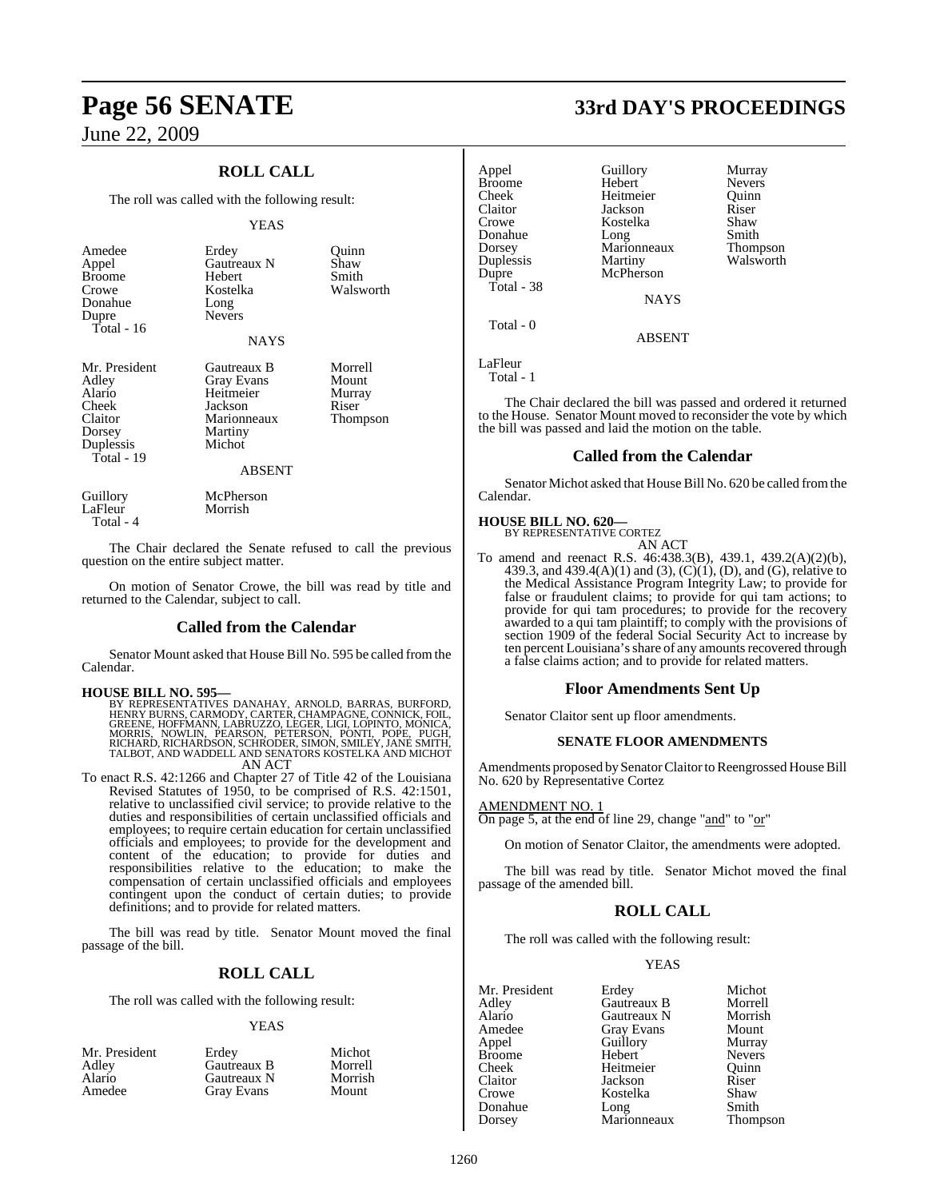### **ROLL CALL**

The roll was called with the following result:

### YEAS

| Amedee<br>Appel<br><b>Broome</b><br>Crowe<br>Donahue<br>Dupre<br>Total - $16$             | Erdey<br><b>Gautreaux N</b><br>Hebert<br>Kostelka<br>Long<br><b>Nevers</b><br><b>NAYS</b>              | Ouinn<br>Shaw<br>Smith<br>Walsworth             |
|-------------------------------------------------------------------------------------------|--------------------------------------------------------------------------------------------------------|-------------------------------------------------|
| Mr. President<br>Adley<br>Alario<br>Cheek<br>Claitor<br>Dorsey<br>Duplessis<br>Total - 19 | Gautreaux B<br>Gray Evans<br>Heitmeier<br>Jackson<br>Marionneaux<br>Martiny<br>Michot<br><b>ABSENT</b> | Morrell<br>Mount<br>Murray<br>Riser<br>Thompson |

| Guillory  | McPherson |
|-----------|-----------|
| LaFleur   | Morrish   |
| Total - 4 |           |

The Chair declared the Senate refused to call the previous question on the entire subject matter.

On motion of Senator Crowe, the bill was read by title and returned to the Calendar, subject to call.

### **Called from the Calendar**

Senator Mount asked that House Bill No. 595 be called fromthe Calendar.

- **HOUSE BILL NO. 595—** BY REPRESENTATIVES DANAHAY, ARNOLD, BARRAS, BURFORD, HENRY BURNS, CARMODY, CARTER, CHAMPAGNE, CONNICK, FOIL, GREENE, HOFFMANN, LABRUZZO, LEGER, LIGI, LOPINTO, MONICA, MORRIS, NOWLIN, PEARSON, PETERSON, PONTI, POPE, PUGH,<br>RICHARD,RICHARDSON,SCHRODER,SIMON,SMILEY,JANE SMITH,<br>TALBOT,AND WADDELL AND SENATORS KOSTELKA AND MICHOT AN ACT
- To enact R.S. 42:1266 and Chapter 27 of Title 42 of the Louisiana Revised Statutes of 1950, to be comprised of R.S. 42:1501, relative to unclassified civil service; to provide relative to the duties and responsibilities of certain unclassified officials and employees; to require certain education for certain unclassified officials and employees; to provide for the development and content of the education; to provide for duties and responsibilities relative to the education; to make the compensation of certain unclassified officials and employees contingent upon the conduct of certain duties; to provide definitions; and to provide for related matters.

The bill was read by title. Senator Mount moved the final passage of the bill.

### **ROLL CALL**

The roll was called with the following result:

### YEAS

| Mr. President   | Erdev       | Michot  |
|-----------------|-------------|---------|
| Adley<br>Alario | Gautreaux B | Morrell |
|                 | Gautreaux N | Morrish |
| Amedee          | Gray Evans  | Mount   |

**Page 56 SENATE 33rd DAY'S PROCEEDINGS**

| Appel         | Guillory    | Murray        |
|---------------|-------------|---------------|
| <b>Broome</b> | Hebert      | <b>Nevers</b> |
| Cheek         | Heitmeier   | Ouinn         |
| Claitor       | Jackson     | Riser         |
| Crowe         | Kostelka    | Shaw          |
| Donahue       | Long        | Smith         |
| Dorsey        | Marionneaux | Thompson      |
| Duplessis     | Martiny     | Walsworth     |
| Dupre         | McPherson   |               |
| Total - 38    |             |               |
|               | NAVS        |               |

ABSENT

LaFleur Total - 1

Total - 0

The Chair declared the bill was passed and ordered it returned to the House. Senator Mount moved to reconsider the vote by which the bill was passed and laid the motion on the table.

### **Called from the Calendar**

Senator Michot asked that House Bill No. 620 be called fromthe Calendar.

### **HOUSE BILL NO. 620—**

BY REPRESENTATIVE CORTEZ AN ACT

To amend and reenact R.S. 46:438.3(B), 439.1, 439.2(A)(2)(b), 439.3, and 439.4(A)(1) and (3),  $(C)(1)$ ,  $(D)$ , and  $(G)$ , relative to the Medical Assistance Program Integrity Law; to provide for false or fraudulent claims; to provide for qui tam actions; to provide for qui tam procedures; to provide for the recovery awarded to a qui tam plaintiff; to comply with the provisions of section 1909 of the federal Social Security Act to increase by ten percent Louisiana's share of any amounts recovered through a false claims action; and to provide for related matters.

### **Floor Amendments Sent Up**

Senator Claitor sent up floor amendments.

### **SENATE FLOOR AMENDMENTS**

Amendments proposed by Senator Claitor to Reengrossed House Bill No. 620 by Representative Cortez

AMENDMENT NO. 1

On page 5, at the end of line 29, change "and" to "or"

On motion of Senator Claitor, the amendments were adopted.

The bill was read by title. Senator Michot moved the final passage of the amended bill.

### **ROLL CALL**

The roll was called with the following result:

### YEAS

| Mr. President | Erdey             | Michot        |
|---------------|-------------------|---------------|
| Adley         | Gautreaux B       | Morrell       |
| Alario        | Gautreaux N       | Morrisl       |
| Amedee        | <b>Gray Evans</b> | Mount         |
| Appel         | Guillory          | Murray        |
| <b>Broome</b> | Hebert            | <b>Nevers</b> |
| Cheek         | Heitmeier         | Ouinn         |
| Claitor       | Jackson           | Riser         |
| Crowe         | Kostelka          | Shaw          |
| Donahue       | Long              | Smith         |
| Dorsey        | Marionneaux       | Thomp         |

Aux B Morrell<br>Aux N Morrish Morrish y Murray Smith<br>Thompson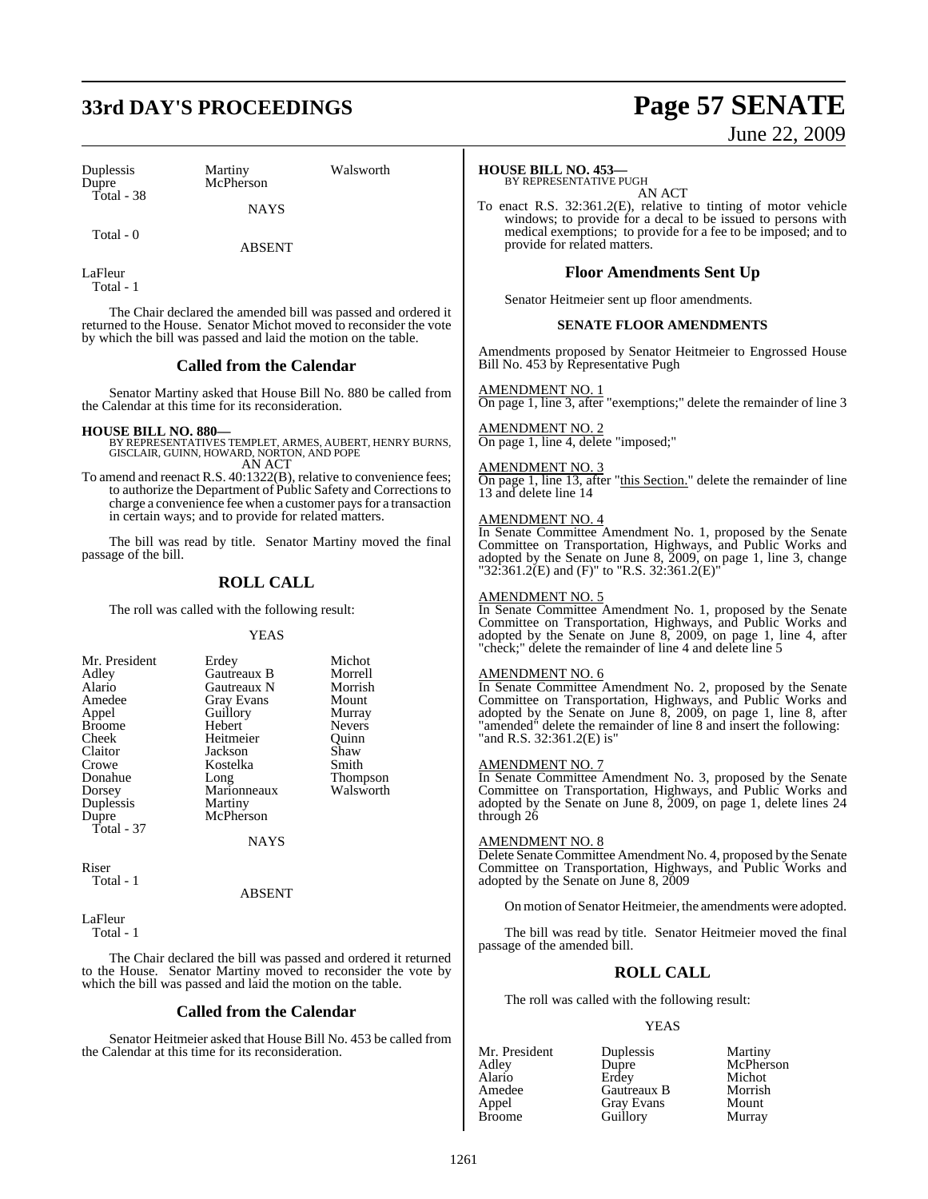# **33rd DAY'S PROCEEDINGS Page 57 SENATE**

Duplessis Martiny Walsworth Total - 38

McPherson **NAYS** 

Total - 0

ABSENT

LaFleur Total - 1

The Chair declared the amended bill was passed and ordered it returned to the House. Senator Michot moved to reconsider the vote by which the bill was passed and laid the motion on the table.

### **Called from the Calendar**

Senator Martiny asked that House Bill No. 880 be called from the Calendar at this time for its reconsideration.

### **HOUSE BILL NO. 880—**

BY REPRESENTATIVES TEMPLET, ARMES, AUBERT, HENRY BURNS, GISCLAIR, GUINN, HOWARD, NORTON, AND POPE AN ACT

To amend and reenact R.S. 40:1322(B), relative to convenience fees; to authorize the Department of Public Safety and Corrections to charge a convenience fee when a customer paysfor a transaction in certain ways; and to provide for related matters.

The bill was read by title. Senator Martiny moved the final passage of the bill.

### **ROLL CALL**

The roll was called with the following result:

### YEAS

| Mr. President | Erdey       | Michot        |
|---------------|-------------|---------------|
| Adley         | Gautreaux B | Morrell       |
| Alario        | Gautreaux N | Morrish       |
| Amedee        | Gray Evans  | Mount         |
| Appel         | Guillory    | Murray        |
| <b>Broome</b> | Hebert      | <b>Nevers</b> |
| Cheek         | Heitmeier   | Ouinn         |
| Claitor       | Jackson     | Shaw          |
| Crowe         | Kostelka    | Smith         |
| Donahue       | Long        | Thompson      |
| Dorsey        | Marionneaux | Walsworth     |
| Duplessis     | Martiny     |               |
| Dupre         | McPherson   |               |
| Total - 37    |             |               |
|               | NAYS        |               |

Riser Total - 1

### ABSENT

LaFleur  $Total - 1$ 

The Chair declared the bill was passed and ordered it returned to the House. Senator Martiny moved to reconsider the vote by which the bill was passed and laid the motion on the table.

### **Called from the Calendar**

Senator Heitmeier asked that House Bill No. 453 be called from the Calendar at this time for its reconsideration.

# June 22, 2009

### **HOUSE BILL NO. 453—**

BY REPRESENTATIVE PUGH AN ACT

To enact R.S. 32:361.2(E), relative to tinting of motor vehicle windows; to provide for a decal to be issued to persons with medical exemptions; to provide for a fee to be imposed; and to provide for related matters.

### **Floor Amendments Sent Up**

Senator Heitmeier sent up floor amendments.

### **SENATE FLOOR AMENDMENTS**

Amendments proposed by Senator Heitmeier to Engrossed House Bill No. 453 by Representative Pugh

AMENDMENT NO. 1

On page 1, line 3, after "exemptions;" delete the remainder of line 3

AMENDMENT NO. 2 On page 1, line 4, delete "imposed;"

### AMENDMENT NO. 3

On page 1, line 13, after "this Section." delete the remainder of line 13 and delete line 14

### AMENDMENT NO. 4

In Senate Committee Amendment No. 1, proposed by the Senate Committee on Transportation, Highways, and Public Works and adopted by the Senate on June 8, 2009, on page 1, line 3, change "32:361.2(E) and (F)" to "R.S. 32:361.2(E)"

### AMENDMENT NO. 5

In Senate Committee Amendment No. 1, proposed by the Senate Committee on Transportation, Highways, and Public Works and adopted by the Senate on June 8, 2009, on page 1, line 4, after "check;" delete the remainder of line 4 and delete line 5

### AMENDMENT NO. 6

In Senate Committee Amendment No. 2, proposed by the Senate Committee on Transportation, Highways, and Public Works and adopted by the Senate on June 8, 2009, on page 1, line 8, after "amended" delete the remainder of line 8 and insert the following: "and R.S. 32:361.2(E) is"

### AMENDMENT NO. 7

In Senate Committee Amendment No. 3, proposed by the Senate Committee on Transportation, Highways, and Public Works and adopted by the Senate on June 8, 2009, on page 1, delete lines 24 through  $26$ 

### AMENDMENT NO. 8

Delete Senate Committee Amendment No. 4, proposed by the Senate Committee on Transportation, Highways, and Public Works and adopted by the Senate on June 8, 2009

On motion of Senator Heitmeier, the amendments were adopted.

The bill was read by title. Senator Heitmeier moved the final passage of the amended bill.

### **ROLL CALL**

The roll was called with the following result:

### YEAS

Appel Gray Evans Mount<br>Broome Guillory Murray

Mr. President Duplessis Martiny<br>Adley Dupre McPher: Adley Dupre McPherson Alario Erdey Michot Amedee Gautreaux B Morrish<br>
Appel Gray Evans Mount Guillory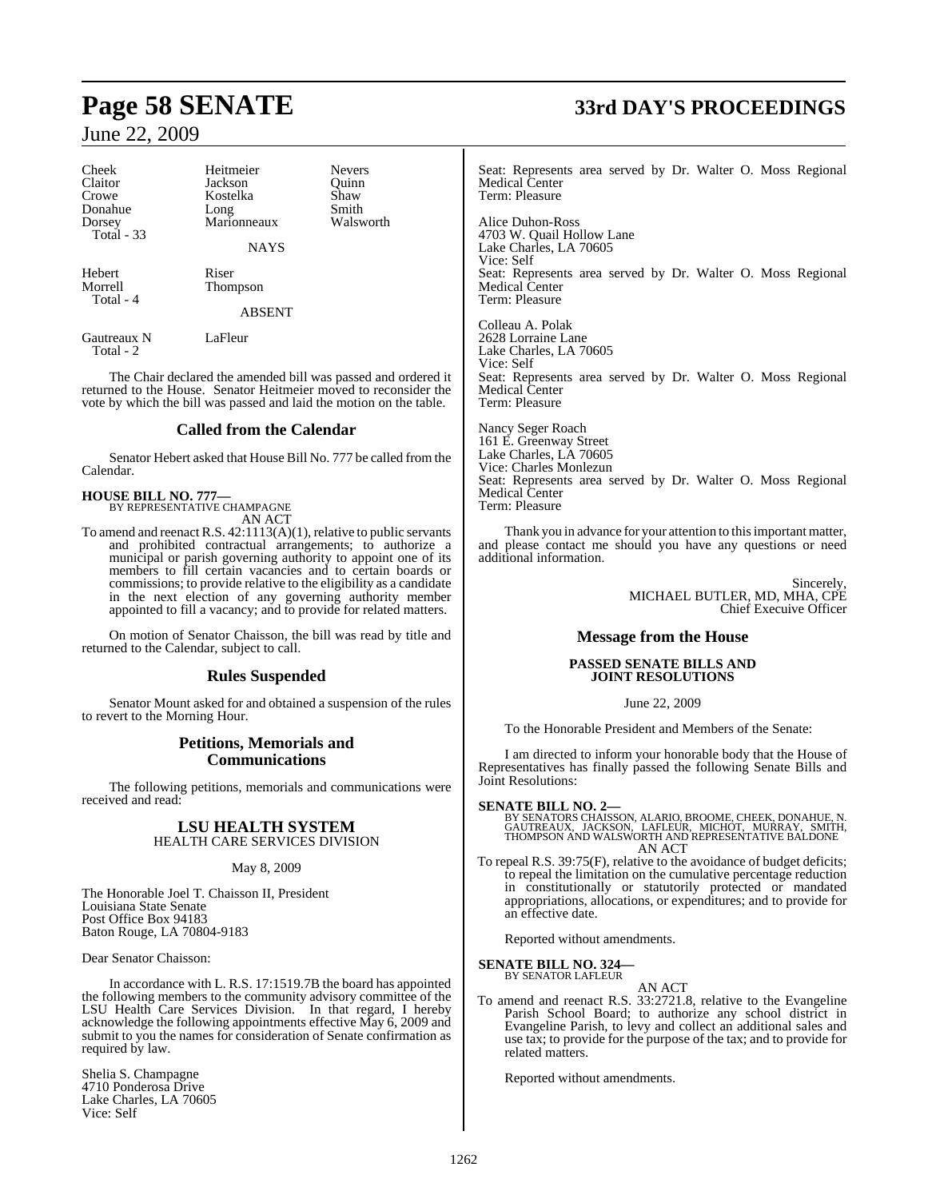| Cheek<br>Claitor<br>Crowe<br>Donahue<br>Dorsey<br>Total - 33 | Heitmeier<br>Jackson<br>Kostelka<br>Long<br>Marionneaux<br><b>NAYS</b> | <b>Nevers</b><br>Ouinn<br>Shaw<br>Smith<br>Walsworth |
|--------------------------------------------------------------|------------------------------------------------------------------------|------------------------------------------------------|
| Hebert<br>Morrell<br>Total - 4                               | Riser<br>Thompson<br><b>ABSENT</b>                                     |                                                      |
| Gautreaux N<br>Total - 2                                     | LaFleur                                                                |                                                      |

The Chair declared the amended bill was passed and ordered it returned to the House. Senator Heitmeier moved to reconsider the vote by which the bill was passed and laid the motion on the table.

### **Called from the Calendar**

Senator Hebert asked that House Bill No. 777 be called from the Calendar.

# **HOUSE BILL NO. 777—** BY REPRESENTATIVE CHAMPAGNE

AN ACT

To amend and reenact R.S. 42:1113(A)(1), relative to public servants and prohibited contractual arrangements; to authorize a municipal or parish governing authority to appoint one of its members to fill certain vacancies and to certain boards or commissions; to provide relative to the eligibility as a candidate in the next election of any governing authority member appointed to fill a vacancy; and to provide for related matters.

On motion of Senator Chaisson, the bill was read by title and returned to the Calendar, subject to call.

### **Rules Suspended**

Senator Mount asked for and obtained a suspension of the rules to revert to the Morning Hour.

### **Petitions, Memorials and Communications**

The following petitions, memorials and communications were received and read:

### **LSU HEALTH SYSTEM** HEALTH CARE SERVICES DIVISION

### May 8, 2009

The Honorable Joel T. Chaisson II, President Louisiana State Senate Post Office Box 94183 Baton Rouge, LA 70804-9183

Dear Senator Chaisson:

In accordance with L. R.S. 17:1519.7B the board has appointed the following members to the community advisory committee of the LSU Health Care Services Division. In that regard, I hereby acknowledge the following appointments effective May 6, 2009 and submit to you the names for consideration of Senate confirmation as required by law.

Shelia S. Champagne 4710 Ponderosa Drive Lake Charles, LA 70605 Vice: Self

# **Page 58 SENATE 33rd DAY'S PROCEEDINGS**

Seat: Represents area served by Dr. Walter O. Moss Regional Medical Center Term: Pleasure

Alice Duhon-Ross 4703 W. Quail Hollow Lane Lake Charles, LA 70605 Vice: Self Seat: Represents area served by Dr. Walter O. Moss Regional Medical Center Term: Pleasure

Colleau A. Polak 2628 Lorraine Lane Lake Charles, LA 70605 Vice: Self Seat: Represents area served by Dr. Walter O. Moss Regional Medical Center Term: Pleasure

Nancy Seger Roach 161 E. Greenway Street Lake Charles, LA 70605 Vice: Charles Monlezun Seat: Represents area served by Dr. Walter O. Moss Regional Medical Center Term: Pleasure

Thank you in advance for your attention to this important matter, and please contact me should you have any questions or need additional information.

> Sincerely, MICHAEL BUTLER, MD, MHA, CPE Chief Execuive Officer

### **Message from the House**

### **PASSED SENATE BILLS AND JOINT RESOLUTIONS**

June 22, 2009

To the Honorable President and Members of the Senate:

I am directed to inform your honorable body that the House of Representatives has finally passed the following Senate Bills and Joint Resolutions:

### **SENATE BILL NO. 2—**

BY SENATORS CHAISSON, ALARIO, BROOME, CHEEK, DONAHUE, N.<br>GAUTREAUX, JACKSON, LAFLEUR, MICHOT, MURRAY, SMITH,<br>THOMPSON AND WALSWORTH AND REPRESENTATIVE BALDONE AN ACT

To repeal R.S. 39:75(F), relative to the avoidance of budget deficits; to repeal the limitation on the cumulative percentage reduction in constitutionally or statutorily protected or mandated appropriations, allocations, or expenditures; and to provide for an effective date.

Reported without amendments.

## **SENATE BILL NO. 324—** BY SENATOR LAFLEUR

AN ACT To amend and reenact R.S. 33:2721.8, relative to the Evangeline Parish School Board; to authorize any school district in Evangeline Parish, to levy and collect an additional sales and use tax; to provide for the purpose of the tax; and to provide for related matters.

Reported without amendments.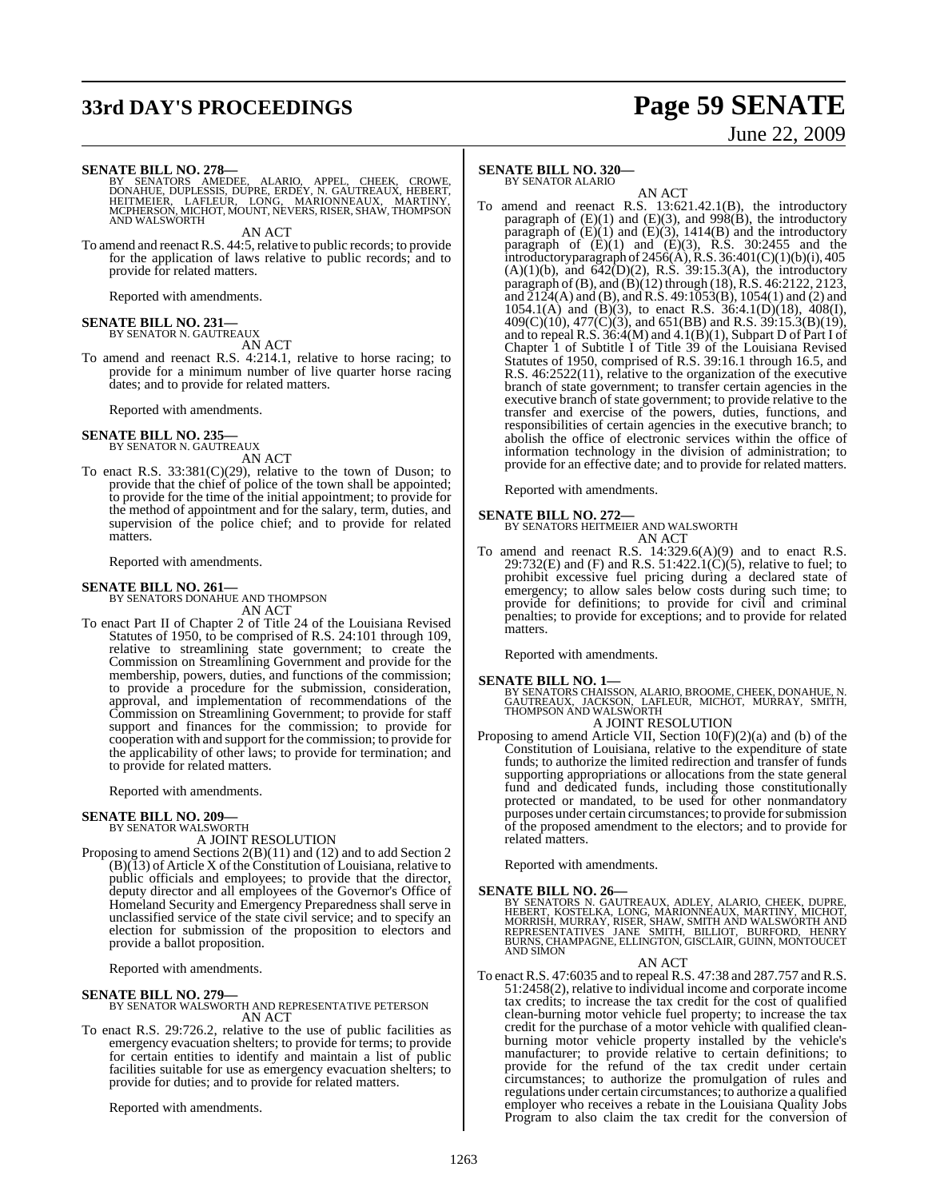# **33rd DAY'S PROCEEDINGS Page 59 SENATE**

# June 22, 2009

**SENATE BILL NO. 278—**

BY SENATORS AMEDEE, ALARIO, APPEL, CHEEK, CROWE,<br>DONAHUE, DUPLESSIS, DUPRE, ERDEY, N. GAUTREAUX, HEBERT,<br>HEITMEIER, LAFLEUR, LONG, MARIONNEAUX, MARTINY,<br>MCPHERSON,MICHOT,MOUNT,NEVERS,RISER,SHAW,THOMPSON<br>AND WALSWORTH

AN ACT

To amend and reenact R.S. 44:5, relative to public records; to provide for the application of laws relative to public records; and to provide for related matters.

Reported with amendments.

### **SENATE BILL NO. 231** BY SENATOR N. GAUTREAUX

AN ACT

To amend and reenact R.S. 4:214.1, relative to horse racing; to provide for a minimum number of live quarter horse racing dates; and to provide for related matters.

Reported with amendments.

### **SENATE BILL NO. 235—**

BY SENATOR N. GAUTREAUX AN ACT

To enact R.S.  $33:381(C)(29)$ , relative to the town of Duson; to provide that the chief of police of the town shall be appointed; to provide for the time of the initial appointment; to provide for the method of appointment and for the salary, term, duties, and supervision of the police chief; and to provide for related matters.

Reported with amendments.

### **SENATE BILL NO. 261—**

BY SENATORS DONAHUE AND THOMPSON

AN ACT To enact Part II of Chapter 2 of Title 24 of the Louisiana Revised Statutes of 1950, to be comprised of R.S. 24:101 through 109, relative to streamlining state government; to create the Commission on Streamlining Government and provide for the membership, powers, duties, and functions of the commission; to provide a procedure for the submission, consideration, approval, and implementation of recommendations of the Commission on Streamlining Government; to provide for staff support and finances for the commission; to provide for cooperation with and support for the commission; to provide for the applicability of other laws; to provide for termination; and to provide for related matters.

Reported with amendments.

### **SENATE BILL NO. 209—** BY SENATOR WALSWORTH

A JOINT RESOLUTION

Proposing to amend Sections 2(B)(11) and (12) and to add Section 2  $(B)(13)$  of Article X of the Constitution of Louisiana, relative to public officials and employees; to provide that the director, deputy director and all employees of the Governor's Office of Homeland Security and Emergency Preparedness shall serve in unclassified service of the state civil service; and to specify an election for submission of the proposition to electors and provide a ballot proposition.

Reported with amendments.

### **SENATE BILL NO. 279—**

BY SENATOR WALSWORTH AND REPRESENTATIVE PETERSON AN ACT

To enact R.S. 29:726.2, relative to the use of public facilities as emergency evacuation shelters; to provide for terms; to provide for certain entities to identify and maintain a list of public facilities suitable for use as emergency evacuation shelters; to provide for duties; and to provide for related matters.

Reported with amendments.

### **SENATE BILL NO. 320—** BY SENATOR ALARIO

AN ACT

To amend and reenact R.S. 13:621.42.1(B), the introductory paragraph of (E)(1) and (E)(3), and 998(B), the introductory paragraph of  $(E)(1)$  and  $(E)(3)$ , 1414 $(B)$  and the introductory paragraph of  $(E)(1)$  and  $(E)(3)$ , R.S. 30:2455 and the introductory paragraph of 2456(A), R.S. 36:401(C)(1)(b)(i), 405  $(A)(1)(b)$ , and  $642(D)(2)$ , R.S. 39:15.3(A), the introductory paragraph of (B), and (B)(12) through (18), R.S. 46:2122, 2123, and  $\tilde{2}124$ (A) and (B), and R.S. 49:1053(B), 1054(1) and (2) and 1054.1(A) and (B)(3), to enact R.S. 36:4.1(D)(18), 408(I),  $409(C)(10)$ ,  $477(C)(3)$ , and  $651(BB)$  and R.S.  $39:15.3(B)(19)$ , and to repeal R.S. 36:4(M) and 4.1(B)(1), Subpart D of Part I of Chapter 1 of Subtitle I of Title 39 of the Louisiana Revised Statutes of 1950, comprised of R.S. 39:16.1 through 16.5, and R.S. 46:2522(11), relative to the organization of the executive branch of state government; to transfer certain agencies in the executive branch of state government; to provide relative to the transfer and exercise of the powers, duties, functions, and responsibilities of certain agencies in the executive branch; to abolish the office of electronic services within the office of information technology in the division of administration; to provide for an effective date; and to provide for related matters.

Reported with amendments.

### **SENATE BILL NO. 272—**

BY SENATORS HEITMEIER AND WALSWORTH AN ACT

To amend and reenact R.S. 14:329.6(A)(9) and to enact R.S. 29:732(E) and (F) and R.S. 51:422.1(C)(5), relative to fuel; to prohibit excessive fuel pricing during a declared state of emergency; to allow sales below costs during such time; to provide for definitions; to provide for civil and criminal penalties; to provide for exceptions; and to provide for related matters.

Reported with amendments.

**SENATE BILL NO. 1—**<br>BY SENATORS CHAISSON, ALARIO, BROOME, CHEEK, DONAHUE, N.<br>GAUTREAUX, JACKSON, LAFLEUR, MICHOT, MURRAY, SMITH,<br>THOMPSON AND WALSWORTH A JOINT RESOLUTION

- 
- Proposing to amend Article VII, Section 10(F)(2)(a) and (b) of the Constitution of Louisiana, relative to the expenditure of state funds; to authorize the limited redirection and transfer of funds supporting appropriations or allocations from the state general fund and dedicated funds, including those constitutionally protected or mandated, to be used for other nonmandatory purposes under certain circumstances; to provide for submission of the proposed amendment to the electors; and to provide for related matters.

Reported with amendments.

### **SENATE BILL NO. 26—**

BY SENATORS N. GAUTREAUX, ADLEY, ALARIO, CHEEK, DUPRE,<br>HEBERT, KOSTELKA, LONG, MARIONNEAUX, MARTINY, MICHOT,<br>MORRISH, MURRAY, RISER, SHAW, SMITH AND WALSWORTH AND<br>REPRESENTATIVES ' JANE ' SMITH, BILLIOT, BURFORD, HENRY<br>BUR

AN ACT

To enact R.S. 47:6035 and to repeal R.S. 47:38 and 287.757 and R.S. 51:2458(2), relative to individual income and corporate income tax credits; to increase the tax credit for the cost of qualified clean-burning motor vehicle fuel property; to increase the tax credit for the purchase of a motor vehicle with qualified cleanburning motor vehicle property installed by the vehicle's manufacturer; to provide relative to certain definitions; to provide for the refund of the tax credit under certain circumstances; to authorize the promulgation of rules and regulations under certain circumstances; to authorize a qualified employer who receives a rebate in the Louisiana Quality Jobs Program to also claim the tax credit for the conversion of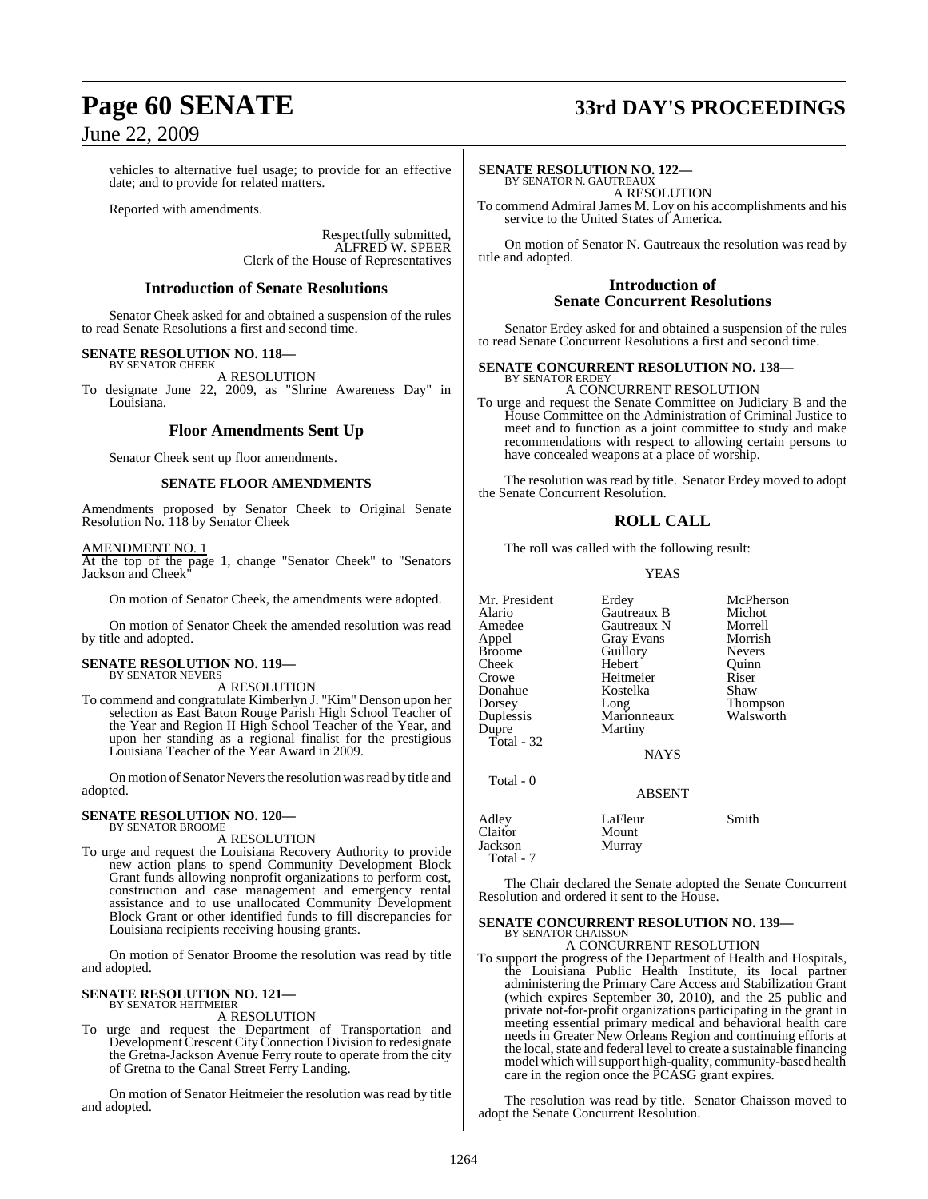# **Page 60 SENATE 33rd DAY'S PROCEEDINGS**

### June 22, 2009

vehicles to alternative fuel usage; to provide for an effective date; and to provide for related matters.

Reported with amendments.

Respectfully submitted, ALFRED W. SPEER Clerk of the House of Representatives

### **Introduction of Senate Resolutions**

Senator Cheek asked for and obtained a suspension of the rules to read Senate Resolutions a first and second time.

### **SENATE RESOLUTION NO. 118—**

BY SENATOR CHEEK A RESOLUTION To designate June 22, 2009, as "Shrine Awareness Day" in

Louisiana.

### **Floor Amendments Sent Up**

Senator Cheek sent up floor amendments.

### **SENATE FLOOR AMENDMENTS**

Amendments proposed by Senator Cheek to Original Senate Resolution No. 118 by Senator Cheek

### AMENDMENT NO. 1

At the top of the page 1, change "Senator Cheek" to "Senators Jackson and Cheek

On motion of Senator Cheek, the amendments were adopted.

On motion of Senator Cheek the amended resolution was read by title and adopted.

### **SENATE RESOLUTION NO. 119—** BY SENATOR NEVERS

A RESOLUTION

To commend and congratulate Kimberlyn J. "Kim" Denson upon her selection as East Baton Rouge Parish High School Teacher of the Year and Region II High School Teacher of the Year, and upon her standing as a regional finalist for the prestigious Louisiana Teacher of the Year Award in 2009.

On motion of Senator Nevers the resolution was read by title and adopted.

### **SENATE RESOLUTION NO. 120—** BY SENATOR BROOME

A RESOLUTION

To urge and request the Louisiana Recovery Authority to provide new action plans to spend Community Development Block Grant funds allowing nonprofit organizations to perform cost, construction and case management and emergency rental assistance and to use unallocated Community Development Block Grant or other identified funds to fill discrepancies for Louisiana recipients receiving housing grants.

On motion of Senator Broome the resolution was read by title and adopted.

### **SENATE RESOLUTION NO. 121—** BY SENATOR HEITMEIER

A RESOLUTION

To urge and request the Department of Transportation and Development Crescent City Connection Division to redesignate the Gretna-Jackson Avenue Ferry route to operate from the city of Gretna to the Canal Street Ferry Landing.

On motion of Senator Heitmeier the resolution was read by title and adopted.

### **SENATE RESOLUTION NO. 122—**

BY SENATOR N. GAUTREAUX A RESOLUTION

To commend Admiral James M. Loy on his accomplishments and his service to the United States of America.

On motion of Senator N. Gautreaux the resolution was read by title and adopted.

### **Introduction of Senate Concurrent Resolutions**

Senator Erdey asked for and obtained a suspension of the rules to read Senate Concurrent Resolutions a first and second time.

### **SENATE CONCURRENT RESOLUTION NO. 138—** BY SENATOR ERDEY

A CONCURRENT RESOLUTION To urge and request the Senate Committee on Judiciary B and the House Committee on the Administration of Criminal Justice to meet and to function as a joint committee to study and make recommendations with respect to allowing certain persons to have concealed weapons at a place of worship.

The resolution was read by title. Senator Erdey moved to adopt the Senate Concurrent Resolution.

### **ROLL CALL**

The roll was called with the following result:

YEAS

Mr. President Erdey McPherson<br>Alario Gautreaux B Michot Alario Gautreaux B Michot Amedee Gautreaux N Morrell<br>
Appel Gray Evans Morrish Appel Gray Evans Morrish<br>Broome Guillory Nevers Broome Guillory Nevers<br>
Cheek Hebert Ouinn Cheek Hebert Quinn<br>Crowe Heitmeier Riser Donahue Kostelka Shaw<br>Dorsey Long Thompson Dorsey Long Thompson Duplessis Marionneaux Walsworth Dupre Martiny Total - 32

Heitmeier Riser<br>Kostelka Shaw

Total - 0

Total - 7

| <b>ADJENI</b>              |       |
|----------------------------|-------|
| LaFleur<br>Mount<br>Murray | Smith |
|                            |       |

The Chair declared the Senate adopted the Senate Concurrent Resolution and ordered it sent to the House.

NAYS

ABSENT

### **SENATE CONCURRENT RESOLUTION NO. 139—** BY SENATOR CHAISSON

A CONCURRENT RESOLUTION

To support the progress of the Department of Health and Hospitals, the Louisiana Public Health Institute, its local partner administering the Primary Care Access and Stabilization Grant (which expires September 30, 2010), and the 25 public and private not-for-profit organizations participating in the grant in meeting essential primary medical and behavioral health care needs in Greater New Orleans Region and continuing efforts at the local, state and federal level to create a sustainable financing model which will support high-quality, community-based health care in the region once the PCASG grant expires.

The resolution was read by title. Senator Chaisson moved to adopt the Senate Concurrent Resolution.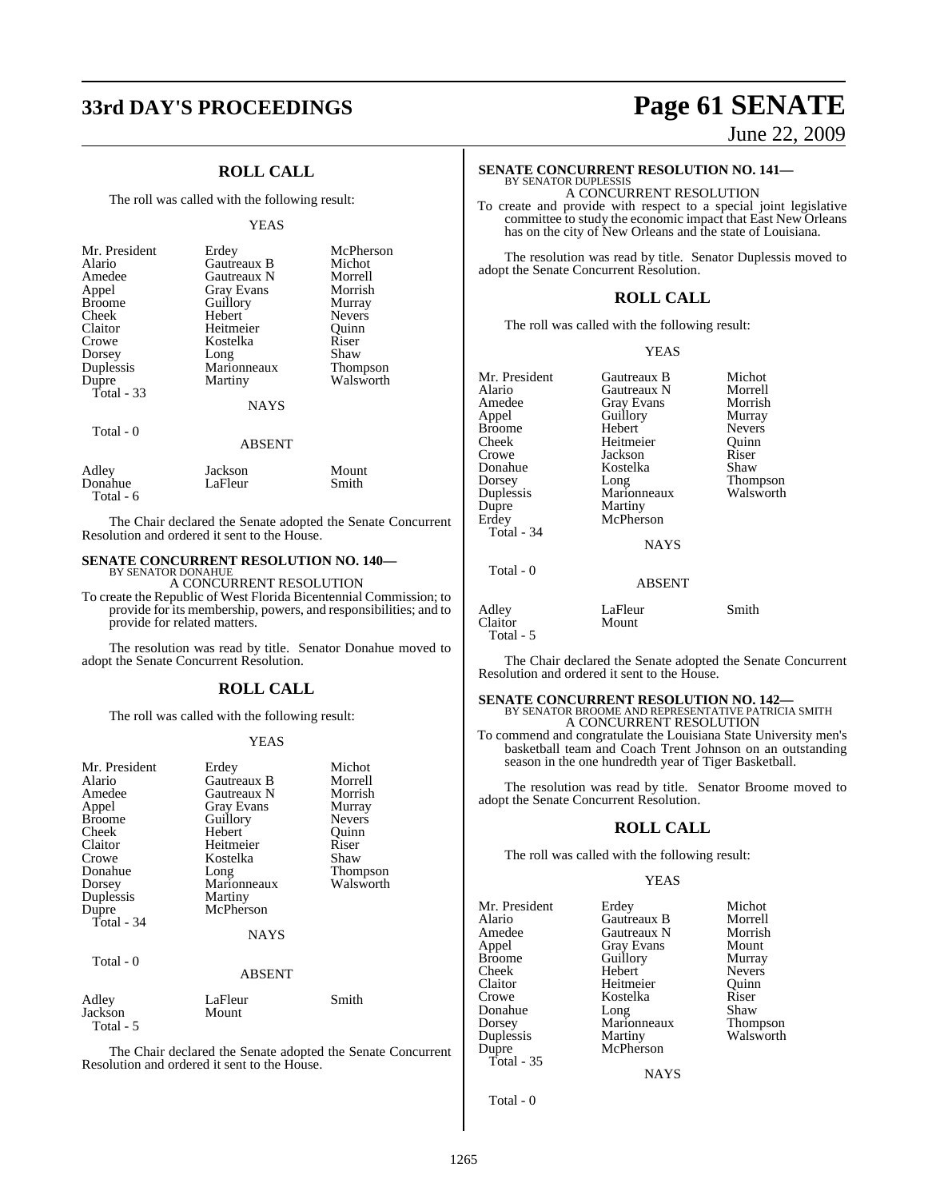### **ROLL CALL**

The roll was called with the following result:

### YEAS

| Mr. President | Erdey         | McPherson     |
|---------------|---------------|---------------|
| Alario        | Gautreaux B   | Michot        |
| Amedee        | Gautreaux N   | Morrell       |
| Appel         | Gray Evans    | Morrish       |
| <b>Broome</b> | Guillory      | Murray        |
| Cheek         | Hebert        | <b>Nevers</b> |
| Claitor       | Heitmeier     | Ouinn         |
| Crowe         | Kostelka      | Riser         |
| Dorsey        | Long          | Shaw          |
| Duplessis     | Marionneaux   | Thompson      |
| Dupre         | Martiny       | Walsworth     |
| Total $-33$   | <b>NAYS</b>   |               |
| Total - 0     | <b>ABSENT</b> |               |
| Adley         | Jackson       | Mount         |
| Donahue       | LaFleur       | Smith         |

Total - 6

The Chair declared the Senate adopted the Senate Concurrent Resolution and ordered it sent to the House.

### **SENATE CONCURRENT RESOLUTION NO. 140—** BY SENATOR DONAHUE

A CONCURRENT RESOLUTION

To create the Republic of West Florida Bicentennial Commission; to provide for its membership, powers, and responsibilities; and to provide for related matters.

The resolution was read by title. Senator Donahue moved to adopt the Senate Concurrent Resolution.

### **ROLL CALL**

The roll was called with the following result:

### YEAS

| Mr. President<br>Alario<br>Amedee<br>Appel<br><b>Broome</b><br>Cheek<br>Claitor<br>Crowe<br>Donahue<br>Dorsey<br>Duplessis<br>Dupre<br>Total - $34$ | Erdey<br>Gautreaux B<br>Gautreaux N<br><b>Gray Evans</b><br>Guillory<br>Hebert<br>Heitmeier<br>Kostelka<br>Long<br>Marionneaux<br>Martiny<br>McPherson | Michot<br>Morrell<br>Morrish<br>Murray<br><b>Nevers</b><br>Ouinn<br>Riser<br>Shaw<br>Thompson<br>Walsworth |
|-----------------------------------------------------------------------------------------------------------------------------------------------------|--------------------------------------------------------------------------------------------------------------------------------------------------------|------------------------------------------------------------------------------------------------------------|
|                                                                                                                                                     | <b>NAYS</b>                                                                                                                                            |                                                                                                            |
| Total - 0                                                                                                                                           | <b>ABSENT</b>                                                                                                                                          |                                                                                                            |
| Adley<br>Jackson<br>Total - 5                                                                                                                       | LaFleur<br>Mount                                                                                                                                       | Smith                                                                                                      |

The Chair declared the Senate adopted the Senate Concurrent Resolution and ordered it sent to the House.

# **33rd DAY'S PROCEEDINGS Page 61 SENATE**

June 22, 2009

### **SENATE CONCURRENT RESOLUTION NO. 141—** BY SENATOR DUPLESSIS

A CONCURRENT RESOLUTION

To create and provide with respect to a special joint legislative committee to study the economic impact that East New Orleans has on the city of New Orleans and the state of Louisiana.

The resolution was read by title. Senator Duplessis moved to adopt the Senate Concurrent Resolution.

### **ROLL CALL**

The roll was called with the following result:

### YEAS

| Mr. President | Gautreaux B | Michot        |
|---------------|-------------|---------------|
| Alario        | Gautreaux N | Morrell       |
| Amedee        | Gray Evans  | Morrish       |
| Appel         | Guillory    | Murray        |
| <b>Broome</b> | Hebert      | <b>Nevers</b> |
| Cheek         | Heitmeier   | Ouinn         |
| Crowe         | Jackson     | Riser         |
| Donahue       | Kostelka    | Shaw          |
| Dorsey        | Long        | Thompson      |
| Duplessis     | Marionneaux | Walsworth     |
| Dupre         | Martiny     |               |
| Erdey         | McPherson   |               |
| Total - 34    |             |               |
|               | <b>NAYS</b> |               |
| Total - 0     |             |               |

### ABSENT

| Adley     | LaFleur | Smith |
|-----------|---------|-------|
| Claitor   | Mount   |       |
| Total - 5 |         |       |

The Chair declared the Senate adopted the Senate Concurrent Resolution and ordered it sent to the House.

# **SENATE CONCURRENT RESOLUTION NO. 142—**<br>BY SENATOR BROOME AND REPRESENTATIVE PATRICIA SMITH A CONCURRENT RESOLUTION

To commend and congratulate the Louisiana State University men's basketball team and Coach Trent Johnson on an outstanding season in the one hundredth year of Tiger Basketball.

The resolution was read by title. Senator Broome moved to adopt the Senate Concurrent Resolution.

### **ROLL CALL**

The roll was called with the following result:

### YEAS

| Mr. President | Erdey             | Michot        |
|---------------|-------------------|---------------|
| Alario        | Gautreaux B       | Morrell       |
| Amedee        | Gautreaux N       | Morrish       |
| Appel         | <b>Gray Evans</b> | Mount         |
| <b>Broome</b> | Guillory          | Murray        |
| Cheek         | Hebert            | <b>Nevers</b> |
| Claitor       | Heitmeier         | Ouinn         |
| Crowe         | Kostelka          | Riser         |
| Donahue       | Long              | Shaw          |
| Dorsey        | Marionneaux       | Thompson      |
| Duplessis     | Martiny           | Walsworth     |
| Dupre         | McPherson         |               |
| Total - 35    |                   |               |

**NAYS** 

Total - 0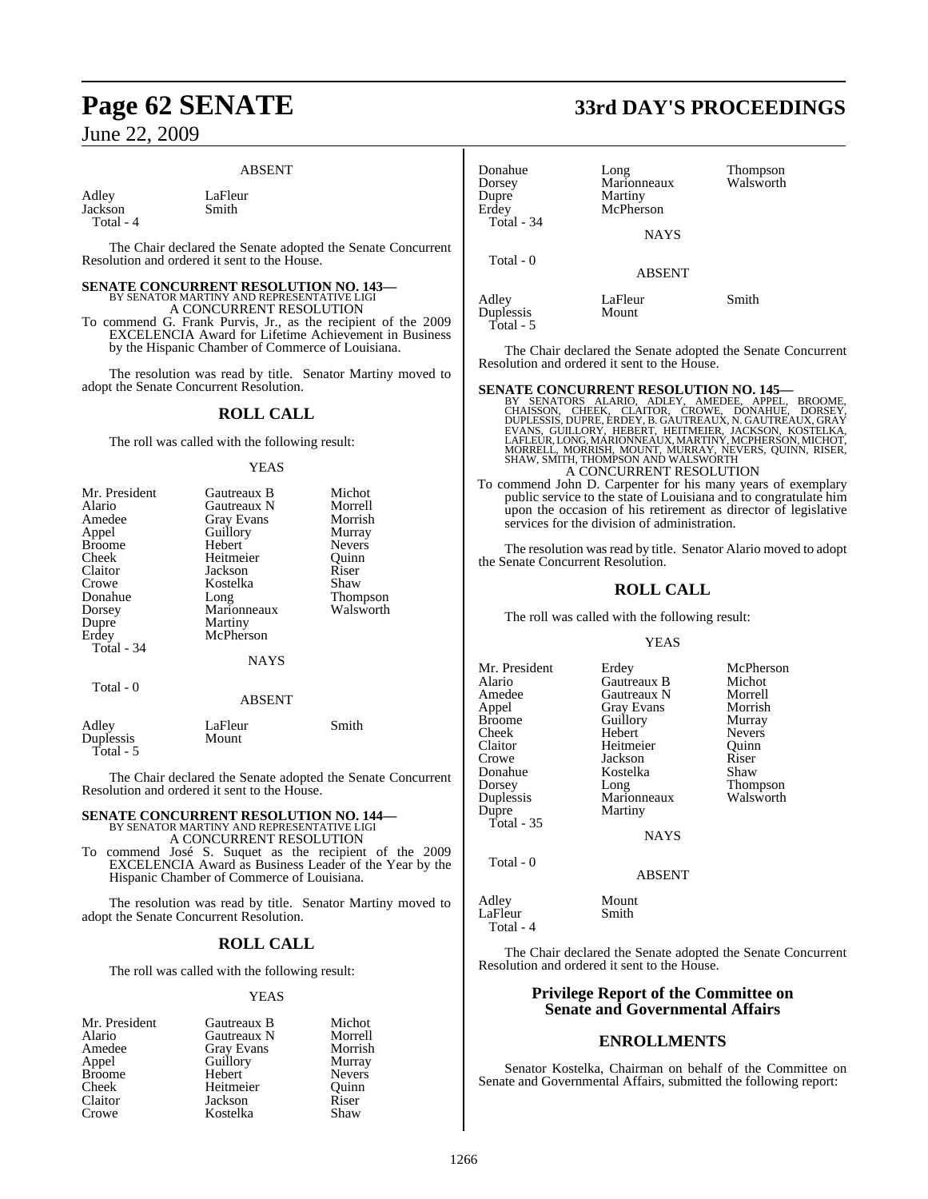### ABSENT

Adley LaFleur<br>Jackson Smith Jackson Total - 4

The Chair declared the Senate adopted the Senate Concurrent Resolution and ordered it sent to the House.

# **SENATE CONCURRENT RESOLUTION NO. 143—**<br>BY SENATOR MARTINY AND REPRESENTATIVE LIGI<br>A CONCURRENT RESOLUTION

To commend G. Frank Purvis, Jr., as the recipient of the 2009 EXCELENCIA Award for Lifetime Achievement in Business by the Hispanic Chamber of Commerce of Louisiana.

The resolution was read by title. Senator Martiny moved to adopt the Senate Concurrent Resolution.

### **ROLL CALL**

The roll was called with the following result:

### **YEAS**

| Mr. President | Gautreaux B   | Michot          |
|---------------|---------------|-----------------|
| Alario        | Gautreaux N   | Morrell         |
| Amedee        | Gray Evans    | Morrish         |
| Appel         | Guillory      | Murray          |
| <b>Broome</b> | Hebert        | <b>Nevers</b>   |
| Cheek         | Heitmeier     | Ouinn           |
| Claitor       | Jackson       | Riser           |
| Crowe         | Kostelka      | Shaw            |
| Donahue       | Long          | <b>Thompson</b> |
| Dorsey        | Marionneaux   | Walsworth       |
| Dupre         | Martiny       |                 |
| Erdey         | McPherson     |                 |
| Total - 34    |               |                 |
|               | <b>NAYS</b>   |                 |
| Total - 0     |               |                 |
|               | <b>ABSENT</b> |                 |

| Adley     | LaFleur | Smith |
|-----------|---------|-------|
| Duplessis | Mount   |       |
| Total - 5 |         |       |

The Chair declared the Senate adopted the Senate Concurrent Resolution and ordered it sent to the House.

### **SENATE CONCURRENT RESOLUTION NO. 144—** BY SENATOR MARTINY AND REPRESENTATIVE LIGI A CONCURRENT RESOLUTION

To commend José S. Suquet as the recipient of the 2009 EXCELENCIA Award as Business Leader of the Year by the Hispanic Chamber of Commerce of Louisiana.

The resolution was read by title. Senator Martiny moved to adopt the Senate Concurrent Resolution.

### **ROLL CALL**

The roll was called with the following result:

### YEAS

| Mr. President | Gautreaux B       | Michot        |
|---------------|-------------------|---------------|
| Alario        | Gautreaux N       | Morrell       |
| Amedee        | <b>Gray Evans</b> | Morrish       |
| Appel         | Guillory          | Murray        |
| <b>Broome</b> | Hebert            | <b>Nevers</b> |
| Cheek         | Heitmeier         | Ouinn         |
| Claitor       | Jackson           | Riser         |
| Crowe         | Kostelka          | Shaw          |

# **Page 62 SENATE 33rd DAY'S PROCEEDINGS**

| Donahue<br>Dorsey<br>Dupre<br>Erdey<br>Total - 34 | Long<br>Marionneaux<br>Martiny<br>McPherson<br>NAYS | Thompson<br>Walsworth |
|---------------------------------------------------|-----------------------------------------------------|-----------------------|
| Total - 0                                         | <b>ABSENT</b>                                       |                       |
| Adley<br>Duplessis                                | LaFleur<br>Mount                                    | Smith                 |

Total - 5

The Chair declared the Senate adopted the Senate Concurrent Resolution and ordered it sent to the House.

SENATE CONCURRENT RESOLUTION NO. 145—BY SENATORS ALARIO, ADLEY, AMEDEE, APPEL, BROOME, CHAISSON, CHEEK, CLAITOR, CROWE, DORSEY, DUPLESSIS, DUPRE, ERDEY, B. GAUTREAUX, N. GAUTREAUX, GRAY EVANS, GÜILLORY, HEBERT, HEITMEIER, A CONCURRENT RESOLUTION

To commend John D. Carpenter for his many years of exemplary public service to the state of Louisiana and to congratulate him upon the occasion of his retirement as director of legislative services for the division of administration.

The resolution was read by title. Senator Alario moved to adopt the Senate Concurrent Resolution.

### **ROLL CALL**

The roll was called with the following result:

### YEAS

| Mr. President | Erdey             | McPherson       |
|---------------|-------------------|-----------------|
| Alario        | Gautreaux B       | Michot          |
| Amedee        | Gautreaux N       | Morrell         |
| Appel         | <b>Gray Evans</b> | Morrish         |
| <b>Broome</b> | Guillory          | Murray          |
| Cheek         | Hebert            | <b>Nevers</b>   |
| Claitor       | Heitmeier         | Ouinn           |
| Crowe         | Jackson           | Riser           |
| Donahue       | Kostelka          | Shaw            |
| Dorsey        | Long              | <b>Thompson</b> |
| Duplessis     | Marionneaux       | Walsworth       |
| Dupre         | Martiny           |                 |
| Total $-35$   |                   |                 |
|               | <b>NAYS</b>       |                 |

Total - 0

Total - 4

Adley Mount<br>LaFleur Smith LaFleur

The Chair declared the Senate adopted the Senate Concurrent Resolution and ordered it sent to the House.

ABSENT

### **Privilege Report of the Committee on Senate and Governmental Affairs**

### **ENROLLMENTS**

Senator Kostelka, Chairman on behalf of the Committee on Senate and Governmental Affairs, submitted the following report: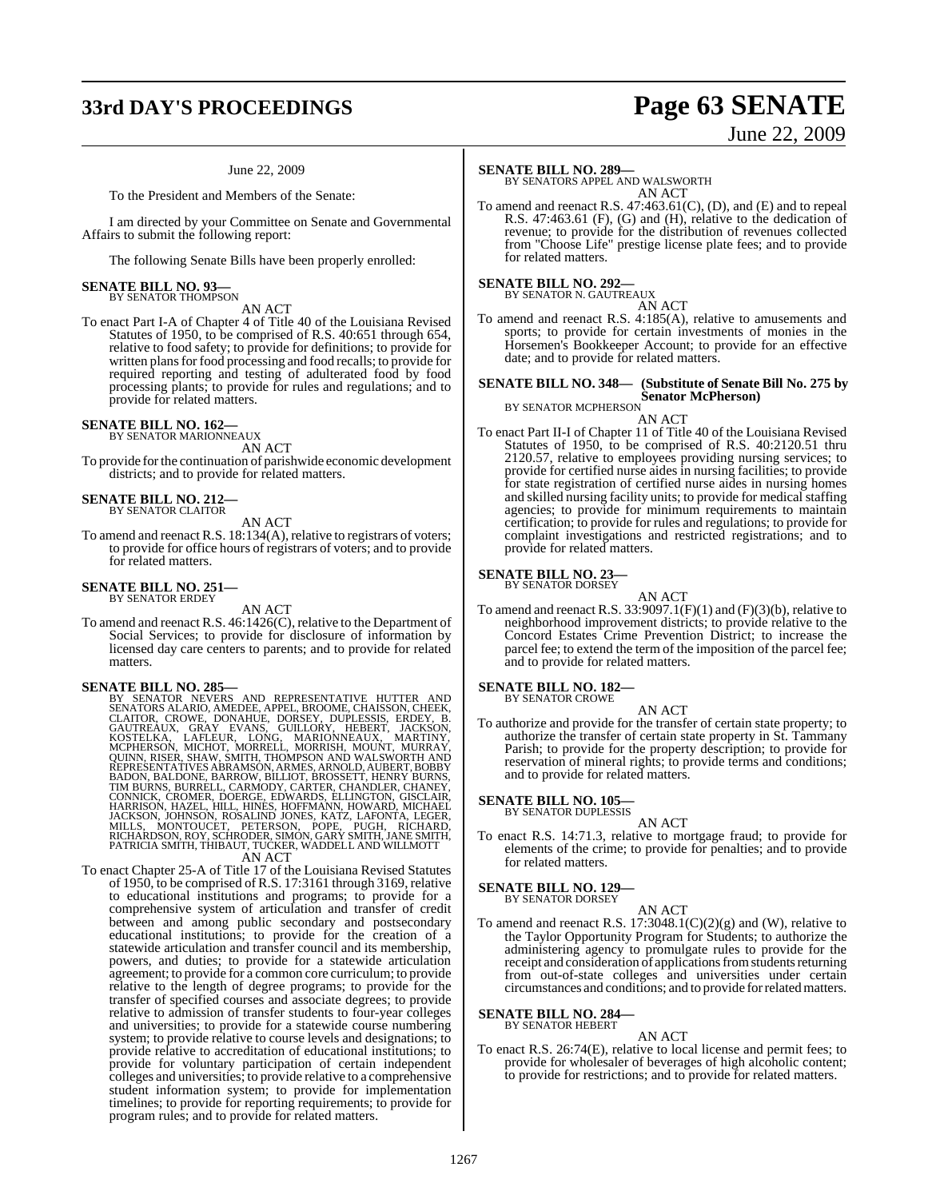# **33rd DAY'S PROCEEDINGS Page 63 SENATE**

# June 22, 2009

### June 22, 2009

To the President and Members of the Senate:

I am directed by your Committee on Senate and Governmental Affairs to submit the following report:

The following Senate Bills have been properly enrolled:

### **SENATE BILL NO. 93—** BY SENATOR THOMPSON

AN ACT

To enact Part I-A of Chapter 4 of Title 40 of the Louisiana Revised Statutes of 1950, to be comprised of R.S. 40:651 through 654, relative to food safety; to provide for definitions; to provide for written plans for food processing and food recalls; to provide for required reporting and testing of adulterated food by food processing plants; to provide for rules and regulations; and to provide for related matters.

## **SENATE BILL NO. 162—** BY SENATOR MARIONNEAUX

AN ACT

To provide forthe continuation of parishwide economic development districts; and to provide for related matters.

**SENATE BILL NO. 212—** BY SENATOR CLAITOR

AN ACT

To amend and reenact R.S. 18:134(A), relative to registrars of voters; to provide for office hours of registrars of voters; and to provide for related matters.

### **SENATE BILL NO. 251—** BY SENATOR ERDEY

### AN ACT

To amend and reenact R.S. 46:1426(C), relative to the Department of Social Services; to provide for disclosure of information by licensed day care centers to parents; and to provide for related matters.

- SENATE BILL NO. 285---<br>BY SENATOR NEVERS AND REPRESENTATIVE HUTTER AND<br>BY SENATOR NEVERS AND REPRESENTATIVE HUTTER AND<br>CLAITOR, CROWE, DONAHUE, DORSEY, DUPLESSIS, ERDEY, B.<br>GAUTREAUX, GRAY EVANS, GUILLORY, HEBERT, JACKSON, PATRICIA SMÍTH, THIBAUT, TUĆKER, WADDELL AND WILLMOTT<br>AN ACT
- To enact Chapter 25-A of Title 17 of the Louisiana Revised Statutes of 1950, to be comprised ofR.S. 17:3161 through 3169, relative to educational institutions and programs; to provide for a comprehensive system of articulation and transfer of credit between and among public secondary and postsecondary educational institutions; to provide for the creation of a statewide articulation and transfer council and its membership, powers, and duties; to provide for a statewide articulation agreement; to provide for a common core curriculum; to provide relative to the length of degree programs; to provide for the transfer of specified courses and associate degrees; to provide relative to admission of transfer students to four-year colleges and universities; to provide for a statewide course numbering system; to provide relative to course levels and designations; to provide relative to accreditation of educational institutions; to provide for voluntary participation of certain independent colleges and universities; to provide relative to a comprehensive student information system; to provide for implementation timelines; to provide for reporting requirements; to provide for program rules; and to provide for related matters.

### **SENATE BILL NO. 289—**

BY SENATORS APPEL AND WALSWORTH AN ACT

To amend and reenact R.S. 47:463.61(C), (D), and (E) and to repeal R.S. 47:463.61 (F), (G) and (H), relative to the dedication of revenue; to provide for the distribution of revenues collected from "Choose Life" prestige license plate fees; and to provide for related matters.

**SENATE BILL NO. 292—** BY SENATOR N. GAUTREAUX

AN ACT

To amend and reenact R.S. 4:185(A), relative to amusements and sports; to provide for certain investments of monies in the Horsemen's Bookkeeper Account; to provide for an effective date; and to provide for related matters.

### **SENATE BILL NO. 348— (Substitute of Senate Bill No. 275 by**

**Senator McPherson)** BY SENATOR MCPHERSON

AN ACT

To enact Part II-I of Chapter 11 of Title 40 of the Louisiana Revised Statutes of 1950, to be comprised of R.S. 40:2120.51 thru 2120.57, relative to employees providing nursing services; to provide for certified nurse aides in nursing facilities; to provide for state registration of certified nurse aides in nursing homes and skilled nursing facility units; to provide for medical staffing agencies; to provide for minimum requirements to maintain certification; to provide for rules and regulations; to provide for complaint investigations and restricted registrations; and to provide for related matters.

### **SENATE BILL NO. 23—** BY SENATOR DORSEY

AN ACT

To amend and reenact R.S.  $33:9097.1(F)(1)$  and  $(F)(3)(b)$ , relative to neighborhood improvement districts; to provide relative to the Concord Estates Crime Prevention District; to increase the parcel fee; to extend the term of the imposition of the parcel fee; and to provide for related matters.

### **SENATE BILL NO. 182—** BY SENATOR CROWE

AN ACT

To authorize and provide for the transfer of certain state property; to authorize the transfer of certain state property in St. Tammany Parish; to provide for the property description; to provide for reservation of mineral rights; to provide terms and conditions; and to provide for related matters.

## **SENATE BILL NO. 105—** BY SENATOR DUPLESSIS

AN ACT

To enact R.S. 14:71.3, relative to mortgage fraud; to provide for elements of the crime; to provide for penalties; and to provide for related matters.

### **SENATE BILL NO. 129—** BY SENATOR DORSEY

AN ACT

To amend and reenact R.S. 17:3048.1(C)(2)(g) and (W), relative to the Taylor Opportunity Program for Students; to authorize the administering agency to promulgate rules to provide for the receipt and consideration of applications from students returning from out-of-state colleges and universities under certain circumstances and conditions; and to provide for related matters.

### **SENATE BILL NO. 284—** BY SENATOR HEBERT

AN ACT

To enact R.S. 26:74(E), relative to local license and permit fees; to provide for wholesaler of beverages of high alcoholic content; to provide for restrictions; and to provide for related matters.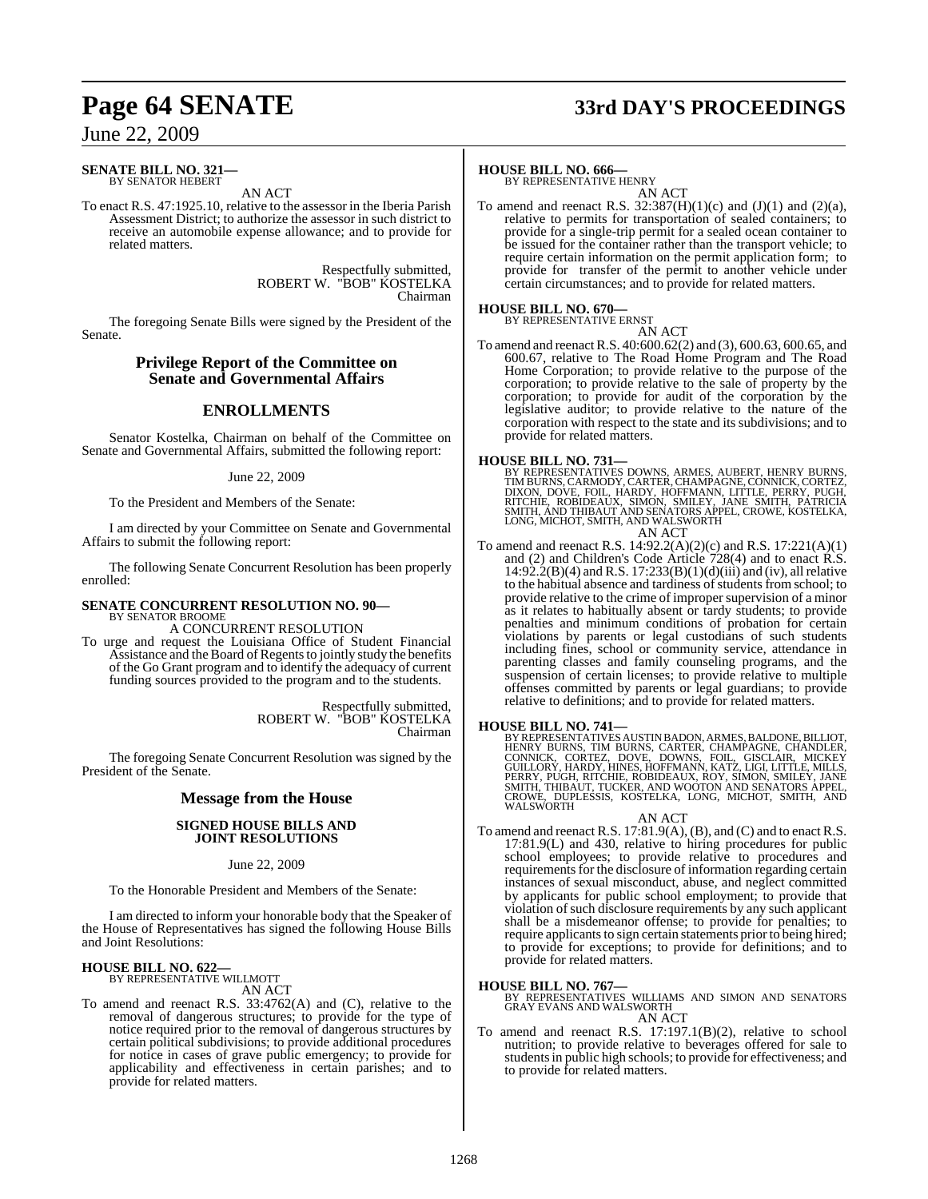# **Page 64 SENATE 33rd DAY'S PROCEEDINGS**

### June 22, 2009

### **SENATE BILL NO. 321—** BY SENATOR HEBERT

AN ACT

To enact R.S. 47:1925.10, relative to the assessor in the Iberia Parish Assessment District; to authorize the assessor in such district to receive an automobile expense allowance; and to provide for related matters.

> Respectfully submitted, ROBERT W. "BOB" KOSTELKA Chairman

The foregoing Senate Bills were signed by the President of the Senate.

### **Privilege Report of the Committee on Senate and Governmental Affairs**

### **ENROLLMENTS**

Senator Kostelka, Chairman on behalf of the Committee on Senate and Governmental Affairs, submitted the following report:

### June 22, 2009

To the President and Members of the Senate:

I am directed by your Committee on Senate and Governmental Affairs to submit the following report:

The following Senate Concurrent Resolution has been properly enrolled:

### **SENATE CONCURRENT RESOLUTION NO. 90—** BY SENATOR BROOME

A CONCURRENT RESOLUTION

To urge and request the Louisiana Office of Student Financial Assistance and the Board of Regents to jointly study the benefits of the Go Grant program and to identify the adequacy of current funding sources provided to the program and to the students.

> Respectfully submitted, ROBERT W. "BOB" KOSTELKA Chairman

The foregoing Senate Concurrent Resolution was signed by the President of the Senate.

### **Message from the House**

### **SIGNED HOUSE BILLS AND JOINT RESOLUTIONS**

June 22, 2009

To the Honorable President and Members of the Senate:

I am directed to inform your honorable body that the Speaker of the House of Representatives has signed the following House Bills and Joint Resolutions:

### **HOUSE BILL NO. 622—** BY REPRESENTATIVE WILLMOTT

AN ACT

To amend and reenact R.S. 33:4762(A) and (C), relative to the removal of dangerous structures; to provide for the type of notice required prior to the removal of dangerous structures by certain political subdivisions; to provide additional procedures for notice in cases of grave public emergency; to provide for applicability and effectiveness in certain parishes; and to provide for related matters.

## **HOUSE BILL NO. 666—** BY REPRESENTATIVE HENRY

AN ACT

To amend and reenact R.S.  $32:387(H)(1)(c)$  and  $(J)(1)$  and  $(2)(a)$ , relative to permits for transportation of sealed containers; to provide for a single-trip permit for a sealed ocean container to be issued for the container rather than the transport vehicle; to require certain information on the permit application form; to provide for transfer of the permit to another vehicle under certain circumstances; and to provide for related matters.

## **HOUSE BILL NO. 670—** BY REPRESENTATIVE ERNST

AN ACT To amend and reenactR.S. 40:600.62(2) and (3), 600.63, 600.65, and 600.67, relative to The Road Home Program and The Road Home Corporation; to provide relative to the purpose of the corporation; to provide relative to the sale of property by the corporation; to provide for audit of the corporation by the legislative auditor; to provide relative to the nature of the corporation with respect to the state and its subdivisions; and to provide for related matters.

HOUSE BILL NO. 731—<br>BY REPRESENTATIVES DOWNS, ARMES, AUBERT, HENRY BURNS, TIM BURNS, CARMODY, CARTER, CHAMPAGNE, CONNICK, CORTEZ,<br>DIXON, DOVE, FOIL, HARDY, HOFFMANN, LITTLE, PERRY, PUGH,<br>RITCHIE, ROBIDEAUX, SIMON, SMILEY,

To amend and reenact R.S. 14:92.2(A)(2)(c) and R.S. 17:221(A)(1) and (2) and Children's Code Article 728(4) and to enact R.S. 14:92.2(B)(4) and R.S. 17:233(B)(1)(d)(iii) and (iv), all relative to the habitual absence and tardiness of students from school; to provide relative to the crime of improper supervision of a minor as it relates to habitually absent or tardy students; to provide penalties and minimum conditions of probation for certain violations by parents or legal custodians of such students including fines, school or community service, attendance in parenting classes and family counseling programs, and the suspension of certain licenses; to provide relative to multiple offenses committed by parents or legal guardians; to provide relative to definitions; and to provide for related matters.

**HOUSE BILL NO. 741—**<br>BY REPRESENTATIVES AUSTIN BADON, ARMES, BALDONE, BILLIOT,<br>HENRY BURNS, TIM BURNS, CARTER, CHAMPAGNE, CHANDLER,<br>CONNICK, CORTEZ, DOVE, DOWNS, FOIL, GISCLAIR, MICKEY<br>GUILLORY, HARDY, HINES, HOFFMANN, KA WALSWORTH

### AN ACT

To amend and reenact R.S. 17:81.9(A), (B), and (C) and to enact R.S. 17:81.9(L) and 430, relative to hiring procedures for public school employees; to provide relative to procedures and requirements for the disclosure of information regarding certain instances of sexual misconduct, abuse, and neglect committed by applicants for public school employment; to provide that violation of such disclosure requirements by any such applicant shall be a misdemeanor offense; to provide for penalties; to require applicants to sign certain statements prior to being hired; to provide for exceptions; to provide for definitions; and to provide for related matters.

### **HOUSE BILL NO. 767—**

- BY REPRESENTATIVES WILLIAMS AND SIMON AND SENATORS GRAY EVANS AND WALSWORTH AN ACT
- To amend and reenact R.S. 17:197.1(B)(2), relative to school nutrition; to provide relative to beverages offered for sale to studentsin public high schools; to provide for effectiveness; and to provide for related matters.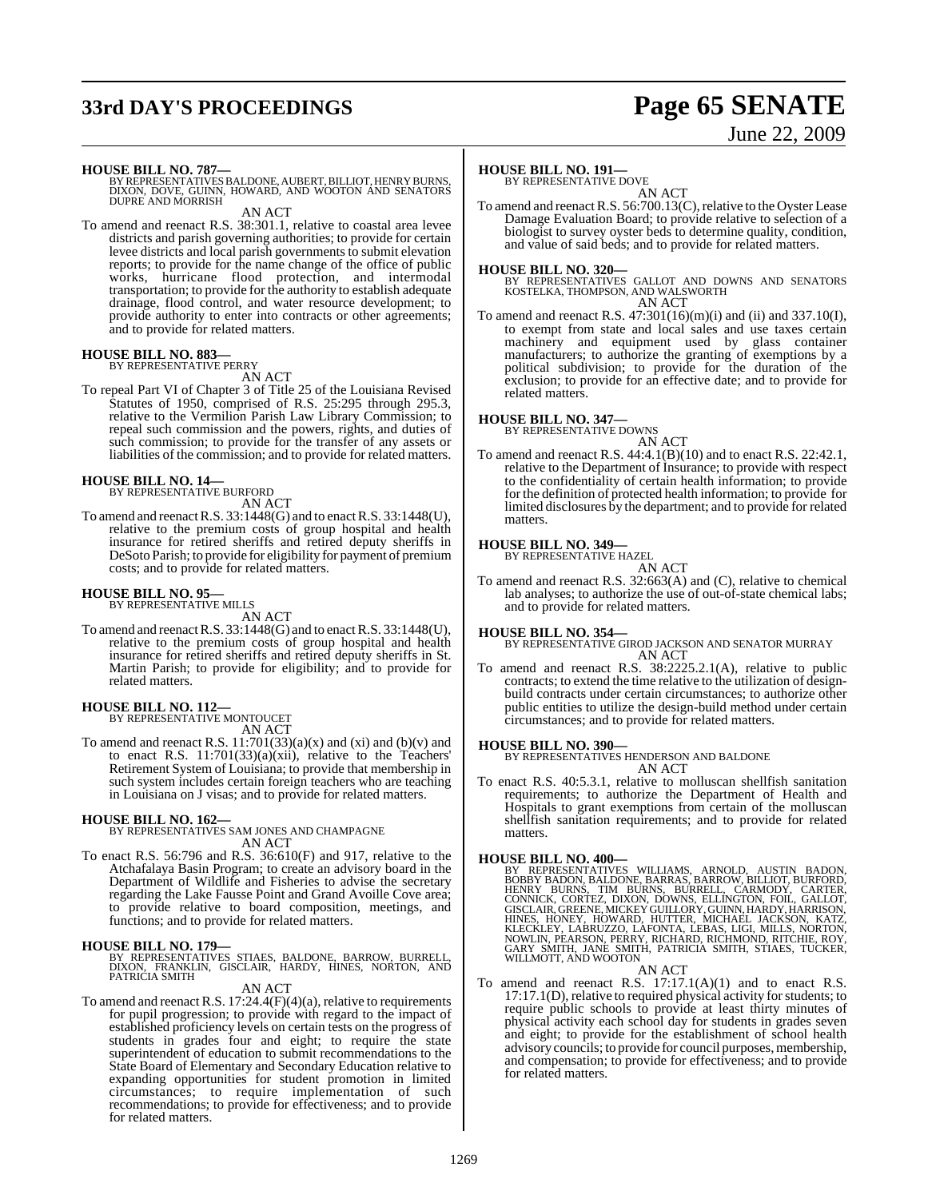# **33rd DAY'S PROCEEDINGS Page 65 SENATE**

# June 22, 2009

**HOUSE BILL NO. 787—**<br>BY REPRESENTATIVES BALDONE, AUBERT, BILLIOT, HENRY BURNS,<br>DIXON, DOVE, GUINN, HOWARD, AND WOOTON AND SENATORS<br>DUPRE AND MORRISH

AN ACT

To amend and reenact R.S. 38:301.1, relative to coastal area levee districts and parish governing authorities; to provide for certain levee districts and local parish governments to submit elevation reports; to provide for the name change of the office of public works, hurricane flood protection, and intermodal transportation; to provide for the authority to establish adequate drainage, flood control, and water resource development; to provide authority to enter into contracts or other agreements; and to provide for related matters.

### **HOUSE BILL NO. 883—** BY REPRESENTATIVE PERRY

AN ACT

To repeal Part VI of Chapter 3 of Title 25 of the Louisiana Revised Statutes of 1950, comprised of R.S. 25:295 through 295.3, relative to the Vermilion Parish Law Library Commission; to repeal such commission and the powers, rights, and duties of such commission; to provide for the transfer of any assets or liabilities of the commission; and to provide for related matters.

# **HOUSE BILL NO. 14—** BY REPRESENTATIVE BURFORD

- AN ACT
- To amend and reenact R.S.  $33:1448(G)$  and to enact R.S.  $33:1448(U)$ , relative to the premium costs of group hospital and health insurance for retired sheriffs and retired deputy sheriffs in DeSoto Parish; to provide for eligibility for payment of premium costs; and to provide for related matters.

### **HOUSE BILL NO. 95—**

BY REPRESENTATIVE MILLS AN ACT

To amend and reenactR.S. 33:1448(G) and to enactR.S. 33:1448(U), relative to the premium costs of group hospital and health insurance for retired sheriffs and retired deputy sheriffs in St. Martin Parish; to provide for eligibility; and to provide for related matters.

### **HOUSE BILL NO. 112—**

BY REPRESENTATIVE MONTOUCET AN ACT

To amend and reenact R.S.  $11:701(33)(a)(x)$  and  $(xi)$  and  $(b)(v)$  and to enact R.S. 11:701(33)(a)(xii), relative to the Teachers' Retirement System of Louisiana; to provide that membership in such system includes certain foreign teachers who are teaching in Louisiana on J visas; and to provide for related matters.

### **HOUSE BILL NO. 162—** BY REPRESENTATIVES SAM JONES AND CHAMPAGNE AN ACT

To enact R.S. 56:796 and R.S. 36:610(F) and 917, relative to the Atchafalaya Basin Program; to create an advisory board in the Department of Wildlife and Fisheries to advise the secretary regarding the Lake Fausse Point and Grand Avoille Cove area; to provide relative to board composition, meetings, and functions; and to provide for related matters.

### **HOUSE BILL NO. 179—**

BY REPRESENTATIVES STIAES, BALDONE, BARROW, BURRELL,<br>DIXON, FRANKLIN, GISCLAIR, HARDY, HINES, NORTON, AND<br>PATRICIA.SMITH

### AN ACT

To amend and reenact R.S. 17:24.4(F)(4)(a), relative to requirements for pupil progression; to provide with regard to the impact of established proficiency levels on certain tests on the progress of students in grades four and eight; to require the state superintendent of education to submit recommendations to the State Board of Elementary and Secondary Education relative to expanding opportunities for student promotion in limited circumstances; to require implementation of such recommendations; to provide for effectiveness; and to provide for related matters.

### **HOUSE BILL NO. 191—**

BY REPRESENTATIVE DOVE

AN ACT To amend and reenact R.S. 56:700.13(C), relative to the Oyster Lease Damage Evaluation Board; to provide relative to selection of a biologist to survey oyster beds to determine quality, condition, and value of said beds; and to provide for related matters.

**HOUSE BILL NO. 320—** BY REPRESENTATIVES GALLOT AND DOWNS AND SENATORS KOSTELKA, THOMPSON, AND WALSWORTH AN ACT

To amend and reenact R.S.  $47:301(16)(m)(i)$  and  $(ii)$  and  $337.10(I)$ , to exempt from state and local sales and use taxes certain machinery and equipment used by glass container manufacturers; to authorize the granting of exemptions by a political subdivision; to provide for the duration of the exclusion; to provide for an effective date; and to provide for related matters.

### **HOUSE BILL NO. 347—**

BY REPRESENTATIVE DOWNS

AN ACT To amend and reenact R.S. 44:4.1(B)(10) and to enact R.S. 22:42.1, relative to the Department of Insurance; to provide with respect to the confidentiality of certain health information; to provide for the definition of protected health information; to provide for limited disclosures by the department; and to provide for related matters.

## **HOUSE BILL NO. 349—** BY REPRESENTATIVE HAZEL

AN ACT

To amend and reenact R.S. 32:663(A) and (C), relative to chemical lab analyses; to authorize the use of out-of-state chemical labs; and to provide for related matters.

**HOUSE BILL NO. 354—** BY REPRESENTATIVE GIROD JACKSON AND SENATOR MURRAY AN ACT

To amend and reenact R.S. 38:2225.2.1(A), relative to public contracts; to extend the time relative to the utilization of designbuild contracts under certain circumstances; to authorize other public entities to utilize the design-build method under certain circumstances; and to provide for related matters.

**HOUSE BILL NO. 390—** BY REPRESENTATIVES HENDERSON AND BALDONE AN ACT

To enact R.S. 40:5.3.1, relative to molluscan shellfish sanitation requirements; to authorize the Department of Health and Hospitals to grant exemptions from certain of the molluscan shellfish sanitation requirements; and to provide for related matters.

### **HOUSE BILL NO. 400—**

BY REPRESENTATIVES WILLIAMS, ARNOLD, AUSTIN BADON,<br>BOBBY BADON, BALDONE, BARRAS, BARROW, BILLIOT, BURFORD,<br>HENRY BURNS, TIM BURNS, BURRELL, CARMODY, CARTER,<br>CONNICK, CORTEZ, DIXON, DOWNS, ELLINGTON, FOIL, GALLOT,<br>GISCLAIR,

### AN ACT

To amend and reenact R.S. 17:17.1(A)(1) and to enact R.S. 17:17.1(D), relative to required physical activity for students; to require public schools to provide at least thirty minutes of physical activity each school day for students in grades seven and eight; to provide for the establishment of school health advisory councils; to provide for council purposes, membership, and compensation; to provide for effectiveness; and to provide for related matters.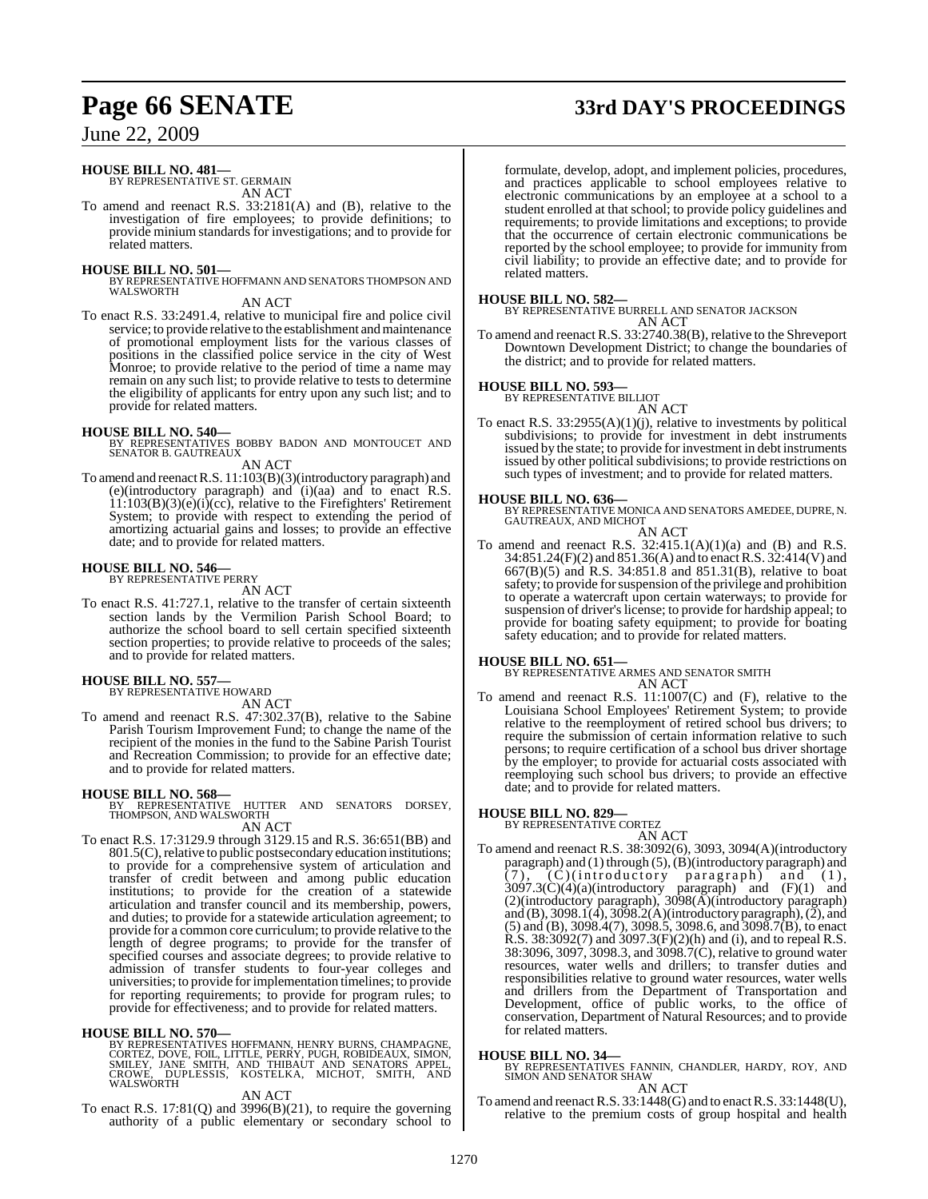# **Page 66 SENATE 33rd DAY'S PROCEEDINGS**

June 22, 2009

### **HOUSE BILL NO. 481—** BY REPRESENTATIVE ST. GERMAIN

AN ACT

To amend and reenact R.S. 33:2181(A) and (B), relative to the investigation of fire employees; to provide definitions; to provide minium standards for investigations; and to provide for related matters.

### **HOUSE BILL NO. 501—**

BY REPRESENTATIVE HOFFMANN AND SENATORS THOMPSON AND WALSWORTH

### AN ACT

To enact R.S. 33:2491.4, relative to municipal fire and police civil service; to provide relative to the establishment and maintenance of promotional employment lists for the various classes of positions in the classified police service in the city of West Monroe; to provide relative to the period of time a name may remain on any such list; to provide relative to tests to determine the eligibility of applicants for entry upon any such list; and to provide for related matters.

**HOUSE BILL NO. 540—** BY REPRESENTATIVES BOBBY BADON AND MONTOUCET AND SENATOR B. GAUTREAUX

AN ACT

To amend and reenact R.S. 11:103(B)(3)(introductory paragraph) and (e)(introductory paragraph) and (i)(aa) and to enact R.S. 11:103(B)(3)(e)(i)(cc), relative to the Firefighters' Retirement  $System$ ; to provide with respect to extending the period of amortizing actuarial gains and losses; to provide an effective date; and to provide for related matters.

### **HOUSE BILL NO. 546—** BY REPRESENTATIVE PERRY

AN ACT

To enact R.S. 41:727.1, relative to the transfer of certain sixteenth section lands by the Vermilion Parish School Board; to authorize the school board to sell certain specified sixteenth section properties; to provide relative to proceeds of the sales; and to provide for related matters.

**HOUSE BILL NO. 557—** BY REPRESENTATIVE HOWARD

AN ACT

To amend and reenact R.S. 47:302.37(B), relative to the Sabine Parish Tourism Improvement Fund; to change the name of the recipient of the monies in the fund to the Sabine Parish Tourist and Recreation Commission; to provide for an effective date; and to provide for related matters.

### **HOUSE BILL NO. 568—**

BY REPRESENTATIVE HUTTER AND SENATORS DORSEY, THOMPSON, AND WALSWORTH

AN ACT

To enact R.S. 17:3129.9 through 3129.15 and R.S. 36:651(BB) and 801.5(C), relative to public postsecondary education institutions; to provide for a comprehensive system of articulation and transfer of credit between and among public education institutions; to provide for the creation of a statewide articulation and transfer council and its membership, powers, and duties; to provide for a statewide articulation agreement; to provide for a common core curriculum; to provide relative to the length of degree programs; to provide for the transfer of specified courses and associate degrees; to provide relative to admission of transfer students to four-year colleges and universities; to provide forimplementation timelines; to provide for reporting requirements; to provide for program rules; to provide for effectiveness; and to provide for related matters.

**HOUSE BILL NO. 570—**<br>BY REPRESENTATIVES HOFFMANN, HENRY BURNS, CHAMPAGNE,<br>CORTEZ, DOVE, FOIL, LITTLE, PERRY, PUGH, ROBIDEAUX, SIMON,<br>SMILEY, JANE SMITH, AND THIBAUT AND SENATORS APPEL,<br>CROWE, DUPLESSIS, KOSTELKA, MICHOT,

### AN ACT

To enact R.S.  $17:81(Q)$  and  $3996(B)(21)$ , to require the governing authority of a public elementary or secondary school to

formulate, develop, adopt, and implement policies, procedures, and practices applicable to school employees relative to electronic communications by an employee at a school to a student enrolled at that school; to provide policy guidelines and requirements; to provide limitations and exceptions; to provide that the occurrence of certain electronic communications be reported by the school employee; to provide for immunity from civil liability; to provide an effective date; and to provide for related matters.

### **HOUSE BILL NO. 582—**

BY REPRESENTATIVE BURRELL AND SENATOR JACKSON AN ACT

To amend and reenact R.S. 33:2740.38(B), relative to the Shreveport Downtown Development District; to change the boundaries of the district; and to provide for related matters.

### **HOUSE BILL NO. 593—** BY REPRESENTATIVE BILLIOT

AN ACT

To enact R.S. 33:2955(A)(1)(j), relative to investments by political subdivisions; to provide for investment in debt instruments issued by the state; to provide for investment in debt instruments issued by other political subdivisions; to provide restrictions on such types of investment; and to provide for related matters.

**HOUSE BILL NO. 636—** BY REPRESENTATIVE MONICA AND SENATORS AMEDEE, DUPRE, N. GAUTREAUX, AND MICHOT AN ACT

To amend and reenact R.S.  $32:415.1(A)(1)(a)$  and (B) and R.S. 34:851.24(F)(2) and 851.36(A) and to enactR.S. 32:414(V) and 667(B)(5) and R.S. 34:851.8 and 851.31(B), relative to boat safety; to provide for suspension of the privilege and prohibition to operate a watercraft upon certain waterways; to provide for suspension of driver's license; to provide for hardship appeal; to provide for boating safety equipment; to provide for boating safety education; and to provide for related matters.

**HOUSE BILL NO. 651—** BY REPRESENTATIVE ARMES AND SENATOR SMITH AN ACT

To amend and reenact R.S. 11:1007(C) and (F), relative to the Louisiana School Employees' Retirement System; to provide relative to the reemployment of retired school bus drivers; to require the submission of certain information relative to such persons; to require certification of a school bus driver shortage by the employer; to provide for actuarial costs associated with reemploying such school bus drivers; to provide an effective date; and to provide for related matters.

### **HOUSE BILL NO. 829—** BY REPRESENTATIVE CORTEZ

AN ACT To amend and reenact R.S. 38:3092(6), 3093, 3094(A)(introductory paragraph) and  $(1)$  through  $(5)$ ,  $(B)$ (introductory paragraph) and (7), (C)(introductory paragraph) and (1),  $3097.3(\text{C})(4)(\text{a})(\text{introductory} \text{paragnah})$  and  $(F)(1)$  and (2)(introductory paragraph), 3098(A)(introductory paragraph) and  $(B)$ , 3098.1(4), 3098.2(A)(introductory paragraph),  $(2)$ , and (5) and (B), 3098.4(7), 3098.5, 3098.6, and 3098.7(B), to enact R.S. 38:3092(7) and 3097.3(F)(2)(h) and (i), and to repeal R.S. 38:3096, 3097, 3098.3, and 3098.7(C), relative to ground water resources, water wells and drillers; to transfer duties and responsibilities relative to ground water resources, water wells and drillers from the Department of Transportation and Development, office of public works, to the office of conservation, Department of Natural Resources; and to provide for related matters.

**HOUSE BILL NO. 34—** BY REPRESENTATIVES FANNIN, CHANDLER, HARDY, ROY, AND SIMON AND SENATOR SHAW AN ACT

To amend and reenactR.S. 33:1448(G) and to enactR.S. 33:1448(U), relative to the premium costs of group hospital and health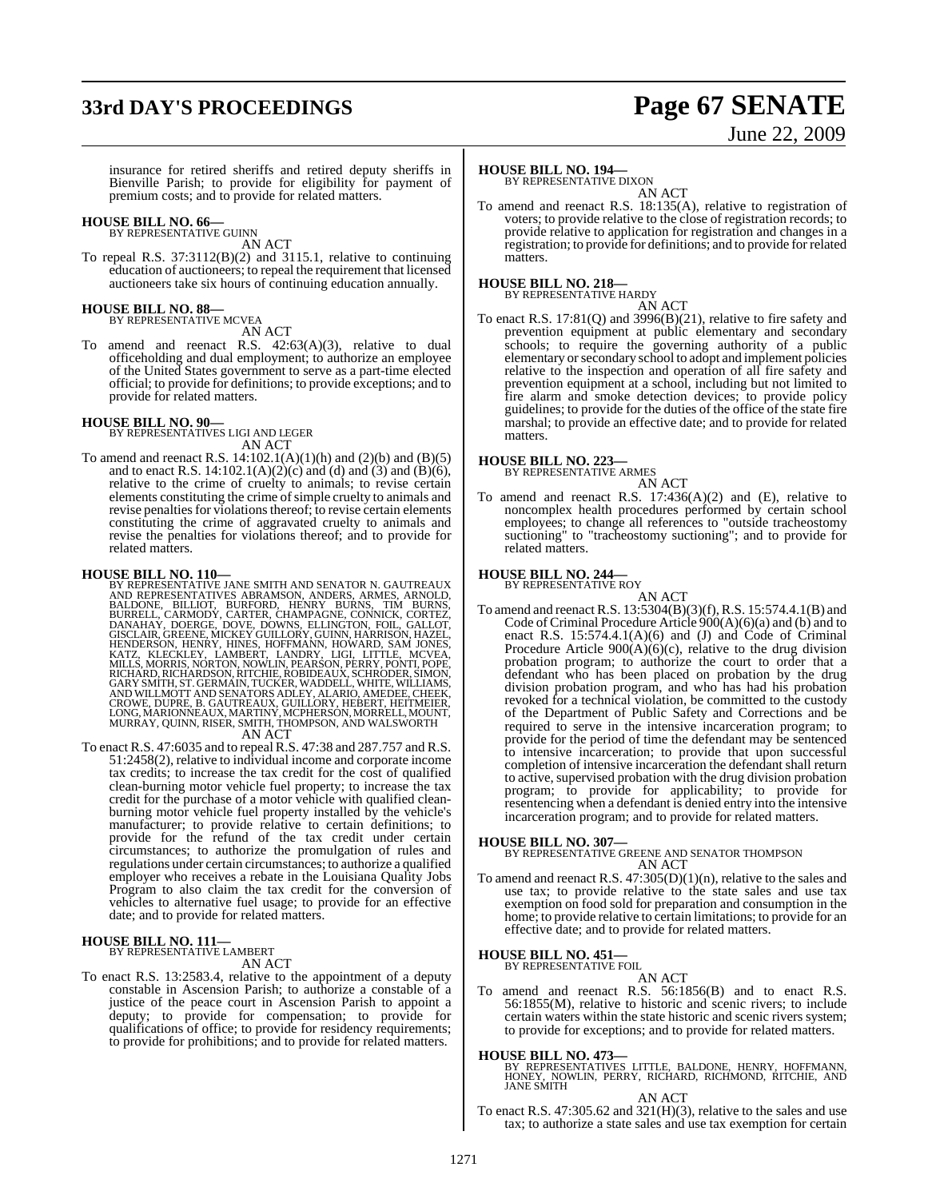# **33rd DAY'S PROCEEDINGS Page 67 SENATE**

# June 22, 2009

insurance for retired sheriffs and retired deputy sheriffs in Bienville Parish; to provide for eligibility for payment of premium costs; and to provide for related matters.

# **HOUSE BILL NO. 66—** BY REPRESENTATIVE GUINN

AN ACT

To repeal R.S. 37:3112(B)(2) and 3115.1, relative to continuing education of auctioneers; to repeal the requirement that licensed auctioneers take six hours of continuing education annually.

## **HOUSE BILL NO. 88—** BY REPRESENTATIVE MCVEA

AN ACT

To amend and reenact R.S. 42:63(A)(3), relative to dual officeholding and dual employment; to authorize an employee of the United States government to serve as a part-time elected official; to provide for definitions; to provide exceptions; and to provide for related matters.

**HOUSE BILL NO. 90—** BY REPRESENTATIVES LIGI AND LEGER AN ACT

To amend and reenact R.S. 14:102.1(A)(1)(h) and (2)(b) and (B)(5) and to enact R.S. 14:102.1(A)(2)(c) and (d) and (3) and (B)(6), relative to the crime of cruelty to animals; to revise certain elements constituting the crime of simple cruelty to animals and revise penalties for violations thereof; to revise certain elements constituting the crime of aggravated cruelty to animals and revise the penalties for violations thereof; and to provide for related matters.

**HOUSE BILL NO. 110—**<br>BY REPRESENTATIVES AND THE SMITH AND SENATOR N. GAUTREAUX<br>AND REPRESENTATIVES ABRAMSON, ANDERS, ARMES, ARNOLD,<br>BALDONE, BILLIOT, BURFORD, HENRY BURNS, TIM BURNS,<br>BURRELL, CARMODY, CARTER, CHAMPAGNE, C

To enact R.S. 47:6035 and to repeal R.S. 47:38 and 287.757 and R.S. 51:2458(2), relative to individual income and corporate income tax credits; to increase the tax credit for the cost of qualified clean-burning motor vehicle fuel property; to increase the tax credit for the purchase of a motor vehicle with qualified cleanburning motor vehicle fuel property installed by the vehicle's manufacturer; to provide relative to certain definitions; to provide for the refund of the tax credit under certain circumstances; to authorize the promulgation of rules and regulations under certain circumstances; to authorize a qualified employer who receives a rebate in the Louisiana Quality Jobs Program to also claim the tax credit for the conversion of vehicles to alternative fuel usage; to provide for an effective date; and to provide for related matters.

### **HOUSE BILL NO. 111—** BY REPRESENTATIVE LAMBERT

AN ACT

To enact R.S. 13:2583.4, relative to the appointment of a deputy constable in Ascension Parish; to authorize a constable of a justice of the peace court in Ascension Parish to appoint a deputy; to provide for compensation; to provide for qualifications of office; to provide for residency requirements; to provide for prohibitions; and to provide for related matters.

### **HOUSE BILL NO. 194—**

BY REPRESENTATIVE DIXON

AN ACT To amend and reenact R.S. 18:135(A), relative to registration of voters; to provide relative to the close of registration records; to provide relative to application for registration and changes in a registration; to provide for definitions; and to provide for related matters.

### **HOUSE BILL NO. 218—** BY REPRESENTATIVE HARDY

AN ACT

To enact R.S. 17:81(Q) and 3996(B)(21), relative to fire safety and prevention equipment at public elementary and secondary schools; to require the governing authority of a public elementary orsecondary school to adopt and implement policies relative to the inspection and operation of all fire safety and prevention equipment at a school, including but not limited to fire alarm and smoke detection devices; to provide policy guidelines; to provide for the duties of the office of the state fire marshal; to provide an effective date; and to provide for related matters.

### **HOUSE BILL NO. 223—** BY REPRESENTATIVE ARMES

AN ACT

To amend and reenact R.S.  $17:436(A)(2)$  and (E), relative to noncomplex health procedures performed by certain school employees; to change all references to "outside tracheostomy suctioning" to "tracheostomy suctioning"; and to provide for related matters.

## **HOUSE BILL NO. 244—** BY REPRESENTATIVE ROY

- AN ACT
- To amend and reenact R.S. 13:5304(B)(3)(f),R.S. 15:574.4.1(B) and Code of Criminal Procedure Article 900(A)(6)(a) and (b) and to enact R.S. 15:574.4.1(A)(6) and (J) and Code of Criminal Procedure Article  $900(A)(6)(c)$ , relative to the drug division probation program; to authorize the court to order that a defendant who has been placed on probation by the drug division probation program, and who has had his probation revoked for a technical violation, be committed to the custody of the Department of Public Safety and Corrections and be required to serve in the intensive incarceration program; to provide for the period of time the defendant may be sentenced to intensive incarceration; to provide that upon successful completion of intensive incarceration the defendant shall return to active, supervised probation with the drug division probation program; to provide for applicability; to provide for resentencing when a defendant is denied entry into the intensive incarceration program; and to provide for related matters.

**HOUSE BILL NO. 307—** BY REPRESENTATIVE GREENE AND SENATOR THOMPSON AN ACT

To amend and reenact R.S.  $47:305(D)(1)(n)$ , relative to the sales and use tax; to provide relative to the state sales and use tax exemption on food sold for preparation and consumption in the home; to provide relative to certain limitations; to provide for an effective date; and to provide for related matters.

### **HOUSE BILL NO. 451—** BY REPRESENTATIVE FOIL

AN ACT

To amend and reenact R.S. 56:1856(B) and to enact R.S.  $56:1855(M)$ , relative to historic and scenic rivers; to include certain waters within the state historic and scenic rivers system; to provide for exceptions; and to provide for related matters.

### **HOUSE BILL NO. 473—**

BY REPRESENTATIVES LITTLE, BALDONE, HENRY, HOFFMANN,<br>HONEY, NOWLIN, PERRY, RICHARD, RICHMOND, RITCHIE, AND<br>JANE SMITH

AN ACT

To enact R.S. 47:305.62 and 321(H)(3), relative to the sales and use tax; to authorize a state sales and use tax exemption for certain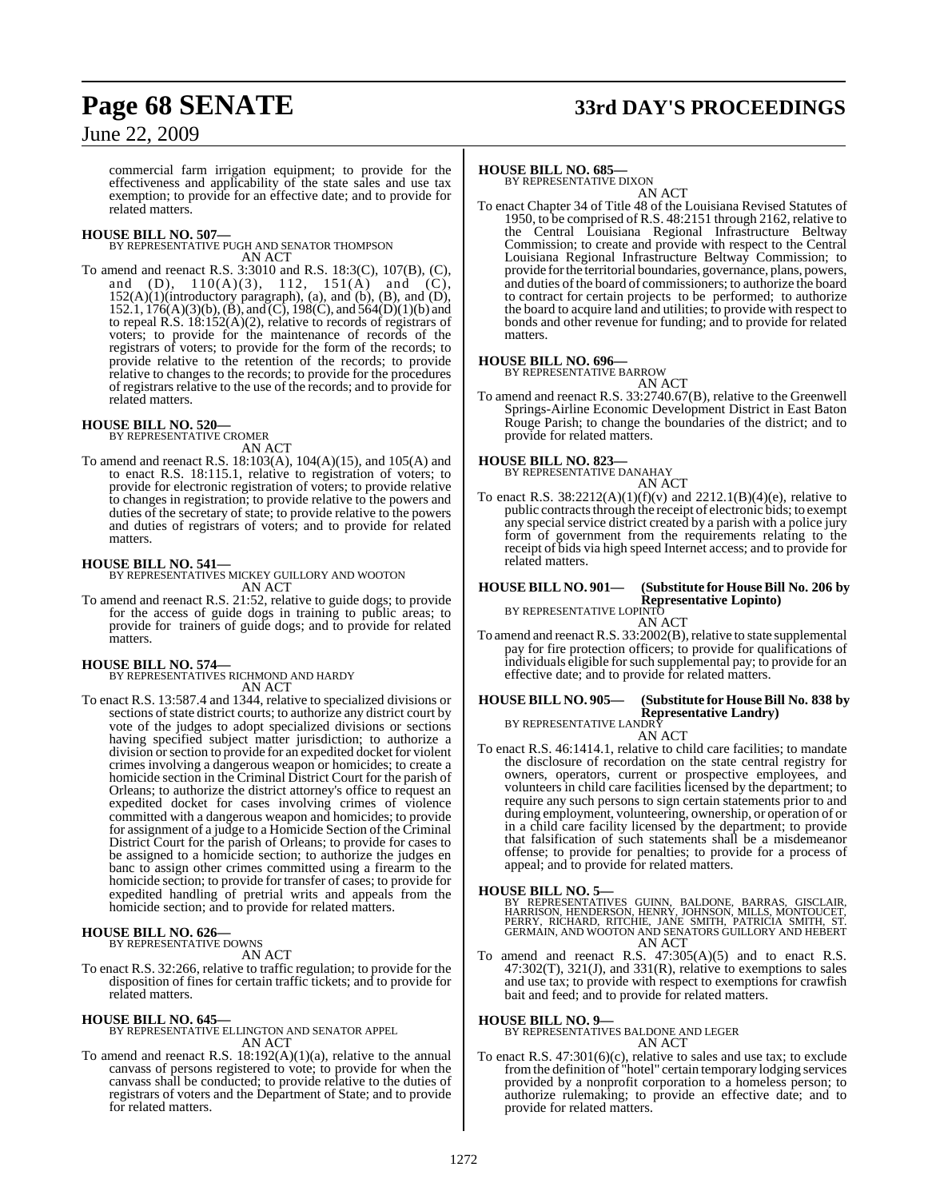# **Page 68 SENATE 33rd DAY'S PROCEEDINGS**

June 22, 2009

commercial farm irrigation equipment; to provide for the effectiveness and applicability of the state sales and use tax exemption; to provide for an effective date; and to provide for related matters.

### **HOUSE BILL NO. 507—**

BY REPRESENTATIVE PUGH AND SENATOR THOMPSON AN ACT

To amend and reenact R.S. 3:3010 and R.S. 18:3(C), 107(B), (C), and (D),  $110(A)(3)$ ,  $112$ ,  $151(A)$  and  $(C)$ ,  $152(A)(1)$ (introductory paragraph), (a), and (b), (B), and (D), 152.1, 176(A)(3)(b), (B), and (C), 198(C), and 564(D)(1)(b) and to repeal R.S. 18:152(A)(2), relative to records of registrars of voters; to provide for the maintenance of records of the registrars of voters; to provide for the form of the records; to provide relative to the retention of the records; to provide relative to changes to the records; to provide for the procedures of registrars relative to the use of the records; and to provide for related matters.

**HOUSE BILL NO. 520—** BY REPRESENTATIVE CROMER

- AN ACT
- To amend and reenact R.S. 18:103(A), 104(A)(15), and 105(A) and to enact R.S. 18:115.1, relative to registration of voters; to provide for electronic registration of voters; to provide relative to changes in registration; to provide relative to the powers and duties of the secretary of state; to provide relative to the powers and duties of registrars of voters; and to provide for related matters.

**HOUSE BILL NO. 541—** BY REPRESENTATIVES MICKEY GUILLORY AND WOOTON AN ACT

To amend and reenact R.S. 21:52, relative to guide dogs; to provide for the access of guide dogs in training to public areas; to provide for trainers of guide dogs; and to provide for related matters.

**HOUSE BILL NO. 574—** BY REPRESENTATIVES RICHMOND AND HARDY AN ACT

To enact R.S. 13:587.4 and 1344, relative to specialized divisions or sections of state district courts; to authorize any district court by vote of the judges to adopt specialized divisions or sections having specified subject matter jurisdiction; to authorize a division orsection to provide for an expedited docket for violent crimes involving a dangerous weapon or homicides; to create a homicide section in the Criminal District Court for the parish of Orleans; to authorize the district attorney's office to request an expedited docket for cases involving crimes of violence committed with a dangerous weapon and homicides; to provide for assignment of a judge to a Homicide Section of the Criminal District Court for the parish of Orleans; to provide for cases to be assigned to a homicide section; to authorize the judges en banc to assign other crimes committed using a firearm to the homicide section; to provide for transfer of cases; to provide for expedited handling of pretrial writs and appeals from the homicide section; and to provide for related matters.

### **HOUSE BILL NO. 626—** BY REPRESENTATIVE DOWNS

AN ACT

To enact R.S. 32:266, relative to traffic regulation; to provide for the disposition of fines for certain traffic tickets; and to provide for related matters.

**HOUSE BILL NO. 645—** BY REPRESENTATIVE ELLINGTON AND SENATOR APPEL AN ACT

To amend and reenact R.S. 18:192(A)(1)(a), relative to the annual canvass of persons registered to vote; to provide for when the canvass shall be conducted; to provide relative to the duties of registrars of voters and the Department of State; and to provide for related matters.

### **HOUSE BILL NO. 685—**

BY REPRESENTATIVE DIXON AN ACT

To enact Chapter 34 of Title 48 of the Louisiana Revised Statutes of 1950, to be comprised of R.S. 48:2151 through 2162, relative to the Central Louisiana Regional Infrastructure Beltway Commission; to create and provide with respect to the Central Louisiana Regional Infrastructure Beltway Commission; to provide for the territorial boundaries, governance, plans, powers, and duties of the board of commissioners; to authorize the board to contract for certain projects to be performed; to authorize the board to acquire land and utilities; to provide with respect to bonds and other revenue for funding; and to provide for related matters.

### **HOUSE BILL NO. 696—**

BY REPRESENTATIVE BARROW AN ACT

To amend and reenact R.S. 33:2740.67(B), relative to the Greenwell Springs-Airline Economic Development District in East Baton Rouge Parish; to change the boundaries of the district; and to provide for related matters.

### **HOUSE BILL NO. 823—** BY REPRESENTATIVE DANAHAY

AN ACT

To enact R.S.  $38:2212(A)(1)(f)(v)$  and  $2212.1(B)(4)(e)$ , relative to public contracts through the receipt of electronic bids; to exempt any special service district created by a parish with a police jury form of government from the requirements relating to the receipt of bids via high speed Internet access; and to provide for related matters.

### **HOUSE BILL NO. 901— (Substitute for HouseBill No. 206 by Representative Lopinto)** BY REPRESENTATIVE LOPINTO AN ACT

To amend and reenact R.S. 33:2002(B), relative to state supplemental pay for fire protection officers; to provide for qualifications of individuals eligible for such supplemental pay; to provide for an effective date; and to provide for related matters.

### **HOUSE BILL NO. 905— (Substitute for HouseBill No. 838 by Representative Landry)** BY REPRESENTATIVE LANDRY

AN ACT

To enact R.S. 46:1414.1, relative to child care facilities; to mandate the disclosure of recordation on the state central registry for owners, operators, current or prospective employees, and volunteers in child care facilities licensed by the department; to require any such persons to sign certain statements prior to and during employment, volunteering, ownership, or operation of or in a child care facility licensed by the department; to provide that falsification of such statements shall be a misdemeanor offense; to provide for penalties; to provide for a process of appeal; and to provide for related matters.

### **HOUSE BILL NO. 5—**

BY REPRESENTATIVES GUINN, BALDONE, BARRAS, GISCLAIR,<br>HARRISON, HENDERSON, HENRY, JOHNSON, MILLS, MONTOUCET,<br>PERRY, RICHARD, RITCHIE, JANE SMITH, PATRICIA SMITH, ST.<br>GERMAIN, AND WOOTON AND SENATORS GUILLORY AND HEBERT AN ACT

To amend and reenact R.S.  $47:305(A)(5)$  and to enact R.S.  $47:302(T)$ ,  $321(J)$ , and  $331(R)$ , relative to exemptions to sales and use tax; to provide with respect to exemptions for crawfish bait and feed; and to provide for related matters.

### **HOUSE BILL NO. 9—**

BY REPRESENTATIVES BALDONE AND LEGER AN ACT

To enact R.S. 47:301(6)(c), relative to sales and use tax; to exclude fromthe definition of "hotel" certain temporary lodging services provided by a nonprofit corporation to a homeless person; to authorize rulemaking; to provide an effective date; and to provide for related matters.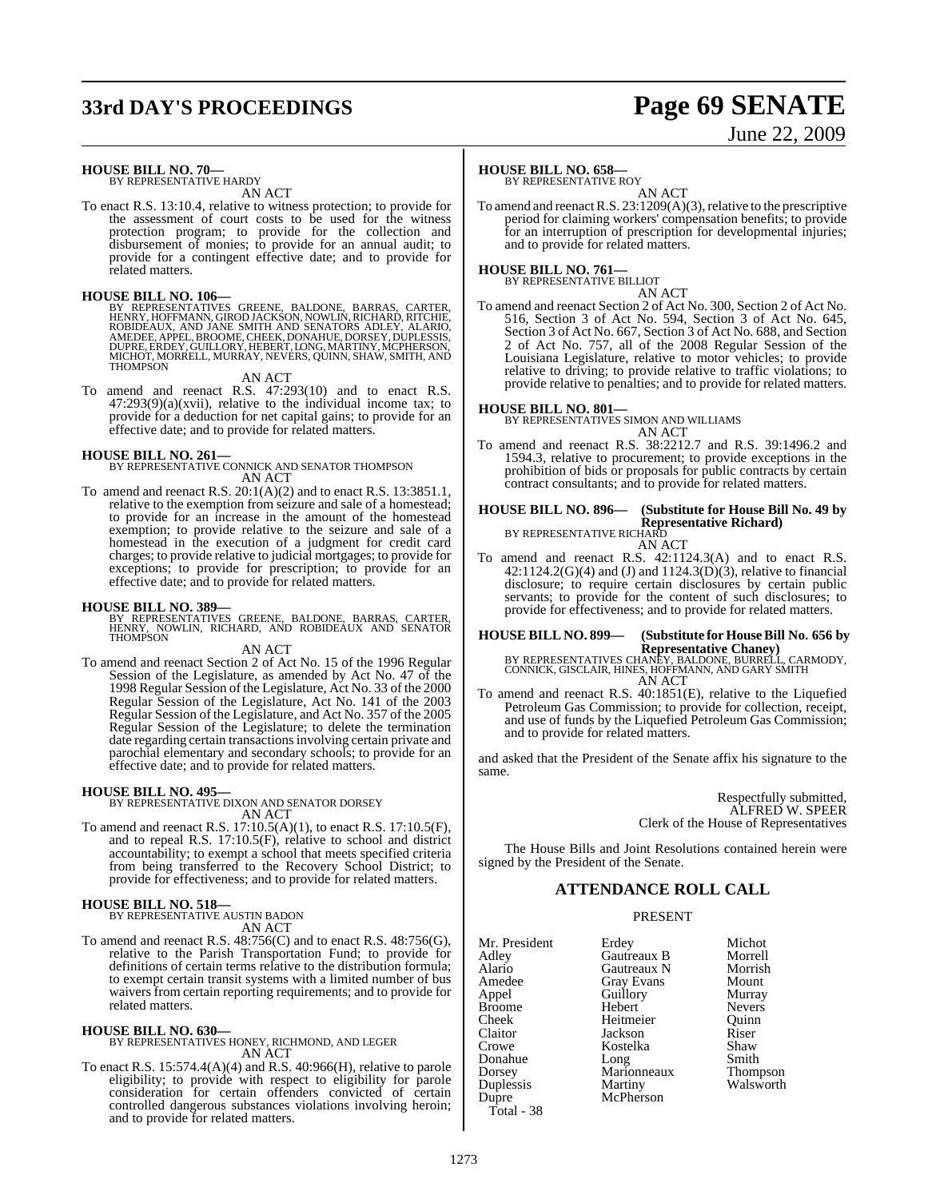# **33rd DAY'S PROCEEDINGS Page 69 SENATE**

# June 22, 2009

### **HOUSE BILL NO. 70—**

BY REPRESENTATIVE HARDY AN ACT

To enact R.S. 13:10.4, relative to witness protection; to provide for the assessment of court costs to be used for the witness protection program; to provide for the collection and disbursement of monies; to provide for an annual audit; to provide for a contingent effective date; and to provide for related matters.

### **HOUSE BILL NO. 106—**

BY REPRESENTATIVES GREENE, BALDONE, BARRAS, CARTER,<br>HENRY, HOFFMANN, GIROD JACKSON, NOWLIN, RICHARD, RITCHIE,<br>ROBIDEAUX, AND JANE SMITH AND SENATORS ADLEY, ALARIO,<br>AMEDEE, APPEL, BROOME, CHEEK, DONAHUE, DORSEY, DUPLESSIS,<br>

### AN ACT

To amend and reenact R.S. 47:293(10) and to enact R.S.  $47:293(9)(a)(xvii)$ , relative to the individual income tax; to provide for a deduction for net capital gains; to provide for an effective date; and to provide for related matters.

**HOUSE BILL NO. 261—** BY REPRESENTATIVE CONNICK AND SENATOR THOMPSON AN ACT

To amend and reenact R.S. 20:1(A)(2) and to enact R.S. 13:3851.1, relative to the exemption from seizure and sale of a homestead; to provide for an increase in the amount of the homestead exemption; to provide relative to the seizure and sale of a homestead in the execution of a judgment for credit card charges; to provide relative to judicial mortgages; to provide for exceptions; to provide for prescription; to provide for an effective date; and to provide for related matters.

### **HOUSE BILL NO. 389—**

BY REPRESENTATIVES GREENE, BALDONE, BARRAS, CARTER, HENRY, NOWLIN, RICHARD, AND ROBIDEAUX AND SENATOR **THOMPSON** 

AN ACT

To amend and reenact Section 2 of Act No. 15 of the 1996 Regular Session of the Legislature, as amended by Act No. 47 of the 1998 Regular Session ofthe Legislature, Act No. 33 of the 2000 Regular Session of the Legislature, Act No. 141 of the 2003 Regular Session of the Legislature, and Act No. 357 of the 2005 Regular Session of the Legislature; to delete the termination date regarding certain transactionsinvolving certain private and parochial elementary and secondary schools; to provide for an effective date; and to provide for related matters.

**HOUSE BILL NO. 495—** BY REPRESENTATIVE DIXON AND SENATOR DORSEY AN ACT

To amend and reenact R.S. 17:10.5(A)(1), to enact R.S. 17:10.5(F), and to repeal R.S. 17:10.5(F), relative to school and district accountability; to exempt a school that meets specified criteria from being transferred to the Recovery School District; to provide for effectiveness; and to provide for related matters.

# **HOUSE BILL NO. 518—** BY REPRESENTATIVE AUSTIN BADON

AN ACT

To amend and reenact R.S. 48:756(C) and to enact R.S. 48:756(G), relative to the Parish Transportation Fund; to provide for definitions of certain terms relative to the distribution formula; to exempt certain transit systems with a limited number of bus waivers from certain reporting requirements; and to provide for related matters.

**HOUSE BILL NO. 630—** BY REPRESENTATIVES HONEY, RICHMOND, AND LEGER AN ACT

To enact R.S. 15:574.4(A)(4) and R.S. 40:966(H), relative to parole eligibility; to provide with respect to eligibility for parole consideration for certain offenders convicted of certain controlled dangerous substances violations involving heroin; and to provide for related matters.

### **HOUSE BILL NO. 658—**

BY REPRESENTATIVE ROY

AN ACT To amend and reenact R.S. 23:1209(A)(3), relative to the prescriptive period for claiming workers' compensation benefits; to provide for an interruption of prescription for developmental injuries; and to provide for related matters.

### **HOUSE BILL NO. 761—** BY REPRESENTATIVE BILLIOT

AN ACT

To amend and reenact Section 2 of Act No. 300, Section 2 of Act No. 516, Section 3 of Act No. 594, Section 3 of Act No. 645, Section 3 of Act No. 667, Section 3 of Act No. 688, and Section 2 of Act No. 757, all of the 2008 Regular Session of the Louisiana Legislature, relative to motor vehicles; to provide relative to driving; to provide relative to traffic violations; to provide relative to penalties; and to provide for related matters.

**HOUSE BILL NO. 801—** BY REPRESENTATIVES SIMON AND WILLIAMS AN ACT

To amend and reenact R.S. 38:2212.7 and R.S. 39:1496.2 and 1594.3, relative to procurement; to provide exceptions in the prohibition of bids or proposals for public contracts by certain contract consultants; and to provide for related matters.

**HOUSE BILL NO. 896— (Substitute for House Bill No. 49 by Representative Richard)** BY REPRESENTATIVE RICHARD AN ACT

To amend and reenact R.S. 42:1124.3(A) and to enact R.S. 42:1124.2(G)(4) and (J) and 1124.3(D)(3), relative to financial disclosure; to require certain disclosures by certain public servants; to provide for the content of such disclosures; to provide for effectiveness; and to provide for related matters.

**HOUSE BILL NO. 899— (Substitute for HouseBill No. 656 by Representative Chaney)** BY REPRESENTATIVES CHANEY, BALDONE, BURRELL, CARMODY, CONNICK, GISCLAIR, HINES, HOFFMANN, AND GARY SMITH AN ACT

To amend and reenact R.S. 40:1851(E), relative to the Liquefied Petroleum Gas Commission; to provide for collection, receipt, and use of funds by the Liquefied Petroleum Gas Commission; and to provide for related matters.

and asked that the President of the Senate affix his signature to the same.

> Respectfully submitted, ALFRED W. SPEER Clerk of the House of Representatives

The House Bills and Joint Resolutions contained herein were signed by the President of the Senate.

### **ATTENDANCE ROLL CALL**

### PRESENT

McPherson

Mr. President Erdey Michot<br>Adlev Gautreaux B Morrell Adley Gautreaux B Morrell Alario Gautreaux N Morrish Amedee Gray Evans Mount<br>
Appel Guillory Murray Broome Hebert Nevers<br>
Cheek Heitmeier Quinn Cheek Heitmeier Quinn Claitor Jackson Riser Crowe Kostelka Shaw Donahue Long Smith Dorsey Marionneaux Thompson Duplessis Martiny Walsworth Total - 38

Appel Guillory<br>
Hebert Mevers